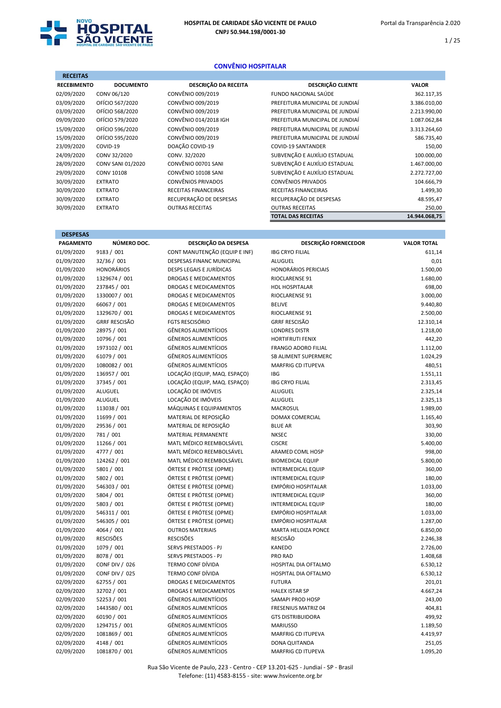

1 / 25

## CONVÊNIO HOSPITALAR

| <b>RECEITAS</b>    |                   |                             |                                 |               |
|--------------------|-------------------|-----------------------------|---------------------------------|---------------|
| <b>RECEBIMENTO</b> | <b>DOCUMENTO</b>  | <b>DESCRIÇÃO DA RECEITA</b> | DESCRIÇÃO CLIENTE               | <b>VALOR</b>  |
| 02/09/2020         | CONV 06/120       | CONVÊNIO 009/2019           | FUNDO NACIONAL SAÚDE            | 362.117,35    |
| 03/09/2020         | OFÍCIO 567/2020   | CONVÊNIO 009/2019           | PREFEITURA MUNICIPAL DE JUNDIAÍ | 3.386.010,00  |
| 03/09/2020         | OFÍCIO 568/2020   | CONVÊNIO 009/2019           | PREFEITURA MUNICIPAL DE JUNDIAÍ | 2.213.990,00  |
| 09/09/2020         | OFÍCIO 579/2020   | CONVÊNIO 014/2018 IGH       | PREFEITURA MUNICIPAL DE JUNDIAÍ | 1.087.062,84  |
| 15/09/2020         | OFÍCIO 596/2020   | CONVÊNIO 009/2019           | PREFEITURA MUNICIPAL DE JUNDIAÍ | 3.313.264,60  |
| 15/09/2020         | OFÍCIO 595/2020   | CONVÊNIO 009/2019           | PREFEITURA MUNICIPAL DE JUNDIAÍ | 586.735,40    |
| 23/09/2020         | COVID-19          | DOAÇÃO COVID-19             | <b>COVID-19 SANTANDER</b>       | 150,00        |
| 24/09/2020         | CONV 32/2020      | CONV. 32/2020               | SUBVENÇÃO E AUXÍLIO ESTADUAL    | 100.000,00    |
| 28/09/2020         | CONV SANI 01/2020 | CONVÊNIO 00701 SANI         | SUBVENÇÃO E AUXÍLIO ESTADUAL    | 1.467.000,00  |
| 29/09/2020         | <b>CONV 10108</b> | CONVÊNIO 10108 SANI         | SUBVENÇÃO E AUXÍLIO ESTADUAL    | 2.272.727,00  |
| 30/09/2020         | <b>EXTRATO</b>    | <b>CONVÊNIOS PRIVADOS</b>   | <b>CONVÊNIOS PRIVADOS</b>       | 104.666,79    |
| 30/09/2020         | <b>EXTRATO</b>    | RECEITAS FINANCEIRAS        | RECEITAS FINANCEIRAS            | 1.499,30      |
| 30/09/2020         | <b>EXTRATO</b>    | RECUPERAÇÃO DE DESPESAS     | RECUPERAÇÃO DE DESPESAS         | 48.595,47     |
| 30/09/2020         | <b>EXTRATO</b>    | <b>OUTRAS RECEITAS</b>      | <b>OUTRAS RECEITAS</b>          | 250,00        |
|                    |                   |                             | <b>TOTAL DAS RECEITAS</b>       | 14.944.068,75 |

| <b>DESPESAS</b>  |                       |                                  |                             |                    |
|------------------|-----------------------|----------------------------------|-----------------------------|--------------------|
| <b>PAGAMENTO</b> | NÚMERO DOC.           | DESCRIÇÃO DA DESPESA             | DESCRIÇÃO FORNECEDOR        | <b>VALOR TOTAL</b> |
| 01/09/2020       | 9183 / 001            | CONT MANUTENÇÃO (EQUIP E INF)    | <b>IBG CRYO FILIAL</b>      | 611,14             |
| 01/09/2020       | 32/36 / 001           | <b>DESPESAS FINANC MUNICIPAL</b> | <b>ALUGUEL</b>              | 0,01               |
| 01/09/2020       | <b>HONORÁRIOS</b>     | <b>DESPS LEGAIS E JURÍDICAS</b>  | <b>HONORÁRIOS PERICIAIS</b> | 1.500,00           |
| 01/09/2020       | 1329674 / 001         | DROGAS E MEDICAMENTOS            | RIOCLARENSE 91              | 1.680,00           |
| 01/09/2020       | 237845 / 001          | DROGAS E MEDICAMENTOS            | HDL HOSPITALAR              | 698,00             |
| 01/09/2020       | 1330007 / 001         | <b>DROGAS E MEDICAMENTOS</b>     | RIOCLARENSE 91              | 3.000,00           |
| 01/09/2020       | 66067 / 001           | <b>DROGAS E MEDICAMENTOS</b>     | <b>BELIVE</b>               | 9.440,80           |
| 01/09/2020       | 1329670 / 001         | <b>DROGAS E MEDICAMENTOS</b>     | RIOCLARENSE 91              | 2.500,00           |
| 01/09/2020       | <b>GRRF RESCISÃO</b>  | <b>FGTS RESCISÓRIO</b>           | <b>GRRF RESCISÃO</b>        | 12.310,14          |
| 01/09/2020       | 28975 / 001           | <b>GÊNEROS ALIMENTÍCIOS</b>      | <b>LONDRES DISTR</b>        | 1.218,00           |
| 01/09/2020       | 10796 / 001           | <b>GÊNEROS ALIMENTÍCIOS</b>      | <b>HORTIFRUTI FENIX</b>     | 442,20             |
| 01/09/2020       | 1973102 / 001         | <b>GÊNEROS ALIMENTÍCIOS</b>      | <b>FRANGO ADORO FILIAL</b>  | 1.112,00           |
| 01/09/2020       | 61079 / 001           | <b>GÊNEROS ALIMENTÍCIOS</b>      | SB ALIMENT SUPERMERC        | 1.024,29           |
| 01/09/2020       | 1080082 / 001         | <b>GÊNEROS ALIMENTÍCIOS</b>      | <b>MARFRIG CD ITUPEVA</b>   | 480,51             |
| 01/09/2020       | 136957 / 001          | LOCAÇÃO (EQUIP, MAQ. ESPAÇO)     | <b>IBG</b>                  | 1.551,11           |
| 01/09/2020       | 37345 / 001           | LOCAÇÃO (EQUIP, MAQ. ESPAÇO)     | <b>IBG CRYO FILIAL</b>      | 2.313,45           |
| 01/09/2020       | ALUGUEL               | LOCAÇÃO DE IMÓVEIS               | ALUGUEL                     | 2.325,14           |
| 01/09/2020       | ALUGUEL               | LOCAÇÃO DE IMÓVEIS               | ALUGUEL                     | 2.325,13           |
| 01/09/2020       | 113038 / 001          | MÁQUINAS E EQUIPAMENTOS          | <b>MACROSUL</b>             | 1.989,00           |
| 01/09/2020       | 11699 / 001           | MATERIAL DE REPOSIÇÃO            | <b>DOMAX COMERCIAL</b>      | 1.165,40           |
| 01/09/2020       | 29536 / 001           | MATERIAL DE REPOSIÇÃO            | <b>BLUE AR</b>              | 303,90             |
| 01/09/2020       | 781 / 001             | <b>MATERIAL PERMANENTE</b>       | <b>NKSEC</b>                | 330,00             |
| 01/09/2020       | 11266 / 001           | MATL MÉDICO REEMBOLSÁVEL         | <b>CISCRE</b>               | 5.400,00           |
| 01/09/2020       | 4777 / 001            | MATL MÉDICO REEMBOLSÁVEL         | ARAMED COML HOSP            | 998,00             |
| 01/09/2020       | 124262 / 001          | MATL MÉDICO REEMBOLSÁVEL         | <b>BIOMEDICAL EQUIP</b>     | 5.800,00           |
| 01/09/2020       | 5801 / 001            | ÓRTESE E PRÓTESE (OPME)          | <b>INTERMEDICAL EQUIP</b>   | 360,00             |
| 01/09/2020       | 5802 / 001            | ÓRTESE E PRÓTESE (OPME)          | <b>INTERMEDICAL EQUIP</b>   | 180,00             |
| 01/09/2020       | 546303 / 001          | ÓRTESE E PRÓTESE (OPME)          | EMPÓRIO HOSPITALAR          | 1.033,00           |
| 01/09/2020       | 5804 / 001            | ÓRTESE E PRÓTESE (OPME)          | <b>INTERMEDICAL EQUIP</b>   | 360,00             |
| 01/09/2020       | 5803 / 001            | ÓRTESE E PRÓTESE (OPME)          | <b>INTERMEDICAL EQUIP</b>   | 180,00             |
| 01/09/2020       | 546311 / 001          | ÓRTESE E PRÓTESE (OPME)          | EMPÓRIO HOSPITALAR          | 1.033,00           |
| 01/09/2020       | 546305 / 001          | ÓRTESE E PRÓTESE (OPME)          | <b>EMPÓRIO HOSPITALAR</b>   | 1.287,00           |
| 01/09/2020       | 4064 / 001            | <b>OUTROS MATERIAIS</b>          | MARTA HELOIZA PONCE         | 6.850,00           |
| 01/09/2020       | <b>RESCISÕES</b>      | <b>RESCISÕES</b>                 | <b>RESCISÃO</b>             | 2.246,38           |
| 01/09/2020       | 1079 / 001            | <b>SERVS PRESTADOS - PJ</b>      | <b>KANEDO</b>               | 2.726,00           |
| 01/09/2020       | 8078 / 001            | <b>SERVS PRESTADOS - PJ</b>      | <b>PRO RAD</b>              | 1.408,68           |
| 01/09/2020       | <b>CONF DIV / 026</b> | <b>TERMO CONF DÍVIDA</b>         | HOSPITAL DIA OFTALMO        | 6.530,12           |
| 01/09/2020       | <b>CONF DIV / 025</b> | TERMO CONF DÍVIDA                | HOSPITAL DIA OFTALMO        | 6.530,12           |
| 02/09/2020       | 62755 / 001           | <b>DROGAS E MEDICAMENTOS</b>     | <b>FUTURA</b>               | 201,01             |
| 02/09/2020       | 32702 / 001           | <b>DROGAS E MEDICAMENTOS</b>     | <b>HALEX ISTAR SP</b>       | 4.667,24           |
| 02/09/2020       | 52253 / 001           | <b>GÊNEROS ALIMENTÍCIOS</b>      | SAMAPI PROD HOSP            | 243,00             |
| 02/09/2020       | 1443580 / 001         | <b>GÊNEROS ALIMENTÍCIOS</b>      | <b>FRESENIUS MATRIZ 04</b>  | 404,81             |
| 02/09/2020       | 60190 / 001           | <b>GÊNEROS ALIMENTÍCIOS</b>      | <b>GTS DISTRIBUIDORA</b>    | 499,92             |
| 02/09/2020       | 1294715 / 001         | <b>GÊNEROS ALIMENTÍCIOS</b>      | <b>MARIUSSO</b>             | 1.189,50           |
| 02/09/2020       | 1081869 / 001         | <b>GÊNEROS ALIMENTÍCIOS</b>      | <b>MARFRIG CD ITUPEVA</b>   | 4.419,97           |
| 02/09/2020       | 4148 / 001            | <b>GÊNEROS ALIMENTÍCIOS</b>      | <b>DONA QUITANDA</b>        | 251,05             |
| 02/09/2020       | 1081870 / 001         | <b>GÊNEROS ALIMENTÍCIOS</b>      | <b>MARFRIG CD ITUPEVA</b>   | 1.095,20           |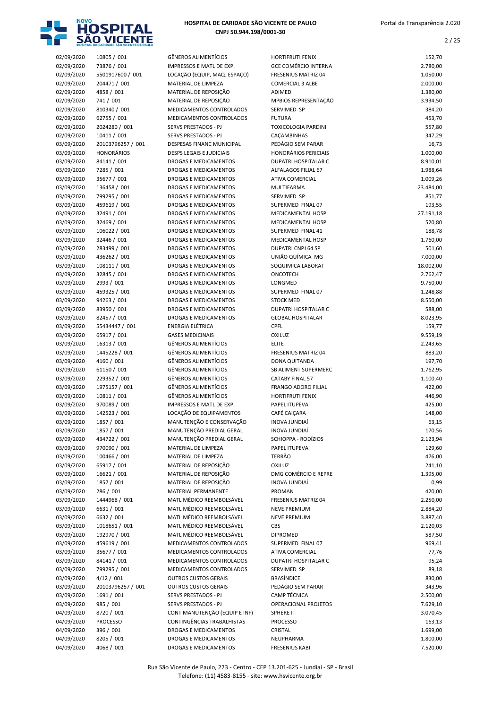

| 02/09/2020 | 10805 / 001       | <b>GÊNEROS ALIMENTÍCIOS</b>     | <b>HORTIFRUTI FENIX</b>     | 152,70             |
|------------|-------------------|---------------------------------|-----------------------------|--------------------|
| 02/09/2020 | 73876 / 001       | IMPRESSOS E MATL DE EXP.        | <b>GCE COMÉRCIO INTERNA</b> | 2.780,00           |
| 02/09/2020 | 5501917600 / 001  | LOCAÇÃO (EQUIP, MAQ. ESPAÇO)    | <b>FRESENIUS MATRIZ 04</b>  | 1.050,00           |
| 02/09/2020 | 204471 / 001      | MATERIAL DE LIMPEZA             | <b>COMERCIAL 3 ALBE</b>     | 2.000,00           |
| 02/09/2020 | 4858 / 001        | MATERIAL DE REPOSIÇÃO           | ADIMED                      | 1.380,00           |
| 02/09/2020 | 741 / 001         | MATERIAL DE REPOSIÇÃO           | MPBIOS REPRESENTAÇÃO        | 3.934,50           |
| 02/09/2020 | 810340 / 001      | MEDICAMENTOS CONTROLADOS        | SERVIMED SP                 | 384,20             |
| 02/09/2020 | 62755 / 001       | MEDICAMENTOS CONTROLADOS        | <b>FUTURA</b>               | 453,70             |
| 02/09/2020 | 2024280 / 001     | SERVS PRESTADOS - PJ            | <b>TOXICOLOGIA PARDINI</b>  | 557,80             |
| 02/09/2020 | 10411 / 001       | SERVS PRESTADOS - PJ            | CAÇAMBINHAS                 | 347,29             |
| 03/09/2020 | 20103796257 / 001 | DESPESAS FINANC MUNICIPAL       | PEDÁGIO SEM PARAR           | 16,73              |
| 03/09/2020 | <b>HONORÁRIOS</b> | <b>DESPS LEGAIS E JUDICIAIS</b> | <b>HONORÁRIOS PERICIAIS</b> | 1.000,00           |
| 03/09/2020 | 84141 / 001       | <b>DROGAS E MEDICAMENTOS</b>    | <b>DUPATRI HOSPITALAR C</b> | 8.910,01           |
| 03/09/2020 | 7285 / 001        | DROGAS E MEDICAMENTOS           | ALFALAGOS FILIAL 67         | 1.988,64           |
| 03/09/2020 | 35677 / 001       | DROGAS E MEDICAMENTOS           | <b>ATIVA COMERCIAL</b>      | 1.009,26           |
| 03/09/2020 | 136458 / 001      | DROGAS E MEDICAMENTOS           | MULTIFARMA                  | 23.484,00          |
| 03/09/2020 | 799295 / 001      | DROGAS E MEDICAMENTOS           | SERVIMED SP                 | 851,77             |
| 03/09/2020 | 459619 / 001      | DROGAS E MEDICAMENTOS           | SUPERMED FINAL 07           | 193,55             |
| 03/09/2020 | 32491 / 001       | DROGAS E MEDICAMENTOS           | MEDICAMENTAL HOSP           | 27.191,18          |
| 03/09/2020 | 32469 / 001       | DROGAS E MEDICAMENTOS           | <b>MEDICAMENTAL HOSP</b>    | 520,80             |
| 03/09/2020 | 106022 / 001      | DROGAS E MEDICAMENTOS           | SUPERMED FINAL 41           | 188,78             |
| 03/09/2020 | 32446 / 001       | <b>DROGAS E MEDICAMENTOS</b>    | <b>MEDICAMENTAL HOSP</b>    | 1.760,00           |
| 03/09/2020 | 283499 / 001      | DROGAS E MEDICAMENTOS           | <b>DUPATRI CNPJ 64 SP</b>   | 501,60             |
| 03/09/2020 | 436262 / 001      | <b>DROGAS E MEDICAMENTOS</b>    | UNIÃO QUÍMICA MG            | 7.000,00           |
| 03/09/2020 | 108111 / 001      | DROGAS E MEDICAMENTOS           | SOQUIMICA LABORAT           | 18.002,00          |
| 03/09/2020 | 32845 / 001       | DROGAS E MEDICAMENTOS           | ONCOTECH                    | 2.762,47           |
| 03/09/2020 | 2993 / 001        | DROGAS E MEDICAMENTOS           | LONGMED                     | 9.750,00           |
| 03/09/2020 | 459325 / 001      | DROGAS E MEDICAMENTOS           | SUPERMED FINAL 07           | 1.248,88           |
| 03/09/2020 | 94263 / 001       | DROGAS E MEDICAMENTOS           | <b>STOCK MED</b>            | 8.550,00           |
| 03/09/2020 | 83950 / 001       | DROGAS E MEDICAMENTOS           | DUPATRI HOSPITALAR C        |                    |
| 03/09/2020 | 82457 / 001       | <b>DROGAS E MEDICAMENTOS</b>    | <b>GLOBAL HOSPITALAR</b>    | 588,00<br>8.023,95 |
|            |                   | ENERGIA ELÉTRICA                |                             |                    |
| 03/09/2020 | 55434447 / 001    |                                 | CPFL                        | 159,77             |
| 03/09/2020 | 65917 / 001       | <b>GASES MEDICINAIS</b>         | <b>OXILUZ</b>               | 9.559,19           |
| 03/09/2020 | 16313 / 001       | <b>GÊNEROS ALIMENTÍCIOS</b>     | <b>ELITE</b>                | 2.243,65           |
| 03/09/2020 | 1445228 / 001     | <b>GÊNEROS ALIMENTÍCIOS</b>     | <b>FRESENIUS MATRIZ 04</b>  | 883,20             |
| 03/09/2020 | 4160 / 001        | GÊNEROS ALIMENTÍCIOS            | DONA QUITANDA               | 197,70             |
| 03/09/2020 | 61150 / 001       | <b>GÊNEROS ALIMENTÍCIOS</b>     | SB ALIMENT SUPERMERC        | 1.762,95           |
| 03/09/2020 | 229352 / 001      | GÊNEROS ALIMENTÍCIOS            | <b>CATABY FINAL 57</b>      | 1.100,40           |
| 03/09/2020 | 1975157 / 001     | GÊNEROS ALIMENTÍCIOS            | <b>FRANGO ADORO FILIAL</b>  | 422,00             |
| 03/09/2020 | 10811 / 001       | <b>GÊNEROS ALIMENTÍCIOS</b>     | <b>HORTIFRUTI FENIX</b>     | 446,90             |
| 03/09/2020 | 970089 / 001      | IMPRESSOS E MATL DE EXP.        | PAPEL ITUPEVA               | 425,00             |
| 03/09/2020 | 142523 / 001      | LOCAÇÃO DE EQUIPAMENTOS         | CAFÉ CAIÇARA                | 148,00             |
| 03/09/2020 | 1857 / 001        | MANUTENÇÃO E CONSERVAÇÃO        | <b>INOVA JUNDIAÍ</b>        | 63,15              |
| 03/09/2020 | 1857 / 001        | MANUTENÇÃO PREDIAL GERAL        | INOVA JUNDIAÍ               | 170,56             |
| 03/09/2020 | 434722 / 001      | MANUTENÇÃO PREDIAL GERAL        | SCHIOPPA - RODÍZIOS         | 2.123,94           |
| 03/09/2020 | 970090 / 001      | MATERIAL DE LIMPEZA             | PAPEL ITUPEVA               | 129,60             |
| 03/09/2020 | 100466 / 001      | MATERIAL DE LIMPEZA             | <b>TERRÃO</b>               | 476,00             |
| 03/09/2020 | 65917 / 001       | MATERIAL DE REPOSIÇÃO           | <b>OXILUZ</b>               | 241,10             |
| 03/09/2020 | 16621 / 001       | MATERIAL DE REPOSIÇÃO           | DMG COMÉRCIO E REPRE        | 1.395,00           |
| 03/09/2020 | 1857 / 001        | MATERIAL DE REPOSIÇÃO           | INOVA JUNDIAÍ               | 0,99               |
| 03/09/2020 | 286 / 001         | MATERIAL PERMANENTE             | PROMAN                      | 420,00             |
| 03/09/2020 | 1444968 / 001     | MATL MÉDICO REEMBOLSÁVEL        | FRESENIUS MATRIZ 04         | 2.250,00           |
| 03/09/2020 | 6631 / 001        | MATL MÉDICO REEMBOLSÁVEL        | <b>NEVE PREMIUM</b>         | 2.884,20           |
| 03/09/2020 | 6632 / 001        | MATL MÉDICO REEMBOLSÁVEL        | <b>NEVE PREMIUM</b>         | 3.887,40           |
| 03/09/2020 | 1018651 / 001     | MATL MÉDICO REEMBOLSÁVEL        | CBS                         | 2.120,03           |
| 03/09/2020 | 192970 / 001      | MATL MÉDICO REEMBOLSÁVEL        | <b>DIPROMED</b>             | 587,50             |
| 03/09/2020 | 459619 / 001      | MEDICAMENTOS CONTROLADOS        | SUPERMED FINAL 07           | 969,41             |
| 03/09/2020 | 35677 / 001       | MEDICAMENTOS CONTROLADOS        | ATIVA COMERCIAL             | 77,76              |
| 03/09/2020 | 84141 / 001       | MEDICAMENTOS CONTROLADOS        | DUPATRI HOSPITALAR C        | 95,24              |
| 03/09/2020 | 799295 / 001      | MEDICAMENTOS CONTROLADOS        | SERVIMED SP                 | 89,18              |
| 03/09/2020 | 4/12 / 001        | <b>OUTROS CUSTOS GERAIS</b>     | BRASÍNDICE                  | 830,00             |
| 03/09/2020 | 20103796257 / 001 | <b>OUTROS CUSTOS GERAIS</b>     | PEDÁGIO SEM PARAR           | 343,96             |
| 03/09/2020 | 1691 / 001        | SERVS PRESTADOS - PJ            | CAMP TÉCNICA                | 2.500,00           |
| 03/09/2020 | 985 / 001         | SERVS PRESTADOS - PJ            | <b>OPERACIONAL PROJETOS</b> | 7.629,10           |
| 04/09/2020 | 8720 / 001        | CONT MANUTENÇÃO (EQUIP E INF)   | SPHERE IT                   | 3.070,45           |
| 04/09/2020 | <b>PROCESSO</b>   | CONTINGÊNCIAS TRABALHISTAS      | <b>PROCESSO</b>             | 163,13             |
| 04/09/2020 | 396 / 001         | <b>DROGAS E MEDICAMENTOS</b>    | CRISTAL                     | 1.699,00           |
| 04/09/2020 | 8205 / 001        | DROGAS E MEDICAMENTOS           | NEUPHARMA                   | 1.800,00           |
| 04/09/2020 | 4068 / 001        | DROGAS E MEDICAMENTOS           | <b>FRESENIUS KABI</b>       | 7.520,00           |

| SOQUIMICA LABORAT           | 18.002,00 |
|-----------------------------|-----------|
| ONCOTECH                    | 2.762,47  |
| LONGMED                     | 9.750,00  |
| SUPERMED FINAL 07           | 1.248,88  |
| <b>STOCK MED</b>            | 8.550,00  |
|                             |           |
| <b>DUPATRI HOSPITALAR C</b> | 588,00    |
| <b>GLOBAL HOSPITALAR</b>    | 8.023,95  |
| CPFL                        | 159,77    |
| OXILUZ                      | 9.559,19  |
| <b>ELITE</b>                | 2.243,65  |
| <b>FRESENIUS MATRIZ 04</b>  | 883,20    |
| DONA QUITANDA               | 197,70    |
| SB ALIMENT SUPERMERC        | 1.762,95  |
| <b>CATABY FINAL 57</b>      | 1.100,40  |
| <b>FRANGO ADORO FILIAL</b>  | 422,00    |
| <b>HORTIFRUTI FENIX</b>     | 446,90    |
| PAPEL ITUPEVA               | 425,00    |
| CAFÉ CAICARA                | 148,00    |
| <b>INOVA JUNDIAÍ</b>        | 63,15     |
| INOVA JUNDIAÍ               | 170,56    |
| SCHIOPPA - RODÍZIOS         | 2.123,94  |
| PAPEL ITUPEVA               | 129,60    |
| <b>TERRÃO</b>               | 476,00    |
| <b>OXILUZ</b>               | 241,10    |
| DMG COMÉRCIO E REPRE        | 1.395,00  |
| <b>INOVA JUNDIAÍ</b>        | 0,99      |
| <b>PROMAN</b>               | 420,00    |
| <b>FRESENIUS MATRIZ 04</b>  | 2.250,00  |
| <b>NEVE PREMIUM</b>         | 2.884,20  |
| <b>NEVE PREMIUM</b>         | 3.887,40  |
| <b>CBS</b>                  | 2.120,03  |
| <b>DIPROMED</b>             | 587,50    |
| SUPERMED FINAL 07           | 969,41    |
| ATIVA COMERCIAL             | 77,76     |
| <b>DUPATRI HOSPITALAR C</b> | 95,24     |
| <b>SERVIMED SP</b>          | 89,18     |
| <b>BRASÍNDICE</b>           | 830,00    |
| PEDÁGIO SEM PARAR           | 343,96    |
| <b>CAMP TÉCNICA</b>         | 2.500,00  |
| <b>OPERACIONAL PROJETOS</b> | 7.629,10  |
| <b>SPHERE IT</b>            | 3.070,45  |
| <b>PROCESSO</b>             | 163,13    |
| <b>CRISTAL</b>              | 1.699,00  |
| NEUPHARMA                   | 1.800,00  |
| <b>FRESENIUS KABI</b>       | 7.520,00  |
|                             |           |
|                             |           |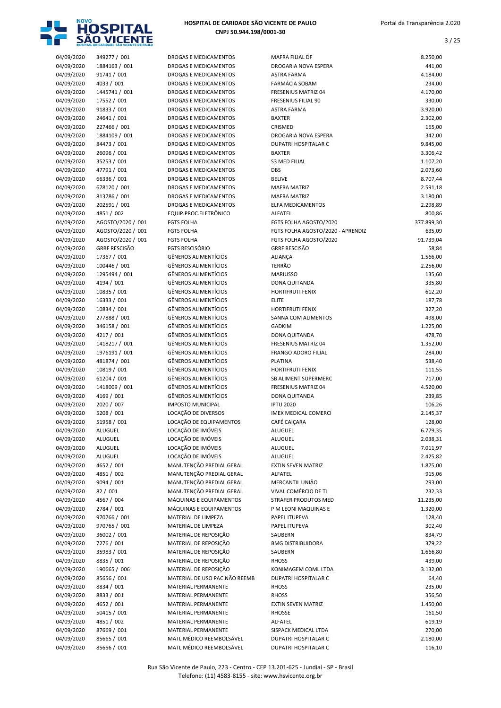

|                          | HO25-LIVE DE CVHIDVOE 2VO AICEMEE DE NVITO |                                                      |
|--------------------------|--------------------------------------------|------------------------------------------------------|
| 04/09/2020               | 349277 / 001                               | DROGAS E MEDICAME                                    |
| 04/09/2020               | 1884163 / 001                              | <b>DROGAS E MEDICAME</b>                             |
| 04/09/2020               | 91741 / 001                                | <b>DROGAS E MEDICAME</b>                             |
| 04/09/2020               | 4033 / 001                                 | DROGAS E MEDICAME                                    |
| 04/09/2020               | 1445741 / 001                              | <b>DROGAS E MEDICAME</b>                             |
| 04/09/2020               | 17552 / 001                                | <b>DROGAS E MEDICAME</b>                             |
| 04/09/2020               | 91833 / 001                                | <b>DROGAS E MEDICAME</b><br><b>DROGAS E MEDICAME</b> |
| 04/09/2020<br>04/09/2020 | 24641 / 001<br>227466 / 001                | <b>DROGAS E MEDICAME</b>                             |
| 04/09/2020               | 1884109 / 001                              | <b>DROGAS E MEDICAME</b>                             |
| 04/09/2020               | 84473 / 001                                | <b>DROGAS E MEDICAME</b>                             |
| 04/09/2020               | 26096 / 001                                | DROGAS E MEDICAME                                    |
| 04/09/2020               | 35253 / 001                                | <b>DROGAS E MEDICAME</b>                             |
| 04/09/2020               | 47791 / 001                                | <b>DROGAS E MEDICAME</b>                             |
| 04/09/2020               | 66336 / 001                                | <b>DROGAS E MEDICAME</b>                             |
| 04/09/2020               | 678120 / 001                               | <b>DROGAS E MEDICAME</b>                             |
| 04/09/2020               | 813786 / 001                               | <b>DROGAS E MEDICAME</b>                             |
| 04/09/2020               | 202591 / 001                               | <b>DROGAS E MEDICAME</b>                             |
| 04/09/2020               | 4851 / 002                                 | EQUIP.PROC.ELETRÔN                                   |
| 04/09/2020               | AGOSTO/2020 / 001                          | <b>FGTS FOLHA</b>                                    |
| 04/09/2020               | AGOSTO/2020 / 001                          | <b>FGTS FOLHA</b>                                    |
| 04/09/2020               | AGOSTO/2020 / 001                          | <b>FGTS FOLHA</b>                                    |
| 04/09/2020               | <b>GRRF RESCISÃO</b>                       | <b>FGTS RESCISÓRIO</b>                               |
| 04/09/2020               | 17367 / 001                                | <b>GÊNEROS ALIMENTÍCI</b>                            |
| 04/09/2020               | 100446 / 001                               | <b>GÊNEROS ALIMENTÍCI</b>                            |
| 04/09/2020               | 1295494 / 001                              | <b>GÊNEROS ALIMENTÍCI</b>                            |
| 04/09/2020<br>04/09/2020 | 4194 / 001<br>10835 / 001                  | <b>GÊNEROS ALIMENTÍCI</b><br>GÊNEROS ALIMENTÍCI      |
| 04/09/2020               | 16333 / 001                                | <b>GÊNEROS ALIMENTÍCI</b>                            |
| 04/09/2020               | 10834 / 001                                | GÊNEROS ALIMENTÍCI                                   |
| 04/09/2020               | 277888 / 001                               | <b>GÊNEROS ALIMENTÍCI</b>                            |
| 04/09/2020               | 346158 / 001                               | <b>GÊNEROS ALIMENTÍCI</b>                            |
| 04/09/2020               | 4217 / 001                                 | GÊNEROS ALIMENTÍCI                                   |
| 04/09/2020               | 1418217 / 001                              | <b>GÊNEROS ALIMENTÍCI</b>                            |
| 04/09/2020               | 1976191 / 001                              | <b>GÊNEROS ALIMENTÍCI</b>                            |
| 04/09/2020               | 481874 / 001                               | <b>GÊNEROS ALIMENTÍCI</b>                            |
| 04/09/2020               | 10819 / 001                                | <b>GÊNEROS ALIMENTÍCI</b>                            |
| 04/09/2020               | 61204 / 001                                | <b>GÊNEROS ALIMENTÍCI</b>                            |
| 04/09/2020               | 1418009 / 001                              | <b>GÊNEROS ALIMENTÍCI</b>                            |
| 04/09/2020               | 4169 / 001                                 | <b>GÊNEROS ALIMENTÍCI</b>                            |
| 04/09/2020               | 2020 / 007                                 | <b>IMPOSTO MUNICIPAL</b>                             |
| 04/09/2020               | 5208 / 001                                 | LOCAÇÃO DE DIVERSO                                   |
| 04/09/2020<br>04/09/2020 | 51958 / 001<br>ALUGUEL                     | LOCAÇÃO DE EQUIPAI<br>LOCAÇÃO DE IMÓVEIS             |
| 04/09/2020               | ALUGUEL                                    | LOCAÇÃO DE IMÓVEIS                                   |
| 04/09/2020               | <b>ALUGUEL</b>                             | LOCAÇÃO DE IMÓVEIS                                   |
| 04/09/2020               | ALUGUEL                                    | LOCAÇÃO DE IMÓVEIS                                   |
| 04/09/2020               | 4652 / 001                                 | MANUTENÇÃO PREDI.                                    |
| 04/09/2020               | 4851 / 002                                 | MANUTENÇÃO PREDI.                                    |
| 04/09/2020               | 9094 / 001                                 | MANUTENÇÃO PREDI.                                    |
| 04/09/2020               | 82 / 001                                   | MANUTENÇÃO PREDI.                                    |
| 04/09/2020               | 4567 / 004                                 | MÁQUINAS E EQUIPA                                    |
| 04/09/2020               | 2784 / 001                                 | MÁQUINAS E EQUIPA                                    |
| 04/09/2020               | 970766 / 001                               | MATERIAL DE LIMPEZ.                                  |
| 04/09/2020               | 970765 / 001                               | MATERIAL DE LIMPEZ.                                  |
| 04/09/2020               | 36002 / 001                                | <b>MATERIAL DE REPOSI</b>                            |
| 04/09/2020               | 7276 / 001                                 | MATERIAL DE REPOSI                                   |
| 04/09/2020               | 35983 / 001                                | <b>MATERIAL DE REPOSI</b>                            |
| 04/09/2020               | 8835 / 001                                 | MATERIAL DE REPOSI                                   |
| 04/09/2020               | 190665 / 006                               | MATERIAL DE REPOSI<br>MATERIAL DE USO PA             |
| 04/09/2020<br>04/09/2020 | 85656 / 001<br>8834 / 001                  | MATERIAL PERMANEI                                    |
| 04/09/2020               | 8833 / 001                                 | MATERIAL PERMANEI                                    |
| 04/09/2020               | 4652 / 001                                 | MATERIAL PERMANEI                                    |
| 04/09/2020               | 50415 / 001                                | MATERIAL PERMANEI                                    |
| 04/09/2020               | 4851 / 002                                 | MATERIAL PERMANEI                                    |
| 04/09/2020               | 87669 / 001                                | MATERIAL PERMANEI                                    |
| 04/09/2020               | 85665 / 001                                | MATL MÉDICO REEME                                    |
|                          |                                            |                                                      |

| 04/09/2020               | 349277 / 001               | DROGAS E MEDICAMENTOS                                      | MAFRA FILIAL DF                             | 8.250,00           |
|--------------------------|----------------------------|------------------------------------------------------------|---------------------------------------------|--------------------|
| 04/09/2020               | 1884163 / 001              | DROGAS E MEDICAMENTOS                                      | DROGARIA NOVA ESPERA                        | 441,00             |
| 04/09/2020               | 91741 / 001                | DROGAS E MEDICAMENTOS                                      | <b>ASTRA FARMA</b>                          | 4.184,00           |
| 04/09/2020               | 4033 / 001                 | DROGAS E MEDICAMENTOS                                      | <b>FARMÁCIA SOBAM</b>                       | 234,00             |
| 04/09/2020               | 1445741 / 001              | DROGAS E MEDICAMENTOS                                      | <b>FRESENIUS MATRIZ 04</b>                  | 4.170,00           |
| 04/09/2020               | 17552 / 001                | DROGAS E MEDICAMENTOS                                      | <b>FRESENIUS FILIAL 90</b>                  | 330,00             |
| 04/09/2020<br>04/09/2020 | 91833 / 001<br>24641 / 001 | DROGAS E MEDICAMENTOS<br>DROGAS E MEDICAMENTOS             | <b>ASTRA FARMA</b><br><b>BAXTER</b>         | 3.920,00           |
| 04/09/2020               | 227466 / 001               | DROGAS E MEDICAMENTOS                                      | CRISMED                                     | 2.302,00<br>165,00 |
| 04/09/2020               | 1884109 / 001              | DROGAS E MEDICAMENTOS                                      | DROGARIA NOVA ESPERA                        | 342,00             |
| 04/09/2020               | 84473 / 001                | DROGAS E MEDICAMENTOS                                      | <b>DUPATRI HOSPITALAR C</b>                 | 9.845,00           |
| 04/09/2020               | 26096 / 001                | DROGAS E MEDICAMENTOS                                      | <b>BAXTER</b>                               | 3.306,42           |
| 04/09/2020               | 35253 / 001                | DROGAS E MEDICAMENTOS                                      | <b>S3 MED FILIAL</b>                        | 1.107,20           |
| 04/09/2020               | 47791 / 001                | DROGAS E MEDICAMENTOS                                      | <b>DBS</b>                                  | 2.073,60           |
| 04/09/2020               | 66336 / 001                | DROGAS E MEDICAMENTOS                                      | <b>BELIVE</b>                               | 8.707,44           |
| 04/09/2020               | 678120 / 001               | DROGAS E MEDICAMENTOS                                      | <b>MAFRA MATRIZ</b>                         | 2.591,18           |
| 04/09/2020               | 813786 / 001               | DROGAS E MEDICAMENTOS                                      | <b>MAFRA MATRIZ</b>                         | 3.180,00           |
| 04/09/2020               | 202591 / 001               | DROGAS E MEDICAMENTOS                                      | <b>ELFA MEDICAMENTOS</b>                    | 2.298,89           |
| 04/09/2020               | 4851 / 002                 | EQUIP.PROC.ELETRÔNICO                                      | ALFATEL                                     | 800,86             |
| 04/09/2020               | AGOSTO/2020 / 001          | <b>FGTS FOLHA</b>                                          | FGTS FOLHA AGOSTO/2020                      | 377.899,30         |
| 04/09/2020               | AGOSTO/2020 / 001          | <b>FGTS FOLHA</b>                                          | FGTS FOLHA AGOSTO/2020 - APRENDIZ           | 635,09             |
| 04/09/2020               | AGOSTO/2020 / 001          | <b>FGTS FOLHA</b>                                          | FGTS FOLHA AGOSTO/2020                      | 91.739,04          |
| 04/09/2020               | <b>GRRF RESCISÃO</b>       | <b>FGTS RESCISÓRIO</b>                                     | <b>GRRF RESCISÃO</b>                        | 58,84              |
| 04/09/2020               | 17367 / 001                | <b>GÊNEROS ALIMENTÍCIOS</b>                                | ALIANÇA                                     | 1.566,00           |
| 04/09/2020               | 100446 / 001               | <b>GÊNEROS ALIMENTÍCIOS</b>                                | <b>TERRÃO</b>                               | 2.256,00           |
| 04/09/2020               | 1295494 / 001              | <b>GÊNEROS ALIMENTÍCIOS</b>                                | <b>MARIUSSO</b>                             | 135,60             |
| 04/09/2020               | 4194 / 001                 | <b>GÊNEROS ALIMENTÍCIOS</b>                                | DONA QUITANDA                               | 335,80             |
| 04/09/2020               | 10835 / 001                | <b>GÊNEROS ALIMENTÍCIOS</b>                                | <b>HORTIFRUTI FENIX</b>                     | 612,20             |
| 04/09/2020               | 16333 / 001                | <b>GÊNEROS ALIMENTÍCIOS</b>                                | <b>ELITE</b>                                | 187,78             |
| 04/09/2020               | 10834 / 001                | <b>GÊNEROS ALIMENTÍCIOS</b>                                | <b>HORTIFRUTI FENIX</b>                     | 327,20             |
| 04/09/2020               | 277888 / 001               | <b>GÊNEROS ALIMENTÍCIOS</b>                                | SANNA COM ALIMENTOS                         | 498,00             |
| 04/09/2020               | 346158 / 001<br>4217 / 001 | <b>GÊNEROS ALIMENTÍCIOS</b><br><b>GÊNEROS ALIMENTÍCIOS</b> | <b>GADKIM</b>                               | 1.225,00<br>478,70 |
| 04/09/2020<br>04/09/2020 | 1418217 / 001              | <b>GÊNEROS ALIMENTÍCIOS</b>                                | DONA QUITANDA<br><b>FRESENIUS MATRIZ 04</b> | 1.352,00           |
| 04/09/2020               | 1976191 / 001              | <b>GÊNEROS ALIMENTÍCIOS</b>                                | <b>FRANGO ADORO FILIAL</b>                  | 284,00             |
| 04/09/2020               | 481874 / 001               | <b>GÊNEROS ALIMENTÍCIOS</b>                                | <b>PLATINA</b>                              | 538,40             |
| 04/09/2020               | 10819 / 001                | <b>GÊNEROS ALIMENTÍCIOS</b>                                | <b>HORTIFRUTI FENIX</b>                     | 111,55             |
| 04/09/2020               | 61204 / 001                | <b>GÊNEROS ALIMENTÍCIOS</b>                                | <b>SB ALIMENT SUPERMERC</b>                 | 717,00             |
| 04/09/2020               | 1418009 / 001              | <b>GÊNEROS ALIMENTÍCIOS</b>                                | <b>FRESENIUS MATRIZ 04</b>                  | 4.520,00           |
| 04/09/2020               | 4169 / 001                 | <b>GÊNEROS ALIMENTÍCIOS</b>                                | <b>DONA QUITANDA</b>                        | 239,85             |
| 04/09/2020               | 2020 / 007                 | <b>IMPOSTO MUNICIPAL</b>                                   | <b>IPTU 2020</b>                            | 106,26             |
| 04/09/2020               | 5208 / 001                 | LOCAÇÃO DE DIVERSOS                                        | <b>IMEX MEDICAL COMERCI</b>                 | 2.145,37           |
| 04/09/2020               | 51958 / 001                | LOCAÇÃO DE EQUIPAMENTOS                                    | CAFÉ CAIÇARA                                | 128,00             |
| 04/09/2020               | ALUGUEL                    | LOCAÇÃO DE IMÓVEIS                                         | ALUGUEL                                     | 6.779,35           |
| 04/09/2020               | ALUGUEL                    | LOCAÇÃO DE IMÓVEIS                                         | ALUGUEL                                     | 2.038,31           |
| 04/09/2020               | ALUGUEL                    | LOCAÇÃO DE IMÓVEIS                                         | ALUGUEL                                     | 7.011,97           |
| 04/09/2020               | ALUGUEL                    | LOCAÇÃO DE IMÓVEIS                                         | ALUGUEL                                     | 2.425,82           |
| 04/09/2020               | 4652 / 001                 | MANUTENÇÃO PREDIAL GERAL                                   | <b>EXTIN SEVEN MATRIZ</b>                   | 1.875,00           |
| 04/09/2020               | 4851 / 002                 | MANUTENÇÃO PREDIAL GERAL                                   | ALFATEL                                     | 915,06             |
| 04/09/2020               | 9094 / 001                 | MANUTENÇÃO PREDIAL GERAL                                   | MERCANTIL UNIÃO                             | 293,00             |
| 04/09/2020               | 82 / 001                   | MANUTENÇÃO PREDIAL GERAL                                   | VIVAL COMÉRCIO DE TI                        | 232,33             |
| 04/09/2020               | 4567 / 004                 | MÁQUINAS E EQUIPAMENTOS                                    | STRAFER PRODUTOS MED                        | 11.235,00          |
| 04/09/2020               | 2784 / 001                 | MÁQUINAS E EQUIPAMENTOS                                    | P M LEONI MAQUINAS E                        | 1.320,00           |
| 04/09/2020               | 970766 / 001               | MATERIAL DE LIMPEZA                                        | PAPEL ITUPEVA                               | 128,40             |
| 04/09/2020               | 970765 / 001               | MATERIAL DE LIMPEZA                                        | PAPEL ITUPEVA                               | 302,40             |
| 04/09/2020<br>04/09/2020 | 36002 / 001<br>7276 / 001  | MATERIAL DE REPOSIÇÃO<br>MATERIAL DE REPOSIÇÃO             | SAUBERN<br><b>BMG DISTRIBUIDORA</b>         | 834,79<br>379,22   |
| 04/09/2020               | 35983 / 001                | MATERIAL DE REPOSIÇÃO                                      | SAUBERN                                     |                    |
| 04/09/2020               | 8835 / 001                 | MATERIAL DE REPOSIÇÃO                                      | <b>RHOSS</b>                                | 1.666,80<br>439,00 |
| 04/09/2020               | 190665 / 006               | MATERIAL DE REPOSIÇÃO                                      | KONIMAGEM COML LTDA                         | 3.132,00           |
| 04/09/2020               | 85656 / 001                | MATERIAL DE USO PAC.NÃO REEMB                              | DUPATRI HOSPITALAR C                        | 64,40              |
| 04/09/2020               | 8834 / 001                 | MATERIAL PERMANENTE                                        | <b>RHOSS</b>                                | 235,00             |
| 04/09/2020               | 8833 / 001                 | MATERIAL PERMANENTE                                        | <b>RHOSS</b>                                | 356,50             |
| 04/09/2020               | 4652 / 001                 | MATERIAL PERMANENTE                                        | <b>EXTIN SEVEN MATRIZ</b>                   | 1.450,00           |
| 04/09/2020               | 50415 / 001                | MATERIAL PERMANENTE                                        | <b>RHOSSE</b>                               | 161,50             |
| 04/09/2020               | 4851 / 002                 | MATERIAL PERMANENTE                                        | ALFATEL                                     | 619,19             |
| 04/09/2020               | 87669 / 001                | MATERIAL PERMANENTE                                        | SISPACK MEDICAL LTDA                        | 270,00             |
| 04/09/2020               | 85665 / 001                | MATL MÉDICO REEMBOLSÁVEL                                   | DUPATRI HOSPITALAR C                        | 2.180,00           |
| 04/09/2020               | 85656 / 001                | MATL MÉDICO REEMBOLSÁVEL                                   | DUPATRI HOSPITALAR C                        | 116,10             |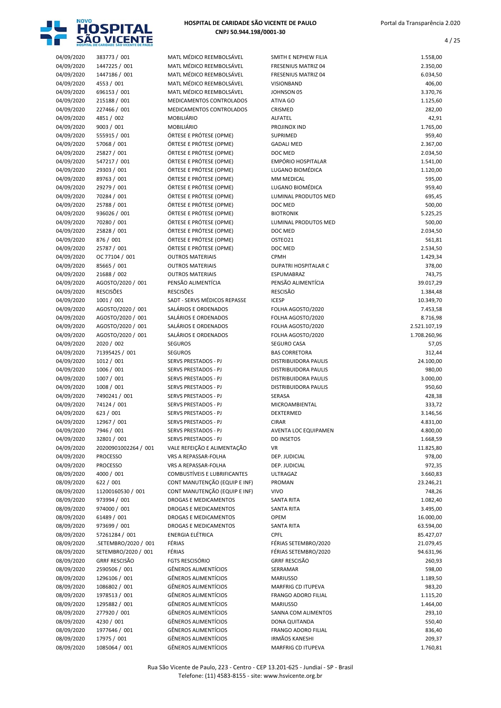

| 04/09/2020               | 383773 / 001                   | MATL MÉDICO REEMBOLSÁVEL                             | SMITH E NEPHEW FILIA                      | 1.558,00             |
|--------------------------|--------------------------------|------------------------------------------------------|-------------------------------------------|----------------------|
| 04/09/2020               | 1447225 / 001                  | MATL MÉDICO REEMBOLSÁVEL                             | FRESENIUS MATRIZ 04                       | 2.350,00             |
| 04/09/2020               | 1447186 / 001                  | MATL MÉDICO REEMBOLSÁVEL                             | FRESENIUS MATRIZ 04                       | 6.034,50             |
| 04/09/2020               | 4553 / 001                     | MATL MÉDICO REEMBOLSÁVEL                             | <b>VISIONBAND</b>                         | 406,00               |
| 04/09/2020               | 696153 / 001                   | MATL MÉDICO REEMBOLSÁVEL                             | <b>JOHNSON 05</b>                         | 3.370,76             |
| 04/09/2020<br>04/09/2020 | 215188 / 001<br>227466 / 001   | MEDICAMENTOS CONTROLADOS<br>MEDICAMENTOS CONTROLADOS | ATIVA GO<br>CRISMED                       | 1.125,60<br>282,00   |
| 04/09/2020               | 4851 / 002                     | <b>MOBILIÁRIO</b>                                    | ALFATEL                                   | 42,91                |
| 04/09/2020               | 9003 / 001                     | <b>MOBILIÁRIO</b>                                    | PROJINOX IND                              | 1.765,00             |
| 04/09/2020               | 555915 / 001                   | ÓRTESE E PRÓTESE (OPME)                              | <b>SUPRIMED</b>                           | 959,40               |
| 04/09/2020               | 57068 / 001                    | ÓRTESE E PRÓTESE (OPME)                              | <b>GADALI MED</b>                         | 2.367,00             |
| 04/09/2020               | 25827 / 001                    | ÓRTESE E PRÓTESE (OPME)                              | DOC MED                                   | 2.034,50             |
| 04/09/2020               | 547217 / 001                   | ÓRTESE E PRÓTESE (OPME)                              | EMPÓRIO HOSPITALAR                        | 1.541,00             |
| 04/09/2020               | 29303 / 001                    | ÓRTESE E PRÓTESE (OPME)                              | LUGANO BIOMÉDICA                          | 1.120,00             |
| 04/09/2020               | 89763 / 001                    | ÓRTESE E PRÓTESE (OPME)                              | <b>MM MEDICAL</b>                         | 595,00               |
| 04/09/2020               | 29279 / 001                    | ÓRTESE E PRÓTESE (OPME)                              | LUGANO BIOMÉDICA                          | 959,40               |
| 04/09/2020               | 70284 / 001                    | ÓRTESE E PRÓTESE (OPME)                              | LUMINAL PRODUTOS MED                      | 695,45               |
| 04/09/2020               | 25788 / 001                    | ÓRTESE E PRÓTESE (OPME)                              | DOC MED                                   | 500,00               |
| 04/09/2020               | 936026 / 001                   | ÓRTESE E PRÓTESE (OPME)                              | <b>BIOTRONIK</b>                          | 5.225,25             |
| 04/09/2020               | 70280 / 001                    | ÓRTESE E PRÓTESE (OPME)                              | LUMINAL PRODUTOS MED                      | 500,00               |
| 04/09/2020               | 25828 / 001                    | ÓRTESE E PRÓTESE (OPME)                              | DOC MED                                   | 2.034,50             |
| 04/09/2020               | 876 / 001                      | ÓRTESE E PRÓTESE (OPME)                              | OSTEO21                                   | 561,81               |
| 04/09/2020               | 25787 / 001                    | ÓRTESE E PRÓTESE (OPME)                              | DOC MED                                   | 2.534,50             |
| 04/09/2020               | OC 77104 / 001                 | <b>OUTROS MATERIAIS</b>                              | <b>CPMH</b>                               | 1.429,34             |
| 04/09/2020<br>04/09/2020 | 85665 / 001<br>21688 / 002     | <b>OUTROS MATERIAIS</b><br><b>OUTROS MATERIAIS</b>   | DUPATRI HOSPITALAR C<br>ESPUMABRAZ        | 378,00<br>743,75     |
| 04/09/2020               | AGOSTO/2020 / 001              | PENSÃO ALIMENTÍCIA                                   | PENSÃO ALIMENTÍCIA                        | 39.017,29            |
| 04/09/2020               | <b>RESCISÕES</b>               | <b>RESCISÕES</b>                                     | <b>RESCISÃO</b>                           | 1.384,48             |
| 04/09/2020               | 1001 / 001                     | SADT - SERVS MÉDICOS REPASSE                         | <b>ICESP</b>                              | 10.349,70            |
| 04/09/2020               | AGOSTO/2020 / 001              | SALÁRIOS E ORDENADOS                                 | FOLHA AGOSTO/2020                         | 7.453,58             |
| 04/09/2020               | AGOSTO/2020 / 001              | SALÁRIOS E ORDENADOS                                 | FOLHA AGOSTO/2020                         | 8.716,98             |
| 04/09/2020               | AGOSTO/2020 / 001              | SALÁRIOS E ORDENADOS                                 | FOLHA AGOSTO/2020                         | 2.521.107,19         |
| 04/09/2020               | AGOSTO/2020 / 001              | SALÁRIOS E ORDENADOS                                 | FOLHA AGOSTO/2020                         | 1.708.260,96         |
| 04/09/2020               | 2020 / 002                     | <b>SEGUROS</b>                                       | SEGURO CASA                               | 57,05                |
| 04/09/2020               | 71395425 / 001                 | <b>SEGUROS</b>                                       | <b>BAS CORRETORA</b>                      | 312,44               |
| 04/09/2020               | 1012 / 001                     | SERVS PRESTADOS - PJ                                 | DISTRIBUIDORA PAULIS                      | 24.100,00            |
| 04/09/2020               | 1006 / 001                     | SERVS PRESTADOS - PJ                                 | DISTRIBUIDORA PAULIS                      | 980,00               |
| 04/09/2020               | 1007 / 001                     | SERVS PRESTADOS - PJ                                 | <b>DISTRIBUIDORA PAULIS</b>               | 3.000,00             |
| 04/09/2020               | 1008 / 001                     | <b>SERVS PRESTADOS - PJ</b>                          | DISTRIBUIDORA PAULIS                      | 950,60               |
| 04/09/2020               | 7490241 / 001                  | SERVS PRESTADOS - PJ                                 | SERASA                                    | 428,38               |
| 04/09/2020               | 74124 / 001                    | SERVS PRESTADOS - PJ                                 | <b>MICROAMBIENTAL</b>                     | 333,72               |
| 04/09/2020               | 623 / 001                      | SERVS PRESTADOS - PJ                                 | <b>DEXTERMED</b>                          | 3.146,56             |
| 04/09/2020               | 12967 / 001<br>7946 / 001      | <b>SERVS PRESTADOS - PJ</b>                          | <b>CIRAR</b>                              | 4.831,00             |
| 04/09/2020<br>04/09/2020 | 32801 / 001                    | SERVS PRESTADOS - PJ<br>SERVS PRESTADOS - PJ         | AVENTA LOC EQUIPAMEN<br><b>DD INSETOS</b> | 4.800,00<br>1.668,59 |
| 04/09/2020               | 20200901002264 / 001           | VALE REFEIÇÃO E ALIMENTAÇÃO                          | VR                                        | 11.825,80            |
| 04/09/2020               | <b>PROCESSO</b>                | VRS A REPASSAR-FOLHA                                 | DEP. JUDICIAL                             | 978,00               |
| 04/09/2020               | <b>PROCESSO</b>                | VRS A REPASSAR-FOLHA                                 | DEP. JUDICIAL                             | 972,35               |
| 08/09/2020               | 4000 / 001                     | COMBUSTÍVEIS E LUBRIFICANTES                         | <b>ULTRAGAZ</b>                           | 3.660,83             |
| 08/09/2020               | 622 / 001                      | CONT MANUTENÇÃO (EQUIP E INF)                        | PROMAN                                    | 23.246,21            |
| 08/09/2020               | 11200160530 / 001              | CONT MANUTENÇÃO (EQUIP E INF)                        | <b>VIVO</b>                               | 748,26               |
| 08/09/2020               | 973994 / 001                   | <b>DROGAS E MEDICAMENTOS</b>                         | <b>SANTA RITA</b>                         | 1.082,40             |
| 08/09/2020               | 974000 / 001                   | DROGAS E MEDICAMENTOS                                | <b>SANTA RITA</b>                         | 3.495,00             |
| 08/09/2020               | 61489 / 001                    | DROGAS E MEDICAMENTOS                                | <b>OPEM</b>                               | 16.000,00            |
| 08/09/2020               | 973699 / 001                   | DROGAS E MEDICAMENTOS                                | <b>SANTA RITA</b>                         | 63.594,00            |
| 08/09/2020               | 57261284 / 001                 | <b>ENERGIA ELÉTRICA</b>                              | <b>CPFL</b>                               | 85.427,07            |
| 08/09/2020               | .SETEMBRO/2020 / 001           | FÉRIAS                                               | FÉRIAS SETEMBRO/2020                      | 21.079,45            |
| 08/09/2020               | SETEMBRO/2020 / 001            | FÉRIAS                                               | FÉRIAS SETEMBRO/2020                      | 94.631,96            |
| 08/09/2020               | <b>GRRF RESCISÃO</b>           | <b>FGTS RESCISÓRIO</b>                               | <b>GRRF RESCISÃO</b>                      | 260,93               |
| 08/09/2020               | 2590506 / 001                  | GÊNEROS ALIMENTÍCIOS                                 | SERRAMAR                                  | 598,00               |
| 08/09/2020               | 1296106 / 001                  | GÊNEROS ALIMENTÍCIOS                                 | <b>MARIUSSO</b>                           | 1.189,50             |
| 08/09/2020<br>08/09/2020 | 1086802 / 001<br>1978513 / 001 | GÊNEROS ALIMENTÍCIOS<br>GÊNEROS ALIMENTÍCIOS         | MARFRIG CD ITUPEVA<br>FRANGO ADORO FILIAL | 983,20<br>1.115,20   |
| 08/09/2020               | 1295882 / 001                  | GÊNEROS ALIMENTÍCIOS                                 | <b>MARIUSSO</b>                           | 1.464,00             |
| 08/09/2020               | 277920 / 001                   | <b>GÊNEROS ALIMENTÍCIOS</b>                          | SANNA COM ALIMENTOS                       | 293,10               |
| 08/09/2020               | 4230 / 001                     | GÊNEROS ALIMENTÍCIOS                                 | DONA QUITANDA                             | 550,40               |
| 08/09/2020               | 1977646 / 001                  | GÊNEROS ALIMENTÍCIOS                                 | FRANGO ADORO FILIAL                       | 836,40               |
| 08/09/2020               | 17975 / 001                    | GÊNEROS ALIMENTÍCIOS                                 | <b>IRMÃOS KANESHI</b>                     | 209,37               |
| 08/09/2020               | 1085064 / 001                  | GÊNEROS ALIMENTÍCIOS                                 | MARFRIG CD ITUPEVA                        | 1.760,81             |

| <b>Z04</b>            | 2.350,00     |
|-----------------------|--------------|
| <b>Z04</b>            | 6.034,50     |
|                       | 406,00       |
|                       | 3.370,76     |
|                       | 1.125,60     |
|                       | 282,00       |
|                       | 42,91        |
|                       | 1.765,00     |
|                       | 959,40       |
|                       | 2.367,00     |
|                       | 2.034,50     |
| ALAR                  | 1.541,00     |
| ICA                   | 1.120,00     |
|                       | 595,00       |
| ICA                   | 959,40       |
| <b>TOS MED</b>        | 695,45       |
|                       | 500,00       |
|                       | 5.225,25     |
| <b>TOS MED</b>        | 500,00       |
|                       | 2.034,50     |
|                       | 561,81       |
|                       | 2.534,50     |
|                       | 1.429,34     |
| LAR <sub>C</sub>      | 378,00       |
|                       | 743,75       |
| ÍCIA                  | 39.017,29    |
|                       | 1.384,48     |
|                       | 10.349,70    |
| 020                   | 7.453,58     |
| 020                   | 8.716,98     |
| 020                   | 2.521.107,19 |
|                       |              |
| 020                   | 1.708.260,96 |
|                       | 57,05        |
|                       | 312,44       |
| AULIS                 | 24.100,00    |
| AULIS                 | 980,00       |
| AULIS                 | 3.000,00     |
| AULIS                 | 950,60       |
|                       | 428,38       |
| L                     | 333,72       |
|                       | 3.146,56     |
|                       | 4.831,00     |
| IPAMEN                | 4.800,00     |
|                       | 1.668,59     |
|                       | 11.825,80    |
|                       | 978,00       |
|                       | 972,35       |
|                       | 3.660,83     |
|                       | 23.246,21    |
|                       | 748,26       |
|                       | 1.082,40     |
|                       | 3.495,00     |
|                       | 16.000,00    |
|                       | 63.594,00    |
|                       | 85.427,07    |
| 0/2020                | 21.079,45    |
| 0/2020                | 94.631,96    |
|                       | 260,93       |
|                       | 598,00       |
|                       | 1.189,50     |
|                       | 983,20       |
|                       | 1.115,20     |
| 'EVA<br><b>FILIAL</b> | 1.464,00     |
| <b>IENTOS</b>         | 293,10       |
|                       | 550,40       |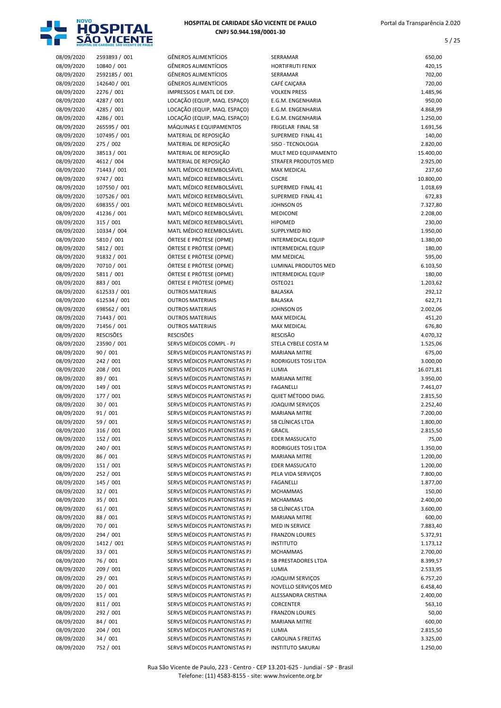

| 08/09/2020               | 2593893 / 001                | <b>GÊNEROS ALIMENTÍCIOS</b>                                    | SERRAMAR                                      | 650,00               |
|--------------------------|------------------------------|----------------------------------------------------------------|-----------------------------------------------|----------------------|
| 08/09/2020               | 10840 / 001                  | <b>GÊNEROS ALIMENTÍCIOS</b>                                    | <b>HORTIFRUTI FENIX</b>                       | 420,15               |
| 08/09/2020               | 2592185 / 001                | <b>GÊNEROS ALIMENTÍCIOS</b>                                    | SERRAMAR                                      | 702,00               |
| 08/09/2020               | 142640 / 001<br>2276 / 001   | <b>GÊNEROS ALIMENTÍCIOS</b><br>IMPRESSOS E MATL DE EXP.        | CAFÉ CAIÇARA<br><b>VOLKEN PRESS</b>           | 720,00<br>1.485,96   |
| 08/09/2020<br>08/09/2020 | 4287 / 001                   | LOCAÇÃO (EQUIP, MAQ. ESPAÇO)                                   | E.G.M. ENGENHARIA                             | 950,00               |
| 08/09/2020               | 4285 / 001                   | LOCAÇÃO (EQUIP, MAQ. ESPAÇO)                                   | E.G.M. ENGENHARIA                             | 4.868,99             |
| 08/09/2020               | 4286 / 001                   | LOCAÇÃO (EQUIP, MAQ. ESPAÇO)                                   | E.G.M. ENGENHARIA                             | 1.250,00             |
| 08/09/2020               | 265595 / 001                 | MÁQUINAS E EQUIPAMENTOS                                        | FRIGELAR FINAL 58                             | 1.691,56             |
| 08/09/2020               | 107495 / 001                 | MATERIAL DE REPOSIÇÃO                                          | SUPERMED FINAL 41                             | 140,00               |
| 08/09/2020               | 275 / 002                    | MATERIAL DE REPOSIÇÃO                                          | SISO - TECNOLOGIA                             | 2.820,00             |
| 08/09/2020               | 38513 / 001                  | MATERIAL DE REPOSIÇÃO                                          | MULT MED EQUIPAMENTO                          | 15.400,00            |
| 08/09/2020               | 4612 / 004                   | MATERIAL DE REPOSIÇÃO                                          | <b>STRAFER PRODUTOS MED</b>                   | 2.925,00             |
| 08/09/2020               | 71443 / 001                  | MATL MÉDICO REEMBOLSÁVEL                                       | <b>MAX MEDICAL</b>                            | 237,60               |
| 08/09/2020               | 9747 / 001                   | MATL MÉDICO REEMBOLSÁVEL                                       | <b>CISCRE</b>                                 | 10.800,00            |
| 08/09/2020               | 107550 / 001                 | MATL MÉDICO REEMBOLSÁVEL                                       | SUPERMED FINAL 41                             | 1.018,69             |
| 08/09/2020<br>08/09/2020 | 107526 / 001<br>698355 / 001 | MATL MÉDICO REEMBOLSÁVEL<br>MATL MÉDICO REEMBOLSÁVEL           | SUPERMED FINAL 41<br>JOHNSON 05               | 672,83<br>7.327,80   |
| 08/09/2020               | 41236 / 001                  | MATL MÉDICO REEMBOLSÁVEL                                       | <b>MEDICONE</b>                               | 2.208,00             |
| 08/09/2020               | 315 / 001                    | MATL MÉDICO REEMBOLSÁVEL                                       | <b>HIPOMED</b>                                | 230,00               |
| 08/09/2020               | 10334 / 004                  | MATL MÉDICO REEMBOLSÁVEL                                       | <b>SUPPLYMED RIO</b>                          | 1.950,00             |
| 08/09/2020               | 5810 / 001                   | ÓRTESE E PRÓTESE (OPME)                                        | <b>INTERMEDICAL EQUIP</b>                     | 1.380,00             |
| 08/09/2020               | 5812 / 001                   | ÓRTESE E PRÓTESE (OPME)                                        | <b>INTERMEDICAL EQUIP</b>                     | 180,00               |
| 08/09/2020               | 91832 / 001                  | ÓRTESE E PRÓTESE (OPME)                                        | <b>MM MEDICAL</b>                             | 595,00               |
| 08/09/2020               | 70710 / 001                  | ÓRTESE E PRÓTESE (OPME)                                        | <b>LUMINAL PRODUTOS MED</b>                   | 6.103,50             |
| 08/09/2020               | 5811 / 001                   | ÓRTESE E PRÓTESE (OPME)                                        | <b>INTERMEDICAL EQUIP</b>                     | 180,00               |
| 08/09/2020               | 883 / 001                    | ÓRTESE E PRÓTESE (OPME)                                        | OSTEO21                                       | 1.203,62             |
| 08/09/2020               | 612533 / 001                 | <b>OUTROS MATERIAIS</b>                                        | <b>BALASKA</b>                                | 292,12               |
| 08/09/2020<br>08/09/2020 | 612534 / 001<br>698562 / 001 | <b>OUTROS MATERIAIS</b><br><b>OUTROS MATERIAIS</b>             | <b>BALASKA</b><br>JOHNSON 05                  | 622,71<br>2.002,06   |
| 08/09/2020               | 71443 / 001                  | <b>OUTROS MATERIAIS</b>                                        | <b>MAX MEDICAL</b>                            | 451,20               |
| 08/09/2020               | 71456 / 001                  | <b>OUTROS MATERIAIS</b>                                        | <b>MAX MEDICAL</b>                            | 676,80               |
| 08/09/2020               | <b>RESCISÕES</b>             | <b>RESCISÕES</b>                                               | <b>RESCISÃO</b>                               | 4.070,32             |
| 08/09/2020               | 23590 / 001                  | SERVS MÉDICOS COMPL - PJ                                       | STELA CYBELE COSTA M                          | 1.525,06             |
| 08/09/2020               | 90 / 001                     | SERVS MÉDICOS PLANTONISTAS PJ                                  | <b>MARIANA MITRE</b>                          | 675,00               |
| 08/09/2020               | 242 / 001                    | SERVS MÉDICOS PLANTONISTAS PJ                                  | RODRIGUES TOSI LTDA                           | 3.000,00             |
| 08/09/2020               | 208 / 001                    | SERVS MÉDICOS PLANTONISTAS PJ                                  | LUMIA                                         | 16.071,81            |
| 08/09/2020               | 89 / 001                     | SERVS MÉDICOS PLANTONISTAS PJ                                  | <b>MARIANA MITRE</b>                          | 3.950,00             |
| 08/09/2020               | 149 / 001                    | SERVS MÉDICOS PLANTONISTAS PJ                                  | <b>FAGANELLI</b>                              | 7.461,07             |
| 08/09/2020<br>08/09/2020 | 177 / 001<br>30 / 001        | SERVS MÉDICOS PLANTONISTAS PJ<br>SERVS MÉDICOS PLANTONISTAS PJ | QUIET MÉTODO DIAG.<br><b>JOAQUIM SERVICOS</b> | 2.815,50<br>2.252,40 |
| 08/09/2020               | 91 / 001                     | SERVS MÉDICOS PLANTONISTAS PJ                                  | <b>MARIANA MITRE</b>                          | 7.200,00             |
| 08/09/2020               | 59 / 001                     | SERVS MÉDICOS PLANTONISTAS PJ                                  | SB CLÍNICAS LTDA                              | 1.800,00             |
| 08/09/2020               | 316 / 001                    | SERVS MÉDICOS PLANTONISTAS PJ                                  | <b>GRACIL</b>                                 | 2.815,50             |
| 08/09/2020               | 152 / 001                    | SERVS MÉDICOS PLANTONISTAS PJ                                  | <b>EDER MASSUCATO</b>                         | 75,00                |
| 08/09/2020               | 240 / 001                    | SERVS MÉDICOS PLANTONISTAS PJ                                  | RODRIGUES TOSI LTDA                           | 1.350,00             |
| 08/09/2020               | 86 / 001                     | SERVS MÉDICOS PLANTONISTAS PJ                                  | <b>MARIANA MITRE</b>                          | 1.200,00             |
| 08/09/2020               | 151 / 001                    | SERVS MÉDICOS PLANTONISTAS PJ                                  | EDER MASSUCATO                                | 1.200,00             |
| 08/09/2020               | 252 / 001                    | SERVS MÉDICOS PLANTONISTAS PJ                                  | PELA VIDA SERVICOS                            | 7.800,00             |
| 08/09/2020               | 145 / 001                    | SERVS MÉDICOS PLANTONISTAS PJ                                  | FAGANELLI                                     | 1.877,00             |
| 08/09/2020               | 32 / 001                     | SERVS MÉDICOS PLANTONISTAS PJ                                  | <b>MCHAMMAS</b>                               | 150,00               |
| 08/09/2020               | 35 / 001<br>61/001           | SERVS MÉDICOS PLANTONISTAS PJ                                  | <b>MCHAMMAS</b><br>SB CLÍNICAS LTDA           | 2.400,00<br>3.600,00 |
| 08/09/2020<br>08/09/2020 | 88 / 001                     | SERVS MÉDICOS PLANTONISTAS PJ<br>SERVS MÉDICOS PLANTONISTAS PJ | MARIANA MITRE                                 | 600,00               |
| 08/09/2020               | 70 / 001                     | SERVS MÉDICOS PLANTONISTAS PJ                                  | <b>MED IN SERVICE</b>                         | 7.883,40             |
| 08/09/2020               | 294 / 001                    | SERVS MÉDICOS PLANTONISTAS PJ                                  | <b>FRANZON LOURES</b>                         | 5.372,91             |
| 08/09/2020               | 1412 / 001                   | SERVS MÉDICOS PLANTONISTAS PJ                                  | <b>INSTITUTO</b>                              | 1.173,12             |
| 08/09/2020               | 33 / 001                     | SERVS MÉDICOS PLANTONISTAS PJ                                  | <b>MCHAMMAS</b>                               | 2.700,00             |
| 08/09/2020               | 76 / 001                     | SERVS MÉDICOS PLANTONISTAS PJ                                  | SB PRESTADORES LTDA                           | 8.399,57             |
| 08/09/2020               | 209 / 001                    | SERVS MÉDICOS PLANTONISTAS PJ                                  | LUMIA                                         | 2.533,95             |
| 08/09/2020               | 29 / 001                     | SERVS MÉDICOS PLANTONISTAS PJ                                  | JOAQUIM SERVIÇOS                              | 6.757,20             |
| 08/09/2020               | 20/001                       | SERVS MÉDICOS PLANTONISTAS PJ                                  | NOVELLO SERVIÇOS MED                          | 6.458,40             |
| 08/09/2020               | 15 / 001                     | SERVS MÉDICOS PLANTONISTAS PJ                                  | ALESSANDRA CRISTINA                           | 2.400,00             |
| 08/09/2020               | 811 / 001                    | SERVS MÉDICOS PLANTONISTAS PJ                                  | CORCENTER                                     | 563,10               |
| 08/09/2020<br>08/09/2020 | 292 / 001<br>84 / 001        | SERVS MÉDICOS PLANTONISTAS PJ<br>SERVS MÉDICOS PLANTONISTAS PJ | <b>FRANZON LOURES</b><br><b>MARIANA MITRE</b> | 50,00<br>600,00      |
| 08/09/2020               | 204 / 001                    | SERVS MÉDICOS PLANTONISTAS PJ                                  | LUMIA                                         | 2.815,50             |
| 08/09/2020               | 34 / 001                     | SERVS MÉDICOS PLANTONISTAS PJ                                  | <b>CAROLINA S FREITAS</b>                     | 3.325,00             |
| 08/09/2020               | 752 / 001                    | SERVS MÉDICOS PLANTONISTAS PJ                                  | <b>INSTITUTO SAKURAI</b>                      | 1.250,00             |

| <b>SERRAMAR</b>                               | 650,00             |
|-----------------------------------------------|--------------------|
| HORTIFRUTI FENIX                              | 420,15             |
| SERRAMAR                                      | 702,00             |
| CAFÉ CAICARA                                  | 720,00             |
| <b>VOLKEN PRESS</b>                           | 1.485,96           |
| E.G.M. ENGENHARIA                             | 950,00             |
| E.G.M. ENGENHARIA                             | 4.868,99           |
| E.G.M. ENGENHARIA                             | 1.250,00           |
| FRIGELAR FINAL 58                             | 1.691,56           |
| SUPERMED FINAL 41                             | 140,00             |
| SISO - TECNOLOGIA                             | 2.820,00           |
| MULT MED EQUIPAMENTO                          | 15.400,00          |
| STRAFER PRODUTOS MED                          | 2.925,00           |
| <b>MAX MEDICAL</b>                            | 237,60             |
| <b>CISCRE</b>                                 | 10.800,00          |
| SUPERMED FINAL 41                             | 1.018,69           |
| SUPERMED FINAL 41                             | 672,83             |
| JOHNSON 05                                    | 7.327,80           |
| MEDICONE                                      | 2.208,00           |
| <b>HIPOMED</b>                                | 230,00             |
| SUPPLYMED RIO                                 | 1.950,00           |
| INTERMEDICAL EQUIP                            | 1.380,00           |
| <b>INTERMEDICAL EQUIP</b>                     | 180,00             |
| MM MEDICAL                                    | 595,00             |
| LUMINAL PRODUTOS MED                          | 6.103,50           |
| INTERMEDICAL EQUIP                            | 180,00             |
| OSTEO21                                       | 1.203,62           |
| <b>BALASKA</b>                                | 292,12             |
| BALASKA                                       | 622,71             |
| JOHNSON 05<br><b>MAX MEDICAL</b>              | 2.002,06<br>451,20 |
| <b>MAX MEDICAL</b>                            | 676,80             |
| RESCISÃO                                      | 4.070,32           |
| STELA CYBELE COSTA M                          | 1.525,06           |
| <b>MARIANA MITRE</b>                          | 675,00             |
| <b>RODRIGUES TOSI LTDA</b>                    | 3.000,00           |
| LUMIA                                         | 16.071,81          |
| <b>MARIANA MITRE</b>                          | 3.950,00           |
| FAGANELLI                                     | 7.461,07           |
| QUIET MÉTODO DIAG.                            | 2.815,50           |
| <b>JOAQUIM SERVIÇOS</b>                       | 2.252,40           |
| <b>MARIANA MITRE</b>                          | 7.200,00           |
| SB CLÍNICAS LTDA                              | 1.800,00           |
| GRACIL                                        | 2.815,50           |
| <b>EDER MASSUCATO</b>                         | 75,00              |
| RODRIGUES TOSI LTDA                           | 1.350,00           |
| <b>MARIANA MITRE</b>                          | 1.200,00           |
| <b>EDER MASSUCATO</b>                         | 1.200,00           |
| PELA VIDA SERVIÇOS                            | 7.800,00           |
| <b>FAGANELLI</b>                              | 1.877,00           |
| <b>MCHAMMAS</b>                               | 150,00             |
| <b>MCHAMMAS</b>                               | 2.400,00           |
| SB CLÍNICAS LTDA                              | 3.600,00           |
| <b>MARIANA MITRE</b>                          | 600,00             |
| <b>MED IN SERVICE</b>                         | 7.883,40           |
| <b>FRANZON LOURES</b>                         | 5.372,91           |
| <b>INSTITUTO</b>                              | 1.173,12           |
| <b>MCHAMMAS</b>                               | 2.700,00           |
| <b>SB PRESTADORES LTDA</b>                    | 8.399,57           |
| LUMIA                                         | 2.533,95           |
| <b>JOAQUIM SERVIÇOS</b>                       | 6.757,20           |
| NOVELLO SERVIÇOS MED                          | 6.458,40           |
|                                               |                    |
| ALESSANDRA CRISTINA                           | 2.400,00           |
| CORCENTER                                     | 563,10             |
| <b>FRANZON LOURES</b><br><b>MARIANA MITRE</b> | 50,00              |
| LUMIA                                         | 600,00<br>2.815,50 |
| <b>CAROLINA S FREITAS</b>                     | 3.325,00           |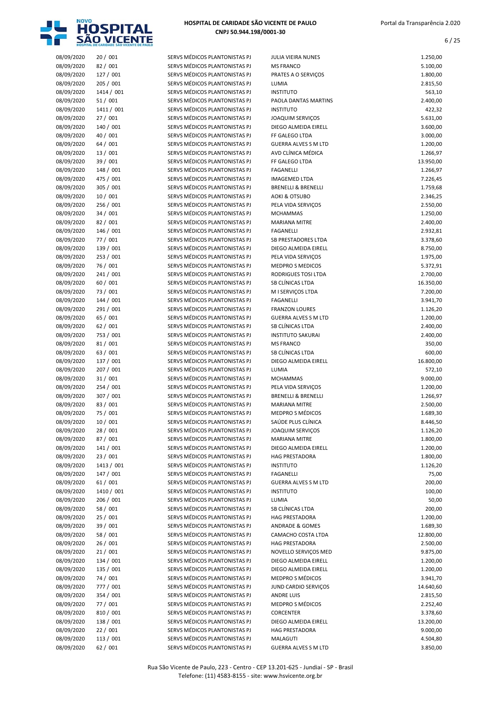

| 08/09/2020 | 20 / 001   | SERVS MÉDICOS PLANTONISTAS PJ | JULIA VIEIRA NUNES             | 1.250,00  |
|------------|------------|-------------------------------|--------------------------------|-----------|
| 08/09/2020 | 82 / 001   | SERVS MÉDICOS PLANTONISTAS PJ | <b>MS FRANCO</b>               | 5.100,00  |
| 08/09/2020 | 127 / 001  | SERVS MÉDICOS PLANTONISTAS PJ | PRATES A O SERVIÇOS            | 1.800,00  |
| 08/09/2020 | 205 / 001  | SERVS MÉDICOS PLANTONISTAS PJ | LUMIA                          | 2.815,50  |
| 08/09/2020 | 1414 / 001 | SERVS MÉDICOS PLANTONISTAS PJ | <b>INSTITUTO</b>               | 563,10    |
| 08/09/2020 | 51/001     | SERVS MÉDICOS PLANTONISTAS PJ | PAOLA DANTAS MARTINS           | 2.400,00  |
| 08/09/2020 | 1411 / 001 | SERVS MÉDICOS PLANTONISTAS PJ | <b>INSTITUTO</b>               | 422,32    |
| 08/09/2020 | 27 / 001   | SERVS MÉDICOS PLANTONISTAS PJ | JOAQUIM SERVIÇOS               | 5.631,00  |
| 08/09/2020 | 140 / 001  | SERVS MÉDICOS PLANTONISTAS PJ | DIEGO ALMEIDA EIRELL           | 3.600,00  |
| 08/09/2020 | 40 / 001   | SERVS MÉDICOS PLANTONISTAS PJ | FF GALEGO LTDA                 | 3.000,00  |
| 08/09/2020 | 64 / 001   | SERVS MÉDICOS PLANTONISTAS PJ | <b>GUERRA ALVES S M LTD</b>    | 1.200,00  |
| 08/09/2020 | 13 / 001   | SERVS MÉDICOS PLANTONISTAS PJ | AVD CLÍNICA MÉDICA             | 1.266,97  |
| 08/09/2020 | 39 / 001   | SERVS MÉDICOS PLANTONISTAS PJ | FF GALEGO LTDA                 | 13.950,00 |
| 08/09/2020 | 148 / 001  | SERVS MÉDICOS PLANTONISTAS PJ | <b>FAGANELLI</b>               | 1.266,97  |
| 08/09/2020 | 475 / 001  | SERVS MÉDICOS PLANTONISTAS PJ | <b>IMAGEMED LTDA</b>           | 7.226,45  |
| 08/09/2020 | 305 / 001  | SERVS MÉDICOS PLANTONISTAS PJ | <b>BRENELLI &amp; BRENELLI</b> | 1.759,68  |
| 08/09/2020 | 10/001     | SERVS MÉDICOS PLANTONISTAS PJ | AOKI & OTSUBO                  | 2.346,25  |
| 08/09/2020 | 256 / 001  | SERVS MÉDICOS PLANTONISTAS PJ | PELA VIDA SERVIÇOS             | 2.550,00  |
| 08/09/2020 | 34 / 001   | SERVS MÉDICOS PLANTONISTAS PJ | <b>MCHAMMAS</b>                | 1.250,00  |
| 08/09/2020 | 82 / 001   | SERVS MÉDICOS PLANTONISTAS PJ | <b>MARIANA MITRE</b>           | 2.400,00  |
| 08/09/2020 | 146 / 001  | SERVS MÉDICOS PLANTONISTAS PJ | <b>FAGANELLI</b>               | 2.932,81  |
| 08/09/2020 | 77 / 001   | SERVS MÉDICOS PLANTONISTAS PJ | <b>SB PRESTADORES LTDA</b>     | 3.378,60  |
| 08/09/2020 | 139 / 001  | SERVS MÉDICOS PLANTONISTAS PJ | DIEGO ALMEIDA EIRELL           | 8.750,00  |
| 08/09/2020 | 253 / 001  | SERVS MÉDICOS PLANTONISTAS PJ | PELA VIDA SERVICOS             | 1.975,00  |
| 08/09/2020 | 76 / 001   | SERVS MÉDICOS PLANTONISTAS PJ | <b>MEDPRO S MEDICOS</b>        | 5.372,91  |
| 08/09/2020 | 241 / 001  | SERVS MÉDICOS PLANTONISTAS PJ | RODRIGUES TOSI LTDA            | 2.700,00  |
| 08/09/2020 | 60 / 001   | SERVS MÉDICOS PLANTONISTAS PJ | SB CLÍNICAS LTDA               | 16.350,00 |
| 08/09/2020 | 73 / 001   | SERVS MÉDICOS PLANTONISTAS PJ | M I SERVIÇOS LTDA              | 7.200,00  |
| 08/09/2020 | 144 / 001  | SERVS MÉDICOS PLANTONISTAS PJ | <b>FAGANELLI</b>               | 3.941,70  |
| 08/09/2020 | 291 / 001  | SERVS MÉDICOS PLANTONISTAS PJ | <b>FRANZON LOURES</b>          | 1.126,20  |
| 08/09/2020 | 65 / 001   | SERVS MÉDICOS PLANTONISTAS PJ | <b>GUERRA ALVES S M LTD</b>    | 1.200,00  |
| 08/09/2020 | 62/001     | SERVS MÉDICOS PLANTONISTAS PJ | SB CLÍNICAS LTDA               | 2.400,00  |
| 08/09/2020 | 753 / 001  | SERVS MÉDICOS PLANTONISTAS PJ | <b>INSTITUTO SAKURAI</b>       | 2.400,00  |
| 08/09/2020 | 81/001     | SERVS MÉDICOS PLANTONISTAS PJ | <b>MS FRANCO</b>               | 350,00    |
| 08/09/2020 | 63 / 001   | SERVS MÉDICOS PLANTONISTAS PJ | SB CLÍNICAS LTDA               | 600,00    |
| 08/09/2020 | 137 / 001  | SERVS MÉDICOS PLANTONISTAS PJ | DIEGO ALMEIDA EIRELL           | 16.800,00 |
| 08/09/2020 | 207 / 001  | SERVS MÉDICOS PLANTONISTAS PJ | LUMIA                          | 572,10    |
| 08/09/2020 | 31 / 001   | SERVS MÉDICOS PLANTONISTAS PJ | <b>MCHAMMAS</b>                | 9.000,00  |
| 08/09/2020 | 254 / 001  | SERVS MÉDICOS PLANTONISTAS PJ | PELA VIDA SERVIÇOS             | 1.200,00  |
| 08/09/2020 | 307 / 001  | SERVS MÉDICOS PLANTONISTAS PJ | <b>BRENELLI &amp; BRENELLI</b> | 1.266,97  |
| 08/09/2020 | 83 / 001   | SERVS MÉDICOS PLANTONISTAS PJ | <b>MARIANA MITRE</b>           | 2.500,00  |
| 08/09/2020 | 75 / 001   | SERVS MÉDICOS PLANTONISTAS PJ | <b>MEDPRO S MÉDICOS</b>        | 1.689,30  |
| 08/09/2020 | 10/001     | SERVS MÉDICOS PLANTONISTAS PJ | SAÚDE PLUS CLÍNICA             | 8.446,50  |
| 08/09/2020 | 28 / 001   | SERVS MÉDICOS PLANTONISTAS PJ | JOAQUIM SERVIÇOS               | 1.126,20  |
| 08/09/2020 | 87 / 001   | SERVS MÉDICOS PLANTONISTAS PJ | <b>MARIANA MITRE</b>           | 1.800,00  |
| 08/09/2020 | 141 / 001  | SERVS MÉDICOS PLANTONISTAS PJ | DIEGO ALMEIDA EIRELL           | 1.200,00  |
| 08/09/2020 | 23 / 001   | SERVS MÉDICOS PLANTONISTAS PJ | <b>HAG PRESTADORA</b>          | 1.800,00  |
| 08/09/2020 | 1413 / 001 | SERVS MÉDICOS PLANTONISTAS PJ | <b>INSTITUTO</b>               | 1.126,20  |
| 08/09/2020 | 147 / 001  | SERVS MÉDICOS PLANTONISTAS PJ | <b>FAGANELLI</b>               | 75,00     |
| 08/09/2020 | 61 / 001   | SERVS MÉDICOS PLANTONISTAS PJ | <b>GUERRA ALVES S M LTD</b>    | 200,00    |
| 08/09/2020 | 1410 / 001 | SERVS MÉDICOS PLANTONISTAS PJ | <b>INSTITUTO</b>               | 100,00    |
| 08/09/2020 | 206 / 001  | SERVS MÉDICOS PLANTONISTAS PJ | LUMIA                          | 50,00     |
| 08/09/2020 | 58 / 001   | SERVS MÉDICOS PLANTONISTAS PJ | SB CLÍNICAS LTDA               | 200,00    |
| 08/09/2020 | 25 / 001   | SERVS MÉDICOS PLANTONISTAS PJ | <b>HAG PRESTADORA</b>          | 1.200,00  |
| 08/09/2020 | 39 / 001   | SERVS MÉDICOS PLANTONISTAS PJ | <b>ANDRADE &amp; GOMES</b>     | 1.689,30  |
| 08/09/2020 | 58 / 001   | SERVS MÉDICOS PLANTONISTAS PJ | CAMACHO COSTA LTDA             | 12.800,00 |
| 08/09/2020 | 26 / 001   | SERVS MÉDICOS PLANTONISTAS PJ | <b>HAG PRESTADORA</b>          | 2.500,00  |
| 08/09/2020 | 21/001     | SERVS MÉDICOS PLANTONISTAS PJ | NOVELLO SERVIÇOS MED           | 9.875,00  |
| 08/09/2020 | 134 / 001  | SERVS MÉDICOS PLANTONISTAS PJ | DIEGO ALMEIDA EIRELL           |           |
|            |            |                               |                                | 1.200,00  |
| 08/09/2020 | 135 / 001  | SERVS MÉDICOS PLANTONISTAS PJ | DIEGO ALMEIDA EIRELL           | 1.200,00  |
| 08/09/2020 | 74 / 001   | SERVS MÉDICOS PLANTONISTAS PJ | MEDPRO S MÉDICOS               | 3.941,70  |
| 08/09/2020 | 777 / 001  | SERVS MÉDICOS PLANTONISTAS PJ | JUND CARDIO SERVIÇOS           | 14.640,60 |
| 08/09/2020 | 354 / 001  | SERVS MÉDICOS PLANTONISTAS PJ | ANDRE LUIS                     | 2.815,50  |
| 08/09/2020 | 77 / 001   | SERVS MÉDICOS PLANTONISTAS PJ | MEDPRO S MÉDICOS               | 2.252,40  |
| 08/09/2020 | 810 / 001  | SERVS MÉDICOS PLANTONISTAS PJ | CORCENTER                      | 3.378,60  |
| 08/09/2020 | 138 / 001  | SERVS MÉDICOS PLANTONISTAS PJ | DIEGO ALMEIDA EIRELL           | 13.200,00 |
| 08/09/2020 | 22 / 001   | SERVS MÉDICOS PLANTONISTAS PJ | <b>HAG PRESTADORA</b>          | 9.000,00  |
| 08/09/2020 | 113 / 001  | SERVS MÉDICOS PLANTONISTAS PJ | MALAGUTI                       | 4.504,80  |
| 08/09/2020 | 62 / 001   | SERVS MÉDICOS PLANTONISTAS PJ | <b>GUERRA ALVES S M LTD</b>    | 3.850,00  |

| <b>JULIA VIEIRA NUNES</b>                 | 1.250,00              |
|-------------------------------------------|-----------------------|
| <b>MS FRANCO</b>                          | 5.100,00              |
| PRATES A O SERVIÇOS                       | 1.800,00              |
| LUMIA                                     | 2.815,50              |
| <b>INSTITUTO</b><br>PAOLA DANTAS MARTINS  | 563,10<br>2.400,00    |
| <b>INSTITUTO</b>                          | 422,32                |
| <b>JOAQUIM SERVIÇOS</b>                   | 5.631,00              |
| DIEGO ALMEIDA EIRELL                      | 3.600,00              |
| FF GALEGO LTDA                            | 3.000,00              |
| <b>GUERRA ALVES S M LTD</b>               | 1.200,00              |
| AVD CLÍNICA MÉDICA                        | 1.266,97              |
| FF GALEGO LTDA                            | 13.950,00             |
| FAGANELLI                                 | 1.266,97              |
| <b>IMAGEMED LTDA</b>                      | 7.226,45              |
| <b>BRENELLI &amp; BRENELLI</b>            | 1.759,68              |
| <b>AOKI &amp; OTSUBO</b>                  | 2.346,25              |
| PELA VIDA SERVIÇOS                        | 2.550,00              |
| <b>MCHAMMAS</b><br><b>MARIANA MITRE</b>   | 1.250,00              |
| <b>FAGANELLI</b>                          | 2.400,00<br>2.932,81  |
| <b>SB PRESTADORES LTDA</b>                | 3.378,60              |
| DIEGO ALMEIDA EIRELL                      | 8.750,00              |
| PELA VIDA SERVICOS                        | 1.975,00              |
| <b>MEDPRO S MEDICOS</b>                   | 5.372,91              |
| <b>RODRIGUES TOSI LTDA</b>                | 2.700,00              |
| SB CLÍNICAS LTDA                          | 16.350,00             |
| M I SERVIÇOS LTDA                         | 7.200,00              |
| <b>FAGANELLI</b>                          | 3.941,70              |
| <b>FRANZON LOURES</b>                     | 1.126,20              |
| <b>GUERRA ALVES S M LTD</b>               | 1.200,00              |
| SB CLÍNICAS LTDA                          | 2.400,00              |
| <b>INSTITUTO SAKURAI</b>                  | 2.400,00              |
| <b>MS FRANCO</b><br>SB CLÍNICAS LTDA      | 350,00                |
| DIEGO ALMEIDA EIRELL                      | 600,00<br>16.800,00   |
| LUMIA                                     | 572,10                |
| <b>MCHAMMAS</b>                           | 9.000,00              |
| PELA VIDA SERVIÇOS                        | 1.200,00              |
| <b>BRENELLI &amp; BRENELLI</b>            | 1.266,97              |
| <b>MARIANA MITRE</b>                      | 2.500,00              |
| <b>MEDPRO S MÉDICOS</b>                   | 1.689,30              |
| SAÚDE PLUS CLÍNICA                        | 8.446,50              |
| <b>JOAQUIM SERVIÇOS</b>                   | 1.126,20              |
| <b>MARIANA MITRE</b>                      | 1.800,00              |
| DIEGO ALMEIDA EIRELL                      | 1.200,00              |
| <b>HAG PRESTADORA</b><br><b>INSTITUTO</b> | 1.800,00<br>1.126,20  |
| FAGANELLI                                 | 75,00                 |
| <b>GUERRA ALVES S M LTD</b>               | 200,00                |
| <b>INSTITUTO</b>                          | 100,00                |
| LUMIA                                     | 50,00                 |
| SB CLÍNICAS LTDA                          | 200,00                |
| <b>HAG PRESTADORA</b>                     | 1.200,00              |
| <b>ANDRADE &amp; GOMES</b>                | 1.689,30              |
| CAMACHO COSTA LTDA                        | 12.800,00             |
| <b>HAG PRESTADORA</b>                     | 2.500,00              |
| NOVELLO SERVIÇOS MED                      | 9.875,00              |
| DIEGO ALMEIDA EIRELL                      | 1.200,00              |
| DIEGO ALMEIDA EIRELL<br>MEDPRO S MÉDICOS  | 1.200,00              |
| JUND CARDIO SERVIÇOS                      | 3.941,70<br>14.640,60 |
| <b>ANDRE LUIS</b>                         | 2.815,50              |
| <b>MEDPRO S MÉDICOS</b>                   | 2.252,40              |
| <b>CORCENTER</b>                          | 3.378,60              |
| DIEGO ALMEIDA EIRELL                      | 13.200,00             |
| <b>HAG PRESTADORA</b>                     | 9.000,00              |
| MALAGUTI                                  | 4.504,80              |
| <b>GUERRA ALVES S M LTD</b>               | 3.850.00              |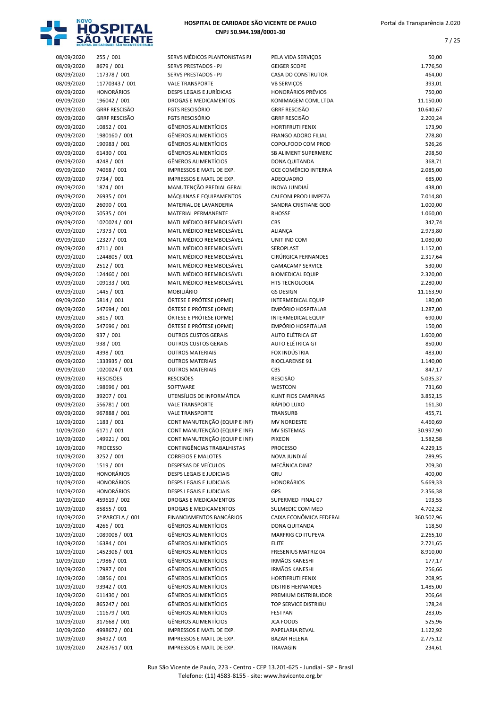

| 08/09/2020               | 255 / 001                       | SERVS MÉDICOS PLANTONISTAS PJ                                  | PELA VIDA SERVIÇOS                       | 50,00                |
|--------------------------|---------------------------------|----------------------------------------------------------------|------------------------------------------|----------------------|
| 08/09/2020               | 8679 / 001                      | SERVS PRESTADOS - PJ                                           | <b>GEIGER SCOPE</b>                      | 1.776,50             |
| 08/09/2020               | 117378 / 001                    | SERVS PRESTADOS - PJ                                           | <b>CASA DO CONSTRUTOR</b>                | 464,00               |
| 08/09/2020               | 11770343 / 001                  | <b>VALE TRANSPORTE</b>                                         | <b>VB SERVIÇOS</b>                       | 393,01               |
| 09/09/2020               | <b>HONORÁRIOS</b>               | <b>DESPS LEGAIS E JURÍDICAS</b>                                | <b>HONORÁRIOS PRÉVIOS</b>                | 750,00               |
| 09/09/2020               | 196042 / 001                    | DROGAS E MEDICAMENTOS                                          | KONIMAGEM COML LTDA                      | 11.150,00            |
| 09/09/2020               | <b>GRRF RESCISÃO</b>            | <b>FGTS RESCISÓRIO</b>                                         | <b>GRRF RESCISÃO</b>                     | 10.640,67            |
| 09/09/2020               | <b>GRRF RESCISÃO</b>            | <b>FGTS RESCISÓRIO</b>                                         | <b>GRRF RESCISÃO</b>                     | 2.200,24             |
| 09/09/2020               | 10852 / 001                     | <b>GÊNEROS ALIMENTÍCIOS</b>                                    | HORTIFRUTI FENIX                         | 173,90               |
| 09/09/2020               | 1980160 / 001                   | <b>GÊNEROS ALIMENTÍCIOS</b>                                    | <b>FRANGO ADORO FILIAL</b>               | 278,80               |
| 09/09/2020               | 190983 / 001                    | <b>GÊNEROS ALIMENTÍCIOS</b>                                    | COPOLFOOD COM PROD                       | 526,26               |
| 09/09/2020               | 61430 / 001                     | <b>GÊNEROS ALIMENTÍCIOS</b>                                    | <b>SB ALIMENT SUPERMERC</b>              | 298,50               |
| 09/09/2020               | 4248 / 001                      | <b>GÊNEROS ALIMENTÍCIOS</b>                                    | <b>DONA QUITANDA</b>                     | 368,71               |
| 09/09/2020               | 74068 / 001                     | IMPRESSOS E MATL DE EXP.<br>IMPRESSOS E MATL DE EXP.           | <b>GCE COMÉRCIO INTERNA</b><br>ADEQUADRO | 2.085,00<br>685,00   |
| 09/09/2020               | 9734 / 001                      |                                                                |                                          |                      |
| 09/09/2020<br>09/09/2020 | 1874 / 001<br>26935 / 001       | MANUTENÇÃO PREDIAL GERAL<br>MÁQUINAS E EQUIPAMENTOS            | INOVA JUNDIAÍ<br>CALEONI PROD LIMPEZA    | 438,00<br>7.014,80   |
|                          |                                 |                                                                | SANDRA CRISTIANE GOD                     |                      |
| 09/09/2020               | 26090 / 001<br>50535 / 001      | MATERIAL DE LAVANDERIA<br><b>MATERIAL PERMANENTE</b>           | <b>RHOSSE</b>                            | 1.000,00<br>1.060,00 |
| 09/09/2020               |                                 | MATL MÉDICO REEMBOLSÁVEL                                       |                                          |                      |
| 09/09/2020               | 1020024 / 001<br>17373 / 001    | MATL MÉDICO REEMBOLSÁVEL                                       | CBS                                      | 342,74               |
| 09/09/2020               |                                 | MATL MÉDICO REEMBOLSÁVEL                                       | ALIANÇA                                  | 2.973,80             |
| 09/09/2020               | 12327 / 001                     | MATL MÉDICO REEMBOLSÁVEL                                       | UNIT IND COM                             | 1.080,00             |
| 09/09/2020               | 4711 / 001                      |                                                                | SEROPLAST<br><b>CIRÚRGICA FERNANDES</b>  | 1.152,00             |
| 09/09/2020               | 1244805 / 001                   | MATL MÉDICO REEMBOLSÁVEL                                       |                                          | 2.317,64             |
| 09/09/2020               | 2512 / 001                      | MATL MÉDICO REEMBOLSÁVEL                                       | <b>GAMACAMP SERVICE</b>                  | 530,00               |
| 09/09/2020               | 124460 / 001                    | MATL MÉDICO REEMBOLSÁVEL                                       | <b>BIOMEDICAL EQUIP</b>                  | 2.320,00             |
| 09/09/2020               | 109133 / 001                    | MATL MÉDICO REEMBOLSÁVEL                                       | HTS TECNOLOGIA                           | 2.280,00             |
| 09/09/2020               | 1445 / 001                      | <b>MOBILIÁRIO</b>                                              | <b>GS DESIGN</b>                         | 11.163,90            |
| 09/09/2020               | 5814 / 001                      | ÓRTESE E PRÓTESE (OPME)                                        | <b>INTERMEDICAL EQUIP</b>                | 180,00               |
| 09/09/2020               | 547694 / 001                    | ÓRTESE E PRÓTESE (OPME)                                        | <b>EMPÓRIO HOSPITALAR</b>                | 1.287,00             |
| 09/09/2020               | 5815 / 001                      | ÓRTESE E PRÓTESE (OPME)                                        | INTERMEDICAL EQUIP                       | 690,00               |
| 09/09/2020               | 547696 / 001                    | ÓRTESE E PRÓTESE (OPME)                                        | <b>EMPÓRIO HOSPITALAR</b>                | 150,00               |
| 09/09/2020               | 937 / 001                       | <b>OUTROS CUSTOS GERAIS</b>                                    | AUTO ELÉTRICA GT                         | 1.600,00             |
| 09/09/2020               | 938 / 001                       | <b>OUTROS CUSTOS GERAIS</b>                                    | AUTO ELÉTRICA GT                         | 850,00               |
| 09/09/2020               | 4398 / 001                      | <b>OUTROS MATERIAIS</b>                                        | FOX INDÚSTRIA                            | 483,00               |
| 09/09/2020               | 1333935 / 001                   | <b>OUTROS MATERIAIS</b>                                        | RIOCLARENSE 91                           | 1.140,00             |
| 09/09/2020               | 1020024 / 001                   | <b>OUTROS MATERIAIS</b>                                        | <b>CBS</b>                               | 847,17               |
| 09/09/2020               | <b>RESCISÕES</b>                | <b>RESCISÕES</b>                                               | <b>RESCISÃO</b>                          | 5.035,37             |
| 09/09/2020<br>09/09/2020 | 198696 / 001                    | SOFTWARE                                                       | WESTCON<br><b>KLINT FIOS CAMPINAS</b>    | 731,60               |
| 09/09/2020               | 39207 / 001                     | UTENSÍLIOS DE INFORMÁTICA                                      |                                          | 3.852,15             |
|                          | 556781 / 001                    | <b>VALE TRANSPORTE</b><br><b>VALE TRANSPORTE</b>               | RÁPIDO LUXO                              | 161,30               |
| 09/09/2020               | 967888 / 001                    | CONT MANUTENÇÃO (EQUIP E INF)                                  | <b>TRANSURB</b>                          | 455,71               |
| 10/09/2020<br>10/09/2020 | 1183 / 001                      |                                                                | <b>MV NORDESTE</b>                       | 4.460,69             |
|                          | 6171 / 001                      | CONT MANUTENÇÃO (EQUIP E INF)<br>CONT MANUTENÇÃO (EQUIP E INF) | MV SISTEMAS                              | 30.997,90            |
| 10/09/2020<br>10/09/2020 | 149921 / 001<br><b>PROCESSO</b> | CONTINGÊNCIAS TRABALHISTAS                                     | <b>PIXEON</b><br><b>PROCESSO</b>         | 1.582,58<br>4.229,15 |
| 10/09/2020               |                                 | <b>CORREIOS E MALOTES</b>                                      | NOVA JUNDIAÍ                             |                      |
|                          | 3252 / 001<br>1519 / 001        |                                                                | MECÂNICA DINIZ                           | 289,95               |
| 10/09/2020               | <b>HONORÁRIOS</b>               | DESPESAS DE VEÍCULOS<br><b>DESPS LEGAIS E JUDICIAIS</b>        | GRU                                      | 209,30               |
| 10/09/2020               | <b>HONORÁRIOS</b>               | <b>DESPS LEGAIS E JUDICIAIS</b>                                | <b>HONORÁRIOS</b>                        | 400,00               |
| 10/09/2020<br>10/09/2020 | <b>HONORÁRIOS</b>               | <b>DESPS LEGAIS E JUDICIAIS</b>                                | GPS                                      | 5.669,33             |
| 10/09/2020               | 459619 / 002                    | DROGAS E MEDICAMENTOS                                          | SUPERMED FINAL 07                        | 2.356,38             |
| 10/09/2020               | 85855 / 001                     | DROGAS E MEDICAMENTOS                                          | SULMEDIC COM MED                         | 193,55<br>4.702,32   |
|                          | 5ª PARCELA / 001                | FINANCIAMENTOS BANCÁRIOS                                       | CAIXA ECONÔMICA FEDERAL                  |                      |
| 10/09/2020<br>10/09/2020 | 4266 / 001                      | GÊNEROS ALIMENTÍCIOS                                           | DONA QUITANDA                            | 360.502,96<br>118,50 |
| 10/09/2020               | 1089008 / 001                   | GÊNEROS ALIMENTÍCIOS                                           | MARFRIG CD ITUPEVA                       |                      |
| 10/09/2020               | 16384 / 001                     | GÊNEROS ALIMENTÍCIOS                                           | <b>ELITE</b>                             | 2.265,10<br>2.721,65 |
| 10/09/2020               | 1452306 / 001                   | <b>GÊNEROS ALIMENTÍCIOS</b>                                    | FRESENIUS MATRIZ 04                      | 8.910,00             |
| 10/09/2020               | 17986 / 001                     | GÊNEROS ALIMENTÍCIOS                                           | <b>IRMÃOS KANESHI</b>                    | 177,17               |
|                          |                                 | <b>GÊNEROS ALIMENTÍCIOS</b>                                    | <b>IRMÃOS KANESHI</b>                    |                      |
| 10/09/2020<br>10/09/2020 | 17987 / 001<br>10856 / 001      | GÊNEROS ALIMENTÍCIOS                                           | HORTIFRUTI FENIX                         | 256,66<br>208,95     |
| 10/09/2020               | 93942 / 001                     | GÊNEROS ALIMENTÍCIOS                                           | <b>DISTRIB HERNANDES</b>                 | 1.485,00             |
| 10/09/2020               | 611430 / 001                    | GÊNEROS ALIMENTÍCIOS                                           | PREMIUM DISTRIBUIDOR                     | 206,64               |
|                          |                                 | <b>GÊNEROS ALIMENTÍCIOS</b>                                    |                                          |                      |
| 10/09/2020               | 865247 / 001                    |                                                                | TOP SERVICE DISTRIBU                     | 178,24               |
| 10/09/2020               | 111679 / 001<br>317668 / 001    | GÊNEROS ALIMENTÍCIOS<br>GÊNEROS ALIMENTÍCIOS                   | <b>FESTPAN</b>                           | 283,05               |
| 10/09/2020               |                                 |                                                                | <b>JCA FOODS</b>                         | 525,96               |
| 10/09/2020               | 4998672 / 001                   | IMPRESSOS E MATL DE EXP.                                       | PAPELARIA REVAL                          | 1.122,92             |
| 10/09/2020               | 36492 / 001                     | IMPRESSOS E MATL DE EXP.                                       | <b>BAZAR HELENA</b>                      | 2.775,12             |
| 10/09/2020               | 2428761 / 001                   | IMPRESSOS E MATL DE EXP.                                       | TRAVAGIN                                 | 234,61               |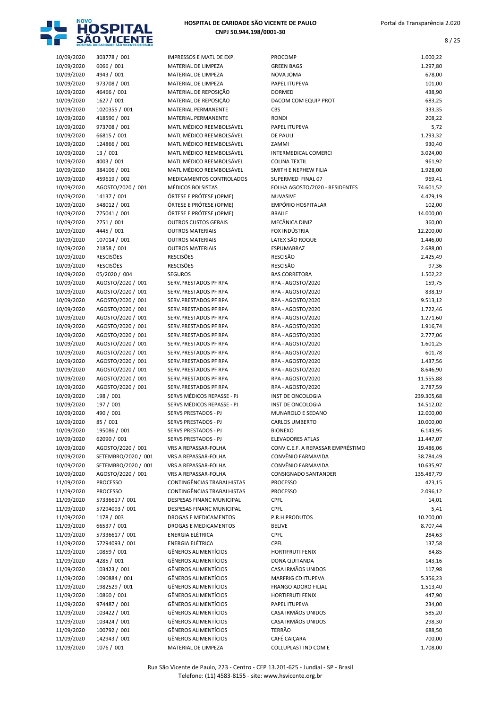

8 / 25

|                          | HOSPITAL DE CARIDADE SÃO VICENTE DE PAULO |                                                            |                                                       |                       |
|--------------------------|-------------------------------------------|------------------------------------------------------------|-------------------------------------------------------|-----------------------|
| 10/09/2020               | 303778 / 001                              | IMPRESSOS E MATL DE EXP.                                   | PROCOMP                                               | 1.000,22              |
| 10/09/2020               | 6066 / 001                                | MATERIAL DE LIMPEZA                                        | <b>GREEN BAGS</b>                                     | 1.297,80              |
| 10/09/2020               | 4943 / 001                                | MATERIAL DE LIMPEZA                                        | <b>NOVA JOMA</b>                                      | 678,00                |
| 10/09/2020               | 973708 / 001                              | MATERIAL DE LIMPEZA                                        | PAPEL ITUPEVA                                         | 101,00                |
| 10/09/2020<br>10/09/2020 | 46466 / 001<br>1627 / 001                 | MATERIAL DE REPOSIÇÃO<br>MATERIAL DE REPOSIÇÃO             | <b>DORMED</b><br>DACOM COM EQUIP PROT                 | 438,90<br>683,25      |
| 10/09/2020               | 1020355 / 001                             | MATERIAL PERMANENTE                                        | CBS                                                   | 333,35                |
| 10/09/2020               | 418590 / 001                              | MATERIAL PERMANENTE                                        | <b>RONDI</b>                                          | 208,22                |
| 10/09/2020               | 973708 / 001                              | MATL MÉDICO REEMBOLSÁVEL                                   | PAPEL ITUPEVA                                         | 5,72                  |
| 10/09/2020               | 66815 / 001                               | MATL MÉDICO REEMBOLSÁVEL                                   | <b>DE PAULI</b>                                       | 1.293,32              |
| 10/09/2020               | 124866 / 001                              | MATL MÉDICO REEMBOLSÁVEL                                   | ZAMMI                                                 | 930,40                |
| 10/09/2020               | 13/001                                    | MATL MÉDICO REEMBOLSÁVEL                                   | <b>INTERMEDICAL COMERCI</b>                           | 3.024,00              |
| 10/09/2020               | 4003 / 001                                | MATL MÉDICO REEMBOLSÁVEL                                   | <b>COLINA TEXTIL</b>                                  | 961,92                |
| 10/09/2020               | 384106 / 001                              | MATL MÉDICO REEMBOLSÁVEL                                   | SMITH E NEPHEW FILIA                                  | 1.928,00              |
| 10/09/2020               | 459619 / 002                              | MEDICAMENTOS CONTROLADOS                                   | SUPERMED FINAL 07                                     | 969,41                |
| 10/09/2020<br>10/09/2020 | AGOSTO/2020 / 001<br>14137 / 001          | MÉDICOS BOLSISTAS<br>ÓRTESE E PRÓTESE (OPME)               | FOLHA AGOSTO/2020 - RESIDENTES<br>NUVASIVE            | 74.601,52<br>4.479,19 |
| 10/09/2020               | 548012 / 001                              | ÓRTESE E PRÓTESE (OPME)                                    | EMPÓRIO HOSPITALAR                                    | 102,00                |
| 10/09/2020               | 775041 / 001                              | ÓRTESE E PRÓTESE (OPME)                                    | <b>BRAILE</b>                                         | 14.000,00             |
| 10/09/2020               | 2751 / 001                                | <b>OUTROS CUSTOS GERAIS</b>                                | MECÂNICA DINIZ                                        | 360,00                |
| 10/09/2020               | 4445 / 001                                | <b>OUTROS MATERIAIS</b>                                    | FOX INDÚSTRIA                                         | 12.200,00             |
| 10/09/2020               | 107014 / 001                              | <b>OUTROS MATERIAIS</b>                                    | LATEX SÃO ROQUE                                       | 1.446,00              |
| 10/09/2020               | 21858 / 001                               | <b>OUTROS MATERIAIS</b>                                    | ESPUMABRAZ                                            | 2.688,00              |
| 10/09/2020               | <b>RESCISÕES</b>                          | <b>RESCISÕES</b>                                           | <b>RESCISÃO</b>                                       | 2.425,49              |
| 10/09/2020               | <b>RESCISÕES</b>                          | <b>RESCISÕES</b>                                           | RESCISÃO                                              | 97,36                 |
| 10/09/2020               | 05/2020 / 004                             | <b>SEGUROS</b>                                             | <b>BAS CORRETORA</b>                                  | 1.502,22              |
| 10/09/2020<br>10/09/2020 | AGOSTO/2020 / 001<br>AGOSTO/2020 / 001    | SERV.PRESTADOS PF RPA<br>SERV.PRESTADOS PF RPA             | RPA - AGOSTO/2020<br>RPA - AGOSTO/2020                | 159,75<br>838,19      |
| 10/09/2020               | AGOSTO/2020 / 001                         | SERV.PRESTADOS PF RPA                                      | RPA - AGOSTO/2020                                     | 9.513,12              |
| 10/09/2020               | AGOSTO/2020 / 001                         | SERV.PRESTADOS PF RPA                                      | RPA - AGOSTO/2020                                     | 1.722,46              |
| 10/09/2020               | AGOSTO/2020 / 001                         | SERV.PRESTADOS PF RPA                                      | RPA - AGOSTO/2020                                     | 1.271,60              |
| 10/09/2020               | AGOSTO/2020 / 001                         | SERV.PRESTADOS PF RPA                                      | RPA - AGOSTO/2020                                     | 1.916,74              |
| 10/09/2020               | AGOSTO/2020 / 001                         | SERV.PRESTADOS PF RPA                                      | RPA - AGOSTO/2020                                     | 2.777,06              |
| 10/09/2020               | AGOSTO/2020 / 001                         | SERV.PRESTADOS PF RPA                                      | RPA - AGOSTO/2020                                     | 1.601,25              |
| 10/09/2020               | AGOSTO/2020 / 001                         | SERV.PRESTADOS PF RPA                                      | RPA - AGOSTO/2020                                     | 601,78                |
| 10/09/2020               | AGOSTO/2020 / 001                         | SERV.PRESTADOS PF RPA                                      | RPA - AGOSTO/2020                                     | 1.437,56              |
| 10/09/2020               | AGOSTO/2020 / 001                         | SERV.PRESTADOS PF RPA                                      | RPA - AGOSTO/2020                                     | 8.646,90              |
| 10/09/2020               | AGOSTO/2020 / 001                         | SERV.PRESTADOS PF RPA<br>SERV.PRESTADOS PF RPA             | RPA - AGOSTO/2020                                     | 11.555,88<br>2.787,59 |
| 10/09/2020<br>10/09/2020 | AGOSTO/2020 / 001<br>198 / 001            | SERVS MÉDICOS REPASSE - PJ                                 | RPA - AGOSTO/2020<br>INST DE ONCOLOGIA                | 239.305,68            |
| 10/09/2020               | 197 / 001                                 | SERVS MÉDICOS REPASSE - PJ                                 | INST DE ONCOLOGIA                                     | 14.512,02             |
| 10/09/2020               | 490 / 001                                 | SERVS PRESTADOS - PJ                                       | MUNAROLO E SEDANO                                     | 12.000,00             |
| 10/09/2020               | 85 / 001                                  | SERVS PRESTADOS - PJ                                       | CARLOS UMBERTO                                        | 10.000,00             |
| 10/09/2020               | 195086 / 001                              | SERVS PRESTADOS - PJ                                       | <b>BIONEXO</b>                                        | 6.143,95              |
| 10/09/2020               | 62090 / 001                               | SERVS PRESTADOS - PJ                                       | <b>ELEVADORES ATLAS</b>                               | 11.447,07             |
| 10/09/2020               | AGOSTO/2020 / 001                         | VRS A REPASSAR-FOLHA                                       | CONV C.E.F. A REPASSAR EMPRÉSTIMO                     | 19.486,06             |
| 10/09/2020               | SETEMBRO/2020 / 001                       | VRS A REPASSAR-FOLHA                                       | CONVÊNIO FARMAVIDA                                    | 38.784,49             |
| 10/09/2020               | SETEMBRO/2020 / 001                       | VRS A REPASSAR-FOLHA                                       | CONVÊNIO FARMAVIDA                                    | 10.635,97             |
| 10/09/2020               | AGOSTO/2020 / 001                         | VRS A REPASSAR-FOLHA                                       | <b>CONSIGNADO SANTANDER</b>                           | 135.487,79            |
| 11/09/2020<br>11/09/2020 | <b>PROCESSO</b><br><b>PROCESSO</b>        | CONTINGÊNCIAS TRABALHISTAS<br>CONTINGÊNCIAS TRABALHISTAS   | <b>PROCESSO</b><br><b>PROCESSO</b>                    | 423,15                |
| 11/09/2020               | 57336617 / 001                            | DESPESAS FINANC MUNICIPAL                                  | <b>CPFL</b>                                           | 2.096,12<br>14,01     |
| 11/09/2020               | 57294093 / 001                            | DESPESAS FINANC MUNICIPAL                                  | <b>CPFL</b>                                           | 5,41                  |
| 11/09/2020               | 1178 / 003                                | DROGAS E MEDICAMENTOS                                      | P.R.H PRODUTOS                                        | 10.200,00             |
| 11/09/2020               | 66537 / 001                               | <b>DROGAS E MEDICAMENTOS</b>                               | <b>BELIVE</b>                                         | 8.707,44              |
| 11/09/2020               | 57336617 / 001                            | <b>ENERGIA ELÉTRICA</b>                                    | <b>CPFL</b>                                           | 284,63                |
| 11/09/2020               | 57294093 / 001                            | <b>ENERGIA ELÉTRICA</b>                                    | <b>CPFL</b>                                           | 137,58                |
| 11/09/2020               | 10859 / 001                               | <b>GÊNEROS ALIMENTÍCIOS</b>                                | <b>HORTIFRUTI FENIX</b>                               | 84,85                 |
| 11/09/2020               | 4285 / 001                                | <b>GÊNEROS ALIMENTÍCIOS</b>                                | DONA QUITANDA                                         | 143,16                |
| 11/09/2020               | 103423 / 001                              | <b>GÊNEROS ALIMENTÍCIOS</b>                                | CASA IRMÃOS UNIDOS                                    | 117,98                |
| 11/09/2020               | 1090884 / 001                             | <b>GÊNEROS ALIMENTÍCIOS</b>                                | MARFRIG CD ITUPEVA                                    | 5.356,23              |
| 11/09/2020<br>11/09/2020 | 1982529 / 001<br>10860 / 001              | <b>GÊNEROS ALIMENTÍCIOS</b><br><b>GÊNEROS ALIMENTÍCIOS</b> | <b>FRANGO ADORO FILIAL</b><br><b>HORTIFRUTI FENIX</b> | 1.513,40<br>447,90    |
| 11/09/2020               | 974487 / 001                              | GÊNEROS ALIMENTÍCIOS                                       | PAPEL ITUPEVA                                         | 234,00                |
| 11/09/2020               | 103422 / 001                              | <b>GÊNEROS ALIMENTÍCIOS</b>                                | CASA IRMÃOS UNIDOS                                    | 585,20                |
| 11/09/2020               | 103424 / 001                              | GÊNEROS ALIMENTÍCIOS                                       | CASA IRMÃOS UNIDOS                                    | 298,30                |
| 11/09/2020               | 100792 / 001                              | GÊNEROS ALIMENTÍCIOS                                       | <b>TERRÃO</b>                                         | 688,50                |
| 11/09/2020               | 142943 / 001                              | GÊNEROS ALIMENTÍCIOS                                       | CAFÉ CAIÇARA                                          | 700,00                |
| 11/09/2020               | 1076 / 001                                | MATERIAL DE LIMPEZA                                        | COLLUPLAST IND COM E                                  | 1.708.00              |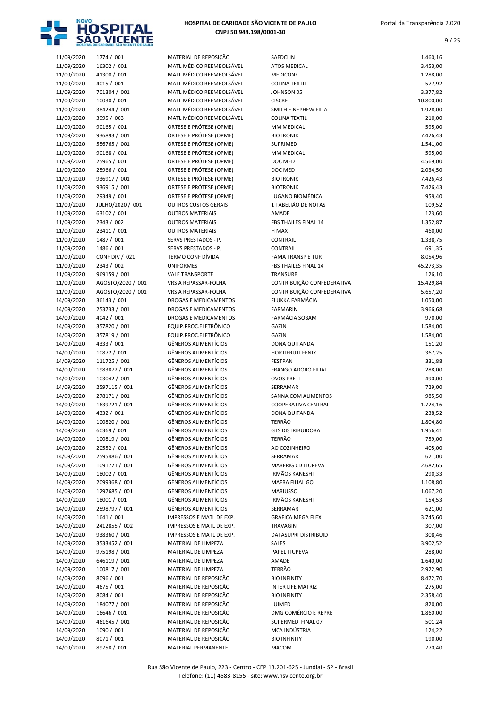

| 11/09/2020               | 1774 / 001                       | MATERIAL DE REPOSIÇÃO                              |
|--------------------------|----------------------------------|----------------------------------------------------|
| 11/09/2020               | 16302 / 001                      | MATL MÉDICO REEMBOL                                |
| 11/09/2020               | 41300 / 001                      | MATL MÉDICO REEMBOL                                |
| 11/09/2020               | 4015 / 001                       | MATL MÉDICO REEMBOL                                |
| 11/09/2020               | 701304 / 001                     | MATL MÉDICO REEMBOL                                |
| 11/09/2020               | 10030 / 001                      | MATL MÉDICO REEMBOL                                |
| 11/09/2020               | 384244 / 001                     | MATL MÉDICO REEMBOL<br>MATL MÉDICO REEMBOL         |
| 11/09/2020               | 3995 / 003                       | ÓRTESE E PRÓTESE (OPM                              |
| 11/09/2020<br>11/09/2020 | 90165 / 001<br>936893 / 001      | ÓRTESE E PRÓTESE (OPM                              |
| 11/09/2020               | 556765 / 001                     | ÓRTESE E PRÓTESE (OPM                              |
| 11/09/2020               | 90168 / 001                      | ÓRTESE E PRÓTESE (OPM                              |
| 11/09/2020               | 25965 / 001                      | ÓRTESE E PRÓTESE (OPM                              |
| 11/09/2020               | 25966 / 001                      | ÓRTESE E PRÓTESE (OPM                              |
| 11/09/2020               | 936917 / 001                     | ÓRTESE E PRÓTESE (OPM                              |
| 11/09/2020               | 936915 / 001                     | ÓRTESE E PRÓTESE (OPM                              |
| 11/09/2020               | 29349 / 001                      | ÓRTESE E PRÓTESE (OPM                              |
| 11/09/2020               | JULHO/2020 / 001                 | <b>OUTROS CUSTOS GERAIS</b>                        |
| 11/09/2020               | 63102 / 001                      | <b>OUTROS MATERIAIS</b>                            |
| 11/09/2020               | 2343 / 002                       | <b>OUTROS MATERIAIS</b>                            |
| 11/09/2020               | 23411 / 001                      | <b>OUTROS MATERIAIS</b>                            |
| 11/09/2020               | 1487 / 001                       | <b>SERVS PRESTADOS - PJ</b>                        |
| 11/09/2020               | 1486 / 001                       | SERVS PRESTADOS - PJ                               |
| 11/09/2020               | <b>CONF DIV / 021</b>            | <b>TERMO CONF DÍVIDA</b>                           |
| 11/09/2020               | 2343 / 002                       | <b>UNIFORMES</b>                                   |
| 11/09/2020               | 969159 / 001                     | <b>VALE TRANSPORTE</b>                             |
| 11/09/2020               | AGOSTO/2020 / 001                | VRS A REPASSAR-FOLHA                               |
| 11/09/2020<br>14/09/2020 | AGOSTO/2020 / 001<br>36143 / 001 | VRS A REPASSAR-FOLHA<br><b>DROGAS E MEDICAMENT</b> |
| 14/09/2020               | 253733 / 001                     | <b>DROGAS E MEDICAMENT</b>                         |
| 14/09/2020               | 4042 / 001                       | <b>DROGAS E MEDICAMENT</b>                         |
| 14/09/2020               | 357820 / 001                     | EQUIP.PROC.ELETRÔNICO                              |
| 14/09/2020               | 357819 / 001                     | EQUIP.PROC.ELETRÔNICO                              |
| 14/09/2020               | 4333 / 001                       | GÊNEROS ALIMENTÍCIOS                               |
| 14/09/2020               | 10872 / 001                      | <b>GÊNEROS ALIMENTÍCIOS</b>                        |
| 14/09/2020               | 111725 / 001                     | GÊNEROS ALIMENTÍCIOS                               |
| 14/09/2020               | 1983872 / 001                    | GÊNEROS ALIMENTÍCIOS                               |
| 14/09/2020               | 103042 / 001                     | GÊNEROS ALIMENTÍCIOS                               |
| 14/09/2020               | 2597115 / 001                    | <b>GÊNEROS ALIMENTÍCIOS</b>                        |
| 14/09/2020               | 278171/001                       | GÊNEROS ALIMENTÍCIOS                               |
| 14/09/2020               | 1639721 / 001                    | GÊNEROS ALIMENTÍCIOS                               |
| 14/09/2020               | 4332 / 001                       | <b>GÊNEROS ALIMENTÍCIOS</b>                        |
| 14/09/2020               | 100820 / 001                     | GÊNEROS ALIMENTÍCIOS                               |
| 14/09/2020               | 60369 / 001                      | GÊNEROS ALIMENTÍCIOS                               |
| 14/09/2020               | 100819 / 001                     | GÊNEROS ALIMENTÍCIOS                               |
| 14/09/2020               | 20552 / 001<br>2595486 / 001     | GÊNEROS ALIMENTÍCIOS<br>GÊNEROS ALIMENTÍCIOS       |
| 14/09/2020<br>14/09/2020 | 1091771 / 001                    | <b>GÊNEROS ALIMENTÍCIOS</b>                        |
| 14/09/2020               | 18002 / 001                      | GÊNEROS ALIMENTÍCIOS                               |
| 14/09/2020               | 2099368 / 001                    | <b>GÊNEROS ALIMENTÍCIOS</b>                        |
| 14/09/2020               | 1297685 / 001                    | GÊNEROS ALIMENTÍCIOS                               |
| 14/09/2020               | 18001 / 001                      | GÊNEROS ALIMENTÍCIOS                               |
| 14/09/2020               | 2598797 / 001                    | GÊNEROS ALIMENTÍCIOS                               |
| 14/09/2020               | 1641 / 001                       | <b>IMPRESSOS E MATL DE E</b>                       |
| 14/09/2020               | 2412855 / 002                    | <b>IMPRESSOS E MATL DE E</b>                       |
| 14/09/2020               | 938360 / 001                     | IMPRESSOS E MATL DE E)                             |
| 14/09/2020               | 3533452 / 001                    | MATERIAL DE LIMPEZA                                |
| 14/09/2020               | 975198 / 001                     | MATERIAL DE LIMPEZA                                |
| 14/09/2020               | 646119 / 001                     | MATERIAL DE LIMPEZA                                |
| 14/09/2020               | 100817 / 001                     | MATERIAL DE LIMPEZA                                |
| 14/09/2020               | 8096 / 001                       | MATERIAL DE REPOSIÇÃO                              |
| 14/09/2020               | 4675 / 001                       | MATERIAL DE REPOSIÇÃO                              |
| 14/09/2020               | 8084 / 001                       | MATERIAL DE REPOSIÇÃO                              |
| 14/09/2020               | 184077 / 001                     | MATERIAL DE REPOSIÇÃO                              |
| 14/09/2020               | 16646 / 001                      | MATERIAL DE REPOSIÇÃO                              |
| 14/09/2020<br>14/09/2020 | 461645 / 001<br>1090 / 001       | MATERIAL DE REPOSIÇÃO<br>MATERIAL DE REPOSIÇÃO     |
| 14/09/2020               | 8071 / 001                       | MATERIAL DE REPOSIÇÃO                              |
| 14/09/2020               | 89758 / 001                      | <b>MATERIAL PERMANENTE</b>                         |
|                          |                                  |                                                    |

|                          | HOSPITAL DE CARIDADE SÃO VICENTE DE PAULO |                                                            |                                                   |                       |
|--------------------------|-------------------------------------------|------------------------------------------------------------|---------------------------------------------------|-----------------------|
| 11/09/2020               | 1774 / 001                                | MATERIAL DE REPOSIÇÃO                                      | SAEDCLIN                                          | 1.460,16              |
| 11/09/2020               | 16302 / 001                               | MATL MÉDICO REEMBOLSÁVEL                                   | <b>ATOS MEDICAL</b>                               | 3.453,00              |
| 11/09/2020               | 41300 / 001                               | MATL MÉDICO REEMBOLSÁVEL                                   | <b>MEDICONE</b>                                   | 1.288,00              |
| 11/09/2020               | 4015 / 001                                | MATL MÉDICO REEMBOLSÁVEL                                   | <b>COLINA TEXTIL</b>                              | 577,92                |
| 11/09/2020<br>11/09/2020 | 701304 / 001<br>10030 / 001               | MATL MÉDICO REEMBOLSÁVEL<br>MATL MÉDICO REEMBOLSÁVEL       | JOHNSON 05<br><b>CISCRE</b>                       | 3.377,82<br>10.800,00 |
| 11/09/2020               | 384244 / 001                              | MATL MÉDICO REEMBOLSÁVEL                                   | SMITH E NEPHEW FILIA                              | 1.928,00              |
| 11/09/2020               | 3995 / 003                                | MATL MÉDICO REEMBOLSÁVEL                                   | <b>COLINA TEXTIL</b>                              | 210,00                |
| 11/09/2020               | 90165 / 001                               | ÓRTESE E PRÓTESE (OPME)                                    | <b>MM MEDICAL</b>                                 | 595,00                |
| 11/09/2020               | 936893 / 001                              | ÓRTESE E PRÓTESE (OPME)                                    | <b>BIOTRONIK</b>                                  | 7.426,43              |
| 11/09/2020               | 556765 / 001                              | ÓRTESE E PRÓTESE (OPME)                                    | <b>SUPRIMED</b>                                   | 1.541,00              |
| 11/09/2020               | 90168 / 001                               | ÓRTESE E PRÓTESE (OPME)                                    | <b>MM MEDICAL</b>                                 | 595,00                |
| 11/09/2020               | 25965 / 001                               | ÓRTESE E PRÓTESE (OPME)                                    | DOC MED                                           | 4.569,00              |
| 11/09/2020               | 25966 / 001                               | ÓRTESE E PRÓTESE (OPME)                                    | DOC MED                                           | 2.034,50              |
| 11/09/2020               | 936917 / 001                              | ÓRTESE E PRÓTESE (OPME)                                    | <b>BIOTRONIK</b>                                  | 7.426,43              |
| 11/09/2020               | 936915 / 001                              | ÓRTESE E PRÓTESE (OPME)                                    | <b>BIOTRONIK</b><br>LUGANO BIOMÉDICA              | 7.426,43              |
| 11/09/2020<br>11/09/2020 | 29349 / 001<br>JULHO/2020 / 001           | ÓRTESE E PRÓTESE (OPME)<br><b>OUTROS CUSTOS GERAIS</b>     | 1 TABELIÃO DE NOTAS                               | 959,40<br>109,52      |
| 11/09/2020               | 63102 / 001                               | <b>OUTROS MATERIAIS</b>                                    | <b>AMADE</b>                                      | 123,60                |
| 11/09/2020               | 2343 / 002                                | <b>OUTROS MATERIAIS</b>                                    | FBS THAILES FINAL 14                              | 1.352,87              |
| 11/09/2020               | 23411 / 001                               | <b>OUTROS MATERIAIS</b>                                    | H MAX                                             | 460,00                |
| 11/09/2020               | 1487 / 001                                | <b>SERVS PRESTADOS - PJ</b>                                | <b>CONTRAIL</b>                                   | 1.338,75              |
| 11/09/2020               | 1486 / 001                                | <b>SERVS PRESTADOS - PJ</b>                                | <b>CONTRAIL</b>                                   | 691,35                |
| 11/09/2020               | <b>CONF DIV / 021</b>                     | <b>TERMO CONF DÍVIDA</b>                                   | <b>FAMA TRANSP E TUR</b>                          | 8.054,96              |
| 11/09/2020               | 2343 / 002                                | <b>UNIFORMES</b>                                           | <b>FBS THAILES FINAL 14</b>                       | 45.273,35             |
| 11/09/2020               | 969159 / 001                              | <b>VALE TRANSPORTE</b>                                     | <b>TRANSURB</b>                                   | 126,10                |
| 11/09/2020               | AGOSTO/2020 / 001                         | VRS A REPASSAR-FOLHA                                       | CONTRIBUIÇÃO CONFEDERATIVA                        | 15.429,84             |
| 11/09/2020<br>14/09/2020 | AGOSTO/2020 / 001<br>36143 / 001          | VRS A REPASSAR-FOLHA<br>DROGAS E MEDICAMENTOS              | CONTRIBUIÇÃO CONFEDERATIVA<br>FLUKKA FARMÁCIA     | 5.657,20<br>1.050,00  |
| 14/09/2020               | 253733 / 001                              | DROGAS E MEDICAMENTOS                                      | <b>FARMARIN</b>                                   | 3.966,68              |
| 14/09/2020               | 4042 / 001                                | DROGAS E MEDICAMENTOS                                      | FARMÁCIA SOBAM                                    | 970,00                |
| 14/09/2020               | 357820 / 001                              | EQUIP.PROC.ELETRÔNICO                                      | <b>GAZIN</b>                                      | 1.584,00              |
| 14/09/2020               | 357819 / 001                              | EQUIP.PROC.ELETRÔNICO                                      | <b>GAZIN</b>                                      | 1.584,00              |
| 14/09/2020               | 4333 / 001                                | <b>GÊNEROS ALIMENTÍCIOS</b>                                | DONA QUITANDA                                     | 151,20                |
| 14/09/2020               | 10872 / 001                               | <b>GÊNEROS ALIMENTÍCIOS</b>                                | <b>HORTIFRUTI FENIX</b>                           | 367,25                |
| 14/09/2020               | 111725 / 001                              | <b>GÊNEROS ALIMENTÍCIOS</b>                                | <b>FESTPAN</b>                                    | 331,88                |
| 14/09/2020               | 1983872 / 001                             | <b>GÊNEROS ALIMENTÍCIOS</b>                                | <b>FRANGO ADORO FILIAL</b>                        | 288,00                |
| 14/09/2020               | 103042 / 001                              | <b>GÊNEROS ALIMENTÍCIOS</b>                                | <b>OVOS PRETI</b>                                 | 490,00                |
| 14/09/2020               | 2597115 / 001                             | <b>GÊNEROS ALIMENTÍCIOS</b><br><b>GÊNEROS ALIMENTÍCIOS</b> | SERRAMAR                                          | 729,00<br>985,50      |
| 14/09/2020<br>14/09/2020 | 278171 / 001<br>1639721 / 001             | <b>GÊNEROS ALIMENTÍCIOS</b>                                | SANNA COM ALIMENTOS<br><b>COOPERATIVA CENTRAL</b> | 1.724,16              |
| 14/09/2020               | 4332 / 001                                | <b>GÊNEROS ALIMENTÍCIOS</b>                                | DONA QUITANDA                                     | 238,52                |
| 14/09/2020               | 100820 / 001                              | <b>GENEROS ALIMENTICIOS</b>                                | TERRAO                                            | 1.804,80              |
| 14/09/2020               | 60369 / 001                               | <b>GÊNEROS ALIMENTÍCIOS</b>                                | <b>GTS DISTRIBUIDORA</b>                          | 1.956,41              |
| 14/09/2020               | 100819 / 001                              | <b>GÊNEROS ALIMENTÍCIOS</b>                                | TERRÃO                                            | 759,00                |
| 14/09/2020               | 20552 / 001                               | <b>GÊNEROS ALIMENTÍCIOS</b>                                | AO COZINHEIRO                                     | 405,00                |
| 14/09/2020               | 2595486 / 001                             | <b>GÊNEROS ALIMENTÍCIOS</b>                                | SERRAMAR                                          | 621,00                |
| 14/09/2020               | 1091771 / 001                             | <b>GÊNEROS ALIMENTÍCIOS</b>                                | MARFRIG CD ITUPEVA                                | 2.682,65              |
| 14/09/2020               | 18002 / 001                               | <b>GÊNEROS ALIMENTÍCIOS</b>                                | <b>IRMÃOS KANESHI</b>                             | 290,33                |
| 14/09/2020               | 2099368 / 001                             | <b>GÊNEROS ALIMENTÍCIOS</b>                                | MAFRA FILIAL GO                                   | 1.108,80              |
| 14/09/2020               | 1297685 / 001                             | <b>GÊNEROS ALIMENTÍCIOS</b>                                | <b>MARIUSSO</b>                                   | 1.067,20              |
| 14/09/2020<br>14/09/2020 | 18001 / 001<br>2598797 / 001              | <b>GÊNEROS ALIMENTÍCIOS</b><br><b>GÊNEROS ALIMENTÍCIOS</b> | <b>IRMÃOS KANESHI</b><br>SERRAMAR                 | 154,53<br>621,00      |
| 14/09/2020               | 1641 / 001                                | IMPRESSOS E MATL DE EXP.                                   | GRÁFICA MEGA FLEX                                 | 3.745,60              |
| 14/09/2020               | 2412855 / 002                             | IMPRESSOS E MATL DE EXP.                                   | TRAVAGIN                                          | 307,00                |
| 14/09/2020               | 938360 / 001                              | IMPRESSOS E MATL DE EXP.                                   | DATASUPRI DISTRIBUID                              | 308,46                |
| 14/09/2020               | 3533452 / 001                             | MATERIAL DE LIMPEZA                                        | SALES                                             | 3.902,52              |
| 14/09/2020               | 975198 / 001                              | MATERIAL DE LIMPEZA                                        | PAPEL ITUPEVA                                     | 288,00                |
| 14/09/2020               | 646119 / 001                              | MATERIAL DE LIMPEZA                                        | AMADE                                             | 1.640,00              |
| 14/09/2020               | 100817 / 001                              | MATERIAL DE LIMPEZA                                        | TERRÃO                                            | 2.922,90              |
| 14/09/2020               | 8096 / 001                                | MATERIAL DE REPOSIÇÃO                                      | <b>BIO INFINITY</b>                               | 8.472,70              |
| 14/09/2020               | 4675 / 001                                | MATERIAL DE REPOSIÇÃO                                      | <b>INTER LIFE MATRIZ</b>                          | 275,00                |
| 14/09/2020<br>14/09/2020 | 8084 / 001<br>184077 / 001                | MATERIAL DE REPOSIÇÃO<br>MATERIAL DE REPOSIÇÃO             | <b>BIO INFINITY</b><br>LUIMED                     | 2.358,40              |
| 14/09/2020               | 16646 / 001                               | MATERIAL DE REPOSIÇÃO                                      | DMG COMÉRCIO E REPRE                              | 820,00<br>1.860,00    |
| 14/09/2020               | 461645 / 001                              | MATERIAL DE REPOSIÇÃO                                      | SUPERMED FINAL 07                                 | 501,24                |
| 14/09/2020               | 1090 / 001                                | MATERIAL DE REPOSIÇÃO                                      | MCA INDÚSTRIA                                     | 124,22                |
| 14/09/2020               | 8071 / 001                                | MATERIAL DE REPOSIÇÃO                                      | <b>BIO INFINITY</b>                               | 190,00                |
| 14/09/2020               | 89758 / 001                               | <b>MATERIAL PERMANENTE</b>                                 | <b>MACOM</b>                                      | 770.40                |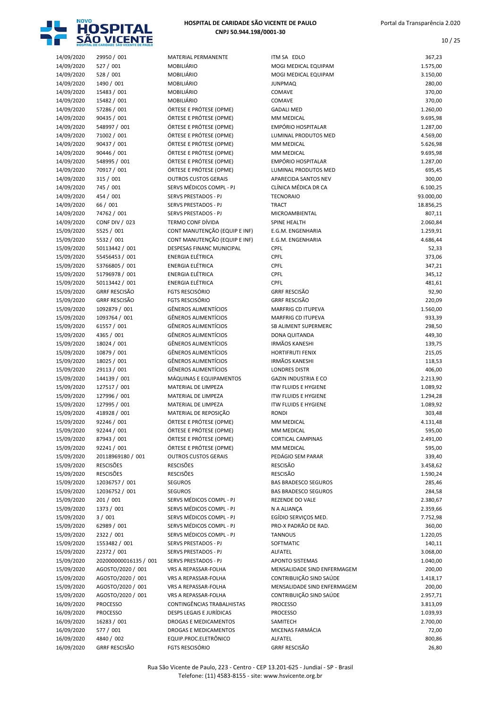

| 14/09/2020               | 29950 / 001                         | MATERIAL PERMANENTE                              | ITM SA EDLO                       | 367,23               |
|--------------------------|-------------------------------------|--------------------------------------------------|-----------------------------------|----------------------|
| 14/09/2020               | 527 / 001                           | <b>MOBILIÁRIO</b>                                | MOGI MEDICAL EQUIPAM              | 1.575,00             |
| 14/09/2020               | 528 / 001                           | <b>MOBILIÁRIO</b>                                | MOGI MEDICAL EQUIPAM              | 3.150,00             |
| 14/09/2020               | 1490 / 001                          | MOBILIÁRIO                                       | <b>JUNPMAQ</b>                    | 280,00               |
| 14/09/2020               | 15483 / 001                         | <b>MOBILIÁRIO</b>                                | COMAVE                            | 370,00               |
| 14/09/2020               | 15482 / 001                         | <b>MOBILIÁRIO</b>                                | COMAVE                            | 370,00               |
| 14/09/2020               | 57286 / 001                         | ÓRTESE E PRÓTESE (OPME)                          | <b>GADALI MED</b>                 | 1.260,00             |
| 14/09/2020               | 90435 / 001                         | ÓRTESE E PRÓTESE (OPME)                          | MM MEDICAL                        | 9.695,98             |
| 14/09/2020               | 548997 / 001                        | ÓRTESE E PRÓTESE (OPME)                          | <b>EMPÓRIO HOSPITALAR</b>         | 1.287,00             |
| 14/09/2020               | 71002 / 001                         | ÓRTESE E PRÓTESE (OPME)                          | LUMINAL PRODUTOS MED              | 4.569,00             |
| 14/09/2020               | 90437 / 001                         | ÓRTESE E PRÓTESE (OPME)                          | MM MEDICAL                        | 5.626,98             |
| 14/09/2020               | 90446 / 001                         | ÓRTESE E PRÓTESE (OPME)                          | MM MEDICAL                        | 9.695,98             |
| 14/09/2020               | 548995 / 001                        | ÓRTESE E PRÓTESE (OPME)                          | <b>EMPÓRIO HOSPITALAR</b>         | 1.287,00             |
| 14/09/2020               | 70917 / 001                         | ÓRTESE E PRÓTESE (OPME)                          | LUMINAL PRODUTOS MED              | 695,45               |
| 14/09/2020               | 315/001                             | <b>OUTROS CUSTOS GERAIS</b>                      | APARECIDA SANTOS NEV              | 300,00               |
| 14/09/2020               | 745 / 001                           | SERVS MÉDICOS COMPL - PJ                         | CLÍNICA MÉDICA DR CA              | 6.100,25             |
| 14/09/2020               | 454 / 001                           | SERVS PRESTADOS - PJ                             | <b>TECNORAIO</b>                  | 93.000,00            |
| 14/09/2020               | 66 / 001                            | SERVS PRESTADOS - PJ                             | <b>TRACT</b>                      | 18.856,25<br>807,11  |
| 14/09/2020               | 74762 / 001                         | SERVS PRESTADOS - PJ<br><b>TERMO CONF DÍVIDA</b> | MICROAMBIENTAL                    |                      |
| 14/09/2020               | <b>CONF DIV / 023</b><br>5525 / 001 | CONT MANUTENÇÃO (EQUIP E INF)                    | SPINE HEALTH<br>E.G.M. ENGENHARIA | 2.060,84<br>1.259,91 |
| 15/09/2020<br>15/09/2020 | 5532 / 001                          | CONT MANUTENÇÃO (EQUIP E INF)                    | E.G.M. ENGENHARIA                 | 4.686,44             |
| 15/09/2020               | 50113442 / 001                      | <b>DESPESAS FINANC MUNICIPAL</b>                 | <b>CPFL</b>                       | 52,33                |
| 15/09/2020               | 55456453 / 001                      | <b>ENERGIA ELÉTRICA</b>                          | <b>CPFL</b>                       | 373,06               |
| 15/09/2020               | 53766805 / 001                      | <b>ENERGIA ELÉTRICA</b>                          | CPFL                              | 347,21               |
| 15/09/2020               | 51796978 / 001                      | <b>ENERGIA ELÉTRICA</b>                          | CPFL                              | 345,12               |
| 15/09/2020               | 50113442 / 001                      | <b>ENERGIA ELÉTRICA</b>                          | <b>CPFL</b>                       | 481,61               |
| 15/09/2020               | <b>GRRF RESCISÃO</b>                | <b>FGTS RESCISÓRIO</b>                           | <b>GRRF RESCISÃO</b>              | 92,90                |
| 15/09/2020               | <b>GRRF RESCISÃO</b>                | <b>FGTS RESCISÓRIO</b>                           | <b>GRRF RESCISÃO</b>              | 220,09               |
| 15/09/2020               | 1092879 / 001                       | <b>GÊNEROS ALIMENTÍCIOS</b>                      | <b>MARFRIG CD ITUPEVA</b>         | 1.560,00             |
| 15/09/2020               | 1093764 / 001                       | <b>GÊNEROS ALIMENTÍCIOS</b>                      | MARFRIG CD ITUPEVA                | 933,39               |
| 15/09/2020               | 61557 / 001                         | <b>GÊNEROS ALIMENTÍCIOS</b>                      | SB ALIMENT SUPERMERC              | 298,50               |
| 15/09/2020               | 4365 / 001                          | <b>GÊNEROS ALIMENTÍCIOS</b>                      | DONA QUITANDA                     | 449,30               |
| 15/09/2020               | 18024 / 001                         | <b>GÊNEROS ALIMENTÍCIOS</b>                      | <b>IRMÃOS KANESHI</b>             | 139,75               |
| 15/09/2020               | 10879 / 001                         | <b>GÊNEROS ALIMENTÍCIOS</b>                      | <b>HORTIFRUTI FENIX</b>           | 215,05               |
| 15/09/2020               | 18025 / 001                         | <b>GÊNEROS ALIMENTÍCIOS</b>                      | <b>IRMÃOS KANESHI</b>             | 118,53               |
| 15/09/2020               | 29113 / 001                         | <b>GÊNEROS ALIMENTÍCIOS</b>                      | <b>LONDRES DISTR</b>              | 406,00               |
| 15/09/2020               | 144139 / 001                        | MÁQUINAS E EQUIPAMENTOS                          | <b>GAZIN INDUSTRIA E CO</b>       | 2.213,90             |
| 15/09/2020               | 127517 / 001                        | MATERIAL DE LIMPEZA                              | <b>ITW FLUIDS E HYGIENE</b>       | 1.089,92             |
| 15/09/2020               | 127996 / 001                        | MATERIAL DE LIMPEZA                              | <b>ITW FLUIDS E HYGIENE</b>       | 1.294,28             |
| 15/09/2020               | 127995 / 001                        | MATERIAL DE LIMPEZA                              | <b>ITW FLUIDS E HYGIENE</b>       | 1.089,92             |
| 15/09/2020               | 418928 / 001                        | MATERIAL DE REPOSIÇÃO                            | <b>RONDI</b>                      | 303,48               |
| 15/09/2020               | 92246 / 001                         | ÓRTESE E PRÓTESE (OPME)                          | MM MEDICAL                        | 4.131,48             |
| 15/09/2020               | 92244 / 001                         | ÓRTESE E PRÓTESE (OPME)                          | MM MEDICAL                        | 595,00               |
| 15/09/2020               | 87943 / 001                         | ÓRTESE E PRÓTESE (OPME)                          | <b>CORTICAL CAMPINAS</b>          | 2.491,00             |
| 15/09/2020               | 92241 / 001                         | ÓRTESE E PRÓTESE (OPME)                          | MM MEDICAL                        | 595,00               |
| 15/09/2020               | 20118969180 / 001                   | <b>OUTROS CUSTOS GERAIS</b>                      | PEDÁGIO SEM PARAR                 | 339,40               |
| 15/09/2020               | <b>RESCISÕES</b>                    | <b>RESCISÕES</b>                                 | <b>RESCISÃO</b>                   | 3.458,62             |
| 15/09/2020               | <b>RESCISÕES</b>                    | <b>RESCISÕES</b>                                 | <b>RESCISÃO</b>                   | 1.590,24             |
| 15/09/2020               | 12036757 / 001                      | <b>SEGUROS</b>                                   | <b>BAS BRADESCO SEGUROS</b>       | 285,46               |
| 15/09/2020               | 12036752 / 001                      | <b>SEGUROS</b>                                   | <b>BAS BRADESCO SEGUROS</b>       | 284,58               |
| 15/09/2020               | 201 / 001                           | SERVS MÉDICOS COMPL - PJ                         | <b>REZENDE DO VALE</b>            | 2.380,67             |
| 15/09/2020               | 1373 / 001                          | SERVS MÉDICOS COMPL - PJ                         | N A ALIANÇA                       | 2.359,66             |
| 15/09/2020               | 3/001                               | SERVS MÉDICOS COMPL - PJ                         | EGÍDIO SERVIÇOS MED.              | 7.752,98             |
| 15/09/2020               | 62989 / 001                         | SERVS MÉDICOS COMPL - PJ                         | PRO-X PADRÃO DE RAD.              | 360,00               |
| 15/09/2020               | 2322 / 001                          | SERVS MÉDICOS COMPL - PJ                         | <b>TANNOUS</b>                    | 1.220,05             |
| 15/09/2020               | 1553482 / 001                       | SERVS PRESTADOS - PJ                             | SOFTMATIC                         | 140,11               |
| 15/09/2020               | 22372 / 001                         | SERVS PRESTADOS - PJ                             | ALFATEL                           | 3.068,00             |
| 15/09/2020               | 202000000016135 / 001               | SERVS PRESTADOS - PJ                             | <b>APONTO SISTEMAS</b>            | 1.040,00             |
| 15/09/2020               | AGOSTO/2020 / 001                   | VRS A REPASSAR-FOLHA                             | MENSALIDADE SIND ENFERMAGEM       | 200,00               |
| 15/09/2020               | AGOSTO/2020 / 001                   | VRS A REPASSAR-FOLHA                             | CONTRIBUIÇÃO SIND SAÚDE           | 1.418,17             |
| 15/09/2020               | AGOSTO/2020 / 001                   | VRS A REPASSAR-FOLHA                             | MENSALIDADE SIND ENFERMAGEM       | 200,00               |
| 15/09/2020               | AGOSTO/2020 / 001                   | VRS A REPASSAR-FOLHA                             | CONTRIBUIÇÃO SIND SAÚDE           | 2.957,71             |
| 16/09/2020               | <b>PROCESSO</b>                     | CONTINGÊNCIAS TRABALHISTAS                       | <b>PROCESSO</b>                   | 3.813,09             |
| 16/09/2020               | <b>PROCESSO</b>                     | <b>DESPS LEGAIS E JURÍDICAS</b>                  | <b>PROCESSO</b>                   | 1.039,93             |
| 16/09/2020               | 16283 / 001                         | DROGAS E MEDICAMENTOS                            | SAMITECH                          | 2.700,00             |
| 16/09/2020               | 577 / 001                           | DROGAS E MEDICAMENTOS                            | MICENAS FARMÁCIA                  | 72,00                |
| 16/09/2020               | 4840 / 002                          | EQUIP.PROC.ELETRÔNICO                            | ALFATEL                           | 800,86               |
| 16/09/2020               | <b>GRRF RESCISÃO</b>                | <b>FGTS RESCISÓRIO</b>                           | <b>GRRF RESCISÃO</b>              | 26,80                |

| MSA EDLO                    | 367,23    |
|-----------------------------|-----------|
| 10GI MEDICAL EQUIPAM        | 1.575,00  |
| 10GI MEDICAL EQUIPAM        | 3.150,00  |
| JNPMAQ                      | 280,00    |
| OMAVE                       | 370,00    |
| <b>OMAVE</b>                | 370,00    |
| <b>ADALI MED</b>            | 1.260,00  |
| <b>IM MEDICAL</b>           | 9.695,98  |
| MPÓRIO HOSPITALAR           | 1.287,00  |
| UMINAL PRODUTOS MED         | 4.569,00  |
| <b>IM MEDICAL</b>           | 5.626,98  |
| <b>IM MEDICAL</b>           | 9.695,98  |
| MPÓRIO HOSPITALAR           | 1.287,00  |
| UMINAL PRODUTOS MED         | 695,45    |
| PARECIDA SANTOS NEV         | 300,00    |
| LÍNICA MÉDICA DR CA         | 6.100,25  |
| ECNORAIO                    | 93.000,00 |
| RACT                        | 18.856,25 |
| <b>IICROAMBIENTAL</b>       | 807,11    |
| PINE HEALTH                 | 2.060,84  |
| <b>G.M. ENGENHARIA</b>      | 1.259,91  |
| .G.M. ENGENHARIA            | 4.686,44  |
| PFL                         | 52,33     |
| PFL                         | 373,06    |
| PFL                         | 347,21    |
| PFL                         | 345,12    |
| PFL                         | 481,61    |
| RRF RESCISÃO                | 92,90     |
| <b>RRF RESCISÃO</b>         | 220,09    |
| <b>IARFRIG CD ITUPEVA</b>   | 1.560,00  |
| <b>IARFRIG CD ITUPEVA</b>   | 933,39    |
| B ALIMENT SUPERMERC         | 298,50    |
| ONA QUITANDA                | 449,30    |
| RMÃOS KANESHI               | 139,75    |
| <b>ORTIFRUTI FENIX</b>      | 215,05    |
| RMÃOS KANESHI               | 118,53    |
| ONDRES DISTR                | 406,00    |
| AZIN INDUSTRIA E CO         | 2.213,90  |
| W FLUIDS E HYGIENE          | 1.089,92  |
| W FLUIDS E HYGIENE          | 1.294,28  |
| <b>W FLUIDS E HYGIENE</b>   | 1.089,92  |
| ondi                        | 303,48    |
| <b>IM MEDICAL</b>           | 4.131,48  |
| <b>IM MEDICAL</b>           | 595,00    |
| ORTICAL CAMPINAS            | 2.491,00  |
| <b>IM MEDICAL</b>           | 595,00    |
| EDÁGIO SEM PARAR            | 339,40    |
| ESCISÃO                     | 3.458,62  |
| ESCISÃO                     | 1.590,24  |
| AS BRADESCO SEGUROS         | 285,46    |
| AS BRADESCO SEGUROS         | 284,58    |
| <b>EZENDE DO VALE</b>       | 2.380,67  |
| A ALIANÇA                   | 2.359,66  |
| GÍDIO SERVIÇOS MED.         | 7.752,98  |
| RO-X PADRÃO DE RAD.         | 360,00    |
| ANNOUS                      | 1.220,05  |
| OFTMATIC                    | 140,11    |
| LFATEL                      | 3.068,00  |
| PONTO SISTEMAS              | 1.040,00  |
| IENSALIDADE SIND ENFERMAGEM | 200,00    |
| ONTRIBUICÃO SIND SAÚDE      | 1.418,17  |
| IENSALIDADE SIND ENFERMAGEM | 200,00    |
| ONTRIBUIÇÃO SIND SAÚDE      | 2.957,71  |
| ROCESSO                     | 3.813,09  |
| ROCESSO                     | 1.039,93  |
| AMITECH                     | 2.700,00  |
| 1ICENAS FARMÁCIA            | 72,00     |
|                             |           |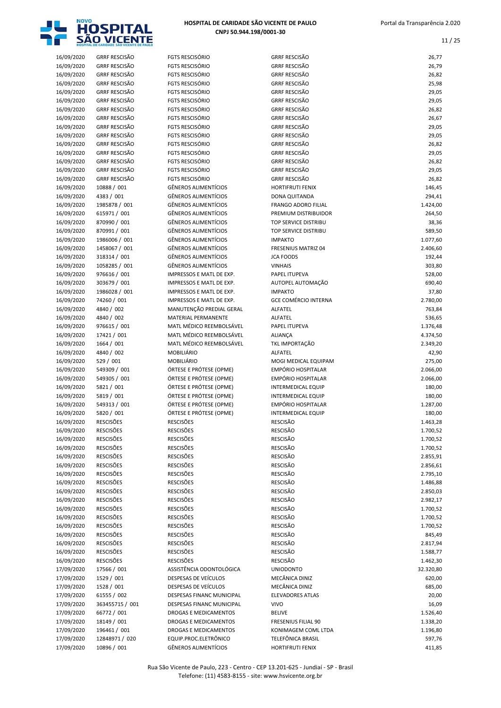

| <b>FGTS RESCISÓRIO</b><br><b>FGTS RESCISÓRIO</b><br><b>FGTS RESCISÓRIO</b><br><b>FGTS RESCISÓRIO</b><br><b>FGTS RESCISÓRIO</b><br>FGTS RESCISÓRIO<br><b>FGTS RESCISÓRIO</b><br><b>FGTS RESCISÓRIO</b><br><b>FGTS RESCISÓRIO</b><br><b>FGTS RESCISÓRIO</b><br><b>FGTS RESCISÓRIO</b><br><b>FGTS RESCISÓRIO</b><br><b>FGTS RESCISÓRIO</b><br><b>FGTS RESCISÓRIO</b><br>FGTS RESCISÓRIO<br><b>GÊNEROS ALIMENTÍCIOS</b><br><b>GÊNEROS ALIMENTÍCIOS</b><br><b>GÊNEROS ALIMENTÍCIOS</b><br><b>GÊNEROS ALIMENTÍCIOS</b><br><b>GÊNEROS ALIMENTÍCIOS</b><br><b>GÊNEROS ALIMENTÍCIOS</b><br><b>GÊNEROS ALIMENTÍCIOS</b><br><b>GÊNEROS ALIMENTÍCIOS</b><br><b>GÊNEROS ALIMENTÍCIOS</b><br><b>GÊNEROS ALIMENTÍCIOS</b><br>IMPRESSOS E MATL DE EXP.<br>IMPRESSOS E MATL DE EXP.<br><b>IMPRESSOS E MATL DE EXP.</b><br><b>IMPRESSOS E MATL DE EXP.</b><br>MANUTENÇÃO PREDIAL GERAL<br><b>MATERIAL PERMANENTE</b><br>MATL MÉDICO REEMBOLSÁVEL<br>MATL MÉDICO REEMBOLSÁVEL<br>MATL MÉDICO REEMBOLSÁVEL<br><b>MOBILIÁRIO</b><br><b>MOBILIÁRIO</b> |
|----------------------------------------------------------------------------------------------------------------------------------------------------------------------------------------------------------------------------------------------------------------------------------------------------------------------------------------------------------------------------------------------------------------------------------------------------------------------------------------------------------------------------------------------------------------------------------------------------------------------------------------------------------------------------------------------------------------------------------------------------------------------------------------------------------------------------------------------------------------------------------------------------------------------------------------------------------------------------------------------------------------------------------|
|                                                                                                                                                                                                                                                                                                                                                                                                                                                                                                                                                                                                                                                                                                                                                                                                                                                                                                                                                                                                                                  |
|                                                                                                                                                                                                                                                                                                                                                                                                                                                                                                                                                                                                                                                                                                                                                                                                                                                                                                                                                                                                                                  |
|                                                                                                                                                                                                                                                                                                                                                                                                                                                                                                                                                                                                                                                                                                                                                                                                                                                                                                                                                                                                                                  |
|                                                                                                                                                                                                                                                                                                                                                                                                                                                                                                                                                                                                                                                                                                                                                                                                                                                                                                                                                                                                                                  |
|                                                                                                                                                                                                                                                                                                                                                                                                                                                                                                                                                                                                                                                                                                                                                                                                                                                                                                                                                                                                                                  |
|                                                                                                                                                                                                                                                                                                                                                                                                                                                                                                                                                                                                                                                                                                                                                                                                                                                                                                                                                                                                                                  |
|                                                                                                                                                                                                                                                                                                                                                                                                                                                                                                                                                                                                                                                                                                                                                                                                                                                                                                                                                                                                                                  |
|                                                                                                                                                                                                                                                                                                                                                                                                                                                                                                                                                                                                                                                                                                                                                                                                                                                                                                                                                                                                                                  |
|                                                                                                                                                                                                                                                                                                                                                                                                                                                                                                                                                                                                                                                                                                                                                                                                                                                                                                                                                                                                                                  |
|                                                                                                                                                                                                                                                                                                                                                                                                                                                                                                                                                                                                                                                                                                                                                                                                                                                                                                                                                                                                                                  |
|                                                                                                                                                                                                                                                                                                                                                                                                                                                                                                                                                                                                                                                                                                                                                                                                                                                                                                                                                                                                                                  |
|                                                                                                                                                                                                                                                                                                                                                                                                                                                                                                                                                                                                                                                                                                                                                                                                                                                                                                                                                                                                                                  |
|                                                                                                                                                                                                                                                                                                                                                                                                                                                                                                                                                                                                                                                                                                                                                                                                                                                                                                                                                                                                                                  |
|                                                                                                                                                                                                                                                                                                                                                                                                                                                                                                                                                                                                                                                                                                                                                                                                                                                                                                                                                                                                                                  |
|                                                                                                                                                                                                                                                                                                                                                                                                                                                                                                                                                                                                                                                                                                                                                                                                                                                                                                                                                                                                                                  |
|                                                                                                                                                                                                                                                                                                                                                                                                                                                                                                                                                                                                                                                                                                                                                                                                                                                                                                                                                                                                                                  |
|                                                                                                                                                                                                                                                                                                                                                                                                                                                                                                                                                                                                                                                                                                                                                                                                                                                                                                                                                                                                                                  |
|                                                                                                                                                                                                                                                                                                                                                                                                                                                                                                                                                                                                                                                                                                                                                                                                                                                                                                                                                                                                                                  |
|                                                                                                                                                                                                                                                                                                                                                                                                                                                                                                                                                                                                                                                                                                                                                                                                                                                                                                                                                                                                                                  |
|                                                                                                                                                                                                                                                                                                                                                                                                                                                                                                                                                                                                                                                                                                                                                                                                                                                                                                                                                                                                                                  |
|                                                                                                                                                                                                                                                                                                                                                                                                                                                                                                                                                                                                                                                                                                                                                                                                                                                                                                                                                                                                                                  |
|                                                                                                                                                                                                                                                                                                                                                                                                                                                                                                                                                                                                                                                                                                                                                                                                                                                                                                                                                                                                                                  |
|                                                                                                                                                                                                                                                                                                                                                                                                                                                                                                                                                                                                                                                                                                                                                                                                                                                                                                                                                                                                                                  |
|                                                                                                                                                                                                                                                                                                                                                                                                                                                                                                                                                                                                                                                                                                                                                                                                                                                                                                                                                                                                                                  |
|                                                                                                                                                                                                                                                                                                                                                                                                                                                                                                                                                                                                                                                                                                                                                                                                                                                                                                                                                                                                                                  |
|                                                                                                                                                                                                                                                                                                                                                                                                                                                                                                                                                                                                                                                                                                                                                                                                                                                                                                                                                                                                                                  |
|                                                                                                                                                                                                                                                                                                                                                                                                                                                                                                                                                                                                                                                                                                                                                                                                                                                                                                                                                                                                                                  |
|                                                                                                                                                                                                                                                                                                                                                                                                                                                                                                                                                                                                                                                                                                                                                                                                                                                                                                                                                                                                                                  |
|                                                                                                                                                                                                                                                                                                                                                                                                                                                                                                                                                                                                                                                                                                                                                                                                                                                                                                                                                                                                                                  |
|                                                                                                                                                                                                                                                                                                                                                                                                                                                                                                                                                                                                                                                                                                                                                                                                                                                                                                                                                                                                                                  |
|                                                                                                                                                                                                                                                                                                                                                                                                                                                                                                                                                                                                                                                                                                                                                                                                                                                                                                                                                                                                                                  |
|                                                                                                                                                                                                                                                                                                                                                                                                                                                                                                                                                                                                                                                                                                                                                                                                                                                                                                                                                                                                                                  |
|                                                                                                                                                                                                                                                                                                                                                                                                                                                                                                                                                                                                                                                                                                                                                                                                                                                                                                                                                                                                                                  |
|                                                                                                                                                                                                                                                                                                                                                                                                                                                                                                                                                                                                                                                                                                                                                                                                                                                                                                                                                                                                                                  |
|                                                                                                                                                                                                                                                                                                                                                                                                                                                                                                                                                                                                                                                                                                                                                                                                                                                                                                                                                                                                                                  |
|                                                                                                                                                                                                                                                                                                                                                                                                                                                                                                                                                                                                                                                                                                                                                                                                                                                                                                                                                                                                                                  |
|                                                                                                                                                                                                                                                                                                                                                                                                                                                                                                                                                                                                                                                                                                                                                                                                                                                                                                                                                                                                                                  |
|                                                                                                                                                                                                                                                                                                                                                                                                                                                                                                                                                                                                                                                                                                                                                                                                                                                                                                                                                                                                                                  |
|                                                                                                                                                                                                                                                                                                                                                                                                                                                                                                                                                                                                                                                                                                                                                                                                                                                                                                                                                                                                                                  |
|                                                                                                                                                                                                                                                                                                                                                                                                                                                                                                                                                                                                                                                                                                                                                                                                                                                                                                                                                                                                                                  |
| ÓRTESE E PRÓTESE (OPME)<br>ÓRTESE E PRÓTESE (OPME)                                                                                                                                                                                                                                                                                                                                                                                                                                                                                                                                                                                                                                                                                                                                                                                                                                                                                                                                                                               |
|                                                                                                                                                                                                                                                                                                                                                                                                                                                                                                                                                                                                                                                                                                                                                                                                                                                                                                                                                                                                                                  |
| ÓRTESE E PRÓTESE (OPME)                                                                                                                                                                                                                                                                                                                                                                                                                                                                                                                                                                                                                                                                                                                                                                                                                                                                                                                                                                                                          |
| ÓRTESE E PRÓTESE (OPME)                                                                                                                                                                                                                                                                                                                                                                                                                                                                                                                                                                                                                                                                                                                                                                                                                                                                                                                                                                                                          |
| ÓRTESE E PRÓTESE (OPME)                                                                                                                                                                                                                                                                                                                                                                                                                                                                                                                                                                                                                                                                                                                                                                                                                                                                                                                                                                                                          |
| ÓRTESE E PRÓTESE (OPME)                                                                                                                                                                                                                                                                                                                                                                                                                                                                                                                                                                                                                                                                                                                                                                                                                                                                                                                                                                                                          |
| <b>RESCISÕES</b>                                                                                                                                                                                                                                                                                                                                                                                                                                                                                                                                                                                                                                                                                                                                                                                                                                                                                                                                                                                                                 |
| <b>RESCISÕES</b>                                                                                                                                                                                                                                                                                                                                                                                                                                                                                                                                                                                                                                                                                                                                                                                                                                                                                                                                                                                                                 |
| <b>RESCISÕES</b>                                                                                                                                                                                                                                                                                                                                                                                                                                                                                                                                                                                                                                                                                                                                                                                                                                                                                                                                                                                                                 |
| <b>RESCISÕES</b>                                                                                                                                                                                                                                                                                                                                                                                                                                                                                                                                                                                                                                                                                                                                                                                                                                                                                                                                                                                                                 |
| <b>RESCISÕES</b>                                                                                                                                                                                                                                                                                                                                                                                                                                                                                                                                                                                                                                                                                                                                                                                                                                                                                                                                                                                                                 |
| <b>RESCISÕES</b>                                                                                                                                                                                                                                                                                                                                                                                                                                                                                                                                                                                                                                                                                                                                                                                                                                                                                                                                                                                                                 |
| <b>RESCISÕES</b>                                                                                                                                                                                                                                                                                                                                                                                                                                                                                                                                                                                                                                                                                                                                                                                                                                                                                                                                                                                                                 |
|                                                                                                                                                                                                                                                                                                                                                                                                                                                                                                                                                                                                                                                                                                                                                                                                                                                                                                                                                                                                                                  |
| <b>RESCISÕES</b>                                                                                                                                                                                                                                                                                                                                                                                                                                                                                                                                                                                                                                                                                                                                                                                                                                                                                                                                                                                                                 |
| <b>RESCISÕES</b>                                                                                                                                                                                                                                                                                                                                                                                                                                                                                                                                                                                                                                                                                                                                                                                                                                                                                                                                                                                                                 |
| <b>RESCISÕES</b>                                                                                                                                                                                                                                                                                                                                                                                                                                                                                                                                                                                                                                                                                                                                                                                                                                                                                                                                                                                                                 |
| <b>RESCISÕES</b>                                                                                                                                                                                                                                                                                                                                                                                                                                                                                                                                                                                                                                                                                                                                                                                                                                                                                                                                                                                                                 |
|                                                                                                                                                                                                                                                                                                                                                                                                                                                                                                                                                                                                                                                                                                                                                                                                                                                                                                                                                                                                                                  |
| <b>RESCISÕES</b>                                                                                                                                                                                                                                                                                                                                                                                                                                                                                                                                                                                                                                                                                                                                                                                                                                                                                                                                                                                                                 |
| <b>RESCISÕES</b>                                                                                                                                                                                                                                                                                                                                                                                                                                                                                                                                                                                                                                                                                                                                                                                                                                                                                                                                                                                                                 |
| <b>RESCISÕES</b>                                                                                                                                                                                                                                                                                                                                                                                                                                                                                                                                                                                                                                                                                                                                                                                                                                                                                                                                                                                                                 |
|                                                                                                                                                                                                                                                                                                                                                                                                                                                                                                                                                                                                                                                                                                                                                                                                                                                                                                                                                                                                                                  |
| <b>RESCISÕES</b>                                                                                                                                                                                                                                                                                                                                                                                                                                                                                                                                                                                                                                                                                                                                                                                                                                                                                                                                                                                                                 |
| <b>RESCISÕES</b>                                                                                                                                                                                                                                                                                                                                                                                                                                                                                                                                                                                                                                                                                                                                                                                                                                                                                                                                                                                                                 |
| <b>RESCISÕES</b>                                                                                                                                                                                                                                                                                                                                                                                                                                                                                                                                                                                                                                                                                                                                                                                                                                                                                                                                                                                                                 |
| ASSISTÊNCIA ODONTOLÓGICA                                                                                                                                                                                                                                                                                                                                                                                                                                                                                                                                                                                                                                                                                                                                                                                                                                                                                                                                                                                                         |
| DESPESAS DE VEÍCULOS                                                                                                                                                                                                                                                                                                                                                                                                                                                                                                                                                                                                                                                                                                                                                                                                                                                                                                                                                                                                             |
| DESPESAS DE VEÍCULOS                                                                                                                                                                                                                                                                                                                                                                                                                                                                                                                                                                                                                                                                                                                                                                                                                                                                                                                                                                                                             |
| DESPESAS FINANC MUNICIPAL                                                                                                                                                                                                                                                                                                                                                                                                                                                                                                                                                                                                                                                                                                                                                                                                                                                                                                                                                                                                        |
| <b>DESPESAS FINANC MUNICIPAL</b>                                                                                                                                                                                                                                                                                                                                                                                                                                                                                                                                                                                                                                                                                                                                                                                                                                                                                                                                                                                                 |
| <b>DROGAS E MEDICAMENTOS</b>                                                                                                                                                                                                                                                                                                                                                                                                                                                                                                                                                                                                                                                                                                                                                                                                                                                                                                                                                                                                     |
| <b>DROGAS E MEDICAMENTOS</b>                                                                                                                                                                                                                                                                                                                                                                                                                                                                                                                                                                                                                                                                                                                                                                                                                                                                                                                                                                                                     |
| <b>DROGAS E MEDICAMENTOS</b>                                                                                                                                                                                                                                                                                                                                                                                                                                                                                                                                                                                                                                                                                                                                                                                                                                                                                                                                                                                                     |
| EQUIP.PROC.ELETRÔNICO                                                                                                                                                                                                                                                                                                                                                                                                                                                                                                                                                                                                                                                                                                                                                                                                                                                                                                                                                                                                            |
|                                                                                                                                                                                                                                                                                                                                                                                                                                                                                                                                                                                                                                                                                                                                                                                                                                                                                                                                                                                                                                  |

| 16/09/2020 | <b>GRRF RESCISÃO</b> | <b>FGTS RESCISÓRIO</b>      | <b>GRRF RESCISÃO</b>        | 26,77     |
|------------|----------------------|-----------------------------|-----------------------------|-----------|
| 16/09/2020 | <b>GRRF RESCISÃO</b> | <b>FGTS RESCISÓRIO</b>      | <b>GRRF RESCISÃO</b>        | 26,79     |
| 16/09/2020 | <b>GRRF RESCISÃO</b> | <b>FGTS RESCISÓRIO</b>      | <b>GRRF RESCISÃO</b>        | 26,82     |
| 16/09/2020 | <b>GRRF RESCISÃO</b> | <b>FGTS RESCISÓRIO</b>      | <b>GRRF RESCISÃO</b>        | 25,98     |
| 16/09/2020 | <b>GRRF RESCISÃO</b> | <b>FGTS RESCISÓRIO</b>      | <b>GRRF RESCISÃO</b>        | 29,05     |
| 16/09/2020 | <b>GRRF RESCISÃO</b> | <b>FGTS RESCISÓRIO</b>      | <b>GRRF RESCISÃO</b>        | 29,05     |
| 16/09/2020 | <b>GRRF RESCISÃO</b> | <b>FGTS RESCISÓRIO</b>      | <b>GRRF RESCISÃO</b>        | 26,82     |
| 16/09/2020 | <b>GRRF RESCISÃO</b> | <b>FGTS RESCISÓRIO</b>      | <b>GRRF RESCISÃO</b>        | 26,67     |
| 16/09/2020 | <b>GRRF RESCISÃO</b> | <b>FGTS RESCISÓRIO</b>      | <b>GRRF RESCISÃO</b>        | 29,05     |
| 16/09/2020 | <b>GRRF RESCISÃO</b> | <b>FGTS RESCISÓRIO</b>      | <b>GRRF RESCISÃO</b>        | 29,05     |
| 16/09/2020 | <b>GRRF RESCISÃO</b> | <b>FGTS RESCISÓRIO</b>      | <b>GRRF RESCISÃO</b>        | 26,82     |
| 16/09/2020 | <b>GRRF RESCISÃO</b> | <b>FGTS RESCISÓRIO</b>      | <b>GRRF RESCISÃO</b>        | 29,05     |
| 16/09/2020 | <b>GRRF RESCISÃO</b> | <b>FGTS RESCISÓRIO</b>      | <b>GRRF RESCISÃO</b>        | 26,82     |
| 16/09/2020 | <b>GRRF RESCISÃO</b> | <b>FGTS RESCISÓRIO</b>      | <b>GRRF RESCISÃO</b>        | 29,05     |
| 16/09/2020 | <b>GRRF RESCISÃO</b> | <b>FGTS RESCISÓRIO</b>      | <b>GRRF RESCISÃO</b>        | 26,82     |
| 16/09/2020 | 10888 / 001          | GÊNEROS ALIMENTÍCIOS        | HORTIFRUTI FENIX            | 146,45    |
| 16/09/2020 | 4383 / 001           | <b>GÊNEROS ALIMENTÍCIOS</b> | DONA QUITANDA               | 294,41    |
| 16/09/2020 | 1985878 / 001        | <b>GÊNEROS ALIMENTÍCIOS</b> | <b>FRANGO ADORO FILIAL</b>  | 1.424,00  |
| 16/09/2020 | 615971 / 001         | <b>GÊNEROS ALIMENTÍCIOS</b> | PREMIUM DISTRIBUIDOR        | 264,50    |
| 16/09/2020 | 870990 / 001         | <b>GÊNEROS ALIMENTÍCIOS</b> | TOP SERVICE DISTRIBU        | 38,36     |
| 16/09/2020 | 870991 / 001         | <b>GÊNEROS ALIMENTÍCIOS</b> | <b>TOP SERVICE DISTRIBU</b> | 589,50    |
| 16/09/2020 | 1986006 / 001        | <b>GÊNEROS ALIMENTÍCIOS</b> | <b>IMPAKTO</b>              | 1.077,60  |
| 16/09/2020 | 1458067 / 001        | <b>GÊNEROS ALIMENTÍCIOS</b> | FRESENIUS MATRIZ 04         | 2.406,60  |
| 16/09/2020 | 318314 / 001         | <b>GÊNEROS ALIMENTÍCIOS</b> | <b>JCA FOODS</b>            | 192,44    |
| 16/09/2020 | 1058285 / 001        | <b>GÊNEROS ALIMENTÍCIOS</b> | <b>VINHAIS</b>              | 303,80    |
| 16/09/2020 | 976616 / 001         | IMPRESSOS E MATL DE EXP.    | PAPEL ITUPEVA               | 528,00    |
| 16/09/2020 | 303679 / 001         | IMPRESSOS E MATL DE EXP.    | AUTOPEL AUTOMAÇÃO           | 690,40    |
| 16/09/2020 | 1986028 / 001        | IMPRESSOS E MATL DE EXP.    | <b>IMPAKTO</b>              | 37,80     |
| 16/09/2020 | 74260 / 001          | IMPRESSOS E MATL DE EXP.    | <b>GCE COMÉRCIO INTERNA</b> | 2.780,00  |
| 16/09/2020 | 4840 / 002           | MANUTENÇÃO PREDIAL GERAL    | ALFATEL                     | 763,84    |
| 16/09/2020 | 4840 / 002           | MATERIAL PERMANENTE         | ALFATEL                     | 536,65    |
| 16/09/2020 | 976615 / 001         | MATL MÉDICO REEMBOLSÁVEL    | PAPEL ITUPEVA               | 1.376,48  |
| 16/09/2020 | 17421 / 001          | MATL MÉDICO REEMBOLSÁVEL    | <b>ALIANÇA</b>              | 4.374,50  |
| 16/09/2020 | 1664 / 001           | MATL MÉDICO REEMBOLSÁVEL    | TKL IMPORTAÇÃO              | 2.349,20  |
| 16/09/2020 | 4840 / 002           | <b>MOBILIÁRIO</b>           | ALFATEL                     | 42,90     |
| 16/09/2020 | 529 / 001            | <b>MOBILIÁRIO</b>           | MOGI MEDICAL EQUIPAM        | 275,00    |
| 16/09/2020 | 549309 / 001         | ÓRTESE E PRÓTESE (OPME)     | EMPÓRIO HOSPITALAR          | 2.066,00  |
| 16/09/2020 | 549305 / 001         | ÓRTESE E PRÓTESE (OPME)     | EMPÓRIO HOSPITALAR          | 2.066,00  |
| 16/09/2020 | 5821 / 001           | ÓRTESE E PRÓTESE (OPME)     | <b>INTERMEDICAL EQUIP</b>   | 180,00    |
| 16/09/2020 | 5819 / 001           | ÓRTESE E PRÓTESE (OPME)     | <b>INTERMEDICAL EQUIP</b>   | 180,00    |
| 16/09/2020 | 549313 / 001         | ÓRTESE E PRÓTESE (OPME)     | EMPÓRIO HOSPITALAR          | 1.287,00  |
| 16/09/2020 | 5820 / 001           | ÓRTESE E PRÓTESE (OPME)     | <b>INTERMEDICAL EQUIP</b>   | 180,00    |
| 16/09/2020 | <b>RESCISÕES</b>     | <b>RESCISÕES</b>            | <b>RESCISÃO</b>             | 1.463,28  |
| 16/09/2020 | <b>RESCISÕES</b>     | <b>RESCISÕES</b>            | RESCISÃO                    | 1.700,52  |
| 16/09/2020 | <b>RESCISÕES</b>     | <b>RESCISÕES</b>            | RESCISÃO                    | 1.700,52  |
| 16/09/2020 | <b>RESCISÕES</b>     | <b>RESCISÕES</b>            | RESCISÃO                    | 1.700,52  |
| 16/09/2020 | <b>RESCISÕES</b>     | <b>RESCISÕES</b>            | <b>RESCISÃO</b>             | 2.855,91  |
| 16/09/2020 | <b>RESCISÕES</b>     | <b>RESCISÕES</b>            | <b>RESCISÃO</b>             | 2.856,61  |
| 16/09/2020 | <b>RESCISÕES</b>     | <b>RESCISÕES</b>            | RESCISÃO                    | 2.795,10  |
| 16/09/2020 | <b>RESCISÕES</b>     | <b>RESCISÕES</b>            | RESCISÃO                    | 1.486,88  |
| 16/09/2020 | <b>RESCISÕES</b>     | <b>RESCISÕES</b>            | <b>RESCISÃO</b>             | 2.850,03  |
| 16/09/2020 | <b>RESCISÕES</b>     | <b>RESCISÕES</b>            | RESCISÃO                    | 2.982,17  |
| 16/09/2020 | <b>RESCISÕES</b>     | <b>RESCISÕES</b>            | <b>RESCISÃO</b>             | 1.700,52  |
| 16/09/2020 | <b>RESCISÕES</b>     | <b>RESCISÕES</b>            | <b>RESCISÃO</b>             | 1.700,52  |
| 16/09/2020 | <b>RESCISÕES</b>     | <b>RESCISÕES</b>            | <b>RESCISÃO</b>             | 1.700,52  |
| 16/09/2020 | <b>RESCISÕES</b>     | <b>RESCISÕES</b>            | <b>RESCISÃO</b>             | 845,49    |
| 16/09/2020 | <b>RESCISÕES</b>     | <b>RESCISÕES</b>            | RESCISÃO                    | 2.817,94  |
| 16/09/2020 | <b>RESCISÕES</b>     | <b>RESCISÕES</b>            | RESCISÃO                    | 1.588,77  |
| 16/09/2020 | <b>RESCISÕES</b>     | <b>RESCISÕES</b>            | RESCISÃO                    | 1.462,30  |
| 17/09/2020 | 17566 / 001          | ASSISTÊNCIA ODONTOLÓGICA    | <b>UNIODONTO</b>            | 32.320,80 |
| 17/09/2020 | 1529 / 001           | DESPESAS DE VEÍCULOS        | MECÂNICA DINIZ              | 620,00    |
| 17/09/2020 | 1528 / 001           | DESPESAS DE VEÍCULOS        | MECÂNICA DINIZ              | 685,00    |
| 17/09/2020 | 61555 / 002          | DESPESAS FINANC MUNICIPAL   | <b>ELEVADORES ATLAS</b>     | 20,00     |
| 17/09/2020 | 363455715 / 001      | DESPESAS FINANC MUNICIPAL   | <b>VIVO</b>                 | 16,09     |
| 17/09/2020 | 66772 / 001          | DROGAS E MEDICAMENTOS       | <b>BELIVE</b>               | 1.526,40  |
| 17/09/2020 | 18149 / 001          | DROGAS E MEDICAMENTOS       | FRESENIUS FILIAL 90         | 1.338,20  |
| 17/09/2020 | 196461 / 001         | DROGAS E MEDICAMENTOS       | KONIMAGEM COML LTDA         | 1.196,80  |
| 17/09/2020 | 12848971/020         | EQUIP.PROC.ELETRÔNICO       | TELEFÔNICA BRASIL           | 597,76    |
| 17/09/2020 | 10896 / 001          | GÊNEROS ALIMENTÍCIOS        | HORTIFRUTI FENIX            | 411,85    |
|            |                      |                             |                             |           |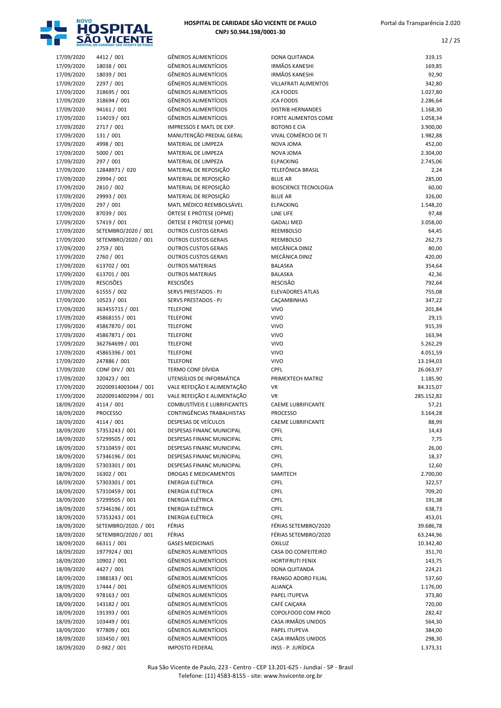

| 17/09/2020 | 4412/001                |
|------------|-------------------------|
| 17/09/2020 | 18038 / 001             |
| 17/09/2020 | 18039 / 001             |
| 17/09/2020 | 2297 / 001              |
| 17/09/2020 | 318695 / 001            |
| 17/09/2020 | 318694 / 001            |
| 17/09/2020 | 94161 / 001             |
| 17/09/2020 | 114019 / 001            |
| 17/09/2020 | 2717 / 001              |
| 17/09/2020 | 131 / 001               |
|            |                         |
| 17/09/2020 | 4998 / 001              |
| 17/09/2020 | 5000 / 001<br>297 / 001 |
| 17/09/2020 |                         |
| 17/09/2020 | 12848971/020            |
| 17/09/2020 | 29994 / 001             |
| 17/09/2020 | 2810 / 002              |
| 17/09/2020 | 29993 / 001             |
| 17/09/2020 | 297 / 001               |
| 17/09/2020 | 87039 / 001             |
| 17/09/2020 | 57419 / 001             |
| 17/09/2020 | SETEMBRO/2020 / 001     |
| 17/09/2020 | SETEMBRO/2020 / 001     |
| 17/09/2020 | 2759 / 001              |
| 17/09/2020 | 2760 / 001              |
| 17/09/2020 | 613702 / 001            |
| 17/09/2020 | 613701 / 001            |
| 17/09/2020 | <b>RESCISÕES</b>        |
| 17/09/2020 | 61555 / 002             |
| 17/09/2020 | 10523 / 001             |
| 17/09/2020 | 363455715 / 001         |
| 17/09/2020 | 45868155 / 001          |
| 17/09/2020 | 45867870 / 001          |
| 17/09/2020 | 45867871/001            |
| 17/09/2020 | 362764699 / 001         |
| 17/09/2020 | 45865396 / 001          |
| 17/09/2020 | 247886 / 001            |
| 17/09/2020 | <b>CONF DIV / 001</b>   |
| 17/09/2020 | 320423 / 001            |
| 17/09/2020 | 20200914003044 / 001    |
| 17/09/2020 | 20200914002994 / 001    |
| 18/09/2020 | 4114 / 001              |
| 18/09/2020 | <b>PROCESSO</b>         |
| 18/09/2020 | 4114 / 001              |
| 18/09/2020 | 57353243 / 001          |
| 18/09/2020 | 57299505 / 001          |
| 18/09/2020 | 57310459 / 001          |
| 18/09/2020 | 57346196 / 001          |
| 18/09/2020 | 57303301 / 001          |
| 18/09/2020 | 16302 / 001             |
| 18/09/2020 | 57303301 / 001          |
| 18/09/2020 | 57310459 / 001          |
| 18/09/2020 | 57299505 / 001          |
| 18/09/2020 | 57346196 / 001          |
| 18/09/2020 | 57353243 / 001          |
| 18/09/2020 | SETEMBRO/2020. / 001    |
| 18/09/2020 | SETEMBRO/2020 / 001     |
| 18/09/2020 | 66311 / 001             |
| 18/09/2020 | 1977924 / 001           |
|            | 10902 / 001             |
| 18/09/2020 | 4427 / 001              |
| 18/09/2020 |                         |
| 18/09/2020 | 1988183 / 001           |
| 18/09/2020 | 17444 / 001             |
| 18/09/2020 | 978163 / 001            |
| 18/09/2020 | 143182 / 001            |
| 18/09/2020 | 191393 / 001            |
| 18/09/2020 | 103449 / 001            |
| 18/09/2020 | 977809 / 001            |
| 18/09/2020 | 103450 / 001            |

|                          | HOSPITAL DE CARIDADE SÃO VICENTE DE PAULO |                                                                    |                                                  | д,                   |
|--------------------------|-------------------------------------------|--------------------------------------------------------------------|--------------------------------------------------|----------------------|
| 17/09/2020               | 4412 / 001                                | <b>GÊNEROS ALIMENTÍCIOS</b>                                        | DONA QUITANDA                                    | 319,15               |
| 17/09/2020               | 18038 / 001                               | <b>GÊNEROS ALIMENTÍCIOS</b>                                        | <b>IRMÃOS KANESHI</b>                            | 169,85               |
| 17/09/2020               | 18039 / 001                               | <b>GÊNEROS ALIMENTÍCIOS</b>                                        | <b>IRMÃOS KANESHI</b>                            | 92,90                |
| 17/09/2020               | 2297 / 001                                | <b>GÊNEROS ALIMENTÍCIOS</b>                                        | <b>VILLAFRATI ALIMENTOS</b>                      | 342,80               |
| 17/09/2020               | 318695 / 001                              | <b>GÊNEROS ALIMENTÍCIOS</b>                                        | <b>JCA FOODS</b>                                 | 1.027,80             |
| 17/09/2020               | 318694 / 001                              | <b>GÊNEROS ALIMENTÍCIOS</b>                                        | <b>JCA FOODS</b>                                 | 2.286,64             |
| 17/09/2020<br>17/09/2020 | 94161 / 001<br>114019 / 001               | <b>GÊNEROS ALIMENTÍCIOS</b><br><b>GÊNEROS ALIMENTÍCIOS</b>         | <b>DISTRIB HERNANDES</b><br>FORTE ALIMENTOS COME | 1.168,30<br>1.058,34 |
| 17/09/2020               | 2717 / 001                                | <b>IMPRESSOS E MATL DE EXP.</b>                                    | <b>BOTONS E CIA</b>                              | 3.900,00             |
| 17/09/2020               | 131 / 001                                 | MANUTENÇÃO PREDIAL GERAL                                           | VIVAL COMÉRCIO DE TI                             | 1.982,88             |
| 17/09/2020               | 4998 / 001                                | MATERIAL DE LIMPEZA                                                | NOVA JOMA                                        | 452,00               |
| 17/09/2020               | 5000 / 001                                | MATERIAL DE LIMPEZA                                                | NOVA JOMA                                        | 2.304,00             |
| 17/09/2020               | 297 / 001                                 | MATERIAL DE LIMPEZA                                                | <b>ELPACKING</b>                                 | 2.745,06             |
| 17/09/2020               | 12848971 / 020                            | MATERIAL DE REPOSIÇÃO                                              | TELEFÔNICA BRASIL                                | 2,24                 |
| 17/09/2020               | 29994 / 001                               | MATERIAL DE REPOSIÇÃO                                              | <b>BLUE AR</b>                                   | 285,00               |
| 17/09/2020               | 2810 / 002                                | MATERIAL DE REPOSIÇÃO                                              | <b>BIOSCIENCE TECNOLOGIA</b>                     | 60,00                |
| 17/09/2020               | 29993 / 001                               | MATERIAL DE REPOSIÇÃO                                              | <b>BLUE AR</b>                                   | 326,00               |
| 17/09/2020<br>17/09/2020 | 297 / 001<br>87039 / 001                  | MATL MÉDICO REEMBOLSÁVEL<br>ÓRTESE E PRÓTESE (OPME)                | <b>ELPACKING</b><br>LINE LIFE                    | 1.548,20<br>97,48    |
| 17/09/2020               | 57419 / 001                               | ÓRTESE E PRÓTESE (OPME)                                            | <b>GADALI MED</b>                                | 3.058,00             |
| 17/09/2020               | SETEMBRO/2020 / 001                       | <b>OUTROS CUSTOS GERAIS</b>                                        | <b>REEMBOLSO</b>                                 | 64,45                |
| 17/09/2020               | SETEMBRO/2020 / 001                       | <b>OUTROS CUSTOS GERAIS</b>                                        | <b>REEMBOLSO</b>                                 | 262,73               |
| 17/09/2020               | 2759 / 001                                | <b>OUTROS CUSTOS GERAIS</b>                                        | MECÂNICA DINIZ                                   | 80,00                |
| 17/09/2020               | 2760 / 001                                | <b>OUTROS CUSTOS GERAIS</b>                                        | MECÂNICA DINIZ                                   | 420,00               |
| 17/09/2020               | 613702 / 001                              | <b>OUTROS MATERIAIS</b>                                            | BALASKA                                          | 354,64               |
| 17/09/2020               | 613701 / 001                              | <b>OUTROS MATERIAIS</b>                                            | <b>BALASKA</b>                                   | 42,36                |
| 17/09/2020               | <b>RESCISÕES</b>                          | <b>RESCISÕES</b>                                                   | RESCISÃO                                         | 792,64               |
| 17/09/2020               | 61555 / 002                               | <b>SERVS PRESTADOS - PJ</b><br><b>SERVS PRESTADOS - PJ</b>         | <b>ELEVADORES ATLAS</b>                          | 755,08               |
| 17/09/2020<br>17/09/2020 | 10523 / 001<br>363455715 / 001            | <b>TELEFONE</b>                                                    | CAÇAMBINHAS<br><b>VIVO</b>                       | 347,22<br>201,84     |
| 17/09/2020               | 45868155 / 001                            | <b>TELEFONE</b>                                                    | <b>VIVO</b>                                      | 29,15                |
| 17/09/2020               | 45867870 / 001                            | <b>TELEFONE</b>                                                    | <b>VIVO</b>                                      | 915,39               |
| 17/09/2020               | 45867871 / 001                            | <b>TELEFONE</b>                                                    | <b>VIVO</b>                                      | 163,94               |
| 17/09/2020               | 362764699 / 001                           | <b>TELEFONE</b>                                                    | <b>VIVO</b>                                      | 5.262,29             |
| 17/09/2020               | 45865396 / 001                            | <b>TELEFONE</b>                                                    | <b>VIVO</b>                                      | 4.051,59             |
| 17/09/2020               | 247886 / 001                              | <b>TELEFONE</b>                                                    | <b>VIVO</b>                                      | 13.194,03            |
| 17/09/2020               | <b>CONF DIV / 001</b>                     | <b>TERMO CONF DÍVIDA</b>                                           | <b>CPFL</b>                                      | 26.063,97            |
| 17/09/2020               | 320423 / 001                              | UTENSÍLIOS DE INFORMÁTICA                                          | PRIMEXTECH MATRIZ                                | 1.185,90             |
| 17/09/2020               | 20200914003044 / 001                      | VALE REFEIÇÃO E ALIMENTAÇÃO                                        | <b>VR</b>                                        | 84.315,07            |
| 17/09/2020<br>18/09/2020 | 20200914002994 / 001<br>4114 / 001        | VALE REFEIÇÃO E ALIMENTAÇÃO<br><b>COMBUSTÍVEIS E LUBRIFICANTES</b> | <b>VR</b><br><b>CAEME LUBRIFICANTE</b>           | 285.152,82<br>57,21  |
| 18/09/2020               | <b>PROCESSO</b>                           | CONTINGÊNCIAS TRABALHISTAS                                         | <b>PROCESSO</b>                                  | 3.164,28             |
| 18/09/2020               | 4114 / 001                                | DESPESAS DE VEÍCULOS                                               | <b>CAEME LUBRIFICANTE</b>                        | 88,99                |
| 18/09/2020               | 57353243 / 001                            | DESPESAS FINANC MUNICIPAL                                          | <b>CPFL</b>                                      | 14,43                |
| 18/09/2020               | 57299505 / 001                            | DESPESAS FINANC MUNICIPAL                                          | CPFL                                             | 7,75                 |
| 18/09/2020               | 57310459 / 001                            | <b>DESPESAS FINANC MUNICIPAL</b>                                   | <b>CPFL</b>                                      | 26,00                |
| 18/09/2020               | 57346196 / 001                            | <b>DESPESAS FINANC MUNICIPAL</b>                                   | CPFL                                             | 18,37                |
| 18/09/2020               | 57303301 / 001                            | DESPESAS FINANC MUNICIPAL                                          | <b>CPFL</b>                                      | 12,60                |
| 18/09/2020               | 16302 / 001                               | <b>DROGAS E MEDICAMENTOS</b>                                       | SAMITECH                                         | 2.700,00             |
| 18/09/2020               | 57303301 / 001                            | <b>ENERGIA ELÉTRICA</b>                                            | <b>CPFL</b>                                      | 322,57               |
| 18/09/2020               | 57310459 / 001                            | ENERGIA ELÉTRICA<br><b>ENERGIA ELÉTRICA</b>                        | <b>CPFL</b>                                      | 709,20               |
| 18/09/2020<br>18/09/2020 | 57299505 / 001<br>57346196 / 001          | ENERGIA ELÉTRICA                                                   | <b>CPFL</b><br>CPFL                              | 191,38<br>638,73     |
| 18/09/2020               | 57353243 / 001                            | <b>ENERGIA ELÉTRICA</b>                                            | <b>CPFL</b>                                      | 453,01               |
| 18/09/2020               | SETEMBRO/2020. / 001                      | FÉRIAS                                                             | FÉRIAS SETEMBRO/2020                             | 39.686,78            |
| 18/09/2020               | SETEMBRO/2020 / 001                       | FÉRIAS                                                             | FÉRIAS SETEMBRO/2020                             | 63.244,96            |
| 18/09/2020               | 66311 / 001                               | <b>GASES MEDICINAIS</b>                                            | <b>OXILUZ</b>                                    | 10.342,40            |
| 18/09/2020               | 1977924 / 001                             | <b>GÊNEROS ALIMENTÍCIOS</b>                                        | CASA DO CONFEITEIRO                              | 351,70               |
| 18/09/2020               | 10902 / 001                               | <b>GÊNEROS ALIMENTÍCIOS</b>                                        | <b>HORTIFRUTI FENIX</b>                          | 143,75               |
| 18/09/2020               | 4427 / 001                                | GÊNEROS ALIMENTÍCIOS                                               | DONA QUITANDA                                    | 224,21               |
| 18/09/2020               | 1988183 / 001                             | <b>GÊNEROS ALIMENTÍCIOS</b>                                        | FRANGO ADORO FILIAL                              | 537,60               |
| 18/09/2020               | 17444 / 001<br>978163 / 001               | <b>GÊNEROS ALIMENTÍCIOS</b><br><b>GÊNEROS ALIMENTÍCIOS</b>         | ALIANÇA                                          | 1.176,00             |
| 18/09/2020<br>18/09/2020 | 143182 / 001                              | <b>GÊNEROS ALIMENTÍCIOS</b>                                        | PAPEL ITUPEVA<br>CAFÉ CAIÇARA                    | 373,80<br>720,00     |
| 18/09/2020               | 191393 / 001                              | <b>GÊNEROS ALIMENTÍCIOS</b>                                        | COPOLFOOD COM PROD                               | 282,42               |
| 18/09/2020               | 103449 / 001                              | <b>GÊNEROS ALIMENTÍCIOS</b>                                        | CASA IRMÃOS UNIDOS                               | 564,30               |
| 18/09/2020               | 977809 / 001                              | <b>GÊNEROS ALIMENTÍCIOS</b>                                        | PAPEL ITUPEVA                                    | 384,00               |
| 18/09/2020               | 103450 / 001                              | GÊNEROS ALIMENTÍCIOS                                               | CASA IRMÃOS UNIDOS                               | 298,30               |
| 18/09/2020               | D-982 / 001                               | <b>IMPOSTO FEDERAL</b>                                             | INSS - P. JURÍDICA                               | 1.373,31             |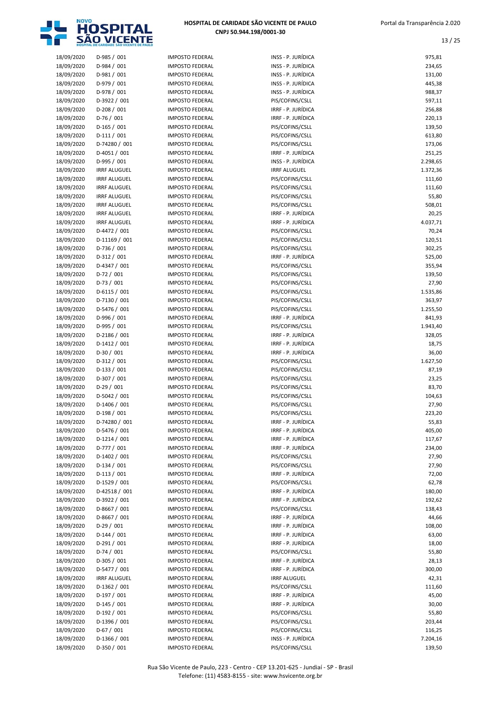

| HOSPITAL DE CARIDADE SÃO VICENTE DE PAULO |
|-------------------------------------------|
| CNPJ 50.944.198/0001-30                   |

13 / 25

| 18/09/2020 | D-985 / 001         | <b>IMPOSTO FEDERAL</b> | INSS - P. JURÍDICA                    | 975,81   |
|------------|---------------------|------------------------|---------------------------------------|----------|
| 18/09/2020 | D-984 / 001         | <b>IMPOSTO FEDERAL</b> | INSS - P. JURÍDICA                    | 234,65   |
| 18/09/2020 | D-981 / 001         | <b>IMPOSTO FEDERAL</b> | INSS - P. JURÍDICA                    | 131,00   |
| 18/09/2020 | D-979 / 001         | <b>IMPOSTO FEDERAL</b> | INSS - P. JURÍDICA                    | 445,38   |
| 18/09/2020 | D-978 / 001         | <b>IMPOSTO FEDERAL</b> | INSS - P. JURÍDICA                    | 988,37   |
| 18/09/2020 | D-3922 / 001        | <b>IMPOSTO FEDERAL</b> | PIS/COFINS/CSLL                       | 597,11   |
| 18/09/2020 | $D-208/001$         | <b>IMPOSTO FEDERAL</b> | IRRF - P. JURÍDICA                    | 256,88   |
| 18/09/2020 | $D-76/001$          | <b>IMPOSTO FEDERAL</b> | IRRF - P. JURÍDICA                    | 220,13   |
| 18/09/2020 | $D-165/001$         | <b>IMPOSTO FEDERAL</b> | PIS/COFINS/CSLL                       | 139,50   |
| 18/09/2020 | $D-111/001$         | <b>IMPOSTO FEDERAL</b> | PIS/COFINS/CSLL                       | 613,80   |
| 18/09/2020 | D-74280 / 001       | <b>IMPOSTO FEDERAL</b> | PIS/COFINS/CSLL                       | 173,06   |
| 18/09/2020 | D-4051 / 001        | <b>IMPOSTO FEDERAL</b> | IRRF - P. JURÍDICA                    | 251,25   |
| 18/09/2020 | D-995 / 001         | <b>IMPOSTO FEDERAL</b> | INSS - P. JURÍDICA                    | 2.298,65 |
| 18/09/2020 | <b>IRRF ALUGUEL</b> | <b>IMPOSTO FEDERAL</b> | <b>IRRF ALUGUEL</b>                   | 1.372,36 |
| 18/09/2020 | <b>IRRF ALUGUEL</b> | <b>IMPOSTO FEDERAL</b> | PIS/COFINS/CSLL                       | 111,60   |
| 18/09/2020 | <b>IRRF ALUGUEL</b> | <b>IMPOSTO FEDERAL</b> | PIS/COFINS/CSLL                       | 111,60   |
| 18/09/2020 | <b>IRRF ALUGUEL</b> | <b>IMPOSTO FEDERAL</b> | PIS/COFINS/CSLL                       | 55,80    |
| 18/09/2020 | <b>IRRF ALUGUEL</b> | <b>IMPOSTO FEDERAL</b> | PIS/COFINS/CSLL                       | 508,01   |
| 18/09/2020 | <b>IRRF ALUGUEL</b> | <b>IMPOSTO FEDERAL</b> | IRRF - P. JURÍDICA                    | 20,25    |
| 18/09/2020 | <b>IRRF ALUGUEL</b> | <b>IMPOSTO FEDERAL</b> | IRRF - P. JURÍDICA                    | 4.037,71 |
| 18/09/2020 | D-4472 / 001        | <b>IMPOSTO FEDERAL</b> | PIS/COFINS/CSLL                       | 70,24    |
| 18/09/2020 | D-11169 / 001       | <b>IMPOSTO FEDERAL</b> | PIS/COFINS/CSLL                       | 120,51   |
| 18/09/2020 | D-736 / 001         | <b>IMPOSTO FEDERAL</b> | PIS/COFINS/CSLL                       | 302,25   |
| 18/09/2020 | $D-312/001$         | <b>IMPOSTO FEDERAL</b> | IRRF - P. JURÍDICA                    | 525,00   |
| 18/09/2020 | D-4347 / 001        | <b>IMPOSTO FEDERAL</b> | PIS/COFINS/CSLL                       | 355,94   |
| 18/09/2020 | $D-72/001$          | <b>IMPOSTO FEDERAL</b> | PIS/COFINS/CSLL                       | 139,50   |
| 18/09/2020 | $D-73/001$          | <b>IMPOSTO FEDERAL</b> | PIS/COFINS/CSLL                       | 27,90    |
| 18/09/2020 | $D-6115/001$        | <b>IMPOSTO FEDERAL</b> | PIS/COFINS/CSLL                       | 1.535,86 |
| 18/09/2020 | D-7130 / 001        | <b>IMPOSTO FEDERAL</b> | PIS/COFINS/CSLL                       | 363,97   |
| 18/09/2020 | D-5476 / 001        | <b>IMPOSTO FEDERAL</b> | PIS/COFINS/CSLL                       | 1.255,50 |
| 18/09/2020 | D-996 / 001         | <b>IMPOSTO FEDERAL</b> | IRRF - P. JURÍDICA                    | 841,93   |
| 18/09/2020 | D-995 / 001         | <b>IMPOSTO FEDERAL</b> | PIS/COFINS/CSLL                       | 1.943,40 |
| 18/09/2020 | D-2186 / 001        | <b>IMPOSTO FEDERAL</b> | IRRF - P. JURÍDICA                    | 328,05   |
| 18/09/2020 | D-1412 / 001        | <b>IMPOSTO FEDERAL</b> | IRRF - P. JURÍDICA                    | 18,75    |
| 18/09/2020 | $D-30/001$          | <b>IMPOSTO FEDERAL</b> | IRRF - P. JURÍDICA                    | 36,00    |
| 18/09/2020 | $D-312/001$         | <b>IMPOSTO FEDERAL</b> | PIS/COFINS/CSLL                       | 1.627,50 |
| 18/09/2020 | $D-133 / 001$       | <b>IMPOSTO FEDERAL</b> | PIS/COFINS/CSLL                       | 87,19    |
| 18/09/2020 | D-307 / 001         | <b>IMPOSTO FEDERAL</b> | PIS/COFINS/CSLL                       | 23,25    |
| 18/09/2020 | $D-29/001$          | <b>IMPOSTO FEDERAL</b> | PIS/COFINS/CSLL                       | 83,70    |
| 18/09/2020 | D-5042 / 001        | <b>IMPOSTO FEDERAL</b> | PIS/COFINS/CSLL                       | 104,63   |
| 18/09/2020 | D-1406 / 001        | <b>IMPOSTO FEDERAL</b> | PIS/COFINS/CSLL                       | 27,90    |
| 18/09/2020 | $D-198/001$         | <b>IMPOSTO FEDERAL</b> | PIS/COFINS/CSLL                       | 223,20   |
| 18/09/2020 | D-74280 / 001       | <b>IMPOSTO FEDERAL</b> | IRRF - P. JURÍDICA                    | 55,83    |
| 18/09/2020 | D-5476 / 001        | <b>IMPOSTO FEDERAL</b> | IRRF - P. JURÍDICA                    | 405,00   |
| 18/09/2020 | $D-1214/001$        | <b>IMPOSTO FEDERAL</b> | IRRF - P. JURÍDICA                    | 117,67   |
| 18/09/2020 | D-777 / 001         | <b>IMPOSTO FEDERAL</b> | IRRF - P. JURÍDICA                    | 234,00   |
| 18/09/2020 | D-1402 / 001        | <b>IMPOSTO FEDERAL</b> | PIS/COFINS/CSLL                       | 27,90    |
| 18/09/2020 | $D-134/001$         | <b>IMPOSTO FEDERAL</b> | PIS/COFINS/CSLL                       | 27,90    |
| 18/09/2020 | $D-113/001$         | <b>IMPOSTO FEDERAL</b> | IRRF - P. JURÍDICA                    | 72,00    |
| 18/09/2020 | D-1529 / 001        | <b>IMPOSTO FEDERAL</b> | PIS/COFINS/CSLL                       | 62,78    |
| 18/09/2020 | D-42518 / 001       | <b>IMPOSTO FEDERAL</b> | IRRF - P. JURÍDICA                    | 180,00   |
| 18/09/2020 | D-3922 / 001        | <b>IMPOSTO FEDERAL</b> | IRRF - P. JURÍDICA                    | 192,62   |
| 18/09/2020 | D-8667 / 001        | <b>IMPOSTO FEDERAL</b> | PIS/COFINS/CSLL                       | 138,43   |
| 18/09/2020 | D-8667 / 001        | <b>IMPOSTO FEDERAL</b> | IRRF - P. JURÍDICA                    | 44,66    |
| 18/09/2020 | $D-29/001$          | <b>IMPOSTO FEDERAL</b> | IRRF - P. JURÍDICA                    | 108,00   |
| 18/09/2020 | $D-144 / 001$       | <b>IMPOSTO FEDERAL</b> | IRRF - P. JURÍDICA                    | 63,00    |
| 18/09/2020 | $D-291/001$         | <b>IMPOSTO FEDERAL</b> | IRRF - P. JURÍDICA                    | 18,00    |
| 18/09/2020 | $D-74/001$          | <b>IMPOSTO FEDERAL</b> | PIS/COFINS/CSLL                       | 55,80    |
| 18/09/2020 | D-305 / 001         | <b>IMPOSTO FEDERAL</b> | IRRF - P. JURÍDICA                    | 28,13    |
| 18/09/2020 | D-5477 / 001        | <b>IMPOSTO FEDERAL</b> | IRRF - P. JURÍDICA                    | 300,00   |
| 18/09/2020 | <b>IRRF ALUGUEL</b> |                        | <b>IRRF ALUGUEL</b>                   | 42,31    |
|            |                     | <b>IMPOSTO FEDERAL</b> |                                       |          |
| 18/09/2020 | D-1362 / 001        | <b>IMPOSTO FEDERAL</b> | PIS/COFINS/CSLL<br>IRRF - P. JURÍDICA | 111,60   |
| 18/09/2020 | $D-197/001$         | <b>IMPOSTO FEDERAL</b> |                                       | 45,00    |
| 18/09/2020 | $D-145/001$         | <b>IMPOSTO FEDERAL</b> | IRRF - P. JURÍDICA                    | 30,00    |
| 18/09/2020 | D-192 / 001         | <b>IMPOSTO FEDERAL</b> | PIS/COFINS/CSLL                       | 55,80    |
| 18/09/2020 | D-1396 / 001        | <b>IMPOSTO FEDERAL</b> | PIS/COFINS/CSLL                       | 203,44   |
| 18/09/2020 | $D-67/001$          | <b>IMPOSTO FEDERAL</b> | PIS/COFINS/CSLL                       | 116,25   |
| 18/09/2020 | D-1366 / 001        | <b>IMPOSTO FEDERAL</b> | INSS - P. JURÍDICA                    | 7.204,16 |
| 18/09/2020 | D-350 / 001         | <b>IMPOSTO FEDERAL</b> | PIS/COFINS/CSLL                       | 139,50   |

Rua São Vicente de Paulo, 223 - Centro - CEP 13.201-625 - Jundiaí - SP - Brasil Telefone: (11) 4583-8155 - site: www.hsvicente.org.br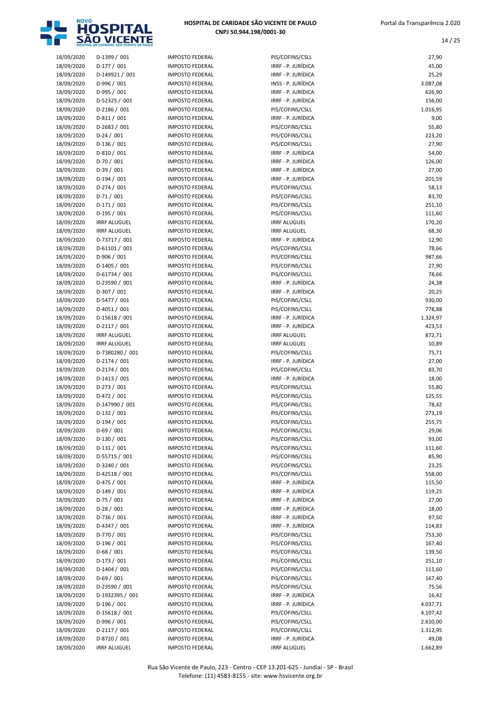

| 18/09/2020               | D-1399 / 001                 |
|--------------------------|------------------------------|
| 18/09/2020               | D-177 / 001                  |
|                          | D-149921 / 001               |
| 18/09/2020               |                              |
| 18/09/2020               | D-996 / 001                  |
| 18/09/2020               | D-995 / 001                  |
| 18/09/2020               | D-52325 / 001                |
| 18/09/2020               | D-2186 / 001                 |
|                          | $D-811/001$                  |
| 18/09/2020               |                              |
| 18/09/2020               | D-2683 / 001                 |
| 18/09/2020               | $D-24/001$                   |
| 18/09/2020               | D-136 / 001                  |
| 18/09/2020               | D-810 / 001                  |
| 18/09/2020               | D-70 / 001                   |
|                          |                              |
| 18/09/2020               | D-39 / 001                   |
| 18/09/2020               | D-194 / 001                  |
| 18/09/2020               | D-274 / 001                  |
| 18/09/2020               | $D-71/001$                   |
| 18/09/2020               | $D-171/001$                  |
|                          |                              |
| 18/09/2020               | D-195 / 001                  |
| 18/09/2020               | <b>IRRF ALUGUEL</b>          |
| 18/09/2020               | <b>IRRF ALUGUEL</b>          |
| 18/09/2020               | D-73717 / 001                |
| 18/09/2020               | D-61101 / 001                |
|                          |                              |
| 18/09/2020               | D-906 / 001                  |
| 18/09/2020               | D-1405 / 001                 |
| 18/09/2020               | D-61734 / 001                |
| 18/09/2020               | D-23590 / 001                |
| 18/09/2020               | D-307 / 001                  |
|                          |                              |
| 18/09/2020               | D-5477 / 001                 |
| 18/09/2020               | D-4051 / 001                 |
| 18/09/2020               | D-15618 / 001                |
| 18/09/2020               | D-2117 / 001                 |
| 18/09/2020               | <b>IRRF ALUGUEL</b>          |
| 18/09/2020               | <b>IRRF ALUGUEL</b>          |
|                          |                              |
| 18/09/2020               | D-7380280 / 001              |
| 18/09/2020               | D-2174 / 001                 |
| 18/09/2020               | D-2174 / 001                 |
| 18/09/2020               | D-1413 / 001                 |
| 18/09/2020               | $D-273/001$                  |
|                          |                              |
| 18/09/2020               | D-472 / 001                  |
| 18/09/2020               | D-147990 / 001               |
| 18/09/2020               | D-132 / 001                  |
| 18/09/2020               | D-194 / 001                  |
| 18/09/2020               | D-69 / 001                   |
|                          | D-130 / 001                  |
| 18/09/2020               |                              |
| 18/09/2020               | $D-131/001$                  |
| 18/09/2020               | D-55715 / 001                |
| 18/09/2020               | D-3240 / 001                 |
| 18/09/2020               | D-42518 / 001                |
| 18/09/2020               | D-475 / 001                  |
|                          |                              |
| 18/09/2020               | D-149 / 001                  |
| 18/09/2020               | D-75 / 001                   |
| 18/09/2020               | $D-28/001$                   |
| 18/09/2020               | D-736 / 001                  |
| 18/09/2020               | D-4347 / 001                 |
| 18/09/2020               | D-770 / 001                  |
|                          |                              |
| 18/09/2020               | D-196 / 001                  |
| 18/09/2020               | $D-68/001$                   |
| 18/09/2020               | D-173 / 001                  |
| 18/09/2020               | D-1404 / 001                 |
| 18/09/2020               | D-69 / 001                   |
|                          |                              |
| 18/09/2020               | D-23590 / 001                |
| 18/09/2020               | D-1932395 / 001              |
| 18/09/2020               | D-196 / 001                  |
| 18/09/2020               |                              |
|                          | D-15618 / 001                |
|                          |                              |
| 18/09/2020               | D-996 / 001                  |
| 18/09/2020               | D-2117 / 001                 |
| 18/09/2020<br>18/09/2020 | D-8720 / 001<br>IRRE ALUGUEL |

|                          | <b>IOSPITAL DE CARIDADE SÃO VICENTE DE PAULA</b> |                                                  |                                          |                   |
|--------------------------|--------------------------------------------------|--------------------------------------------------|------------------------------------------|-------------------|
| 18/09/2020               | D-1399 / 001                                     | <b>IMPOSTO FEDERAL</b>                           | PIS/COFINS/CSLL                          | 27,90             |
| 18/09/2020               | $D-177/001$                                      | <b>IMPOSTO FEDERAL</b>                           | IRRF - P. JURÍDICA                       | 45,00             |
| 18/09/2020               | D-149921 / 001                                   | <b>IMPOSTO FEDERAL</b>                           | IRRF - P. JURÍDICA                       | 25,29             |
| 18/09/2020               | D-996 / 001                                      | <b>IMPOSTO FEDERAL</b>                           | INSS - P. JURÍDICA                       | 3.087,08          |
| 18/09/2020               | D-995 / 001                                      | <b>IMPOSTO FEDERAL</b>                           | IRRF - P. JURÍDICA                       | 626,90            |
| 18/09/2020               | D-52325 / 001                                    | <b>IMPOSTO FEDERAL</b>                           | IRRF - P. JURÍDICA                       | 156,00            |
| 18/09/2020<br>18/09/2020 | D-2186 / 001<br>$D-811/001$                      | <b>IMPOSTO FEDERAL</b><br><b>IMPOSTO FEDERAL</b> | PIS/COFINS/CSLL<br>IRRF - P. JURÍDICA    | 1.016,95<br>9,00  |
| 18/09/2020               | $D-2683 / 001$                                   | <b>IMPOSTO FEDERAL</b>                           | PIS/COFINS/CSLL                          | 55,80             |
| 18/09/2020               | $D-24/001$                                       | <b>IMPOSTO FEDERAL</b>                           | PIS/COFINS/CSLL                          | 223,20            |
| 18/09/2020               | $D-136 / 001$                                    | <b>IMPOSTO FEDERAL</b>                           | PIS/COFINS/CSLL                          | 27,90             |
| 18/09/2020               | $D-810/001$                                      | <b>IMPOSTO FEDERAL</b>                           | IRRF - P. JURÍDICA                       | 54,00             |
| 18/09/2020               | $D-70/001$                                       | <b>IMPOSTO FEDERAL</b>                           | IRRF - P. JURÍDICA                       | 126,00            |
| 18/09/2020               | $D-39/001$                                       | <b>IMPOSTO FEDERAL</b>                           | IRRF - P. JURÍDICA                       | 27,00             |
| 18/09/2020               | $D-194/001$                                      | <b>IMPOSTO FEDERAL</b>                           | IRRF - P. JURÍDICA                       | 201,59            |
| 18/09/2020               | $D-274/001$                                      | <b>IMPOSTO FEDERAL</b>                           | PIS/COFINS/CSLL                          | 58,13             |
| 18/09/2020               | $D-71/001$                                       | <b>IMPOSTO FEDERAL</b>                           | PIS/COFINS/CSLL                          | 83,70             |
| 18/09/2020<br>18/09/2020 | $D-171/001$<br>D-195 / 001                       | <b>IMPOSTO FEDERAL</b><br><b>IMPOSTO FEDERAL</b> | PIS/COFINS/CSLL<br>PIS/COFINS/CSLL       | 251,10<br>111,60  |
| 18/09/2020               | <b>IRRF ALUGUEL</b>                              | <b>IMPOSTO FEDERAL</b>                           | <b>IRRF ALUGUEL</b>                      | 170,20            |
| 18/09/2020               | <b>IRRF ALUGUEL</b>                              | <b>IMPOSTO FEDERAL</b>                           | <b>IRRF ALUGUEL</b>                      | 68,30             |
| 18/09/2020               | D-73717 / 001                                    | <b>IMPOSTO FEDERAL</b>                           | IRRF - P. JURÍDICA                       | 12,90             |
| 18/09/2020               | $D-61101/001$                                    | <b>IMPOSTO FEDERAL</b>                           | PIS/COFINS/CSLL                          | 78,66             |
| 18/09/2020               | D-906 / 001                                      | <b>IMPOSTO FEDERAL</b>                           | PIS/COFINS/CSLL                          | 987,66            |
| 18/09/2020               | $D-1405 / 001$                                   | <b>IMPOSTO FEDERAL</b>                           | PIS/COFINS/CSLL                          | 27,90             |
| 18/09/2020               | $D-61734 / 001$                                  | <b>IMPOSTO FEDERAL</b>                           | PIS/COFINS/CSLL                          | 78,66             |
| 18/09/2020               | D-23590 / 001                                    | <b>IMPOSTO FEDERAL</b>                           | IRRF - P. JURÍDICA                       | 24,38             |
| 18/09/2020               | D-307 / 001                                      | <b>IMPOSTO FEDERAL</b>                           | IRRF - P. JURÍDICA                       | 20,25             |
| 18/09/2020<br>18/09/2020 | D-5477 / 001<br>$D-4051/001$                     | <b>IMPOSTO FEDERAL</b><br><b>IMPOSTO FEDERAL</b> | PIS/COFINS/CSLL<br>PIS/COFINS/CSLL       | 930,00<br>778,88  |
| 18/09/2020               | D-15618 / 001                                    | <b>IMPOSTO FEDERAL</b>                           | IRRF - P. JURÍDICA                       | 1.324,97          |
| 18/09/2020               | $D-2117/001$                                     | <b>IMPOSTO FEDERAL</b>                           | IRRF - P. JURÍDICA                       | 423,53            |
| 18/09/2020               | <b>IRRF ALUGUEL</b>                              | <b>IMPOSTO FEDERAL</b>                           | <b>IRRF ALUGUEL</b>                      | 872,71            |
| 18/09/2020               | <b>IRRF ALUGUEL</b>                              | <b>IMPOSTO FEDERAL</b>                           | <b>IRRF ALUGUEL</b>                      | 10,89             |
| 18/09/2020               | D-7380280 / 001                                  | <b>IMPOSTO FEDERAL</b>                           | PIS/COFINS/CSLL                          | 75,71             |
| 18/09/2020               | D-2174 / 001                                     | <b>IMPOSTO FEDERAL</b>                           | IRRF - P. JURÍDICA                       | 27,00             |
| 18/09/2020               | D-2174 / 001                                     | <b>IMPOSTO FEDERAL</b>                           | PIS/COFINS/CSLL                          | 83,70             |
| 18/09/2020               | $D-1413 / 001$                                   | <b>IMPOSTO FEDERAL</b>                           | IRRF - P. JURÍDICA                       | 18,00             |
| 18/09/2020               | $D-273/001$                                      | <b>IMPOSTO FEDERAL</b>                           | PIS/COFINS/CSLL                          | 55,80             |
| 18/09/2020<br>18/09/2020 | $D-472/001$<br>D-147990 / 001                    | <b>IMPOSTO FEDERAL</b><br><b>IMPOSTO FEDERAL</b> | PIS/COFINS/CSLL<br>PIS/COFINS/CSLL       | 125,55<br>78,42   |
| 18/09/2020               | $D-132 / 001$                                    | <b>IMPOSTO FEDERAL</b>                           | PIS/COFINS/CSLL                          | 273,19            |
| 18/09/2020               | $D-194/001$                                      | <b>IMPOSTO FEDERAL</b>                           | PIS/COFINS/CSLL                          | 255,75            |
| 18/09/2020               | $D-69/001$                                       | <b>IMPOSTO FEDERAL</b>                           | PIS/COFINS/CSLL                          | 29,06             |
| 18/09/2020               | $D-130/001$                                      | <b>IMPOSTO FEDERAL</b>                           | PIS/COFINS/CSLL                          | 93,00             |
| 18/09/2020               | $D-131/001$                                      | <b>IMPOSTO FEDERAL</b>                           | PIS/COFINS/CSLL                          | 111,60            |
| 18/09/2020               | D-55715 / 001                                    | <b>IMPOSTO FEDERAL</b>                           | PIS/COFINS/CSLL                          | 85,90             |
| 18/09/2020               | D-3240 / 001                                     | <b>IMPOSTO FEDERAL</b>                           | PIS/COFINS/CSLL                          | 23,25             |
| 18/09/2020               | D-42518 / 001                                    | <b>IMPOSTO FEDERAL</b>                           | PIS/COFINS/CSLL                          | 558,00            |
| 18/09/2020               | $D-475/001$                                      | <b>IMPOSTO FEDERAL</b>                           | IRRF - P. JURÍDICA                       | 115,50            |
| 18/09/2020<br>18/09/2020 | $D-149/001$<br>$D-75/001$                        | <b>IMPOSTO FEDERAL</b><br><b>IMPOSTO FEDERAL</b> | IRRF - P. JURÍDICA<br>IRRF - P. JURÍDICA | 119,25            |
| 18/09/2020               | $D-28/001$                                       | <b>IMPOSTO FEDERAL</b>                           | IRRF - P. JURÍDICA                       | 27,00<br>18,00    |
| 18/09/2020               | D-736 / 001                                      | <b>IMPOSTO FEDERAL</b>                           | IRRF - P. JURÍDICA                       | 97,50             |
| 18/09/2020               | D-4347 / 001                                     | <b>IMPOSTO FEDERAL</b>                           | IRRF - P. JURÍDICA                       | 114,83            |
| 18/09/2020               | D-770 / 001                                      | <b>IMPOSTO FEDERAL</b>                           | PIS/COFINS/CSLL                          | 753,30            |
| 18/09/2020               | $D-196/001$                                      | <b>IMPOSTO FEDERAL</b>                           | PIS/COFINS/CSLL                          | 167,40            |
| 18/09/2020               | $D-68/001$                                       | <b>IMPOSTO FEDERAL</b>                           | PIS/COFINS/CSLL                          | 139,50            |
| 18/09/2020               | $D-173/001$                                      | <b>IMPOSTO FEDERAL</b>                           | PIS/COFINS/CSLL                          | 251,10            |
| 18/09/2020               | $D-1404 / 001$                                   | <b>IMPOSTO FEDERAL</b>                           | PIS/COFINS/CSLL                          | 111,60            |
| 18/09/2020               | $D-69/001$                                       | <b>IMPOSTO FEDERAL</b>                           | PIS/COFINS/CSLL                          | 167,40            |
| 18/09/2020               | D-23590 / 001                                    | <b>IMPOSTO FEDERAL</b>                           | PIS/COFINS/CSLL                          | 75,56             |
| 18/09/2020<br>18/09/2020 | D-1932395 / 001<br>D-196 / 001                   | <b>IMPOSTO FEDERAL</b><br><b>IMPOSTO FEDERAL</b> | IRRF - P. JURÍDICA<br>IRRF - P. JURÍDICA | 16,42<br>4.037,71 |
| 18/09/2020               | D-15618 / 001                                    | <b>IMPOSTO FEDERAL</b>                           | PIS/COFINS/CSLL                          | 4.107,42          |
| 18/09/2020               | D-996 / 001                                      | <b>IMPOSTO FEDERAL</b>                           | PIS/COFINS/CSLL                          | 2.610,00          |
| 18/09/2020               | $D-2117/001$                                     | <b>IMPOSTO FEDERAL</b>                           | PIS/COFINS/CSLL                          | 1.312,95          |
| 18/09/2020               | D-8720 / 001                                     | <b>IMPOSTO FEDERAL</b>                           | IRRF - P. JURÍDICA                       | 49,08             |
| 18/09/2020               | <b>IRRF ALUGUEL</b>                              | <b>IMPOSTO FEDERAL</b>                           | <b>IRRF ALUGUEL</b>                      | 1.662,89          |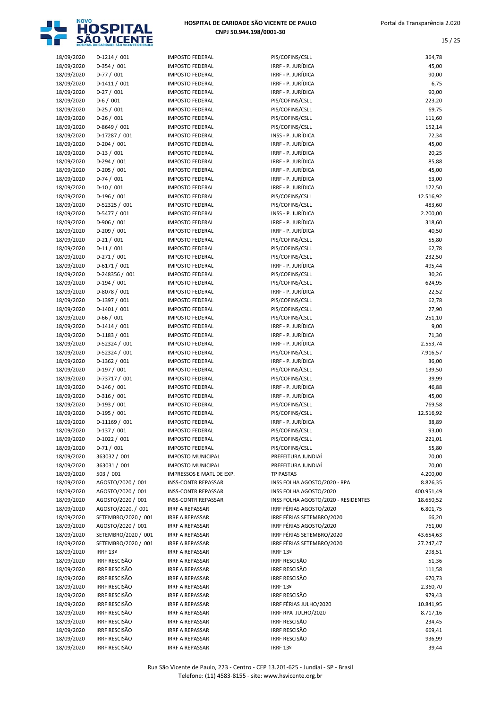

| 18/09/2020 | $D-1214 / 001$       | <b>IMPOSTO FEDERAL</b>     | PIS/COFINS/CSLL                     | 364,78     |
|------------|----------------------|----------------------------|-------------------------------------|------------|
| 18/09/2020 | $D-354/001$          | <b>IMPOSTO FEDERAL</b>     | IRRF - P. JURÍDICA                  | 45,00      |
| 18/09/2020 | $D-77/001$           | <b>IMPOSTO FEDERAL</b>     | IRRF - P. JURÍDICA                  | 90,00      |
| 18/09/2020 | $D-1411/001$         | <b>IMPOSTO FEDERAL</b>     | IRRF - P. JURÍDICA                  | 6,75       |
| 18/09/2020 | $D-27/001$           | <b>IMPOSTO FEDERAL</b>     | IRRF - P. JURÍDICA                  | 90,00      |
|            |                      |                            |                                     |            |
| 18/09/2020 | $D-6/001$            | <b>IMPOSTO FEDERAL</b>     | PIS/COFINS/CSLL                     | 223,20     |
| 18/09/2020 | $D-25/001$           | <b>IMPOSTO FEDERAL</b>     | PIS/COFINS/CSLL                     | 69,75      |
| 18/09/2020 | $D-26/001$           | <b>IMPOSTO FEDERAL</b>     | PIS/COFINS/CSLL                     | 111,60     |
| 18/09/2020 | D-8649 / 001         | <b>IMPOSTO FEDERAL</b>     | PIS/COFINS/CSLL                     | 152,14     |
| 18/09/2020 | D-17287 / 001        | <b>IMPOSTO FEDERAL</b>     | INSS - P. JURÍDICA                  | 72,34      |
|            |                      |                            |                                     |            |
| 18/09/2020 | $D-204 / 001$        | <b>IMPOSTO FEDERAL</b>     | IRRF - P. JURÍDICA                  | 45,00      |
| 18/09/2020 | $D-13/001$           | <b>IMPOSTO FEDERAL</b>     | IRRF - P. JURÍDICA                  | 20,25      |
| 18/09/2020 | $D-294/001$          | <b>IMPOSTO FEDERAL</b>     | IRRF - P. JURÍDICA                  | 85,88      |
| 18/09/2020 | $D-205/001$          | <b>IMPOSTO FEDERAL</b>     | IRRF - P. JURÍDICA                  | 45,00      |
|            |                      |                            |                                     |            |
| 18/09/2020 | $D-74/001$           | <b>IMPOSTO FEDERAL</b>     | IRRF - P. JURÍDICA                  | 63,00      |
| 18/09/2020 | $D-10/001$           | <b>IMPOSTO FEDERAL</b>     | IRRF - P. JURÍDICA                  | 172,50     |
| 18/09/2020 | $D-196/001$          | <b>IMPOSTO FEDERAL</b>     | PIS/COFINS/CSLL                     | 12.516,92  |
| 18/09/2020 | D-52325 / 001        | <b>IMPOSTO FEDERAL</b>     | PIS/COFINS/CSLL                     | 483,60     |
| 18/09/2020 | D-5477 / 001         | <b>IMPOSTO FEDERAL</b>     | INSS - P. JURÍDICA                  | 2.200,00   |
|            |                      |                            |                                     |            |
| 18/09/2020 | D-906 / 001          | <b>IMPOSTO FEDERAL</b>     | IRRF - P. JURÍDICA                  | 318,60     |
| 18/09/2020 | $D-209/001$          | <b>IMPOSTO FEDERAL</b>     | IRRF - P. JURÍDICA                  | 40,50      |
| 18/09/2020 | $D-21/001$           | <b>IMPOSTO FEDERAL</b>     | PIS/COFINS/CSLL                     | 55,80      |
| 18/09/2020 | $D-11/001$           | <b>IMPOSTO FEDERAL</b>     | PIS/COFINS/CSLL                     | 62,78      |
| 18/09/2020 | $D-271/001$          | <b>IMPOSTO FEDERAL</b>     | PIS/COFINS/CSLL                     | 232,50     |
|            |                      |                            |                                     |            |
| 18/09/2020 | $D-6171/001$         | <b>IMPOSTO FEDERAL</b>     | IRRF - P. JURÍDICA                  | 495,44     |
| 18/09/2020 | D-248356 / 001       | <b>IMPOSTO FEDERAL</b>     | PIS/COFINS/CSLL                     | 30,26      |
| 18/09/2020 | $D-194/001$          | <b>IMPOSTO FEDERAL</b>     | PIS/COFINS/CSLL                     | 624,95     |
| 18/09/2020 | D-8078 / 001         | <b>IMPOSTO FEDERAL</b>     | IRRF - P. JURÍDICA                  | 22,52      |
| 18/09/2020 | D-1397 / 001         | <b>IMPOSTO FEDERAL</b>     | PIS/COFINS/CSLL                     | 62,78      |
|            |                      |                            |                                     |            |
| 18/09/2020 | $D-1401 / 001$       | <b>IMPOSTO FEDERAL</b>     | PIS/COFINS/CSLL                     | 27,90      |
| 18/09/2020 | $D-66/001$           | <b>IMPOSTO FEDERAL</b>     | PIS/COFINS/CSLL                     | 251,10     |
| 18/09/2020 | $D-1414 / 001$       | <b>IMPOSTO FEDERAL</b>     | IRRF - P. JURÍDICA                  | 9,00       |
| 18/09/2020 | $D-1183 / 001$       | <b>IMPOSTO FEDERAL</b>     | IRRF - P. JURÍDICA                  | 71,30      |
| 18/09/2020 | D-52324 / 001        | <b>IMPOSTO FEDERAL</b>     | IRRF - P. JURÍDICA                  | 2.553,74   |
|            |                      |                            |                                     |            |
| 18/09/2020 | D-52324 / 001        | <b>IMPOSTO FEDERAL</b>     | PIS/COFINS/CSLL                     | 7.916,57   |
| 18/09/2020 | $D-1362 / 001$       | <b>IMPOSTO FEDERAL</b>     | IRRF - P. JURÍDICA                  | 36,00      |
| 18/09/2020 | $D-197/001$          | <b>IMPOSTO FEDERAL</b>     | PIS/COFINS/CSLL                     | 139,50     |
| 18/09/2020 | D-73717 / 001        | <b>IMPOSTO FEDERAL</b>     | PIS/COFINS/CSLL                     | 39,99      |
| 18/09/2020 | $D-146/001$          | <b>IMPOSTO FEDERAL</b>     | IRRF - P. JURÍDICA                  | 46,88      |
|            |                      |                            |                                     |            |
| 18/09/2020 | $D-316/001$          | <b>IMPOSTO FEDERAL</b>     | IRRF - P. JURÍDICA                  | 45,00      |
| 18/09/2020 | $D-193/001$          | <b>IMPOSTO FEDERAL</b>     | PIS/COFINS/CSLL                     | 769,58     |
| 18/09/2020 | $D-195/001$          | <b>IMPOSTO FEDERAL</b>     | PIS/COFINS/CSLL                     | 12.516,92  |
| 18/09/2020 | $D-11169/001$        | <b>IMPOSTO FEDERAL</b>     | IRRF - P. JURÍDICA                  | 38,89      |
| 18/09/2020 | $D-137/001$          | <b>IMPOSTO FEDERAL</b>     | PIS/COFINS/CSLL                     | 93,00      |
|            |                      |                            |                                     |            |
| 18/09/2020 | $D-1022 / 001$       | <b>IMPOSTO FEDERAL</b>     | PIS/COFINS/CSLL                     | 221,01     |
| 18/09/2020 | $D-71/001$           | <b>IMPOSTO FEDERAL</b>     | PIS/COFINS/CSLL                     | 55,80      |
| 18/09/2020 | 363032 / 001         | <b>IMPOSTO MUNICIPAL</b>   | PREFEITURA JUNDIAİ                  | 70,00      |
| 18/09/2020 | 363031 / 001         | <b>IMPOSTO MUNICIPAL</b>   | PREFEITURA JUNDIAÍ                  | 70,00      |
| 18/09/2020 | 503 / 001            | IMPRESSOS E MATL DE EXP.   | TP PASTAS                           | 4.200,00   |
|            |                      |                            |                                     |            |
| 18/09/2020 | AGOSTO/2020 / 001    | <b>INSS-CONTR REPASSAR</b> | INSS FOLHA AGOSTO/2020 - RPA        | 8.826,35   |
| 18/09/2020 | AGOSTO/2020 / 001    | <b>INSS-CONTR REPASSAR</b> | INSS FOLHA AGOSTO/2020              | 400.951,49 |
| 18/09/2020 | AGOSTO/2020 / 001    | <b>INSS-CONTR REPASSAR</b> | INSS FOLHA AGOSTO/2020 - RESIDENTES | 18.650,52  |
| 18/09/2020 | AGOSTO/2020. / 001   | <b>IRRF A REPASSAR</b>     | IRRF FÉRIAS AGOSTO/2020             | 6.801,75   |
| 18/09/2020 | SETEMBRO/2020 / 001  | <b>IRRF A REPASSAR</b>     | IRRF FÉRIAS SETEMBRO/2020           | 66,20      |
|            |                      |                            |                                     |            |
| 18/09/2020 | AGOSTO/2020 / 001    | IRRF A REPASSAR            | IRRF FÉRIAS AGOSTO/2020             | 761,00     |
| 18/09/2020 | SETEMBRO/2020 / 001  | <b>IRRF A REPASSAR</b>     | IRRF FÉRIAS SETEMBRO/2020           | 43.654,63  |
| 18/09/2020 | SETEMBRO/2020 / 001  | <b>IRRF A REPASSAR</b>     | IRRF FÉRIAS SETEMBRO/2020           | 27.247,47  |
| 18/09/2020 | IRRF 13º             | <b>IRRF A REPASSAR</b>     | IRRF 13º                            | 298,51     |
| 18/09/2020 | <b>IRRF RESCISÃO</b> | <b>IRRF A REPASSAR</b>     | <b>IRRF RESCISÃO</b>                | 51,36      |
|            |                      |                            |                                     |            |
| 18/09/2020 | <b>IRRF RESCISÃO</b> | <b>IRRF A REPASSAR</b>     | <b>IRRF RESCISÃO</b>                | 111,58     |
| 18/09/2020 | <b>IRRF RESCISÃO</b> | <b>IRRF A REPASSAR</b>     | <b>IRRF RESCISÃO</b>                | 670,73     |
| 18/09/2020 | <b>IRRF RESCISÃO</b> | <b>IRRF A REPASSAR</b>     | IRRF 13º                            | 2.360,70   |
| 18/09/2020 | <b>IRRF RESCISÃO</b> | <b>IRRF A REPASSAR</b>     | <b>IRRF RESCISÃO</b>                | 979,43     |
|            |                      |                            |                                     |            |
| 18/09/2020 | <b>IRRF RESCISÃO</b> | <b>IRRF A REPASSAR</b>     | IRRF FÉRIAS JULHO/2020              | 10.841,95  |
| 18/09/2020 | <b>IRRF RESCISÃO</b> | <b>IRRF A REPASSAR</b>     | IRRF RPA JULHO/2020                 | 8.717,16   |
| 18/09/2020 | <b>IRRF RESCISÃO</b> | <b>IRRF A REPASSAR</b>     | <b>IRRF RESCISÃO</b>                | 234,45     |
| 18/09/2020 | <b>IRRF RESCISÃO</b> | <b>IRRF A REPASSAR</b>     | <b>IRRF RESCISÃO</b>                | 669,41     |
| 18/09/2020 | <b>IRRF RESCISÃO</b> | <b>IRRF A REPASSAR</b>     | <b>IRRF RESCISÃO</b>                | 936,99     |
|            |                      |                            |                                     |            |
| 18/09/2020 | <b>IRRF RESCISÃO</b> | <b>IRRF A REPASSAR</b>     | IRRF 13 <sup>o</sup>                | 39,44      |

| 18/09/2020 | $D-1214/001$         | <b>IMPOSTO FEDERAL</b>     | PIS/COFINS/CSLL                     | 364,78     |
|------------|----------------------|----------------------------|-------------------------------------|------------|
| 18/09/2020 | D-354 / 001          | <b>IMPOSTO FEDERAL</b>     | IRRF - P. JURÍDICA                  | 45,00      |
| 18/09/2020 | $D-77/001$           | <b>IMPOSTO FEDERAL</b>     | IRRF - P. JURÍDICA                  | 90,00      |
| 18/09/2020 | $D-1411/001$         | <b>IMPOSTO FEDERAL</b>     | IRRF - P. JURÍDICA                  | 6,75       |
| 18/09/2020 | $D-27/001$           | <b>IMPOSTO FEDERAL</b>     | IRRF - P. JURÍDICA                  | 90,00      |
| 18/09/2020 | $D-6/001$            | <b>IMPOSTO FEDERAL</b>     | PIS/COFINS/CSLL                     | 223,20     |
| 18/09/2020 | $D-25/001$           | <b>IMPOSTO FEDERAL</b>     | PIS/COFINS/CSLL                     | 69,75      |
| 18/09/2020 | $D-26/001$           | <b>IMPOSTO FEDERAL</b>     | PIS/COFINS/CSLL                     | 111,60     |
| 18/09/2020 | D-8649 / 001         | <b>IMPOSTO FEDERAL</b>     | PIS/COFINS/CSLL                     | 152,14     |
| 18/09/2020 | D-17287 / 001        | <b>IMPOSTO FEDERAL</b>     | INSS - P. JURÍDICA                  | 72,34      |
| 18/09/2020 | $D-204/001$          | <b>IMPOSTO FEDERAL</b>     | IRRF - P. JURÍDICA                  | 45,00      |
| 18/09/2020 | $D-13/001$           | <b>IMPOSTO FEDERAL</b>     | IRRF - P. JURÍDICA                  | 20,25      |
|            | $D-294/001$          |                            |                                     |            |
| 18/09/2020 |                      | <b>IMPOSTO FEDERAL</b>     | IRRF - P. JURÍDICA                  | 85,88      |
| 18/09/2020 | $D-205/001$          | <b>IMPOSTO FEDERAL</b>     | IRRF - P. JURÍDICA                  | 45,00      |
| 18/09/2020 | $D-74/001$           | <b>IMPOSTO FEDERAL</b>     | IRRF - P. JURÍDICA                  | 63,00      |
| 18/09/2020 | $D-10/001$           | <b>IMPOSTO FEDERAL</b>     | IRRF - P. JURÍDICA                  | 172,50     |
| 18/09/2020 | $D-196/001$          | <b>IMPOSTO FEDERAL</b>     | PIS/COFINS/CSLL                     | 12.516,92  |
| 18/09/2020 | D-52325 / 001        | <b>IMPOSTO FEDERAL</b>     | PIS/COFINS/CSLL                     | 483,60     |
| 18/09/2020 | D-5477 / 001         | <b>IMPOSTO FEDERAL</b>     | INSS - P. JURÍDICA                  | 2.200,00   |
| 18/09/2020 | D-906 / 001          | <b>IMPOSTO FEDERAL</b>     | IRRF - P. JURÍDICA                  | 318,60     |
| 18/09/2020 | $D-209/001$          | <b>IMPOSTO FEDERAL</b>     | IRRF - P. JURÍDICA                  | 40,50      |
| 18/09/2020 | $D-21/001$           | <b>IMPOSTO FEDERAL</b>     | PIS/COFINS/CSLL                     | 55,80      |
| 18/09/2020 | $D-11/001$           | <b>IMPOSTO FEDERAL</b>     | PIS/COFINS/CSLL                     | 62,78      |
| 18/09/2020 | $D-271/001$          | <b>IMPOSTO FEDERAL</b>     | PIS/COFINS/CSLL                     | 232,50     |
| 18/09/2020 | D-6171 / 001         | <b>IMPOSTO FEDERAL</b>     | IRRF - P. JURÍDICA                  | 495,44     |
| 18/09/2020 | D-248356 / 001       | <b>IMPOSTO FEDERAL</b>     | PIS/COFINS/CSLL                     | 30,26      |
| 18/09/2020 | $D-194/001$          | <b>IMPOSTO FEDERAL</b>     | PIS/COFINS/CSLL                     | 624,95     |
| 18/09/2020 | D-8078 / 001         | <b>IMPOSTO FEDERAL</b>     | IRRF - P. JURÍDICA                  | 22,52      |
| 18/09/2020 | $D-1397/001$         | <b>IMPOSTO FEDERAL</b>     | PIS/COFINS/CSLL                     | 62,78      |
| 18/09/2020 | $D-1401 / 001$       | <b>IMPOSTO FEDERAL</b>     | PIS/COFINS/CSLL                     | 27,90      |
| 18/09/2020 | $D-66/001$           | <b>IMPOSTO FEDERAL</b>     | PIS/COFINS/CSLL                     | 251,10     |
| 18/09/2020 | $D-1414 / 001$       | <b>IMPOSTO FEDERAL</b>     | IRRF - P. JURÍDICA                  | 9,00       |
| 18/09/2020 | $D-1183 / 001$       | <b>IMPOSTO FEDERAL</b>     | IRRF - P. JURÍDICA                  | 71,30      |
|            |                      |                            |                                     |            |
| 18/09/2020 | D-52324 / 001        | <b>IMPOSTO FEDERAL</b>     | IRRF - P. JURÍDICA                  | 2.553,74   |
| 18/09/2020 | D-52324 / 001        | <b>IMPOSTO FEDERAL</b>     | PIS/COFINS/CSLL                     | 7.916,57   |
| 18/09/2020 | D-1362 / 001         | <b>IMPOSTO FEDERAL</b>     | IRRF - P. JURÍDICA                  | 36,00      |
| 18/09/2020 | D-197 / 001          | <b>IMPOSTO FEDERAL</b>     | PIS/COFINS/CSLL                     | 139,50     |
| 18/09/2020 | D-73717 / 001        | <b>IMPOSTO FEDERAL</b>     | PIS/COFINS/CSLL                     | 39,99      |
| 18/09/2020 | $D-146/001$          | <b>IMPOSTO FEDERAL</b>     | IRRF - P. JURÍDICA                  | 46,88      |
| 18/09/2020 | $D-316/001$          | <b>IMPOSTO FEDERAL</b>     | IRRF - P. JURÍDICA                  | 45,00      |
| 18/09/2020 | D-193 / 001          | <b>IMPOSTO FEDERAL</b>     | PIS/COFINS/CSLL                     | 769,58     |
| 18/09/2020 | $D-195/001$          | <b>IMPOSTO FEDERAL</b>     | PIS/COFINS/CSLL                     | 12.516,92  |
| 18/09/2020 | $D-11169/001$        | <b>IMPOSTO FEDERAL</b>     | IRRF - P. JURÍDICA                  | 38,89      |
| 18/09/2020 | $D-137/001$          | <b>IMPOSTO FEDERAL</b>     | PIS/COFINS/CSLL                     | 93,00      |
| 18/09/2020 | $D-1022 / 001$       | <b>IMPOSTO FEDERAL</b>     | PIS/COFINS/CSLL                     | 221,01     |
| 18/09/2020 | $D-71/001$           | <b>IMPOSTO FEDERAL</b>     | PIS/COFINS/CSLL                     | 55,80      |
| 18/09/2020 | 363032 / 001         | <b>IMPOSTO MUNICIPAL</b>   | PREFEITURA JUNDIAÍ                  | 70,00      |
| 18/09/2020 | 363031 / 001         | <b>IMPOSTO MUNICIPAL</b>   | PREFEITURA JUNDIAÍ                  | 70,00      |
| 18/09/2020 | 503 / 001            | IMPRESSOS E MATL DE EXP.   | <b>TP PASTAS</b>                    | 4.200,00   |
| 18/09/2020 | AGOSTO/2020 / 001    | <b>INSS-CONTR REPASSAR</b> | INSS FOLHA AGOSTO/2020 - RPA        | 8.826,35   |
| 18/09/2020 | AGOSTO/2020 / 001    | <b>INSS-CONTR REPASSAR</b> | INSS FOLHA AGOSTO/2020              | 400.951,49 |
| 18/09/2020 | AGOSTO/2020 / 001    | <b>INSS-CONTR REPASSAR</b> | INSS FOLHA AGOSTO/2020 - RESIDENTES | 18.650,52  |
|            |                      |                            | IRRF FÉRIAS AGOSTO/2020             |            |
| 18/09/2020 | AGOSTO/2020. / 001   | <b>IRRF A REPASSAR</b>     |                                     | 6.801,75   |
| 18/09/2020 | SETEMBRO/2020 / 001  | <b>IRRF A REPASSAR</b>     | IRRF FÉRIAS SETEMBRO/2020           | 66,20      |
| 18/09/2020 | AGOSTO/2020 / 001    | IRRF A REPASSAR            | IRRF FÉRIAS AGOSTO/2020             | 761,00     |
| 18/09/2020 | SETEMBRO/2020 / 001  | <b>IRRF A REPASSAR</b>     | IRRF FÉRIAS SETEMBRO/2020           | 43.654,63  |
| 18/09/2020 | SETEMBRO/2020 / 001  | IRRF A REPASSAR            | IRRF FÉRIAS SETEMBRO/2020           | 27.247,47  |
| 18/09/2020 | IRRF 13º             | <b>IRRF A REPASSAR</b>     | IRRF 13º                            | 298,51     |
| 18/09/2020 | <b>IRRF RESCISÃO</b> | IRRF A REPASSAR            | <b>IRRF RESCISÃO</b>                | 51,36      |
| 18/09/2020 | <b>IRRF RESCISÃO</b> | <b>IRRF A REPASSAR</b>     | <b>IRRF RESCISÃO</b>                | 111,58     |
| 18/09/2020 | <b>IRRF RESCISÃO</b> | <b>IRRF A REPASSAR</b>     | <b>IRRF RESCISÃO</b>                | 670,73     |
| 18/09/2020 | <b>IRRF RESCISÃO</b> | <b>IRRF A REPASSAR</b>     | IRRF 13º                            | 2.360,70   |
| 18/09/2020 | <b>IRRF RESCISÃO</b> | IRRF A REPASSAR            | <b>IRRF RESCISÃO</b>                | 979,43     |
| 18/09/2020 | <b>IRRF RESCISÃO</b> | <b>IRRF A REPASSAR</b>     | IRRF FÉRIAS JULHO/2020              | 10.841,95  |
| 18/09/2020 | <b>IRRF RESCISÃO</b> | <b>IRRF A REPASSAR</b>     | IRRF RPA JULHO/2020                 | 8.717,16   |
| 18/09/2020 | <b>IRRF RESCISÃO</b> | <b>IRRF A REPASSAR</b>     | <b>IRRF RESCISÃO</b>                | 234,45     |
| 18/09/2020 | <b>IRRF RESCISÃO</b> | <b>IRRF A REPASSAR</b>     | <b>IRRF RESCISÃO</b>                | 669,41     |
| 18/09/2020 | <b>IRRF RESCISÃO</b> | <b>IRRF A REPASSAR</b>     | <b>IRRF RESCISÃO</b>                | 936,99     |
|            |                      |                            |                                     |            |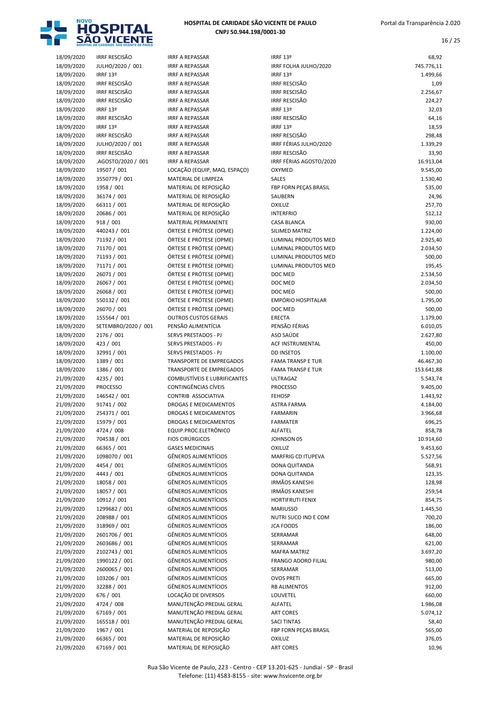

| 18/09/2020 | <b>IRRF RESCISÃO</b>      | <b>IRRF A REPASSAR</b>                           | IRRF 13º                                      | 68,92      |
|------------|---------------------------|--------------------------------------------------|-----------------------------------------------|------------|
| 18/09/2020 | JULHO/2020 / 001          | <b>IRRF A REPASSAR</b>                           | IRRF FOLHA JULHO/2020                         | 745.776,11 |
| 18/09/2020 | IRRF 13º                  | <b>IRRF A REPASSAR</b>                           | IRRF 13º                                      | 1.499,66   |
| 18/09/2020 | <b>IRRF RESCISÃO</b>      | <b>IRRF A REPASSAR</b>                           | <b>IRRF RESCISÃO</b>                          | 1,09       |
| 18/09/2020 | IRRF RESCISÃO             | <b>IRRF A REPASSAR</b>                           | <b>IRRF RESCISÃO</b>                          | 2.256,67   |
| 18/09/2020 | <b>IRRF RESCISÃO</b>      | <b>IRRF A REPASSAR</b>                           | <b>IRRF RESCISÃO</b>                          | 224,27     |
| 18/09/2020 | IRRF 13º                  | <b>IRRF A REPASSAR</b>                           | IRRF 13º                                      | 32,03      |
| 18/09/2020 | <b>IRRF RESCISÃO</b>      | <b>IRRF A REPASSAR</b>                           | <b>IRRF RESCISÃO</b>                          | 64,16      |
| 18/09/2020 | IRRF 13º                  | <b>IRRF A REPASSAR</b>                           | IRRF 13º                                      | 18,59      |
| 18/09/2020 | <b>IRRF RESCISÃO</b>      | <b>IRRF A REPASSAR</b>                           | <b>IRRF RESCISÃO</b>                          | 298,48     |
| 18/09/2020 | JULHO/2020 / 001          | <b>IRRF A REPASSAR</b>                           | IRRF FÉRIAS JULHO/2020                        | 1.339,29   |
| 18/09/2020 | <b>IRRF RESCISÃO</b>      | <b>IRRF A REPASSAR</b>                           | <b>IRRF RESCISÃO</b>                          | 33,90      |
| 18/09/2020 | .AGOSTO/2020 / 001        | <b>IRRF A REPASSAR</b>                           | IRRF FÉRIAS AGOSTO/2020                       | 16.913,04  |
| 18/09/2020 | 19507 / 001               | LOCAÇÃO (EQUIP, MAQ. ESPAÇO)                     | OXYMED                                        | 9.545,00   |
| 18/09/2020 | 3550779 / 001             | MATERIAL DE LIMPEZA                              | <b>SALES</b>                                  | 1.530,40   |
| 18/09/2020 | 1958 / 001                | MATERIAL DE REPOSIÇÃO                            | FBP FORN PECAS BRASIL                         | 535,00     |
| 18/09/2020 | 36174 / 001               | MATERIAL DE REPOSIÇÃO                            | SAUBERN                                       | 24,96      |
| 18/09/2020 | 66311 / 001               | MATERIAL DE REPOSIÇÃO                            | OXILUZ                                        | 257,70     |
| 18/09/2020 | 20686 / 001               | MATERIAL DE REPOSIÇÃO                            | <b>INTERFRIO</b>                              | 512,12     |
| 18/09/2020 | 918 / 001                 | <b>MATERIAL PERMANENTE</b>                       | <b>CASA BLANCA</b>                            | 930,00     |
| 18/09/2020 | 440243 / 001              | ÓRTESE E PRÓTESE (OPME)                          | SILIMED MATRIZ                                | 1.224,00   |
| 18/09/2020 | 71192 / 001               | ÓRTESE E PRÓTESE (OPME)                          | LUMINAL PRODUTOS MED                          | 2.925,40   |
| 18/09/2020 | 71170 / 001               | ÓRTESE E PRÓTESE (OPME)                          | LUMINAL PRODUTOS MED                          | 2.034,50   |
| 18/09/2020 | 71193 / 001               | ÓRTESE E PRÓTESE (OPME)                          | LUMINAL PRODUTOS MED                          | 500,00     |
| 18/09/2020 | 71171 / 001               | ÓRTESE E PRÓTESE (OPME)                          | <b>LUMINAL PRODUTOS MED</b>                   | 195,45     |
| 18/09/2020 | 26071 / 001               | ÓRTESE E PRÓTESE (OPME)                          | DOC MED                                       | 2.534,50   |
| 18/09/2020 | 26067 / 001               | ÓRTESE E PRÓTESE (OPME)                          | DOC MED                                       | 2.034,50   |
| 18/09/2020 | 26068 / 001               | ÓRTESE E PRÓTESE (OPME)                          | DOC MED                                       | 500,00     |
| 18/09/2020 | 550132 / 001              | ÓRTESE E PRÓTESE (OPME)                          | EMPÓRIO HOSPITALAR                            | 1.795,00   |
| 18/09/2020 | 26070 / 001               | ÓRTESE E PRÓTESE (OPME)                          | DOC MED                                       | 500,00     |
| 18/09/2020 | 155564 / 001              | <b>OUTROS CUSTOS GERAIS</b>                      | ERECTA                                        | 1.179,00   |
| 18/09/2020 | SETEMBRO/2020 / 001       | PENSÃO ALIMENTÍCIA                               | PENSÃO FÉRIAS                                 | 6.010,05   |
|            |                           | SERVS PRESTADOS - PJ                             | ASO SAÚDE                                     |            |
| 18/09/2020 | 2176 / 001                | SERVS PRESTADOS - PJ                             | <b>ACF INSTRUMENTAL</b>                       | 2.627,80   |
| 18/09/2020 | 423 / 001                 |                                                  |                                               | 450,00     |
| 18/09/2020 | 32991 / 001<br>1389 / 001 | SERVS PRESTADOS - PJ<br>TRANSPORTE DE EMPREGADOS | <b>DD INSETOS</b><br><b>FAMA TRANSP E TUR</b> | 1.100,00   |
| 18/09/2020 |                           |                                                  |                                               | 46.467,30  |
| 18/09/2020 | 1386 / 001                | TRANSPORTE DE EMPREGADOS                         | <b>FAMA TRANSP E TUR</b>                      | 153.641,88 |
| 21/09/2020 | 4235 / 001                | COMBUSTÍVEIS E LUBRIFICANTES                     | <b>ULTRAGAZ</b>                               | 5.543,74   |
| 21/09/2020 | PROCESSO                  | CONTINGÊNCIAS CÍVEIS                             | <b>PROCESSO</b>                               | 9.405,00   |
| 21/09/2020 | 146542 / 001              | CONTRIB ASSOCIATIVA                              | <b>FEHOSP</b>                                 | 1.443,92   |
| 21/09/2020 | 91741 / 002               | <b>DROGAS E MEDICAMENTOS</b>                     | <b>ASTRA FARMA</b>                            | 4.184,00   |
| 21/09/2020 | 254371 / 001              | <b>DROGAS E MEDICAMENTOS</b>                     | <b>FARMARIN</b>                               | 3.966,68   |
| 21/09/2020 | 15979 / 001               | DROGAS E MEDICAMENTOS                            | <b>FARMATER</b>                               | 696,25     |
| 21/09/2020 | 4724 / 008                | EQUIP.PROC.ELETRÔNICO                            | ALFATEL                                       | 858,78     |
| 21/09/2020 | 704538 / 001              | <b>FIOS CIRÚRGICOS</b>                           | JOHNSON 05                                    | 10.914,60  |
| 21/09/2020 | 66365 / 001               | <b>GASES MEDICINAIS</b>                          | OXILUZ                                        | 9.453,60   |
| 21/09/2020 | 1098070 / 001             | GÊNEROS ALIMENTÍCIOS                             | MARFRIG CD ITUPEVA                            | 5.527,56   |
| 21/09/2020 | 4454 / 001                | <b>GÊNEROS ALIMENTÍCIOS</b>                      | DONA QUITANDA                                 | 568,91     |
| 21/09/2020 | 4443 / 001                | <b>GÊNEROS ALIMENTÍCIOS</b>                      | DONA QUITANDA                                 | 123,35     |
| 21/09/2020 | 18058 / 001               | <b>GÊNEROS ALIMENTÍCIOS</b>                      | <b>IRMÃOS KANESHI</b>                         | 128,98     |
| 21/09/2020 | 18057 / 001               | <b>GÊNEROS ALIMENTÍCIOS</b>                      | <b>IRMÃOS KANESHI</b>                         | 259,54     |
| 21/09/2020 | 10912 / 001               | <b>GÊNEROS ALIMENTÍCIOS</b>                      | <b>HORTIFRUTI FENIX</b>                       | 854,75     |
| 21/09/2020 | 1299682 / 001             | GÊNEROS ALIMENTÍCIOS                             | <b>MARIUSSO</b>                               | 1.445,50   |
| 21/09/2020 | 208988 / 001              | <b>GÊNEROS ALIMENTÍCIOS</b>                      | NUTRI SUCO IND E COM                          | 700,20     |
| 21/09/2020 | 318969 / 001              | GÊNEROS ALIMENTÍCIOS                             | <b>JCA FOODS</b>                              | 186,00     |
| 21/09/2020 | 2601706 / 001             | <b>GÊNEROS ALIMENTÍCIOS</b>                      | SERRAMAR                                      | 648,00     |
| 21/09/2020 | 2603686 / 001             | GÊNEROS ALIMENTÍCIOS                             | SERRAMAR                                      | 621,00     |
| 21/09/2020 | 2102743 / 001             | <b>GÊNEROS ALIMENTÍCIOS</b>                      | <b>MAFRA MATRIZ</b>                           | 3.697,20   |
| 21/09/2020 | 1990122 / 001             | GÊNEROS ALIMENTÍCIOS                             | FRANGO ADORO FILIAL                           | 980,00     |
| 21/09/2020 | 2600065 / 001             | <b>GÊNEROS ALIMENTÍCIOS</b>                      | SERRAMAR                                      | 513,00     |
| 21/09/2020 | 103206 / 001              | <b>GÊNEROS ALIMENTÍCIOS</b>                      | <b>OVOS PRETI</b>                             | 665,00     |
| 21/09/2020 | 32288 / 001               | <b>GÊNEROS ALIMENTÍCIOS</b>                      | <b>RB ALIMENTOS</b>                           | 912,00     |
| 21/09/2020 | 676 / 001                 | LOCAÇÃO DE DIVERSOS                              | LOUVETEL                                      | 660,00     |
| 21/09/2020 | 4724 / 008                | MANUTENÇÃO PREDIAL GERAL                         | ALFATEL                                       | 1.986,08   |
| 21/09/2020 | 67169 / 001               | MANUTENÇÃO PREDIAL GERAL                         | <b>ART CORES</b>                              | 5.074,12   |
| 21/09/2020 | 165518 / 001              | MANUTENÇÃO PREDIAL GERAL                         | <b>SACI TINTAS</b>                            | 58,40      |
| 21/09/2020 | 1967 / 001                | MATERIAL DE REPOSIÇÃO                            | FBP FORN PECAS BRASIL                         | 565,00     |
| 21/09/2020 | 66365 / 001               | MATERIAL DE REPOSIÇÃO                            | <b>OXILUZ</b>                                 | 376,05     |
| 21/09/2020 | 67169 / 001               | MATERIAL DE REPOSIÇÃO                            | <b>ART CORES</b>                              | 10,96      |

| RF 13º                    | 68,92             |
|---------------------------|-------------------|
| RF FOLHA JULHO/2020       | 745.776,11        |
| RF 13º                    | 1.499,66          |
| RF RESCISÃO               | 1,09              |
| ≀F RESCISÃO               | 2.256,67          |
| ≀F RESCISÃO               | 224,27            |
| RF 13º                    | 32,03             |
| ≀F RESCISÃO               | 64,16             |
| RF 13º                    | 18,59             |
| ≀F RESCISÃO               | 298,48            |
| RF FÉRIAS JULHO/2020      | 1.339,29          |
| RF RESCISÃO               | 33,90             |
| RF FÉRIAS AGOSTO/2020     | 16.913,04         |
| YMED                      | 9.545,00          |
| LES                       | 1.530,40          |
| P FORN PEÇAS BRASIL       | 535,00            |
| UBERN                     | 24,96             |
| iluz                      | 257,70            |
| <b><i>FERFRIO</i></b>     | 512,12            |
| SA BLANCA                 | 930,00            |
| <b>IMED MATRIZ</b>        | 1.224,00          |
| MINAL PRODUTOS MED        | 2.925,40          |
| MINAL PRODUTOS MED        | 2.034,50          |
| MINAL PRODUTOS MED        | 500,00            |
| MINAL PRODUTOS MED        | 195,45            |
| C MED                     | 2.534,50          |
| C MED                     |                   |
|                           | 2.034,50          |
| C MED                     | 500,00            |
| IPÓRIO HOSPITALAR         | 1.795,00          |
| C MED                     | 500,00            |
| ECTA                      | 1.179,00          |
| NSÃO FÉRIAS               | 6.010,05          |
| O SAÚDE                   | 2.627,80          |
| F INSTRUMENTAL            | 450,00            |
| <b>INSETOS</b>            | 1.100,00          |
| MA TRANSP E TUR           | 46.467,30         |
| MA TRANSP E TUR           | 153.641,88        |
| TRAGAZ                    | 5.543,74          |
| OCESSO                    | 9.405,00          |
| HOSP                      | 1.443,92          |
| TRA FARMA                 | 4.184,00          |
| RMARIN                    | 3.966,68          |
| RMATER                    | 696,25            |
| FATEL                     | 858,78            |
| HNSON 05                  | 10.914,60         |
| iluz                      | 9.453,60          |
| <b>ARFRIG CD ITUPEVA</b>  | 5.527,56          |
| <b>NA QUITANDA</b>        | 568,91            |
| <b>NA QUITANDA</b>        | 123,35            |
| AÃOS KANESHI              | 128,98            |
| AÃOS KANESHI              | 259,54            |
| <b>RTIFRUTI FENIX</b>     | 854,75            |
| <b>ARIUSSO</b>            | 1.445,50          |
| <b>TRI SUCO IND E COM</b> | 700,20            |
| A FOODS                   | 186,00            |
| RAMAR                     | 648,00            |
| RRAMAR                    | 621,00            |
| <b>IFRA MATRIZ</b>        | 3.697,20          |
| ANGO ADORO FILIAL         | 980,00            |
| RRAMAR                    | 513,00            |
| <b>OS PRETI</b>           | 665,00            |
| <b>ALIMENTOS</b>          | 912,00            |
| UVETEL                    | 660,00            |
| FATEL                     | 1.986,08          |
| <b>T CORES</b>            |                   |
| CLTINITAS                 | 5.074,12<br>58.40 |
|                           |                   |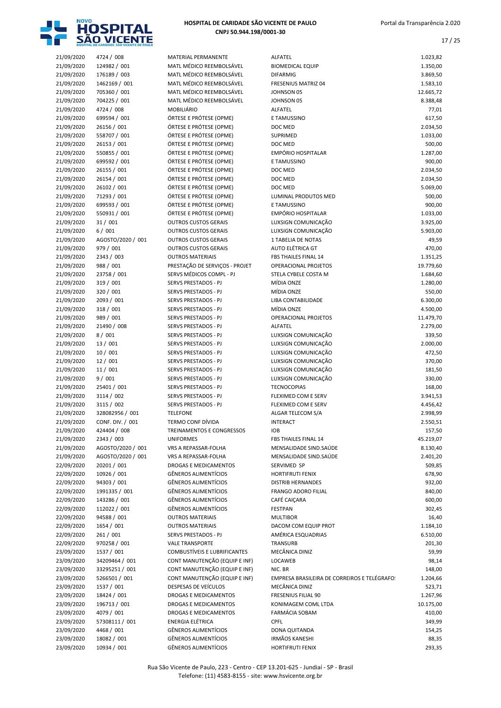

| 21/09/2020 | 4724 / 008        | MATERIAL PERMANENTE            | ALFATEL                                      | 1.023,82  |
|------------|-------------------|--------------------------------|----------------------------------------------|-----------|
| 21/09/2020 | 124982 / 001      | MATL MÉDICO REEMBOLSÁVEL       | <b>BIOMEDICAL EQUIP</b>                      | 1.350,00  |
| 21/09/2020 | 176189 / 003      | MATL MÉDICO REEMBOLSÁVEL       | <b>DIFARMIG</b>                              | 3.869,50  |
| 21/09/2020 | 1462169 / 001     | MATL MÉDICO REEMBOLSÁVEL       | <b>FRESENIUS MATRIZ 04</b>                   | 1.583,10  |
| 21/09/2020 | 705360 / 001      | MATL MÉDICO REEMBOLSÁVEL       | <b>JOHNSON 05</b>                            | 12.665,72 |
| 21/09/2020 | 704225 / 001      | MATL MÉDICO REEMBOLSÁVEL       | JOHNSON 05                                   | 8.388,48  |
| 21/09/2020 | 4724 / 008        | MOBILIÁRIO                     | ALFATEL                                      | 77,01     |
| 21/09/2020 | 699594 / 001      | ÓRTESE E PRÓTESE (OPME)        | E TAMUSSINO                                  | 617,50    |
| 21/09/2020 | 26156 / 001       | ÓRTESE E PRÓTESE (OPME)        | DOC MED                                      | 2.034,50  |
| 21/09/2020 | 558707 / 001      | ÓRTESE E PRÓTESE (OPME)        | <b>SUPRIMED</b>                              | 1.033,00  |
| 21/09/2020 | 26153 / 001       | ÓRTESE E PRÓTESE (OPME)        | DOC MED                                      | 500,00    |
| 21/09/2020 | 550855 / 001      | ÓRTESE E PRÓTESE (OPME)        | <b>EMPÓRIO HOSPITALAR</b>                    | 1.287,00  |
| 21/09/2020 | 699592 / 001      | ÓRTESE E PRÓTESE (OPME)        | E TAMUSSINO                                  | 900,00    |
| 21/09/2020 | 26155 / 001       | ÓRTESE E PRÓTESE (OPME)        | DOC MED                                      | 2.034,50  |
| 21/09/2020 | 26154 / 001       | ÓRTESE E PRÓTESE (OPME)        | DOC MED                                      | 2.034,50  |
| 21/09/2020 | 26102 / 001       | ÓRTESE E PRÓTESE (OPME)        | DOC MED                                      | 5.069,00  |
|            | 71293 / 001       | ÓRTESE E PRÓTESE (OPME)        |                                              | 500,00    |
| 21/09/2020 |                   |                                | LUMINAL PRODUTOS MED                         |           |
| 21/09/2020 | 699593 / 001      | ÓRTESE E PRÓTESE (OPME)        | E TAMUSSINO                                  | 900,00    |
| 21/09/2020 | 550931 / 001      | ÓRTESE E PRÓTESE (OPME)        | <b>EMPÓRIO HOSPITALAR</b>                    | 1.033,00  |
| 21/09/2020 | 31 / 001          | <b>OUTROS CUSTOS GERAIS</b>    | LUXSIGN COMUNICAÇÃO                          | 3.925,00  |
| 21/09/2020 | 6/001             | <b>OUTROS CUSTOS GERAIS</b>    | LUXSIGN COMUNICAÇÃO                          | 5.903,00  |
| 21/09/2020 | AGOSTO/2020 / 001 | <b>OUTROS CUSTOS GERAIS</b>    | 1 TABELIA DE NOTAS                           | 49,59     |
| 21/09/2020 | 979 / 001         | <b>OUTROS CUSTOS GERAIS</b>    | AUTO ELÉTRICA GT                             | 470,00    |
| 21/09/2020 | 2343 / 003        | <b>OUTROS MATERIAIS</b>        | FBS THAILES FINAL 14                         | 1.351,25  |
| 21/09/2020 | 988 / 001         | PRESTAÇÃO DE SERVIÇOS - PROJET | OPERACIONAL PROJETOS                         | 19.779,60 |
| 21/09/2020 | 23758 / 001       | SERVS MÉDICOS COMPL - PJ       | STELA CYBELE COSTA M                         | 1.684,60  |
| 21/09/2020 | 319 / 001         | <b>SERVS PRESTADOS - PJ</b>    | MÍDIA ONZE                                   | 1.280,00  |
| 21/09/2020 | 320 / 001         | <b>SERVS PRESTADOS - PJ</b>    | MÍDIA ONZE                                   | 550,00    |
| 21/09/2020 | 2093 / 001        | SERVS PRESTADOS - PJ           | LIBA CONTABILIDADE                           | 6.300,00  |
| 21/09/2020 | 318 / 001         | SERVS PRESTADOS - PJ           | MÍDIA ONZE                                   | 4.500,00  |
| 21/09/2020 | 989 / 001         | SERVS PRESTADOS - PJ           | OPERACIONAL PROJETOS                         | 11.479,70 |
| 21/09/2020 | 21490 / 008       | SERVS PRESTADOS - PJ           | ALFATEL                                      | 2.279,00  |
| 21/09/2020 | 8/001             | SERVS PRESTADOS - PJ           | LUXSIGN COMUNICAÇÃO                          | 339,50    |
| 21/09/2020 | 13 / 001          | <b>SERVS PRESTADOS - PJ</b>    | LUXSIGN COMUNICAÇÃO                          | 2.000,00  |
| 21/09/2020 | 10/001            | <b>SERVS PRESTADOS - PJ</b>    | LUXSIGN COMUNICAÇÃO                          | 472,50    |
| 21/09/2020 | 12/001            | <b>SERVS PRESTADOS - PJ</b>    | LUXSIGN COMUNICAÇÃO                          | 370,00    |
| 21/09/2020 | 11/001            | <b>SERVS PRESTADOS - PJ</b>    | LUXSIGN COMUNICAÇÃO                          | 181,50    |
| 21/09/2020 | 9/001             | SERVS PRESTADOS - PJ           | LUXSIGN COMUNICAÇÃO                          | 330,00    |
|            | 25401 / 001       |                                |                                              |           |
| 21/09/2020 |                   | SERVS PRESTADOS - PJ           | <b>TECNOCOPIAS</b>                           | 168,00    |
| 21/09/2020 | 3114 / 002        | SERVS PRESTADOS - PJ           | FLEXIMED COM E SERV                          | 3.941,53  |
| 21/09/2020 | 3115 / 002        | <b>SERVS PRESTADOS - PJ</b>    | FLEXIMED COM E SERV                          | 4.456,42  |
| 21/09/2020 | 328082956 / 001   | <b>TELEFONE</b>                | ALGAR TELECOM S/A                            | 2.998,99  |
| 21/09/2020 | CONF. DIV. / 001  | <b>TERMO CONF DÍVIDA</b>       | <b>INTERACT</b>                              | 2.550,51  |
| 21/09/2020 | 424404 / 008      | TREINAMENTOS E CONGRESSOS      | <b>IOB</b>                                   | 157,50    |
| 21/09/2020 | 2343 / 003        | <b>UNIFORMES</b>               | FBS THAILES FINAL 14                         | 45.219,07 |
| 21/09/2020 | AGOSTO/2020 / 001 | VRS A REPASSAR-FOLHA           | MENSALIDADE SIND.SAÚDE                       | 8.130,40  |
| 21/09/2020 | AGOSTO/2020 / 001 | VRS A REPASSAR-FOLHA           | MENSALIDADE SIND.SAÚDE                       | 2.401,20  |
| 22/09/2020 | 20201 / 001       | DROGAS E MEDICAMENTOS          | SERVIMED SP                                  | 509,85    |
| 22/09/2020 | 10926 / 001       | <b>GÊNEROS ALIMENTÍCIOS</b>    | <b>HORTIFRUTI FENIX</b>                      | 678,90    |
| 22/09/2020 | 94303 / 001       | <b>GÊNEROS ALIMENTÍCIOS</b>    | <b>DISTRIB HERNANDES</b>                     | 932,00    |
| 22/09/2020 | 1991335 / 001     | <b>GÊNEROS ALIMENTÍCIOS</b>    | FRANGO ADORO FILIAL                          | 840,00    |
| 22/09/2020 | 143286 / 001      | <b>GÊNEROS ALIMENTÍCIOS</b>    | CAFÉ CAIÇARA                                 | 600,00    |
| 22/09/2020 | 112022 / 001      | <b>GÊNEROS ALIMENTÍCIOS</b>    | <b>FESTPAN</b>                               | 302,45    |
| 22/09/2020 | 94588 / 001       | <b>OUTROS MATERIAIS</b>        | <b>MULTIBOR</b>                              | 16,40     |
| 22/09/2020 | 1654 / 001        | <b>OUTROS MATERIAIS</b>        | DACOM COM EQUIP PROT                         | 1.184,10  |
| 22/09/2020 | 261 / 001         | SERVS PRESTADOS - PJ           | AMÉRICA ESQUADRIAS                           | 6.510,00  |
| 22/09/2020 | 970258 / 001      | <b>VALE TRANSPORTE</b>         | TRANSURB                                     | 201,30    |
| 23/09/2020 | 1537 / 001        | COMBUSTÍVEIS E LUBRIFICANTES   | MECÂNICA DINIZ                               | 59,99     |
| 23/09/2020 | 34209464 / 001    | CONT MANUTENÇÃO (EQUIP E INF)  | <b>LOCAWEB</b>                               | 98,14     |
| 23/09/2020 | 33295251/001      | CONT MANUTENÇÃO (EQUIP E INF)  | NIC. BR                                      | 148,00    |
| 23/09/2020 | 5266501 / 001     | CONT MANUTENÇÃO (EQUIP E INF)  | EMPRESA BRASILEIRA DE CORREIROS E TELÉGRAFO: | 1.204,66  |
|            |                   | DESPESAS DE VEÍCULOS           | MECÂNICA DINIZ                               |           |
| 23/09/2020 | 1537 / 001        |                                |                                              | 523,71    |
| 23/09/2020 | 18424 / 001       | DROGAS E MEDICAMENTOS          | FRESENIUS FILIAL 90                          | 1.267,96  |
| 23/09/2020 | 196713 / 001      | DROGAS E MEDICAMENTOS          | KONIMAGEM COML LTDA                          | 10.175,00 |
| 23/09/2020 | 4079 / 001        | DROGAS E MEDICAMENTOS          | <b>FARMÁCIA SOBAM</b>                        | 410,00    |
| 23/09/2020 | 57308111 / 001    | <b>ENERGIA ELÉTRICA</b>        | <b>CPFL</b>                                  | 349,99    |
| 23/09/2020 | 4468 / 001        | <b>GÊNEROS ALIMENTÍCIOS</b>    | DONA QUITANDA                                | 154,25    |
| 23/09/2020 | 18082 / 001       | <b>GÊNEROS ALIMENTÍCIOS</b>    | IRMÃOS KANESHI                               | 88,35     |
| 23/09/2020 | 10934 / 001       | GÊNEROS ALIMENTÍCIOS           | HORTIFRUTI FENIX                             | 293,35    |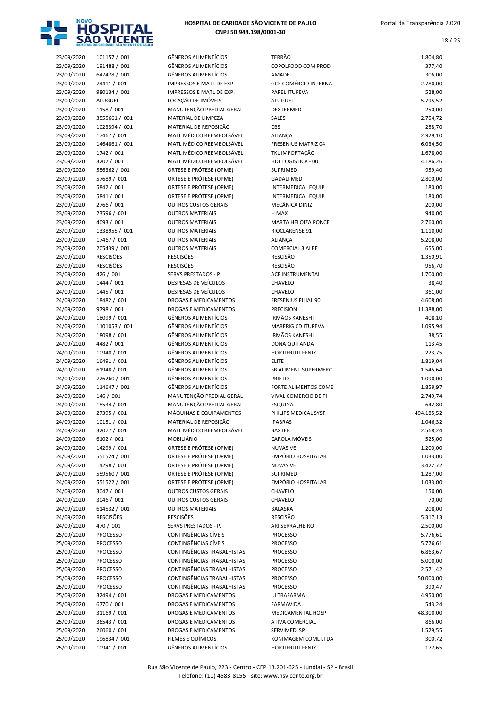

| 23/09/2020 | 101157 / 001     | <b>GÊNEROS ALIMENTÍCIOS</b> |
|------------|------------------|-----------------------------|
| 23/09/2020 | 191488 / 001     | <b>GÊNEROS ALIMENTÍCIOS</b> |
| 23/09/2020 | 647478 / 001     | GÊNEROS ALIMENTÍCIOS        |
| 23/09/2020 | 74411 / 001      | IMPRESSOS E MATL DE EX      |
| 23/09/2020 | 980134 / 001     | IMPRESSOS E MATL DE EX      |
|            |                  |                             |
| 23/09/2020 | ALUGUEL          | LOCAÇÃO DE IMÓVEIS          |
| 23/09/2020 | 1158 / 001       | MANUTENÇÃO PREDIAL (        |
| 23/09/2020 | 3555661 / 001    | MATERIAL DE LIMPEZA         |
| 23/09/2020 | 1023394 / 001    | MATERIAL DE REPOSIÇÃO       |
| 23/09/2020 | 17467 / 001      | MATL MÉDICO REEMBOL         |
| 23/09/2020 | 1464861 / 001    | MATL MÉDICO REEMBOL         |
| 23/09/2020 | 1742 / 001       | MATL MÉDICO REEMBOL         |
| 23/09/2020 | 3207 / 001       | MATL MÉDICO REEMBOL         |
| 23/09/2020 | 556362 / 001     | ÓRTESE E PRÓTESE (OPM       |
| 23/09/2020 | 57689 / 001      | ÓRTESE E PRÓTESE (OPM       |
| 23/09/2020 | 5842 / 001       | ÓRTESE E PRÓTESE (OPM       |
|            |                  |                             |
| 23/09/2020 | 5841 / 001       | ÓRTESE E PRÓTESE (OPM       |
| 23/09/2020 | 2766 / 001       | <b>OUTROS CUSTOS GERAIS</b> |
| 23/09/2020 | 23596 / 001      | <b>OUTROS MATERIAIS</b>     |
| 23/09/2020 | 4093 / 001       | <b>OUTROS MATERIAIS</b>     |
| 23/09/2020 | 1338955 / 001    | <b>OUTROS MATERIAIS</b>     |
| 23/09/2020 | 17467 / 001      | <b>OUTROS MATERIAIS</b>     |
| 23/09/2020 | 205439 / 001     | <b>OUTROS MATERIAIS</b>     |
| 23/09/2020 | <b>RESCISÕES</b> | RESCISÕES                   |
| 23/09/2020 | <b>RESCISÕES</b> | <b>RESCISÕES</b>            |
| 23/09/2020 | 426 / 001        | <b>SERVS PRESTADOS - PJ</b> |
| 24/09/2020 | 1444 / 001       | DESPESAS DE VEÍCULOS        |
| 24/09/2020 | 1445 / 001       | DESPESAS DE VEÍCULOS        |
|            |                  |                             |
| 24/09/2020 | 18482 / 001      | <b>DROGAS E MEDICAMENT</b>  |
| 24/09/2020 | 9798 / 001       | <b>DROGAS E MEDICAMENT</b>  |
| 24/09/2020 | 18099 / 001      | GÊNEROS ALIMENTÍCIOS        |
| 24/09/2020 | 1101053 / 001    | <b>GÊNEROS ALIMENTÍCIOS</b> |
| 24/09/2020 | 18098 / 001      | <b>GÊNEROS ALIMENTÍCIOS</b> |
| 24/09/2020 | 4482 / 001       | GÊNEROS ALIMENTÍCIOS        |
| 24/09/2020 | 10940 / 001      | GÊNEROS ALIMENTÍCIOS        |
| 24/09/2020 | 16491 / 001      | GÊNEROS ALIMENTÍCIOS        |
| 24/09/2020 | 61948 / 001      | GÊNEROS ALIMENTÍCIOS        |
| 24/09/2020 | 726260 / 001     | GÊNEROS ALIMENTÍCIOS        |
| 24/09/2020 | 114647 / 001     | <b>GÊNEROS ALIMENTÍCIOS</b> |
| 24/09/2020 | 146 / 001        | MANUTENÇÃO PREDIAL (        |
|            |                  |                             |
| 24/09/2020 | 18534 / 001      | MANUTENÇÃO PREDIAL (        |
| 24/09/2020 | 27395 / 001      | MÁQUINAS E EQUIPAMEI        |
| 24/09/2020 | 10151 / 001      | MATERIAL DE REPOSIÇÃO       |
| 24/09/2020 | 32077 / 001      | MATL MÉDICO REEMBOL         |
| 24/09/2020 | 6102 / 001       | <b>MOBILIÁRIO</b>           |
| 24/09/2020 | 14299 / 001      | ÓRTESE E PRÓTESE (OPM       |
| 24/09/2020 | 551524 / 001     | ÓRTESE E PRÓTESE (OPM       |
| 24/09/2020 | 14298 / 001      | ÓRTESE E PRÓTESE (OPM       |
| 24/09/2020 | 559560 / 001     | ÓRTESE E PRÓTESE (OPM       |
| 24/09/2020 | 551522 / 001     | ÓRTESE E PRÓTESE (OPM       |
| 24/09/2020 | 3047 / 001       | <b>OUTROS CUSTOS GERAIS</b> |
| 24/09/2020 | 3046 / 001       | <b>OUTROS CUSTOS GERAIS</b> |
|            |                  | <b>OUTROS MATERIAIS</b>     |
| 24/09/2020 | 614532 / 001     |                             |
| 24/09/2020 | <b>RESCISÕES</b> | RESCISÕES                   |
| 24/09/2020 | 470 / 001        | SERVS PRESTADOS - PJ        |
| 25/09/2020 | <b>PROCESSO</b>  | <b>CONTINGÊNCIAS CÍVEIS</b> |
| 25/09/2020 | <b>PROCESSO</b>  | CONTINGÊNCIAS CÍVEIS        |
| 25/09/2020 | <b>PROCESSO</b>  | <b>CONTINGÊNCIAS TRABAL</b> |
| 25/09/2020 | <b>PROCESSO</b>  | CONTINGÊNCIAS TRABAL        |
| 25/09/2020 | <b>PROCESSO</b>  | CONTINGÊNCIAS TRABAL        |
| 25/09/2020 | <b>PROCESSO</b>  | CONTINGÊNCIAS TRABAL        |
| 25/09/2020 | <b>PROCESSO</b>  | CONTINGÊNCIAS TRABAL        |
| 25/09/2020 | 32494 / 001      | <b>DROGAS E MEDICAMENT</b>  |
| 25/09/2020 | 6770 / 001       | DROGAS E MEDICAMENT         |
|            |                  |                             |
| 25/09/2020 | 31169 / 001      | <b>DROGAS E MEDICAMENT</b>  |
| 25/09/2020 | 36543 / 001      | DROGAS E MEDICAMENT         |
| 25/09/2020 | 26060 / 001      | <b>DROGAS E MEDICAMENT</b>  |
| 25/09/2020 | 196834 / 001     | FILMES E QUÍMICOS           |
| 25/09/2020 | 10941 / 001      | GÊNEROS ALIMENTÍCIOS        |

| ENEROS ALIMENTÍCIOS                                    |
|--------------------------------------------------------|
| ENEROS ALIMENTÍCIOS                                    |
| ÊNEROS ALIMENTÍCIOS                                    |
| <b>IPRESSOS E MATL DE EXP.</b>                         |
| <b>IPRESSOS E MATL DE EXP.</b>                         |
| )CAÇÃO DE IMÓVEIS<br>ANUTENÇÃO PREDIAL GERAL           |
| ATERIAL DE LIMPEZA                                     |
| ATERIAL DE REPOSIÇÃO                                   |
| ATL MÉDICO REEMBOLSÁVEL                                |
| ATL MÉDICO REEMBOLSÁVEL                                |
| ATL MÉDICO REEMBOLSÁVEL                                |
| ATL MÉDICO REEMBOLSÁVEL                                |
| RTESE E PRÓTESE (OPME)                                 |
| RTESE E PRÓTESE (OPME)<br>RTESE E PRÓTESE (OPME)       |
| RTESE E PRÓTESE (OPME)                                 |
| <b>UTROS CUSTOS GERAIS</b>                             |
| <b>UTROS MATERIAIS</b>                                 |
| <b>UTROS MATERIAIS</b>                                 |
| <b>UTROS MATERIAIS</b>                                 |
| <b>UTROS MATERIAIS</b>                                 |
| <b>UTROS MATERIAIS</b>                                 |
| :SCISÕES                                               |
| ESCISÕES<br>RVS PRESTADOS - PJ                         |
| ESPESAS DE VEÍCULOS                                    |
| ESPESAS DE VEÍCULOS                                    |
| ROGAS E MEDICAMENTOS                                   |
| ROGAS E MEDICAMENTOS                                   |
| ÈNEROS ALIMENTÍCIOS                                    |
| ÈNEROS ALIMENTÍCIOS                                    |
| ENEROS ALIMENTÍCIOS<br>ENEROS ALIMENTÍCIOS             |
| ÈNEROS ALIMENTÍCIOS                                    |
| ÈNEROS ALIMENTÍCIOS                                    |
| ENEROS ALIMENTÍCIOS                                    |
| ÈNEROS ALIMENTÍCIOS                                    |
| ÊNEROS ALIMENTÍCIOS                                    |
| ANUTENÇÃO PREDIAL GERAL                                |
| ANUTENÇÃO PREDIAL GERAL<br>ÁQUINAS E EQUIPAMENTOS      |
| ATERIAL DE REPOSIÇÃO                                   |
| ATL MÉDICO REEMBOLSÁVEL                                |
| OBILIÁRIO                                              |
| RTESE E PRÓTESE (OPME)                                 |
| RTESE E PRÓTESE (OPME)                                 |
| RTESE E PRÓTESE (OPME)                                 |
| RTESE E PRÓTESE (OPME)                                 |
| RTESE E PRÓTESE (OPME)<br><b>UTROS CUSTOS GERAIS</b>   |
| <b>UTROS CUSTOS GERAIS</b>                             |
| <b>UTROS MATERIAIS</b>                                 |
| <b>ESCISÕES</b>                                        |
| RVS PRESTADOS - PJ                                     |
| <b>DNTINGÊNCIAS CÍVEIS</b>                             |
| <b>DNTINGÊNCIAS CÍVEIS</b>                             |
| ONTINGÊNCIAS TRABALHISTAS                              |
| ONTINGÊNCIAS TRABALHISTAS<br>ONTINGÊNCIAS TRABALHISTAS |
| ONTINGÊNCIAS TRABALHISTAS                              |
| DNTINGÊNCIAS TRABALHISTAS                              |
| ROGAS E MEDICAMENTOS                                   |
| ROGAS E MEDICAMENTOS                                   |
| ROGAS E MEDICAMENTOS                                   |
| ROGAS E MEDICAMENTOS                                   |
| ROGAS E MEDICAMENTOS                                   |

|                          | HOSPITAL DE CARIDADE SÃO VICENTE DE PAULO |                                                            |                                                    |                       |
|--------------------------|-------------------------------------------|------------------------------------------------------------|----------------------------------------------------|-----------------------|
| 23/09/2020               | 101157 / 001                              | <b>GÊNEROS ALIMENTÍCIOS</b>                                | TERRÃO                                             | 1.804,80              |
| 23/09/2020               | 191488 / 001                              | <b>GÊNEROS ALIMENTÍCIOS</b>                                | COPOLFOOD COM PROD                                 | 377,40                |
| 23/09/2020<br>23/09/2020 | 647478 / 001<br>74411 / 001               | <b>GÊNEROS ALIMENTÍCIOS</b><br>IMPRESSOS E MATL DE EXP.    | AMADE<br><b>GCE COMÉRCIO INTERNA</b>               | 306,00<br>2.780,00    |
| 23/09/2020               | 980134 / 001                              | IMPRESSOS E MATL DE EXP.                                   | PAPEL ITUPEVA                                      | 528,00                |
| 23/09/2020               | ALUGUEL                                   | LOCAÇÃO DE IMÓVEIS                                         | ALUGUEL                                            | 5.795,52              |
| 23/09/2020               | 1158 / 001                                | MANUTENÇÃO PREDIAL GERAL                                   | DEXTERMED                                          | 250,00                |
| 23/09/2020               | 3555661 / 001                             | MATERIAL DE LIMPEZA                                        | <b>SALES</b>                                       | 2.754,72              |
| 23/09/2020               | 1023394 / 001                             | MATERIAL DE REPOSIÇÃO                                      | CBS                                                | 258,70                |
| 23/09/2020<br>23/09/2020 | 17467 / 001<br>1464861 / 001              | MATL MÉDICO REEMBOLSÁVEL<br>MATL MÉDICO REEMBOLSÁVEL       | <b>ALIANÇA</b><br><b>FRESENIUS MATRIZ 04</b>       | 2.929,10              |
| 23/09/2020               | 1742 / 001                                | MATL MÉDICO REEMBOLSÁVEL                                   | TKL IMPORTAÇÃO                                     | 6.034,50<br>1.678,00  |
| 23/09/2020               | 3207 / 001                                | MATL MÉDICO REEMBOLSÁVEL                                   | HDL LOGISTICA - 00                                 | 4.186,26              |
| 23/09/2020               | 556362 / 001                              | ÓRTESE E PRÓTESE (OPME)                                    | <b>SUPRIMED</b>                                    | 959,40                |
| 23/09/2020               | 57689 / 001                               | ÓRTESE E PRÓTESE (OPME)                                    | <b>GADALI MED</b>                                  | 2.800,00              |
| 23/09/2020               | 5842 / 001                                | ÓRTESE E PRÓTESE (OPME)                                    | <b>INTERMEDICAL EQUIP</b>                          | 180,00                |
| 23/09/2020<br>23/09/2020 | 5841 / 001<br>2766 / 001                  | ÓRTESE E PRÓTESE (OPME)<br><b>OUTROS CUSTOS GERAIS</b>     | <b>INTERMEDICAL EQUIP</b><br>MECÂNICA DINIZ        | 180,00                |
| 23/09/2020               | 23596 / 001                               | <b>OUTROS MATERIAIS</b>                                    | H MAX                                              | 200,00<br>940,00      |
| 23/09/2020               | 4093 / 001                                | <b>OUTROS MATERIAIS</b>                                    | <b>MARTA HELOIZA PONCE</b>                         | 2.760,00              |
| 23/09/2020               | 1338955 / 001                             | <b>OUTROS MATERIAIS</b>                                    | RIOCLARENSE 91                                     | 1.110,00              |
| 23/09/2020               | 17467 / 001                               | <b>OUTROS MATERIAIS</b>                                    | <b>ALIANÇA</b>                                     | 5.208,00              |
| 23/09/2020               | 205439 / 001                              | <b>OUTROS MATERIAIS</b>                                    | <b>COMERCIAL 3 ALBE</b>                            | 655,00                |
| 23/09/2020<br>23/09/2020 | <b>RESCISÕES</b><br><b>RESCISÕES</b>      | <b>RESCISÕES</b><br><b>RESCISÕES</b>                       | <b>RESCISÃO</b><br><b>RESCISÃO</b>                 | 1.350,91<br>956,70    |
| 23/09/2020               | 426 / 001                                 | SERVS PRESTADOS - PJ                                       | <b>ACF INSTRUMENTAL</b>                            | 1.700,00              |
| 24/09/2020               | 1444 / 001                                | DESPESAS DE VEÍCULOS                                       | CHAVELO                                            | 38,40                 |
| 24/09/2020               | 1445 / 001                                | DESPESAS DE VEÍCULOS                                       | CHAVELO                                            | 361,00                |
| 24/09/2020               | 18482 / 001                               | DROGAS E MEDICAMENTOS                                      | FRESENIUS FILIAL 90                                | 4.608,00              |
| 24/09/2020               | 9798 / 001                                | DROGAS E MEDICAMENTOS                                      | <b>PRECISION</b>                                   | 11.388,00             |
| 24/09/2020<br>24/09/2020 | 18099 / 001<br>1101053 / 001              | <b>GÊNEROS ALIMENTÍCIOS</b><br><b>GÊNEROS ALIMENTÍCIOS</b> | <b>IRMÃOS KANESHI</b><br><b>MARFRIG CD ITUPEVA</b> | 408,10<br>1.095,94    |
| 24/09/2020               | 18098 / 001                               | <b>GÊNEROS ALIMENTÍCIOS</b>                                | <b>IRMÃOS KANESHI</b>                              | 38,55                 |
| 24/09/2020               | 4482 / 001                                | <b>GÊNEROS ALIMENTÍCIOS</b>                                | DONA QUITANDA                                      | 113,45                |
| 24/09/2020               | 10940 / 001                               | <b>GÊNEROS ALIMENTÍCIOS</b>                                | <b>HORTIFRUTI FENIX</b>                            | 223,75                |
| 24/09/2020               | 16491 / 001                               | <b>GÊNEROS ALIMENTÍCIOS</b>                                | <b>ELITE</b>                                       | 1.819,04              |
| 24/09/2020               | 61948 / 001                               | <b>GÊNEROS ALIMENTÍCIOS</b>                                | SB ALIMENT SUPERMERC                               | 1.545,64              |
| 24/09/2020<br>24/09/2020 | 726260 / 001<br>114647 / 001              | <b>GÊNEROS ALIMENTÍCIOS</b><br><b>GÊNEROS ALIMENTÍCIOS</b> | PRIETO<br>FORTE ALIMENTOS COME                     | 1.090,00<br>1.859,97  |
| 24/09/2020               | 146 / 001                                 | MANUTENÇÃO PREDIAL GERAL                                   | VIVAL COMERCIO DE TI                               | 2.749,74              |
| 24/09/2020               | 18534 / 001                               | MANUTENÇÃO PREDIAL GERAL                                   | <b>ESQUINA</b>                                     | 642,80                |
| 24/09/2020               | 27395 / 001                               | MÁQUINAS E EQUIPAMENTOS                                    | PHILIPS MEDICAL SYST                               | 494.185,52            |
| 24/09/2020               | 10151 / 001                               | MATERIAL DE REPOSIÇÃO                                      | <b>IPABRAS</b>                                     | 1.046,32              |
| 24/09/2020               | 32077 / 001                               | MATL MÉDICO REEMBOLSÁVEL                                   | <b>BAXTER</b>                                      | 2.568,24              |
| 24/09/2020<br>24/09/2020 | 6102 / 001<br>14299 / 001                 | MOBILIÁRIO<br>ÓRTESE E PRÓTESE (OPME)                      | CAROLA MÓVEIS<br>NUVASIVE                          | 525,00<br>1.200,00    |
| 24/09/2020               | 551524 / 001                              | ÓRTESE E PRÓTESE (OPME)                                    | EMPÓRIO HOSPITALAR                                 | 1.033,00              |
| 24/09/2020               | 14298 / 001                               | ÓRTESE E PRÓTESE (OPME)                                    | NUVASIVE                                           | 3.422,72              |
| 24/09/2020               | 559560 / 001                              | ÓRTESE E PRÓTESE (OPME)                                    | <b>SUPRIMED</b>                                    | 1.287,00              |
| 24/09/2020               | 551522 / 001                              | ÓRTESE E PRÓTESE (OPME)                                    | EMPÓRIO HOSPITALAR                                 | 1.033,00              |
| 24/09/2020               | 3047 / 001                                | <b>OUTROS CUSTOS GERAIS</b>                                | CHAVELO                                            | 150,00                |
| 24/09/2020<br>24/09/2020 | 3046 / 001<br>614532 / 001                | <b>OUTROS CUSTOS GERAIS</b><br><b>OUTROS MATERIAIS</b>     | CHAVELO<br>BALASKA                                 | 70,00<br>208,00       |
| 24/09/2020               | <b>RESCISÕES</b>                          | <b>RESCISÕES</b>                                           | <b>RESCISÃO</b>                                    | 5.317,13              |
| 24/09/2020               | 470 / 001                                 | SERVS PRESTADOS - PJ                                       | ARI SERRALHEIRO                                    | 2.500,00              |
| 25/09/2020               | <b>PROCESSO</b>                           | CONTINGÊNCIAS CÍVEIS                                       | <b>PROCESSO</b>                                    | 5.776,61              |
| 25/09/2020               | <b>PROCESSO</b>                           | CONTINGÊNCIAS CÍVEIS                                       | PROCESSO                                           | 5.776,61              |
| 25/09/2020               | <b>PROCESSO</b>                           | CONTINGÊNCIAS TRABALHISTAS                                 | <b>PROCESSO</b>                                    | 6.863,67              |
| 25/09/2020               | <b>PROCESSO</b>                           | CONTINGÊNCIAS TRABALHISTAS<br>CONTINGÊNCIAS TRABALHISTAS   | PROCESSO                                           | 5.000,00              |
| 25/09/2020<br>25/09/2020 | <b>PROCESSO</b><br><b>PROCESSO</b>        | CONTINGÊNCIAS TRABALHISTAS                                 | <b>PROCESSO</b><br>PROCESSO                        | 2.571,42<br>50.000,00 |
| 25/09/2020               | <b>PROCESSO</b>                           | CONTINGÊNCIAS TRABALHISTAS                                 | <b>PROCESSO</b>                                    | 390,47                |
| 25/09/2020               | 32494 / 001                               | DROGAS E MEDICAMENTOS                                      | ULTRAFARMA                                         | 4.950,00              |
| 25/09/2020               | 6770 / 001                                | DROGAS E MEDICAMENTOS                                      | <b>FARMAVIDA</b>                                   | 543,24                |
| 25/09/2020               | 31169 / 001                               | DROGAS E MEDICAMENTOS                                      | MEDICAMENTAL HOSP                                  | 48.300,00             |
| 25/09/2020               | 36543 / 001                               | DROGAS E MEDICAMENTOS                                      | ATIVA COMERCIAL                                    | 866,00                |
| 25/09/2020<br>25/09/2020 | 26060 / 001<br>196834 / 001               | DROGAS E MEDICAMENTOS<br>FILMES E QUÍMICOS                 | SERVIMED SP<br>KONIMAGEM COML LTDA                 | 1.529,55<br>300,72    |
| 25/09/2020               | 10941 / 001                               | <b>GÊNEROS ALIMENTÍCIOS</b>                                | HORTIFRUTI FENIX                                   | 172,65                |
|                          |                                           |                                                            |                                                    |                       |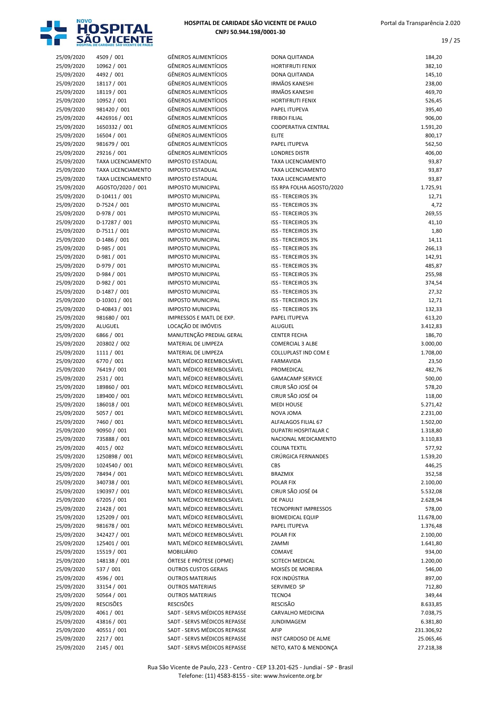

| 25/09/2020 | 4509 / 001                | <b>GÊNEROS ALIMENTÍCIOS</b>  | DONA QUITANDA               | 184,20     |
|------------|---------------------------|------------------------------|-----------------------------|------------|
| 25/09/2020 | 10962 / 001               | <b>GÊNEROS ALIMENTÍCIOS</b>  | <b>HORTIFRUTI FENIX</b>     | 382,10     |
| 25/09/2020 | 4492 / 001                | <b>GÊNEROS ALIMENTÍCIOS</b>  | DONA QUITANDA               | 145,10     |
| 25/09/2020 | 18117 / 001               | <b>GÊNEROS ALIMENTÍCIOS</b>  | <b>IRMÃOS KANESHI</b>       | 238,00     |
| 25/09/2020 | 18119 / 001               | <b>GÊNEROS ALIMENTÍCIOS</b>  | <b>IRMÃOS KANESHI</b>       | 469,70     |
| 25/09/2020 | 10952 / 001               | <b>GÊNEROS ALIMENTÍCIOS</b>  | <b>HORTIFRUTI FENIX</b>     | 526,45     |
| 25/09/2020 | 981420 / 001              | <b>GÊNEROS ALIMENTÍCIOS</b>  | PAPEL ITUPEVA               | 395,40     |
| 25/09/2020 | 4426916 / 001             | <b>GÊNEROS ALIMENTÍCIOS</b>  | <b>FRIBOI FILIAL</b>        | 906,00     |
| 25/09/2020 | 1650332 / 001             | <b>GÊNEROS ALIMENTÍCIOS</b>  | COOPERATIVA CENTRAL         | 1.591,20   |
| 25/09/2020 | 16504 / 001               | <b>GÊNEROS ALIMENTÍCIOS</b>  | <b>ELITE</b>                | 800,17     |
| 25/09/2020 | 981679 / 001              | <b>GÊNEROS ALIMENTÍCIOS</b>  | PAPEL ITUPEVA               | 562,50     |
| 25/09/2020 | 29216 / 001               | <b>GÊNEROS ALIMENTÍCIOS</b>  | <b>LONDRES DISTR</b>        | 406,00     |
| 25/09/2020 | <b>TAXA LICENCIAMENTO</b> | <b>IMPOSTO ESTADUAL</b>      | <b>TAXA LICENCIAMENTO</b>   | 93,87      |
| 25/09/2020 | <b>TAXA LICENCIAMENTO</b> | <b>IMPOSTO ESTADUAL</b>      | <b>TAXA LICENCIAMENTO</b>   | 93,87      |
| 25/09/2020 | <b>TAXA LICENCIAMENTO</b> | <b>IMPOSTO ESTADUAL</b>      | <b>TAXA LICENCIAMENTO</b>   | 93,87      |
| 25/09/2020 | AGOSTO/2020 / 001         | <b>IMPOSTO MUNICIPAL</b>     | ISS RPA FOLHA AGOSTO/2020   | 1.725,91   |
| 25/09/2020 | $D-10411/001$             | <b>IMPOSTO MUNICIPAL</b>     | ISS - TERCEIROS 3%          | 12,71      |
| 25/09/2020 | D-7524 / 001              | <b>IMPOSTO MUNICIPAL</b>     | <b>ISS - TERCEIROS 3%</b>   | 4,72       |
| 25/09/2020 | D-978 / 001               | <b>IMPOSTO MUNICIPAL</b>     | <b>ISS - TERCEIROS 3%</b>   | 269,55     |
| 25/09/2020 | D-17287 / 001             | <b>IMPOSTO MUNICIPAL</b>     | <b>ISS - TERCEIROS 3%</b>   | 41,10      |
| 25/09/2020 | $D-7511/001$              | <b>IMPOSTO MUNICIPAL</b>     | ISS - TERCEIROS 3%          | 1,80       |
|            |                           | <b>IMPOSTO MUNICIPAL</b>     | <b>ISS - TERCEIROS 3%</b>   |            |
| 25/09/2020 | $D-1486 / 001$            |                              | <b>ISS - TERCEIROS 3%</b>   | 14,11      |
| 25/09/2020 | D-985 / 001               | <b>IMPOSTO MUNICIPAL</b>     |                             | 266,13     |
| 25/09/2020 | D-981 / 001               | <b>IMPOSTO MUNICIPAL</b>     | <b>ISS - TERCEIROS 3%</b>   | 142,91     |
| 25/09/2020 | D-979 / 001               | <b>IMPOSTO MUNICIPAL</b>     | ISS - TERCEIROS 3%          | 485,87     |
| 25/09/2020 | D-984 / 001               | <b>IMPOSTO MUNICIPAL</b>     | <b>ISS - TERCEIROS 3%</b>   | 255,98     |
| 25/09/2020 | $D-982 / 001$             | <b>IMPOSTO MUNICIPAL</b>     | ISS - TERCEIROS 3%          | 374,54     |
| 25/09/2020 | D-1487 / 001              | <b>IMPOSTO MUNICIPAL</b>     | ISS - TERCEIROS 3%          | 27,32      |
| 25/09/2020 | D-10301 / 001             | <b>IMPOSTO MUNICIPAL</b>     | <b>ISS - TERCEIROS 3%</b>   | 12,71      |
| 25/09/2020 | D-40843 / 001             | <b>IMPOSTO MUNICIPAL</b>     | <b>ISS - TERCEIROS 3%</b>   | 132,33     |
| 25/09/2020 | 981680 / 001              | IMPRESSOS E MATL DE EXP.     | PAPEL ITUPEVA               | 613,20     |
| 25/09/2020 | ALUGUEL                   | LOCAÇÃO DE IMÓVEIS           | ALUGUEL                     | 3.412,83   |
| 25/09/2020 | 6866 / 001                | MANUTENÇÃO PREDIAL GERAL     | <b>CENTER FECHA</b>         | 186,70     |
| 25/09/2020 | 203802 / 002              | MATERIAL DE LIMPEZA          | <b>COMERCIAL 3 ALBE</b>     | 3.000,00   |
| 25/09/2020 | 1111 / 001                | MATERIAL DE LIMPEZA          | COLLUPLAST IND COM E        | 1.708,00   |
| 25/09/2020 | 6770 / 001                | MATL MÉDICO REEMBOLSÁVEL     | <b>FARMAVIDA</b>            | 23,50      |
| 25/09/2020 | 76419 / 001               | MATL MÉDICO REEMBOLSÁVEL     | PROMEDICAL                  | 482,76     |
| 25/09/2020 | 2531 / 001                | MATL MÉDICO REEMBOLSÁVEL     | <b>GAMACAMP SERVICE</b>     | 500,00     |
| 25/09/2020 | 189860 / 001              | MATL MÉDICO REEMBOLSÁVEL     | CIRUR SÃO JOSÉ 04           | 578,20     |
| 25/09/2020 | 189400 / 001              | MATL MÉDICO REEMBOLSÁVEL     | CIRUR SÃO JOSÉ 04           | 118,00     |
| 25/09/2020 | 186018 / 001              | MATL MÉDICO REEMBOLSÁVEL     | <b>MEDI HOUSE</b>           | 5.271,42   |
| 25/09/2020 | 5057 / 001                | MATL MÉDICO REEMBOLSÁVEL     | NOVA JOMA                   | 2.231,00   |
| 25/09/2020 | 7460 / 001                | MATL MÉDICO REEMBOLSÁVEL     | ALFALAGOS FILIAL 67         | 1.502,00   |
| 25/09/2020 | 90950 / 001               | MATL MÉDICO REEMBOLSÁVEL     | DUPATRI HOSPITALAR C        | 1.318,80   |
| 25/09/2020 | 735888 / 001              | MATL MÉDICO REEMBOLSÁVEL     | NACIONAL MEDICAMENTO        | 3.110,83   |
| 25/09/2020 | 4015 / 002                | MATL MÉDICO REEMBOLSÁVEL     | <b>COLINA TEXTIL</b>        | 577,92     |
| 25/09/2020 | 1250898 / 001             | MATL MÉDICO REEMBOLSÁVEL     | CIRÚRGICA FERNANDES         |            |
|            |                           | MATL MÉDICO REEMBOLSÁVEL     | CBS                         | 1.539,20   |
| 25/09/2020 | 1024540 / 001             | MATL MÉDICO REEMBOLSÁVEL     |                             | 446,25     |
| 25/09/2020 | 78494 / 001               |                              | <b>BRAZMIX</b>              | 352,58     |
| 25/09/2020 | 340738 / 001              | MATL MÉDICO REEMBOLSÁVEL     | POLAR FIX                   | 2.100,00   |
| 25/09/2020 | 190397 / 001              | MATL MÉDICO REEMBOLSÁVEL     | CIRUR SÃO JOSÉ 04           | 5.532,08   |
| 25/09/2020 | 67205 / 001               | MATL MÉDICO REEMBOLSÁVEL     | <b>DE PAULI</b>             | 2.628,94   |
| 25/09/2020 | 21428 / 001               | MATL MÉDICO REEMBOLSÁVEL     | <b>TECNOPRINT IMPRESSOS</b> | 578,00     |
| 25/09/2020 | 125209 / 001              | MATL MÉDICO REEMBOLSÁVEL     | <b>BIOMEDICAL EQUIP</b>     | 11.678,00  |
| 25/09/2020 | 981678 / 001              | MATL MÉDICO REEMBOLSÁVEL     | PAPEL ITUPEVA               | 1.376,48   |
| 25/09/2020 | 342427 / 001              | MATL MÉDICO REEMBOLSÁVEL     | POLAR FIX                   | 2.100,00   |
| 25/09/2020 | 125401 / 001              | MATL MÉDICO REEMBOLSÁVEL     | ZAMMI                       | 1.641,80   |
| 25/09/2020 | 15519 / 001               | <b>MOBILIÁRIO</b>            | COMAVE                      | 934,00     |
| 25/09/2020 | 148138 / 001              | ÓRTESE E PRÓTESE (OPME)      | SCITECH MEDICAL             | 1.200,00   |
| 25/09/2020 | 537 / 001                 | <b>OUTROS CUSTOS GERAIS</b>  | MOISÉS DE MOREIRA           | 546,00     |
| 25/09/2020 | 4596 / 001                | <b>OUTROS MATERIAIS</b>      | FOX INDÚSTRIA               | 897,00     |
| 25/09/2020 | 33154 / 001               | <b>OUTROS MATERIAIS</b>      | SERVIMED SP                 | 712,80     |
| 25/09/2020 | 50564 / 001               | <b>OUTROS MATERIAIS</b>      | TECNO4                      | 349,44     |
| 25/09/2020 | <b>RESCISÕES</b>          | <b>RESCISÕES</b>             | <b>RESCISÃO</b>             | 8.633,85   |
| 25/09/2020 | 4061 / 001                | SADT - SERVS MÉDICOS REPASSE | CARVALHO MEDICINA           | 7.038,75   |
| 25/09/2020 | 43816 / 001               | SADT - SERVS MÉDICOS REPASSE | <b>JUNDIMAGEM</b>           | 6.381,80   |
| 25/09/2020 | 40551 / 001               | SADT - SERVS MÉDICOS REPASSE | AFIP                        | 231.306,92 |
| 25/09/2020 | 2217 / 001                | SADT - SERVS MÉDICOS REPASSE | INST CARDOSO DE ALME        | 25.065,46  |
| 25/09/2020 | 2145 / 001                | SADT - SERVS MÉDICOS REPASSE | NETO, KATO & MENDONÇA       | 27.218,38  |
|            |                           |                              |                             |            |

| <b>EROS ALIMENTÍCIOS</b>                                                                  |
|-------------------------------------------------------------------------------------------|
| <b>EROS ALIMENTÍCIOS</b>                                                                  |
| <b>EROS ALIMENTÍCIOS</b>                                                                  |
| <b>EROS ALIMENTÍCIOS</b>                                                                  |
| <b>EROS ALIMENTÍCIOS</b>                                                                  |
| <b>EROS ALIMENTÍCIOS</b>                                                                  |
| <b>EROS ALIMENTÍCIOS</b>                                                                  |
| <b>EROS ALIMENTÍCIOS</b>                                                                  |
| <b>EROS ALIMENTÍCIOS</b>                                                                  |
| <b>EROS ALIMENTÍCIOS</b>                                                                  |
| <b>EROS ALIMENTÍCIOS</b>                                                                  |
| <b>EROS ALIMENTÍCIOS</b>                                                                  |
| <b>OSTO ESTADUAL</b>                                                                      |
| OSTO ESTADUAL                                                                             |
| OSTO ESTADUAL                                                                             |
| OSTO MUNICIPAL                                                                            |
| OSTO MUNICIPAL                                                                            |
| OSTO MUNICIPAL                                                                            |
| OSTO MUNICIPAL                                                                            |
| OSTO MUNICIPAL                                                                            |
| OSTO MUNICIPAL                                                                            |
| OSTO MUNICIPAL                                                                            |
| OSTO MUNICIPAL                                                                            |
| OSTO MUNICIPAL                                                                            |
| OSTO MUNICIPAL                                                                            |
| OSTO MUNICIPAL                                                                            |
| OSTO MUNICIPAL                                                                            |
| OSTO MUNICIPAL                                                                            |
| OSTO MUNICIPAL                                                                            |
| OSTO MUNICIPAL                                                                            |
| RESSOS E MATL DE EXP.                                                                     |
| AÇÃO DE IMÓVEIS                                                                           |
| NUTENÇÃO PREDIAL GERAL                                                                    |
| <b>FERIAL DE LIMPEZA</b>                                                                  |
| <b>FERIAL DE LIMPEZA</b>                                                                  |
| <mark>IL MÉDICO REEMBOLSÁVEL</mark>                                                       |
| IL MÉDICO REEMBOLSÁVEL                                                                    |
| IL MÉDICO REEMBOLSÁVEL                                                                    |
| IL MÉDICO REEMBOLSÁVEL                                                                    |
| IL MÉDICO REEMBOLSÁVEL                                                                    |
| IL MÉDICO REEMBOLSÁVEL                                                                    |
| IL MÉDICO REEMBOLSÁVEL                                                                    |
| IL MÉDICO REEMBOLSÁVEL                                                                    |
| IL MÉDICO REEMBOLSÁVEL                                                                    |
| IL MÉDICO REEMBOLSÁVEL                                                                    |
| IL MÉDICO REEMBOLSÁVEL                                                                    |
| IL MÉDICO REEMBOLSÁVEL                                                                    |
| IL MÉDICO REEMBOLSÁVEL                                                                    |
| IL MÉDICO REEMBOLSÁVEL                                                                    |
| IL MÉDICO REEMBOLSÁVEL                                                                    |
|                                                                                           |
|                                                                                           |
| IL MÉDICO REEMBOLSÁVEL                                                                    |
| IL MÉDICO REEMBOLSÁVEL                                                                    |
|                                                                                           |
| IL MÉDICO REEMBOLSÁVEL<br><b>IL MÉDICO REEMBOLSÁVEL</b>                                   |
|                                                                                           |
| IL MÉDICO REEMBOLSÁVEL<br>IL MÉDICO REEMBOLSÁVEL                                          |
| IL MÉDICO REEMBOLSÁVEL                                                                    |
|                                                                                           |
| BILIÁRIO<br>ESE E PRÓTESE (OPME)                                                          |
|                                                                                           |
|                                                                                           |
|                                                                                           |
| ROS CUSTOS GERAIS<br><b>ROS MATERIAIS</b><br><b>ROS MATERIAIS</b><br><b>ROS MATERIAIS</b> |
| <b>CISÕES</b>                                                                             |
| T - SERVS MÉDICOS REPASSE                                                                 |
| T - SERVS MÉDICOS REPASSE<br>T - SERVS MÉDICOS REPASSE                                    |

| 25/09/2020               | 4509 / 001                    | <b>GÊNEROS ALIMENTÍCIOS</b>                                | DONA QUITANDA                                  | 184,20             |
|--------------------------|-------------------------------|------------------------------------------------------------|------------------------------------------------|--------------------|
| 25/09/2020               | 10962 / 001                   | <b>GÊNEROS ALIMENTÍCIOS</b>                                | <b>HORTIFRUTI FENIX</b>                        | 382,10             |
| 25/09/2020               | 4492 / 001                    | <b>GÊNEROS ALIMENTÍCIOS</b>                                | DONA QUITANDA                                  | 145,10             |
| 25/09/2020               | 18117 / 001                   | <b>GÊNEROS ALIMENTÍCIOS</b>                                | <b>IRMÃOS KANESHI</b>                          | 238,00             |
| 25/09/2020               | 18119 / 001                   | <b>GÊNEROS ALIMENTÍCIOS</b>                                | <b>IRMÃOS KANESHI</b>                          | 469,70             |
| 25/09/2020<br>25/09/2020 | 10952 / 001<br>981420 / 001   | <b>GÊNEROS ALIMENTÍCIOS</b><br><b>GÊNEROS ALIMENTÍCIOS</b> | <b>HORTIFRUTI FENIX</b><br>PAPEL ITUPEVA       | 526,45             |
| 25/09/2020               | 4426916 / 001                 | <b>GÊNEROS ALIMENTÍCIOS</b>                                | <b>FRIBOI FILIAL</b>                           | 395,40<br>906,00   |
| 25/09/2020               | 1650332 / 001                 | <b>GÊNEROS ALIMENTÍCIOS</b>                                | COOPERATIVA CENTRAL                            | 1.591,20           |
| 25/09/2020               | 16504 / 001                   | <b>GÊNEROS ALIMENTÍCIOS</b>                                | <b>ELITE</b>                                   | 800,17             |
| 25/09/2020               | 981679 / 001                  | <b>GÊNEROS ALIMENTÍCIOS</b>                                | PAPEL ITUPEVA                                  | 562,50             |
| 25/09/2020               | 29216 / 001                   | <b>GÊNEROS ALIMENTÍCIOS</b>                                | <b>LONDRES DISTR</b>                           | 406,00             |
| 25/09/2020               | <b>TAXA LICENCIAMENTO</b>     | <b>IMPOSTO ESTADUAL</b>                                    | TAXA LICENCIAMENTO                             | 93,87              |
| 25/09/2020               | <b>TAXA LICENCIAMENTO</b>     | <b>IMPOSTO ESTADUAL</b>                                    | <b>TAXA LICENCIAMENTO</b>                      | 93,87              |
| 25/09/2020               | <b>TAXA LICENCIAMENTO</b>     | <b>IMPOSTO ESTADUAL</b>                                    | <b>TAXA LICENCIAMENTO</b>                      | 93,87              |
| 25/09/2020               | AGOSTO/2020 / 001             | <b>IMPOSTO MUNICIPAL</b>                                   | ISS RPA FOLHA AGOSTO/2020                      | 1.725,91           |
| 25/09/2020               | D-10411 / 001                 | <b>IMPOSTO MUNICIPAL</b>                                   | ISS - TERCEIROS 3%                             | 12,71              |
| 25/09/2020               | D-7524 / 001                  | <b>IMPOSTO MUNICIPAL</b>                                   | ISS - TERCEIROS 3%                             | 4,72               |
| 25/09/2020               | D-978 / 001                   | <b>IMPOSTO MUNICIPAL</b>                                   | ISS - TERCEIROS 3%                             | 269,55             |
| 25/09/2020               | D-17287 / 001<br>$D-7511/001$ | <b>IMPOSTO MUNICIPAL</b><br><b>IMPOSTO MUNICIPAL</b>       | ISS - TERCEIROS 3%<br>ISS - TERCEIROS 3%       | 41,10              |
| 25/09/2020<br>25/09/2020 | D-1486 / 001                  | <b>IMPOSTO MUNICIPAL</b>                                   | <b>ISS - TERCEIROS 3%</b>                      | 1,80<br>14,11      |
| 25/09/2020               | D-985 / 001                   | <b>IMPOSTO MUNICIPAL</b>                                   | <b>ISS - TERCEIROS 3%</b>                      | 266,13             |
| 25/09/2020               | $D-981/001$                   | <b>IMPOSTO MUNICIPAL</b>                                   | ISS - TERCEIROS 3%                             | 142,91             |
| 25/09/2020               | D-979 / 001                   | <b>IMPOSTO MUNICIPAL</b>                                   | ISS - TERCEIROS 3%                             | 485,87             |
| 25/09/2020               | D-984 / 001                   | <b>IMPOSTO MUNICIPAL</b>                                   | <b>ISS - TERCEIROS 3%</b>                      | 255,98             |
| 25/09/2020               | D-982 / 001                   | <b>IMPOSTO MUNICIPAL</b>                                   | <b>ISS - TERCEIROS 3%</b>                      | 374,54             |
| 25/09/2020               | D-1487 / 001                  | <b>IMPOSTO MUNICIPAL</b>                                   | <b>ISS - TERCEIROS 3%</b>                      | 27,32              |
| 25/09/2020               | $D-10301/001$                 | <b>IMPOSTO MUNICIPAL</b>                                   | ISS - TERCEIROS 3%                             | 12,71              |
| 25/09/2020               | D-40843 / 001                 | <b>IMPOSTO MUNICIPAL</b>                                   | ISS - TERCEIROS 3%                             | 132,33             |
| 25/09/2020               | 981680 / 001                  | IMPRESSOS E MATL DE EXP.                                   | PAPEL ITUPEVA                                  | 613,20             |
| 25/09/2020               | ALUGUEL                       | LOCAÇÃO DE IMÓVEIS                                         | ALUGUEL                                        | 3.412,83           |
| 25/09/2020<br>25/09/2020 | 6866 / 001<br>203802 / 002    | MANUTENÇÃO PREDIAL GERAL<br>MATERIAL DE LIMPEZA            | <b>CENTER FECHA</b><br><b>COMERCIAL 3 ALBE</b> | 186,70<br>3.000,00 |
| 25/09/2020               | 1111 / 001                    | MATERIAL DE LIMPEZA                                        | COLLUPLAST IND COM E                           | 1.708,00           |
| 25/09/2020               | 6770 / 001                    | MATL MÉDICO REEMBOLSÁVEL                                   | <b>FARMAVIDA</b>                               | 23,50              |
| 25/09/2020               | 76419 / 001                   | MATL MÉDICO REEMBOLSÁVEL                                   | PROMEDICAL                                     | 482,76             |
| 25/09/2020               | 2531 / 001                    | MATL MÉDICO REEMBOLSÁVEL                                   | <b>GAMACAMP SERVICE</b>                        | 500,00             |
| 25/09/2020               | 189860 / 001                  | MATL MÉDICO REEMBOLSÁVEL                                   | CIRUR SÃO JOSÉ 04                              | 578,20             |
| 25/09/2020               | 189400 / 001                  | MATL MÉDICO REEMBOLSÁVEL                                   | CIRUR SÃO JOSÉ 04                              | 118,00             |
| 25/09/2020               | 186018 / 001                  | MATL MÉDICO REEMBOLSÁVEL                                   | <b>MEDI HOUSE</b>                              | 5.271,42           |
| 25/09/2020               | 5057 / 001                    | MATL MÉDICO REEMBOLSÁVEL                                   | NOVA JOMA                                      | 2.231,00           |
| 25/09/2020               | 7460 / 001                    | MATL MÉDICO REEMBOLSÁVEL                                   | ALFALAGOS FILIAL 67                            | 1.502,00           |
| 25/09/2020               | 90950 / 001                   | MATL MÉDICO REEMBOLSÁVEL                                   | DUPATRI HOSPITALAR C                           | 1.318,80           |
| 25/09/2020<br>25/09/2020 | 735888 / 001<br>4015 / 002    | MATL MÉDICO REEMBOLSÁVEL<br>MATL MÉDICO REEMBOLSÁVEL       | NACIONAL MEDICAMENTO<br><b>COLINA TEXTIL</b>   | 3.110,83<br>577,92 |
| 25/09/2020               | 1250898 / 001                 | MATL MÉDICO REEMBOLSÁVEL                                   | CIRÚRGICA FERNANDES                            | 1.539,20           |
| 25/09/2020               | 1024540 / 001                 | MATL MÉDICO REEMBOLSÁVEL                                   | CBS                                            | 446,25             |
| 25/09/2020               | 78494 / 001                   | MATL MÉDICO REEMBOLSÁVEL                                   | <b>BRAZMIX</b>                                 | 352,58             |
| 25/09/2020               | 340738 / 001                  | MATL MÉDICO REEMBOLSÁVEL                                   | POLAR FIX                                      | 2.100,00           |
| 25/09/2020               | 190397 / 001                  | MATL MÉDICO REEMBOLSÁVEL                                   | CIRUR SÃO JOSÉ 04                              | 5.532,08           |
| 25/09/2020               | 67205 / 001                   | MATL MÉDICO REEMBOLSÁVEL                                   | <b>DE PAULI</b>                                | 2.628,94           |
| 25/09/2020               | 21428 / 001                   | MATL MÉDICO REEMBOLSÁVEL                                   | <b>TECNOPRINT IMPRESSOS</b>                    | 578,00             |
| 25/09/2020               | 125209 / 001                  | MATL MÉDICO REEMBOLSÁVEL                                   | <b>BIOMEDICAL EQUIP</b>                        | 11.678,00          |
| 25/09/2020               | 981678 / 001                  | MATL MÉDICO REEMBOLSÁVEL                                   | PAPEL ITUPEVA                                  | 1.376,48           |
| 25/09/2020               | 342427 / 001                  | MATL MÉDICO REEMBOLSÁVEL                                   | POLAR FIX                                      | 2.100,00           |
| 25/09/2020               | 125401 / 001                  | MATL MÉDICO REEMBOLSÁVEL                                   | ZAMMI                                          | 1.641,80           |
| 25/09/2020               | 15519 / 001                   | MOBILIÁRIO                                                 | COMAVE                                         | 934,00             |
| 25/09/2020<br>25/09/2020 | 148138 / 001<br>537 / 001     | ÓRTESE E PRÓTESE (OPME)<br><b>OUTROS CUSTOS GERAIS</b>     | <b>SCITECH MEDICAL</b><br>MOISÉS DE MOREIRA    | 1.200,00<br>546,00 |
| 25/09/2020               | 4596 / 001                    | <b>OUTROS MATERIAIS</b>                                    | FOX INDÚSTRIA                                  | 897,00             |
| 25/09/2020               | 33154 / 001                   | <b>OUTROS MATERIAIS</b>                                    | SERVIMED SP                                    | 712,80             |
| 25/09/2020               | 50564 / 001                   | <b>OUTROS MATERIAIS</b>                                    | TECNO4                                         | 349,44             |
| 25/09/2020               | <b>RESCISÕES</b>              | <b>RESCISÕES</b>                                           | <b>RESCISÃO</b>                                | 8.633,85           |
| 25/09/2020               | 4061 / 001                    | SADT - SERVS MÉDICOS REPASSE                               | CARVALHO MEDICINA                              | 7.038,75           |
| 25/09/2020               | 43816 / 001                   | SADT - SERVS MÉDICOS REPASSE                               | <b>JUNDIMAGEM</b>                              | 6.381,80           |
| 25/09/2020               | 40551/001                     | SADT - SERVS MÉDICOS REPASSE                               | AFIP                                           | 231.306,92         |
| 25/09/2020               | 2217 / 001                    | SADT - SERVS MÉDICOS REPASSE                               | INST CARDOSO DE ALME                           | 25.065,46          |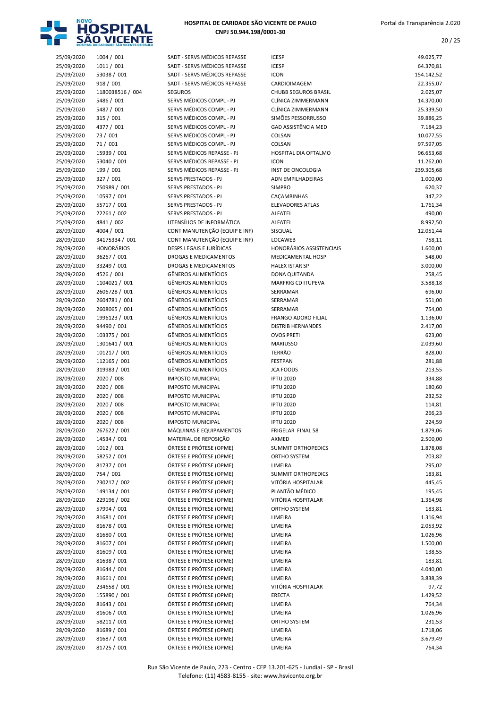

| 25/09/2020 | 1004 / 001        | SADT - SERVS MÉDICOS REPASSE    | <b>ICESP</b>                | 49.025,77  |
|------------|-------------------|---------------------------------|-----------------------------|------------|
| 25/09/2020 | 1011 / 001        | SADT - SERVS MÉDICOS REPASSE    | <b>ICESP</b>                | 64.370,81  |
| 25/09/2020 | 53038 / 001       | SADT - SERVS MÉDICOS REPASSE    | <b>ICON</b>                 | 154.142,52 |
| 25/09/2020 | 918 / 001         | SADT - SERVS MÉDICOS REPASSE    | CARDIOIMAGEM                | 22.355,07  |
| 25/09/2020 | 1180038516 / 004  | <b>SEGUROS</b>                  | <b>CHUBB SEGUROS BRASIL</b> | 2.025,07   |
| 25/09/2020 | 5486 / 001        | SERVS MÉDICOS COMPL - PJ        | CLÍNICA ZIMMERMANN          | 14.370,00  |
| 25/09/2020 | 5487 / 001        | SERVS MÉDICOS COMPL - PJ        | CLÍNICA ZIMMERMANN          | 25.339,50  |
| 25/09/2020 | 315 / 001         | SERVS MÉDICOS COMPL - PJ        | SIMÕES PESSORRUSSO          | 39.886,25  |
| 25/09/2020 | 4377 / 001        | SERVS MÉDICOS COMPL - PJ        | <b>GAD ASSISTÊNCIA MED</b>  | 7.184,23   |
| 25/09/2020 | 73 / 001          | SERVS MÉDICOS COMPL - PJ        | COLSAN                      | 10.077,55  |
| 25/09/2020 | 71/001            | SERVS MÉDICOS COMPL - PJ        | COLSAN                      | 97.597,05  |
| 25/09/2020 | 15939 / 001       | SERVS MÉDICOS REPASSE - PJ      | HOSPITAL DIA OFTALMO        | 96.653,68  |
| 25/09/2020 | 53040 / 001       | SERVS MÉDICOS REPASSE - PJ      | <b>ICON</b>                 | 11.262,00  |
| 25/09/2020 | 199 / 001         | SERVS MÉDICOS REPASSE - PJ      | INST DE ONCOLOGIA           | 239.305,68 |
| 25/09/2020 | 327 / 001         | SERVS PRESTADOS - PJ            | ADN EMPILHADEIRAS           | 1.000,00   |
| 25/09/2020 | 250989 / 001      | SERVS PRESTADOS - PJ            | <b>SIMPRO</b>               | 620,37     |
| 25/09/2020 | 10597 / 001       | SERVS PRESTADOS - PJ            | CAÇAMBINHAS                 | 347,22     |
| 25/09/2020 | 55717 / 001       | SERVS PRESTADOS - PJ            | <b>ELEVADORES ATLAS</b>     | 1.761,34   |
| 25/09/2020 | 22261 / 002       | <b>SERVS PRESTADOS - PJ</b>     | ALFATEL                     | 490,00     |
| 25/09/2020 | 4841 / 002        | UTENSÍLIOS DE INFORMÁTICA       | ALFATEL                     | 8.992,50   |
| 28/09/2020 | 4004 / 001        | CONT MANUTENÇÃO (EQUIP E INF)   | SISQUAL                     | 12.051,44  |
| 28/09/2020 | 34175334 / 001    | CONT MANUTENÇÃO (EQUIP E INF)   | LOCAWEB                     | 758,11     |
| 28/09/2020 | <b>HONORÁRIOS</b> | <b>DESPS LEGAIS E JURÍDICAS</b> | HONORÁRIOS ASSISTENCIAIS    | 1.600,00   |
| 28/09/2020 | 36267 / 001       | DROGAS E MEDICAMENTOS           | <b>MEDICAMENTAL HOSP</b>    | 548,00     |
| 28/09/2020 | 33249 / 001       | <b>DROGAS E MEDICAMENTOS</b>    | <b>HALEX ISTAR SP</b>       | 3.000,00   |
| 28/09/2020 | 4526 / 001        | <b>GÊNEROS ALIMENTÍCIOS</b>     | DONA QUITANDA               | 258,45     |
| 28/09/2020 | 1104021 / 001     | <b>GÊNEROS ALIMENTÍCIOS</b>     | MARFRIG CD ITUPEVA          | 3.588,18   |
| 28/09/2020 | 2606728 / 001     | <b>GÊNEROS ALIMENTÍCIOS</b>     | SERRAMAR                    | 696,00     |
| 28/09/2020 | 2604781 / 001     | <b>GÊNEROS ALIMENTÍCIOS</b>     | SERRAMAR                    | 551,00     |
| 28/09/2020 | 2608065 / 001     | <b>GÊNEROS ALIMENTÍCIOS</b>     | SERRAMAR                    | 754,00     |
| 28/09/2020 | 1996123 / 001     | <b>GÊNEROS ALIMENTÍCIOS</b>     | <b>FRANGO ADORO FILIAL</b>  | 1.136,00   |
| 28/09/2020 | 94490 / 001       | <b>GÊNEROS ALIMENTÍCIOS</b>     | <b>DISTRIB HERNANDES</b>    | 2.417,00   |
| 28/09/2020 | 103375 / 001      | <b>GÊNEROS ALIMENTÍCIOS</b>     | <b>OVOS PRETI</b>           | 623,00     |
| 28/09/2020 | 1301641 / 001     | <b>GÊNEROS ALIMENTÍCIOS</b>     | <b>MARIUSSO</b>             | 2.039,60   |
| 28/09/2020 | 101217 / 001      | <b>GÊNEROS ALIMENTÍCIOS</b>     | <b>TERRÃO</b>               | 828,00     |
| 28/09/2020 | 112165 / 001      | GÊNEROS ALIMENTÍCIOS            | <b>FESTPAN</b>              | 281,88     |
| 28/09/2020 | 319983 / 001      | <b>GÊNEROS ALIMENTÍCIOS</b>     | <b>JCA FOODS</b>            | 213,55     |
| 28/09/2020 | 2020 / 008        | <b>IMPOSTO MUNICIPAL</b>        | <b>IPTU 2020</b>            | 334,88     |
| 28/09/2020 | 2020 / 008        | <b>IMPOSTO MUNICIPAL</b>        | <b>IPTU 2020</b>            | 180,60     |
| 28/09/2020 | 2020 / 008        | <b>IMPOSTO MUNICIPAL</b>        | <b>IPTU 2020</b>            | 232,52     |
| 28/09/2020 | 2020 / 008        | <b>IMPOSTO MUNICIPAL</b>        | <b>IPTU 2020</b>            | 114,81     |
| 28/09/2020 | 2020 / 008        | <b>IMPOSTO MUNICIPAL</b>        | <b>IPTU 2020</b>            | 266,23     |
| 28/09/2020 | 2020 / 008        | <b>IMPOSTO MUNICIPAL</b>        | <b>IPTU 2020</b>            | 224,59     |
| 28/09/2020 | 267622 / 001      | MÁQUINAS E EQUIPAMENTOS         | FRIGELAR FINAL 58           | 1.879,06   |
| 28/09/2020 | 14534 / 001       | MATERIAL DE REPOSIÇÃO           | AXMED                       | 2.500,00   |
| 28/09/2020 | 1012 / 001        | ÓRTESE E PRÓTESE (OPME)         | <b>SUMMIT ORTHOPEDICS</b>   | 1.878,08   |
| 28/09/2020 | 58252 / 001       | ÓRTESE E PRÓTESE (OPME)         | ORTHO SYSTEM                | 203,82     |
| 28/09/2020 | 81737 / 001       | ÓRTESE E PRÓTESE (OPME)         | LIMEIRA                     | 295,02     |
| 28/09/2020 | 754 / 001         | ÓRTESE E PRÓTESE (OPME)         | <b>SUMMIT ORTHOPEDICS</b>   | 183,81     |
| 28/09/2020 | 230217 / 002      | ÓRTESE E PRÓTESE (OPME)         | VITÓRIA HOSPITALAR          | 445,45     |
| 28/09/2020 | 149134 / 001      | ÓRTESE E PRÓTESE (OPME)         | PLANTÃO MÉDICO              | 195,45     |
| 28/09/2020 | 229196 / 002      | ÓRTESE E PRÓTESE (OPME)         | VITÓRIA HOSPITALAR          | 1.364,98   |
| 28/09/2020 | 57994 / 001       | ÓRTESE E PRÓTESE (OPME)         | ORTHO SYSTEM                | 183,81     |
| 28/09/2020 | 81681 / 001       | ÓRTESE E PRÓTESE (OPME)         | LIMEIRA                     | 1.316,94   |
| 28/09/2020 | 81678 / 001       | ÓRTESE E PRÓTESE (OPME)         | LIMEIRA                     | 2.053,92   |
| 28/09/2020 | 81680 / 001       | ÓRTESE E PRÓTESE (OPME)         | LIMEIRA                     | 1.026,96   |
| 28/09/2020 | 81607 / 001       | ÓRTESE E PRÓTESE (OPME)         | LIMEIRA                     | 1.500,00   |
| 28/09/2020 | 81609 / 001       | ÓRTESE E PRÓTESE (OPME)         | LIMEIRA                     | 138,55     |
| 28/09/2020 | 81638 / 001       | ÓRTESE E PRÓTESE (OPME)         | LIMEIRA                     | 183,81     |
| 28/09/2020 | 81644 / 001       | ÓRTESE E PRÓTESE (OPME)         | LIMEIRA                     | 4.040,00   |
| 28/09/2020 | 81661 / 001       | ÓRTESE E PRÓTESE (OPME)         | LIMEIRA                     | 3.838,39   |
| 28/09/2020 | 234658 / 001      | ÓRTESE E PRÓTESE (OPME)         | VITÓRIA HOSPITALAR          | 97,72      |
| 28/09/2020 | 155890 / 001      | ÓRTESE E PRÓTESE (OPME)         | ERECTA                      | 1.429,52   |
| 28/09/2020 | 81643 / 001       | ÓRTESE E PRÓTESE (OPME)         | LIMEIRA                     | 764,34     |
| 28/09/2020 | 81606 / 001       | ÓRTESE E PRÓTESE (OPME)         | LIMEIRA                     | 1.026,96   |
| 28/09/2020 | 58211 / 001       | ÓRTESE E PRÓTESE (OPME)         | ORTHO SYSTEM                | 231,53     |
| 28/09/2020 | 81689 / 001       | ÓRTESE E PRÓTESE (OPME)         | LIMEIRA                     | 1.718,06   |
| 28/09/2020 | 81687 / 001       | ÓRTESE E PRÓTESE (OPME)         | LIMEIRA                     | 3.679,49   |
| 28/09/2020 | 81725 / 001       | ÓRTESE E PRÓTESE (OPME)         | LIMEIRA                     | 764,34     |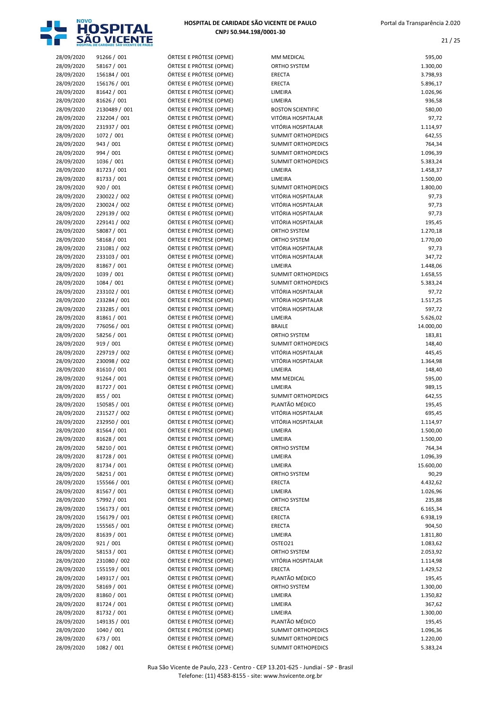

| 28/09/2020               | 91266 / 001                  | ÓRTESE E PRÓTESE (OPME)                            | MM MEDICAL                                  | 595,00             |
|--------------------------|------------------------------|----------------------------------------------------|---------------------------------------------|--------------------|
| 28/09/2020               | 58167 / 001                  | ÓRTESE E PRÓTESE (OPME)                            | <b>ORTHO SYSTEM</b>                         | 1.300,00           |
| 28/09/2020               | 156184 / 001                 | ÓRTESE E PRÓTESE (OPME)                            | <b>ERECTA</b>                               | 3.798,93           |
| 28/09/2020               | 156176 / 001                 | ÓRTESE E PRÓTESE (OPME)                            | <b>ERECTA</b>                               | 5.896,17           |
| 28/09/2020               | 81642 / 001                  | ÓRTESE E PRÓTESE (OPME)                            | LIMEIRA<br>LIMEIRA                          | 1.026,96           |
| 28/09/2020               | 81626 / 001<br>2130489 / 001 | ÓRTESE E PRÓTESE (OPME)<br>ÓRTESE E PRÓTESE (OPME) | <b>BOSTON SCIENTIFIC</b>                    | 936,58<br>580,00   |
| 28/09/2020<br>28/09/2020 | 232204 / 001                 | ÓRTESE E PRÓTESE (OPME)                            | VITÓRIA HOSPITALAR                          | 97,72              |
| 28/09/2020               | 231937 / 001                 | ÓRTESE E PRÓTESE (OPME)                            | VITÓRIA HOSPITALAR                          | 1.114,97           |
| 28/09/2020               | 1072 / 001                   | ÓRTESE E PRÓTESE (OPME)                            | <b>SUMMIT ORTHOPEDICS</b>                   | 642,55             |
| 28/09/2020               | 943 / 001                    | ÓRTESE E PRÓTESE (OPME)                            | <b>SUMMIT ORTHOPEDICS</b>                   | 764,34             |
| 28/09/2020               | 994 / 001                    | ÓRTESE E PRÓTESE (OPME)                            | <b>SUMMIT ORTHOPEDICS</b>                   | 1.096,39           |
| 28/09/2020               | 1036 / 001                   | ÓRTESE E PRÓTESE (OPME)                            | <b>SUMMIT ORTHOPEDICS</b>                   | 5.383,24           |
| 28/09/2020               | 81723 / 001                  | ÓRTESE E PRÓTESE (OPME)                            | LIMEIRA                                     | 1.458,37           |
| 28/09/2020               | 81733 / 001                  | ÓRTESE E PRÓTESE (OPME)                            | LIMEIRA                                     | 1.500,00           |
| 28/09/2020               | 920 / 001                    | ÓRTESE E PRÓTESE (OPME)                            | <b>SUMMIT ORTHOPEDICS</b>                   | 1.800,00           |
| 28/09/2020               | 230022 / 002                 | ÓRTESE E PRÓTESE (OPME)                            | VITÓRIA HOSPITALAR                          | 97,73              |
| 28/09/2020               | 230024 / 002                 | ÓRTESE E PRÓTESE (OPME)                            | VITÓRIA HOSPITALAR                          | 97,73              |
| 28/09/2020               | 229139 / 002                 | ÓRTESE E PRÓTESE (OPME)                            | VITÓRIA HOSPITALAR                          | 97,73              |
| 28/09/2020               | 229141 / 002                 | ÓRTESE E PRÓTESE (OPME)                            | VITÓRIA HOSPITALAR                          | 195,45             |
| 28/09/2020               | 58087 / 001                  | ÓRTESE E PRÓTESE (OPME)                            | ORTHO SYSTEM                                | 1.270,18           |
| 28/09/2020               | 58168 / 001                  | ÓRTESE E PRÓTESE (OPME)                            | ORTHO SYSTEM                                | 1.770,00           |
| 28/09/2020               | 231081 / 002                 | ÓRTESE E PRÓTESE (OPME)                            | VITÓRIA HOSPITALAR                          | 97,73              |
| 28/09/2020               | 233103 / 001                 | ÓRTESE E PRÓTESE (OPME)                            | VITÓRIA HOSPITALAR                          | 347,72             |
| 28/09/2020               | 81867 / 001                  | ÓRTESE E PRÓTESE (OPME)                            | LIMEIRA                                     | 1.448,06           |
| 28/09/2020               | 1039 / 001                   | ÓRTESE E PRÓTESE (OPME)                            | <b>SUMMIT ORTHOPEDICS</b>                   | 1.658,55           |
| 28/09/2020               | 1084 / 001                   | ÓRTESE E PRÓTESE (OPME)                            | <b>SUMMIT ORTHOPEDICS</b>                   | 5.383,24           |
| 28/09/2020               | 233102 / 001                 | ÓRTESE E PRÓTESE (OPME)                            | VITÓRIA HOSPITALAR                          | 97,72              |
| 28/09/2020               | 233284 / 001                 | ÓRTESE E PRÓTESE (OPME)                            | VITÓRIA HOSPITALAR                          | 1.517,25           |
| 28/09/2020               | 233285 / 001                 | ÓRTESE E PRÓTESE (OPME)                            | VITÓRIA HOSPITALAR                          | 597,72             |
| 28/09/2020               | 81861 / 001                  | ÓRTESE E PRÓTESE (OPME)                            | LIMEIRA                                     | 5.626,02           |
| 28/09/2020               | 776056 / 001                 | ÓRTESE E PRÓTESE (OPME)                            | <b>BRAILE</b>                               | 14.000,00          |
| 28/09/2020               | 58256 / 001                  | ÓRTESE E PRÓTESE (OPME)                            | <b>ORTHO SYSTEM</b>                         | 183,81             |
| 28/09/2020               | 919 / 001                    | ÓRTESE E PRÓTESE (OPME)                            | <b>SUMMIT ORTHOPEDICS</b>                   | 148,40             |
| 28/09/2020               | 229719 / 002                 | ÓRTESE E PRÓTESE (OPME)                            | VITÓRIA HOSPITALAR                          | 445,45             |
| 28/09/2020               | 230098 / 002                 | ÓRTESE E PRÓTESE (OPME)                            | VITÓRIA HOSPITALAR                          | 1.364,98           |
| 28/09/2020               | 81610 / 001                  | ÓRTESE E PRÓTESE (OPME)                            | LIMEIRA                                     | 148,40             |
| 28/09/2020               | 91264 / 001                  | ÓRTESE E PRÓTESE (OPME)                            | <b>MM MEDICAL</b>                           | 595,00             |
| 28/09/2020               | 81727 / 001                  | ÓRTESE E PRÓTESE (OPME)                            | LIMEIRA                                     | 989,15             |
| 28/09/2020               | 855 / 001                    | ÓRTESE E PRÓTESE (OPME)                            | <b>SUMMIT ORTHOPEDICS</b><br>PLANTÃO MÉDICO | 642,55             |
| 28/09/2020               | 150585 / 001<br>231527 / 002 | ÓRTESE E PRÓTESE (OPME)<br>ÓRTESE E PRÓTESE (OPME) | VITÓRIA HOSPITALAR                          | 195,45             |
| 28/09/2020<br>28/09/2020 |                              | ÓRTESE E PRÓTESE (OPME)                            | VITÓRIA HOSPITALAR                          | 695,45<br>1.114,97 |
| 28/09/2020               | 232950 / 001<br>81564 / 001  | ÓRTESE E PRÓTESE (OPME)                            | LIMEIRA                                     | 1.500,00           |
| 28/09/2020               | 81628 / 001                  | ÓRTESE E PRÓTESE (OPME)                            | LIMEIRA                                     | 1.500,00           |
| 28/09/2020               | 58210 / 001                  | ÓRTESE E PRÓTESE (OPME)                            | <b>ORTHO SYSTEM</b>                         | 764,34             |
| 28/09/2020               | 81728 / 001                  | ÓRTESE E PRÓTESE (OPME)                            | LIMEIRA                                     | 1.096,39           |
| 28/09/2020               | 81734 / 001                  | ÓRTESE E PRÓTESE (OPME)                            | LIMEIRA                                     | 15.600,00          |
| 28/09/2020               | 58251 / 001                  | ÓRTESE E PRÓTESE (OPME)                            | ORTHO SYSTEM                                | 90,29              |
| 28/09/2020               | 155566 / 001                 | ÓRTESE E PRÓTESE (OPME)                            | <b>ERECTA</b>                               | 4.432,62           |
| 28/09/2020               | 81567 / 001                  | ÓRTESE E PRÓTESE (OPME)                            | LIMEIRA                                     | 1.026,96           |
| 28/09/2020               | 57992 / 001                  | ÓRTESE E PRÓTESE (OPME)                            | <b>ORTHO SYSTEM</b>                         | 235,88             |
| 28/09/2020               | 156173 / 001                 | ÓRTESE E PRÓTESE (OPME)                            | <b>ERECTA</b>                               | 6.165,34           |
| 28/09/2020               | 156179 / 001                 | ÓRTESE E PRÓTESE (OPME)                            | <b>ERECTA</b>                               | 6.938,19           |
| 28/09/2020               | 155565 / 001                 | ÓRTESE E PRÓTESE (OPME)                            | <b>ERECTA</b>                               | 904,50             |
| 28/09/2020               | 81639 / 001                  | ÓRTESE E PRÓTESE (OPME)                            | LIMEIRA                                     | 1.811,80           |
| 28/09/2020               | 921 / 001                    | ÓRTESE E PRÓTESE (OPME)                            | OSTEO21                                     | 1.083,62           |
| 28/09/2020               | 58153 / 001                  | ÓRTESE E PRÓTESE (OPME)                            | ORTHO SYSTEM                                | 2.053,92           |
| 28/09/2020               | 231080 / 002                 | ÓRTESE E PRÓTESE (OPME)                            | VITÓRIA HOSPITALAR                          | 1.114,98           |
| 28/09/2020               | 155159 / 001                 | ÓRTESE E PRÓTESE (OPME)                            | <b>ERECTA</b>                               | 1.429,52           |
| 28/09/2020               | 149317 / 001                 | ÓRTESE E PRÓTESE (OPME)                            | PLANTÃO MÉDICO                              | 195,45             |
| 28/09/2020               | 58169 / 001                  | ÓRTESE E PRÓTESE (OPME)                            | ORTHO SYSTEM                                | 1.300,00           |
| 28/09/2020               | 81860 / 001                  | ÓRTESE E PRÓTESE (OPME)                            | LIMEIRA                                     | 1.350,82           |
| 28/09/2020               | 81724 / 001                  | ÓRTESE E PRÓTESE (OPME)                            | LIMEIRA                                     | 367,62             |
| 28/09/2020               | 81732 / 001                  | ÓRTESE E PRÓTESE (OPME)                            | LIMEIRA                                     | 1.300,00           |
| 28/09/2020               | 149135 / 001                 | ÓRTESE E PRÓTESE (OPME)                            | PLANTÃO MÉDICO                              | 195,45             |
| 28/09/2020               | 1040 / 001                   | ÓRTESE E PRÓTESE (OPME)                            | <b>SUMMIT ORTHOPEDICS</b>                   | 1.096,36           |
| 28/09/2020               | 673 / 001                    | ÓRTESE E PRÓTESE (OPME)                            | <b>SUMMIT ORTHOPEDICS</b>                   | 1.220,00           |
| 28/09/2020               | 1082 / 001                   | ÓRTESE E PRÓTESE (OPME)                            | <b>SUMMIT ORTHOPEDICS</b>                   | 5.383,24           |

| MM MEDICAL                               | 595,00               |
|------------------------------------------|----------------------|
| <b>ORTHO SYSTEM</b>                      | 1.300,00             |
| <b>ERECTA</b>                            | 3.798,93             |
| <b>ERECTA</b>                            | 5.896,17             |
| LIMEIRA                                  | 1.026,96             |
| LIMEIRA<br><b>BOSTON SCIENTIFIC</b>      | 936,58               |
| VITÓRIA HOSPITALAR                       | 580,00<br>97,72      |
| VITÓRIA HOSPITALAR                       | 1.114,97             |
| <b>SUMMIT ORTHOPEDICS</b>                | 642,55               |
| <b>SUMMIT ORTHOPEDICS</b>                | 764,34               |
| <b>SUMMIT ORTHOPEDICS</b>                | 1.096,39             |
| <b>SUMMIT ORTHOPEDICS</b>                | 5.383,24             |
| LIMEIRA                                  | 1.458,37             |
| LIMEIRA                                  | 1.500,00             |
| <b>SUMMIT ORTHOPEDICS</b>                | 1.800,00             |
| VITÓRIA HOSPITALAR                       | 97,73                |
| VITÓRIA HOSPITALAR<br>VITÓRIA HOSPITALAR | 97,73                |
| VITÓRIA HOSPITALAR                       | 97,73<br>195,45      |
| ORTHO SYSTEM                             | 1.270,18             |
| <b>ORTHO SYSTEM</b>                      | 1.770,00             |
| VITÓRIA HOSPITALAR                       | 97,73                |
| VITÓRIA HOSPITALAR                       | 347,72               |
| LIMEIRA                                  | 1.448,06             |
| <b>SUMMIT ORTHOPEDICS</b>                | 1.658,55             |
| <b>SUMMIT ORTHOPEDICS</b>                | 5.383,24             |
| VITÓRIA HOSPITALAR                       | 97,72                |
| VITÓRIA HOSPITALAR                       | 1.517,25             |
| VITÓRIA HOSPITALAR<br>LIMEIRA            | 597,72<br>5.626,02   |
| <b>BRAILE</b>                            | 14.000,00            |
| <b>ORTHO SYSTEM</b>                      | 183,81               |
| <b>SUMMIT ORTHOPEDICS</b>                | 148,40               |
| VITÓRIA HOSPITALAR                       | 445,45               |
| VITÓRIA HOSPITALAR                       | 1.364,98             |
| LIMEIRA                                  | 148,40               |
| MM MEDICAL                               | 595,00               |
| LIMEIRA<br><b>SUMMIT ORTHOPEDICS</b>     | 989,15<br>642,55     |
| PLANTÃO MÉDICO                           | 195,45               |
| VITÓRIA HOSPITALAR                       | 695,45               |
| VITÓRIA HOSPITALAR                       | 1.114,97             |
| LIMEIRA                                  | 1.500,00             |
| LIMEIRA                                  | 1.500,00             |
| ORTHO SYSTEM                             | 764,34               |
| LIMEIRA                                  | 1.096,39             |
| LIMEIRA                                  | 15.600,00            |
| ORTHO SYSTEM                             | 90,29                |
| ERECTA<br>LIMEIRA                        | 4.432,62<br>1.026,96 |
| ORTHO SYSTEM                             | 235,88               |
| <b>ERECTA</b>                            | 6.165,34             |
| <b>ERECTA</b>                            | 6.938,19             |
| ERECTA                                   | 904,50               |
| LIMEIRA                                  | 1.811,80             |
| OSTEO21                                  | 1.083,62             |
| <b>ORTHO SYSTEM</b>                      | 2.053,92             |
| VITÓRIA HOSPITALAR                       | 1.114,98             |
| <b>ERECTA</b><br>PLANTÃO MÉDICO          | 1.429,52             |
| ORTHO SYSTEM                             | 195,45<br>1.300,00   |
| LIMEIRA                                  | 1.350,82             |
| LIMEIRA                                  | 367,62               |
| LIMEIRA                                  | 1.300,00             |
| PLANTÃO MÉDICO                           | 195,45               |
| <b>SUMMIT ORTHOPEDICS</b>                | 1.096,36             |
| <b>SUMMIT ORTHOPEDICS</b>                | 1.220,00             |
| <b>SUMMIT ORTHOPEDICS</b>                | 5.383,24             |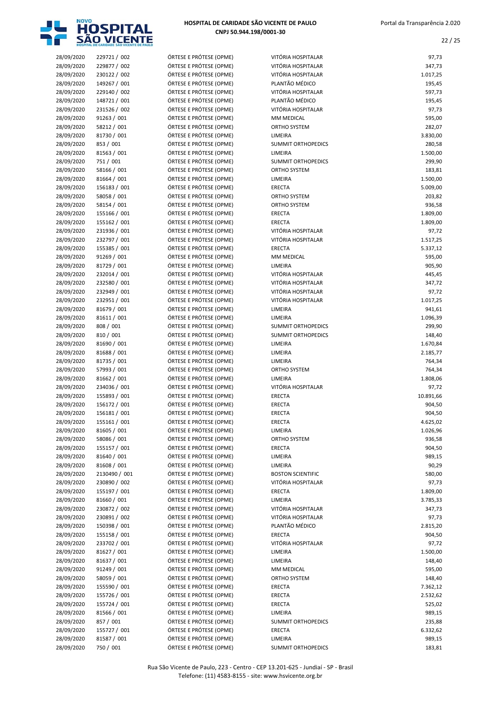

22 / 25

| 28/09/2020               | 229721 / 002                | ÓRTESE E PRÓTESE (OPME)                            | VITÓRIA HOSPITALAR                       | 97,73              |
|--------------------------|-----------------------------|----------------------------------------------------|------------------------------------------|--------------------|
| 28/09/2020               | 229877 / 002                | ÓRTESE E PRÓTESE (OPME)                            | VITÓRIA HOSPITALAR                       | 347,73             |
| 28/09/2020               | 230122 / 002                | ÓRTESE E PRÓTESE (OPME)                            | VITÓRIA HOSPITALAR                       | 1.017,25           |
| 28/09/2020               | 149267 / 001                | ÓRTESE E PRÓTESE (OPME)                            | PLANTÃO MÉDICO                           | 195,45             |
| 28/09/2020               | 229140 / 002                | ÓRTESE E PRÓTESE (OPME)                            | VITÓRIA HOSPITALAR                       | 597,73             |
| 28/09/2020               | 148721 / 001                | ÓRTESE E PRÓTESE (OPME)                            | PLANTÃO MÉDICO                           | 195,45             |
| 28/09/2020               | 231526 / 002                | ÓRTESE E PRÓTESE (OPME)                            | VITÓRIA HOSPITALAR                       | 97,73              |
| 28/09/2020               | 91263 / 001                 | ÓRTESE E PRÓTESE (OPME)                            | MM MEDICAL                               | 595,00             |
| 28/09/2020               | 58212 / 001                 | ÓRTESE E PRÓTESE (OPME)                            | ORTHO SYSTEM                             | 282,07             |
| 28/09/2020               | 81730 / 001                 | ÓRTESE E PRÓTESE (OPME)                            | LIMEIRA                                  | 3.830,00           |
| 28/09/2020               | 853 / 001                   | ÓRTESE E PRÓTESE (OPME)                            | SUMMIT ORTHOPEDICS                       | 280,58             |
| 28/09/2020               | 81563 / 001                 | ÓRTESE E PRÓTESE (OPME)                            | LIMEIRA                                  | 1.500,00           |
| 28/09/2020               | 751 / 001                   | ÓRTESE E PRÓTESE (OPME)                            | <b>SUMMIT ORTHOPEDICS</b>                | 299,90             |
| 28/09/2020               | 58166 / 001                 | ÓRTESE E PRÓTESE (OPME)                            | ORTHO SYSTEM                             | 183,81             |
| 28/09/2020               | 81664 / 001                 | ÓRTESE E PRÓTESE (OPME)                            | LIMEIRA                                  | 1.500,00           |
| 28/09/2020               | 156183 / 001                | ÓRTESE E PRÓTESE (OPME)                            | <b>ERECTA</b>                            | 5.009,00           |
| 28/09/2020               | 58058 / 001                 | ÓRTESE E PRÓTESE (OPME)                            | ORTHO SYSTEM                             | 203,82             |
| 28/09/2020               | 58154 / 001                 | ÓRTESE E PRÓTESE (OPME)                            | ORTHO SYSTEM                             | 936,58             |
| 28/09/2020               | 155166 / 001                | ÓRTESE E PRÓTESE (OPME)                            | ERECTA                                   | 1.809,00           |
| 28/09/2020               | 155162 / 001                | ÓRTESE E PRÓTESE (OPME)                            | <b>ERECTA</b>                            | 1.809,00           |
| 28/09/2020               | 231936 / 001                | ÓRTESE E PRÓTESE (OPME)                            | VITÓRIA HOSPITALAR                       | 97,72              |
| 28/09/2020               | 232797 / 001                | ÓRTESE E PRÓTESE (OPME)                            | VITÓRIA HOSPITALAR                       | 1.517,25           |
| 28/09/2020               | 155385 / 001                | ÓRTESE E PRÓTESE (OPME)                            | <b>ERECTA</b>                            | 5.337,12           |
| 28/09/2020               | 91269 / 001                 | ÓRTESE E PRÓTESE (OPME)                            | <b>MM MEDICAL</b>                        | 595,00             |
| 28/09/2020               | 81729 / 001                 | ÓRTESE E PRÓTESE (OPME)                            | LIMEIRA                                  | 905,90             |
| 28/09/2020               | 232014 / 001                | ÓRTESE E PRÓTESE (OPME)                            | VITÓRIA HOSPITALAR                       | 445,45             |
| 28/09/2020               | 232580 / 001                | ÓRTESE E PRÓTESE (OPME)                            | VITÓRIA HOSPITALAR                       | 347,72             |
| 28/09/2020               | 232949 / 001                | ÓRTESE E PRÓTESE (OPME)                            | VITÓRIA HOSPITALAR<br>VITÓRIA HOSPITALAR | 97,72              |
| 28/09/2020<br>28/09/2020 | 232951 / 001<br>81679 / 001 | ÓRTESE E PRÓTESE (OPME)<br>ÓRTESE E PRÓTESE (OPME) | LIMEIRA                                  | 1.017,25           |
| 28/09/2020               | 81611 / 001                 | ÓRTESE E PRÓTESE (OPME)                            | LIMEIRA                                  | 941,61<br>1.096,39 |
| 28/09/2020               | 808 / 001                   | ÓRTESE E PRÓTESE (OPME)                            | SUMMIT ORTHOPEDICS                       | 299,90             |
| 28/09/2020               | 810 / 001                   | ÓRTESE E PRÓTESE (OPME)                            | <b>SUMMIT ORTHOPEDICS</b>                | 148,40             |
| 28/09/2020               | 81690 / 001                 | ÓRTESE E PRÓTESE (OPME)                            | LIMEIRA                                  | 1.670,84           |
| 28/09/2020               | 81688 / 001                 | ÓRTESE E PRÓTESE (OPME)                            | LIMEIRA                                  | 2.185,77           |
| 28/09/2020               | 81735 / 001                 | ÓRTESE E PRÓTESE (OPME)                            | LIMEIRA                                  | 764,34             |
| 28/09/2020               | 57993 / 001                 | ÓRTESE E PRÓTESE (OPME)                            | ORTHO SYSTEM                             | 764,34             |
| 28/09/2020               | 81662 / 001                 | ÓRTESE E PRÓTESE (OPME)                            | LIMEIRA                                  | 1.808,06           |
| 28/09/2020               | 234036 / 001                | ÓRTESE E PRÓTESE (OPME)                            | VITÓRIA HOSPITALAR                       | 97,72              |
| 28/09/2020               | 155893 / 001                | ÓRTESE E PRÓTESE (OPME)                            | ERECTA                                   | 10.891,66          |
| 28/09/2020               | 156172 / 001                | ÓRTESE E PRÓTESE (OPME)                            | <b>ERECTA</b>                            | 904,50             |
| 28/09/2020               | 156181 / 001                | ÓRTESE E PRÓTESE (OPME)                            | <b>ERECTA</b>                            | 904,50             |
| 28/09/2020               | 155161 / 001                | ÓRTESE E PRÓTESE (OPME)                            | <b>ERECTA</b>                            | 4.625,02           |
| 28/09/2020               | 81605 / 001                 | ÓRTESE E PRÓTESE (OPME)                            | LIMEIRA                                  | 1.026,96           |
| 28/09/2020               | 58086 / 001                 | ÓRTESE E PRÓTESE (OPME)                            | ORTHO SYSTEM                             | 936,58             |
| 28/09/2020               | 155157 / 001                | ÓRTESE E PRÓTESE (OPME)                            | ERECTA                                   | 904,50             |
| 28/09/2020               | 81640 / 001                 | ÓRTESE E PRÓTESE (OPME)                            | LIMEIRA                                  | 989,15             |
| 28/09/2020               | 81608 / 001                 | ÓRTESE E PRÓTESE (OPME)                            | LIMEIRA                                  | 90,29              |
| 28/09/2020               | 2130490 / 001               | ÓRTESE E PRÓTESE (OPME)                            | <b>BOSTON SCIENTIFIC</b>                 | 580,00             |
| 28/09/2020               | 230890 / 002                | ÓRTESE E PRÓTESE (OPME)                            | VITÓRIA HOSPITALAR                       | 97,73              |
| 28/09/2020               | 155197 / 001                | ÓRTESE E PRÓTESE (OPME)                            | ERECTA                                   | 1.809,00           |
| 28/09/2020               | 81660 / 001                 | ÓRTESE E PRÓTESE (OPME)                            | LIMEIRA                                  | 3.785,33           |
| 28/09/2020               | 230872 / 002                | ÓRTESE E PRÓTESE (OPME)                            | VITÓRIA HOSPITALAR                       | 347,73             |
| 28/09/2020               | 230891 / 002                | ÓRTESE E PRÓTESE (OPME)                            | VITÓRIA HOSPITALAR                       | 97,73              |
| 28/09/2020               | 150398 / 001                | ÓRTESE E PRÓTESE (OPME)                            | PLANTÃO MÉDICO                           | 2.815,20           |
| 28/09/2020               | 155158 / 001                | ÓRTESE E PRÓTESE (OPME)                            | <b>ERECTA</b>                            | 904,50             |
| 28/09/2020               | 233702 / 001                | ÓRTESE E PRÓTESE (OPME)                            | VITÓRIA HOSPITALAR                       | 97,72              |
| 28/09/2020               | 81627 / 001                 | ÓRTESE E PRÓTESE (OPME)                            | LIMEIRA                                  | 1.500,00           |
| 28/09/2020               | 81637 / 001                 | ÓRTESE E PRÓTESE (OPME)                            | LIMEIRA                                  | 148,40             |
| 28/09/2020               | 91249 / 001                 | ÓRTESE E PRÓTESE (OPME)                            | MM MEDICAL                               | 595,00             |
| 28/09/2020               | 58059 / 001                 | ÓRTESE E PRÓTESE (OPME)                            | ORTHO SYSTEM                             | 148,40             |
| 28/09/2020               | 155590 / 001                | ÓRTESE E PRÓTESE (OPME)                            | ERECTA                                   | 7.362,12           |
| 28/09/2020               | 155726 / 001                | ÓRTESE E PRÓTESE (OPME)                            | ERECTA                                   | 2.532,62           |
| 28/09/2020               | 155724 / 001                | ÓRTESE E PRÓTESE (OPME)                            | ERECTA                                   | 525,02             |
| 28/09/2020               | 81566 / 001                 | ÓRTESE E PRÓTESE (OPME)                            | LIMEIRA                                  | 989,15             |
| 28/09/2020               | 857 / 001                   | ÓRTESE E PRÓTESE (OPME)                            | SUMMIT ORTHOPEDICS                       | 235,88             |
| 28/09/2020               | 155727 / 001                | ÓRTESE E PRÓTESE (OPME)                            | ERECTA                                   | 6.332,62           |
| 28/09/2020               | 81587 / 001                 | ÓRTESE E PRÓTESE (OPME)                            | LIMEIRA                                  | 989,15             |
| 28/09/2020               | 750 / 001                   | ÓRTESE E PRÓTESE (OPME)                            | SUMMIT ORTHOPEDICS                       | 183,81             |

Rua São Vicente de Paulo, 223 - Centro - CEP 13.201-625 - Jundiaí - SP - Brasil Telefone: (11) 4583-8155 - site: www.hsvicente.org.br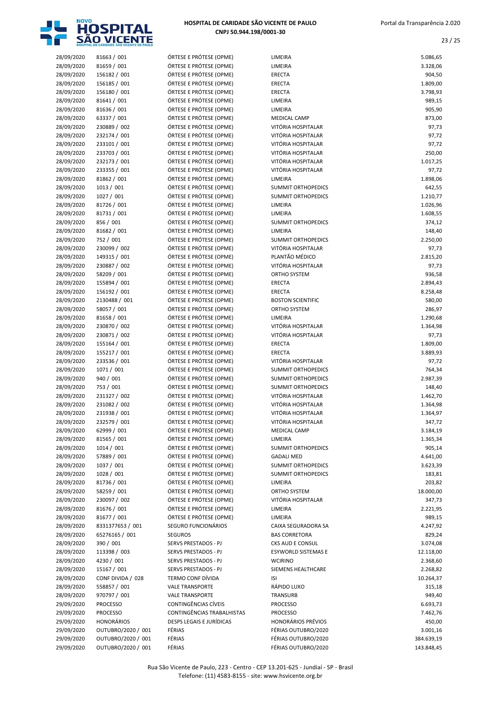

| 28/09/2020 | 81663 / 001        | ÓRTESE E PRÓTESE (OPME)    | LIMEIRA                                         | 5.086,65   |
|------------|--------------------|----------------------------|-------------------------------------------------|------------|
| 28/09/2020 | 81659 / 001        | ÓRTESE E PRÓTESE (OPME)    | LIMEIRA                                         | 3.328,06   |
| 28/09/2020 | 156182 / 001       | ÓRTESE E PRÓTESE (OPME)    | <b>ERECTA</b>                                   | 904,50     |
| 28/09/2020 | 156185 / 001       | ÓRTESE E PRÓTESE (OPME)    | ERECTA                                          | 1.809,00   |
| 28/09/2020 | 156180 / 001       | ÓRTESE E PRÓTESE (OPME)    | ERECTA                                          | 3.798,93   |
| 28/09/2020 | 81641 / 001        | ÓRTESE E PRÓTESE (OPME)    | LIMEIRA                                         | 989,15     |
|            | 81636 / 001        | ÓRTESE E PRÓTESE (OPME)    |                                                 | 905,90     |
| 28/09/2020 | 63337 / 001        | ÓRTESE E PRÓTESE (OPME)    | LIMEIRA                                         |            |
| 28/09/2020 |                    |                            | <b>MEDICAL CAMP</b>                             | 873,00     |
| 28/09/2020 | 230889 / 002       | ÓRTESE E PRÓTESE (OPME)    | VITÓRIA HOSPITALAR                              | 97,73      |
| 28/09/2020 | 232174 / 001       | ÓRTESE E PRÓTESE (OPME)    | VITÓRIA HOSPITALAR                              | 97,72      |
| 28/09/2020 | 233101 / 001       | ÓRTESE E PRÓTESE (OPME)    | VITÓRIA HOSPITALAR                              | 97,72      |
| 28/09/2020 | 233703 / 001       | ÓRTESE E PRÓTESE (OPME)    | VITÓRIA HOSPITALAR                              | 250,00     |
| 28/09/2020 | 232173 / 001       | ÓRTESE E PRÓTESE (OPME)    | VITÓRIA HOSPITALAR                              | 1.017,25   |
| 28/09/2020 | 233355 / 001       | ÓRTESE E PRÓTESE (OPME)    | VITÓRIA HOSPITALAR                              | 97,72      |
| 28/09/2020 | 81862 / 001        | ÓRTESE E PRÓTESE (OPME)    | LIMEIRA                                         | 1.898,06   |
| 28/09/2020 | 1013 / 001         | ÓRTESE E PRÓTESE (OPME)    | <b>SUMMIT ORTHOPEDICS</b>                       | 642,55     |
| 28/09/2020 | 1027 / 001         | ÓRTESE E PRÓTESE (OPME)    | <b>SUMMIT ORTHOPEDICS</b>                       | 1.210,77   |
| 28/09/2020 | 81726 / 001        | ÓRTESE E PRÓTESE (OPME)    | LIMEIRA                                         | 1.026,96   |
| 28/09/2020 | 81731 / 001        | ÓRTESE E PRÓTESE (OPME)    | LIMEIRA                                         | 1.608,55   |
| 28/09/2020 | 856 / 001          | ÓRTESE E PRÓTESE (OPME)    | <b>SUMMIT ORTHOPEDICS</b>                       | 374,12     |
|            | 81682 / 001        |                            |                                                 |            |
| 28/09/2020 |                    | ÓRTESE E PRÓTESE (OPME)    | LIMEIRA                                         | 148,40     |
| 28/09/2020 | 752 / 001          | ÓRTESE E PRÓTESE (OPME)    | <b>SUMMIT ORTHOPEDICS</b>                       | 2.250,00   |
| 28/09/2020 | 230099 / 002       | ÓRTESE E PRÓTESE (OPME)    | VITÓRIA HOSPITALAR                              | 97,73      |
| 28/09/2020 | 149315 / 001       | ÓRTESE E PRÓTESE (OPME)    | PLANTÃO MÉDICO                                  | 2.815,20   |
| 28/09/2020 | 230887 / 002       | ÓRTESE E PRÓTESE (OPME)    | VITÓRIA HOSPITALAR                              | 97,73      |
| 28/09/2020 | 58209 / 001        | ÓRTESE E PRÓTESE (OPME)    | <b>ORTHO SYSTEM</b>                             | 936,58     |
| 28/09/2020 | 155894 / 001       | ÓRTESE E PRÓTESE (OPME)    | ERECTA                                          | 2.894,43   |
| 28/09/2020 | 156192 / 001       | ÓRTESE E PRÓTESE (OPME)    | <b>ERECTA</b>                                   | 8.258,48   |
| 28/09/2020 | 2130488 / 001      | ÓRTESE E PRÓTESE (OPME)    | <b>BOSTON SCIENTIFIC</b>                        | 580,00     |
| 28/09/2020 | 58057 / 001        | ÓRTESE E PRÓTESE (OPME)    | ORTHO SYSTEM                                    | 286,97     |
| 28/09/2020 | 81658 / 001        | ÓRTESE E PRÓTESE (OPME)    | LIMEIRA                                         | 1.290,68   |
| 28/09/2020 | 230870 / 002       | ÓRTESE E PRÓTESE (OPME)    | VITÓRIA HOSPITALAR                              | 1.364,98   |
| 28/09/2020 | 230871 / 002       | ÓRTESE E PRÓTESE (OPME)    | VITÓRIA HOSPITALAR                              | 97,73      |
|            | 155164 / 001       | ÓRTESE E PRÓTESE (OPME)    | <b>ERECTA</b>                                   | 1.809,00   |
| 28/09/2020 |                    |                            |                                                 |            |
| 28/09/2020 | 155217 / 001       | ÓRTESE E PRÓTESE (OPME)    | <b>ERECTA</b>                                   | 3.889,93   |
| 28/09/2020 | 233536 / 001       | ÓRTESE E PRÓTESE (OPME)    | VITÓRIA HOSPITALAR                              | 97,72      |
| 28/09/2020 | 1071 / 001         | ÓRTESE E PRÓTESE (OPME)    | <b>SUMMIT ORTHOPEDICS</b>                       | 764,34     |
| 28/09/2020 | 940 / 001          | ÓRTESE E PRÓTESE (OPME)    | <b>SUMMIT ORTHOPEDICS</b>                       | 2.987,39   |
| 28/09/2020 | 753 / 001          | ÓRTESE E PRÓTESE (OPME)    | <b>SUMMIT ORTHOPEDICS</b>                       | 148,40     |
| 28/09/2020 | 231327 / 002       | ÓRTESE E PRÓTESE (OPME)    | VITÓRIA HOSPITALAR                              | 1.462,70   |
| 28/09/2020 | 231082 / 002       | ÓRTESE E PRÓTESE (OPME)    | VITÓRIA HOSPITALAR                              | 1.364,98   |
| 28/09/2020 | 231938 / 001       | ÓRTESE E PRÓTESE (OPME)    | VITÓRIA HOSPITALAR                              | 1.364,97   |
| 28/09/2020 | 232579 / 001       | ÓRTESE E PRÓTESE (OPME)    | VITÓRIA HOSPITALAR                              | 347,72     |
| 28/09/2020 | 62999 / 001        | ÓRTESE E PRÓTESE (OPME)    | <b>MEDICAL CAMP</b>                             | 3.184,19   |
| 28/09/2020 | 81565 / 001        | ÓRTESE E PRÓTESE (OPME)    | LIMEIRA                                         | 1.365,34   |
| 28/09/2020 | 1014 / 001         | ÓRTESE E PRÓTESE (OPME)    | <b>SUMMIT ORTHOPEDICS</b>                       | 905,14     |
| 28/09/2020 | 57889 / 001        | ÓRTESE E PRÓTESE (OPME)    | <b>GADALI MED</b>                               | 4.641,00   |
| 28/09/2020 | 1037 / 001         | ÓRTESE E PRÓTESE (OPME)    |                                                 | 3.623,39   |
|            |                    |                            | SUMMIT ORTHOPEDICS<br><b>SUMMIT ORTHOPEDICS</b> |            |
| 28/09/2020 | 1028 / 001         | ÓRTESE E PRÓTESE (OPME)    |                                                 | 183,81     |
| 28/09/2020 | 81736 / 001        | ÓRTESE E PRÓTESE (OPME)    | LIMEIRA                                         | 203,82     |
| 28/09/2020 | 58259 / 001        | ÓRTESE E PRÓTESE (OPME)    | ORTHO SYSTEM                                    | 18.000,00  |
| 28/09/2020 | 230097 / 002       | ÓRTESE E PRÓTESE (OPME)    | VITÓRIA HOSPITALAR                              | 347,73     |
| 28/09/2020 | 81676 / 001        | ÓRTESE E PRÓTESE (OPME)    | LIMEIRA                                         | 2.221,95   |
| 28/09/2020 | 81677 / 001        | ÓRTESE E PRÓTESE (OPME)    | LIMEIRA                                         | 989,15     |
| 28/09/2020 | 8331377653 / 001   | SEGURO FUNCIONÁRIOS        | CAIXA SEGURADORA SA                             | 4.247,92   |
| 28/09/2020 | 65276165 / 001     | <b>SEGUROS</b>             | <b>BAS CORRETORA</b>                            | 829,24     |
| 28/09/2020 | 390 / 001          | SERVS PRESTADOS - PJ       | CKS AUD E CONSUL                                | 3.074,08   |
| 28/09/2020 | 113398 / 003       | SERVS PRESTADOS - PJ       | <b>ESYWORLD SISTEMAS E</b>                      | 12.118,00  |
| 28/09/2020 | 4230 / 001         | SERVS PRESTADOS - PJ       | <b>WCIRINO</b>                                  | 2.368,60   |
| 28/09/2020 | 15167 / 001        | SERVS PRESTADOS - PJ       | SIEMENS HEALTHCARE                              | 2.268,82   |
| 28/09/2020 | CONF DIVIDA / 028  | TERMO CONF DÍVIDA          | <b>ISI</b>                                      | 10.264,37  |
|            |                    |                            |                                                 |            |
| 28/09/2020 | 558857 / 001       | <b>VALE TRANSPORTE</b>     | RÁPIDO LUXO                                     | 315,18     |
| 28/09/2020 | 970797 / 001       | <b>VALE TRANSPORTE</b>     | TRANSURB                                        | 949,40     |
| 29/09/2020 | <b>PROCESSO</b>    | CONTINGÊNCIAS CÍVEIS       | <b>PROCESSO</b>                                 | 6.693,73   |
| 29/09/2020 | <b>PROCESSO</b>    | CONTINGÊNCIAS TRABALHISTAS | <b>PROCESSO</b>                                 | 7.462,76   |
| 29/09/2020 | <b>HONORÁRIOS</b>  | DESPS LEGAIS E JURÍDICAS   | <b>HONORÁRIOS PRÉVIOS</b>                       | 450,00     |
| 29/09/2020 | OUTUBRO/2020 / 001 | FÉRIAS                     | FÉRIAS OUTUBRO/2020                             | 3.001,16   |
| 29/09/2020 | OUTUBRO/2020 / 001 | FÉRIAS                     | FÉRIAS OUTUBRO/2020                             | 384.639,19 |
| 29/09/2020 | OUTUBRO/2020 / 001 | FÉRIAS                     | FÉRIAS OUTUBRO/2020                             | 143.848,45 |
|            |                    |                            |                                                 |            |

| LIMEIRA                                         | 5.086,65           |
|-------------------------------------------------|--------------------|
| LIMEIRA                                         | 3.328,06           |
| <b>ERECTA</b>                                   | 904,50             |
| ERECTA                                          | 1.809,00           |
| ERECTA                                          | 3.798,93           |
| LIMEIRA                                         | 989,15             |
| LIMEIRA<br><b>MEDICAL CAMP</b>                  | 905,90<br>873,00   |
| VITÓRIA HOSPITALAR                              | 97,73              |
| VITÓRIA HOSPITALAR                              | 97,72              |
| VITÓRIA HOSPITALAR                              | 97,72              |
| VITÓRIA HOSPITALAR                              | 250,00             |
| VITÓRIA HOSPITALAR                              | 1.017,25           |
| VITÓRIA HOSPITALAR                              | 97,72              |
| LIMEIRA                                         | 1.898,06           |
| <b>SUMMIT ORTHOPEDICS</b>                       | 642,55             |
| <b>SUMMIT ORTHOPEDICS</b>                       | 1.210,77           |
| LIMEIRA                                         | 1.026,96           |
| LIMEIRA                                         | 1.608,55           |
| <b>SUMMIT ORTHOPEDICS</b>                       | 374,12             |
| LIMEIRA                                         | 148,40             |
| <b>SUMMIT ORTHOPEDICS</b><br>VITÓRIA HOSPITALAR | 2.250,00           |
| PLANTÃO MÉDICO                                  | 97,73<br>2.815,20  |
| VITÓRIA HOSPITALAR                              | 97,73              |
| <b>ORTHO SYSTEM</b>                             | 936,58             |
| <b>ERECTA</b>                                   | 2.894,43           |
| ERECTA                                          | 8.258,48           |
| <b>BOSTON SCIENTIFIC</b>                        | 580,00             |
| <b>ORTHO SYSTEM</b>                             | 286,97             |
| LIMEIRA                                         | 1.290,68           |
| VITÓRIA HOSPITALAR                              | 1.364,98           |
| VITÓRIA HOSPITALAR                              | 97,73              |
| <b>ERECTA</b>                                   | 1.809,00           |
| ERECTA                                          | 3.889,93           |
| VITÓRIA HOSPITALAR                              | 97,72              |
| <b>SUMMIT ORTHOPEDICS</b>                       | 764,34             |
| <b>SUMMIT ORTHOPEDICS</b>                       | 2.987,39           |
| <b>SUMMIT ORTHOPEDICS</b><br>VITÓRIA HOSPITALAR | 148,40<br>1.462,70 |
| VITÓRIA HOSPITALAR                              | 1.364,98           |
| VITÓRIA HOSPITALAR                              | 1.364,97           |
| VITÓRIA HOSPITALAR                              | 347,72             |
| <b>MEDICAL CAMP</b>                             | 3.184,19           |
| LIMEIRA                                         | 1.365,34           |
| <b>SUMMIT ORTHOPEDICS</b>                       | 905,14             |
| <b>GADALI MED</b>                               | 4.641,00           |
| <b>SUMMIT ORTHOPEDICS</b>                       | 3.623,39           |
| <b>SUMMIT ORTHOPEDICS</b>                       | 183,81             |
| LIMEIRA                                         | 203,82             |
| ORTHO SYSTEM                                    | 18.000,00          |
| VITÓRIA HOSPITALAR                              | 347,73             |
| LIMEIRA                                         | 2.221,95           |
| LIMEIRA                                         | 989,15             |
| CAIXA SEGURADORA SA                             | 4.247,92           |
| <b>BAS CORRETORA</b><br>CKS AUD E CONSUL        | 829,24<br>3.074,08 |
| <b>ESYWORLD SISTEMAS E</b>                      | 12.118,00          |
| <b>WCIRINO</b>                                  | 2.368,60           |
| SIEMENS HEALTHCARE                              | 2.268,82           |
| ISI                                             | 10.264,37          |
| RÁPIDO LUXO                                     | 315,18             |
| TRANSURB                                        | 949,40             |
| <b>PROCESSO</b>                                 | 6.693,73           |
| <b>PROCESSO</b>                                 | 7.462,76           |
| <b>HONORÁRIOS PRÉVIOS</b>                       | 450,00             |
| FÉRIAS OUTUBRO/2020                             | 3.001,16           |
| FÉRIAS OUTUBRO/2020                             | 384.639,19         |
| FÉRIAS OUTUBRO/2020                             | 143.848,45         |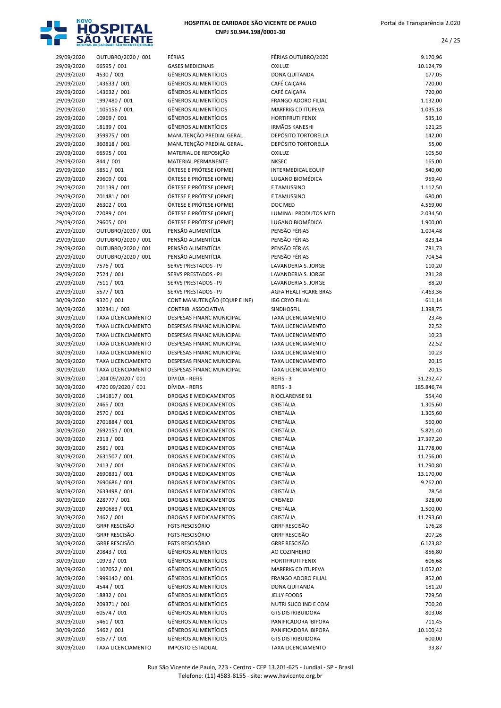

| 29/09/2020 | OUTUBRO/2020 / 001        | FÉRIAS                        | FÉRIAS OUTUBRO/2020         | 9.170,96   |
|------------|---------------------------|-------------------------------|-----------------------------|------------|
| 29/09/2020 | 66595 / 001               | <b>GASES MEDICINAIS</b>       | OXILUZ                      | 10.124,79  |
| 29/09/2020 | 4530 / 001                | <b>GÊNEROS ALIMENTÍCIOS</b>   | DONA QUITANDA               | 177,05     |
| 29/09/2020 | 143633 / 001              | <b>GÊNEROS ALIMENTÍCIOS</b>   | CAFÉ CAIÇARA                | 720,00     |
| 29/09/2020 | 143632 / 001              | <b>GÊNEROS ALIMENTÍCIOS</b>   | CAFÉ CAIÇARA                | 720,00     |
| 29/09/2020 | 1997480 / 001             | <b>GÊNEROS ALIMENTÍCIOS</b>   | FRANGO ADORO FILIAL         | 1.132,00   |
| 29/09/2020 | 1105156 / 001             | <b>GÊNEROS ALIMENTÍCIOS</b>   | <b>MARFRIG CD ITUPEVA</b>   | 1.035,18   |
| 29/09/2020 | 10969 / 001               | <b>GÊNEROS ALIMENTÍCIOS</b>   | HORTIFRUTI FENIX            | 535,10     |
| 29/09/2020 | 18139 / 001               | <b>GÊNEROS ALIMENTÍCIOS</b>   | <b>IRMÃOS KANESHI</b>       | 121,25     |
| 29/09/2020 | 359975 / 001              | MANUTENÇÃO PREDIAL GERAL      | <b>DEPÓSITO TORTORELLA</b>  | 142,00     |
| 29/09/2020 | 360818 / 001              | MANUTENÇÃO PREDIAL GERAL      | <b>DEPÓSITO TORTORELLA</b>  | 55,00      |
| 29/09/2020 | 66595 / 001               | MATERIAL DE REPOSIÇÃO         | OXILUZ                      | 105,50     |
| 29/09/2020 | 844 / 001                 | <b>MATERIAL PERMANENTE</b>    | <b>NKSEC</b>                | 165,00     |
| 29/09/2020 | 5851 / 001                | ÓRTESE E PRÓTESE (OPME)       | <b>INTERMEDICAL EQUIP</b>   | 540,00     |
| 29/09/2020 | 29609 / 001               | ÓRTESE E PRÓTESE (OPME)       | LUGANO BIOMÉDICA            | 959,40     |
| 29/09/2020 | 701139 / 001              | ÓRTESE E PRÓTESE (OPME)       | E TAMUSSINO                 | 1.112,50   |
| 29/09/2020 | 701481 / 001              | ÓRTESE E PRÓTESE (OPME)       | E TAMUSSINO                 | 680,00     |
| 29/09/2020 | 26302 / 001               | ÓRTESE E PRÓTESE (OPME)       | DOC MED                     | 4.569,00   |
|            |                           |                               | <b>LUMINAL PRODUTOS MED</b> |            |
| 29/09/2020 | 72089 / 001               | ÓRTESE E PRÓTESE (OPME)       |                             | 2.034,50   |
| 29/09/2020 | 29605 / 001               | ÓRTESE E PRÓTESE (OPME)       | LUGANO BIOMÉDICA            | 1.900,00   |
| 29/09/2020 | OUTUBRO/2020 / 001        | PENSÃO ALIMENTÍCIA            | PENSÃO FÉRIAS               | 1.094,48   |
| 29/09/2020 | OUTUBRO/2020 / 001        | PENSÃO ALIMENTÍCIA            | PENSÃO FÉRIAS               | 823,14     |
| 29/09/2020 | OUTUBRO/2020 / 001        | PENSÃO ALIMENTÍCIA            | PENSÃO FÉRIAS               | 781,73     |
| 29/09/2020 | OUTUBRO/2020 / 001        | PENSÃO ALIMENTÍCIA            | PENSÃO FÉRIAS               | 704,54     |
| 29/09/2020 | 7576 / 001                | SERVS PRESTADOS - PJ          | LAVANDERIA S. JORGE         | 110,20     |
| 29/09/2020 | 7524 / 001                | <b>SERVS PRESTADOS - PJ</b>   | LAVANDERIA S. JORGE         | 231,28     |
| 29/09/2020 | 7511/001                  | SERVS PRESTADOS - PJ          | LAVANDERIA S. JORGE         | 88,20      |
| 29/09/2020 | 5577 / 001                | <b>SERVS PRESTADOS - PJ</b>   | AGFA HEALTHCARE BRAS        | 7.463,36   |
| 30/09/2020 | 9320 / 001                | CONT MANUTENÇÃO (EQUIP E INF) | <b>IBG CRYO FILIAL</b>      | 611,14     |
| 30/09/2020 | 302341 / 003              | CONTRIB ASSOCIATIVA           | SINDHOSFIL                  | 1.398,75   |
| 30/09/2020 | <b>TAXA LICENCIAMENTO</b> | DESPESAS FINANC MUNICIPAL     | <b>TAXA LICENCIAMENTO</b>   | 23,46      |
| 30/09/2020 | <b>TAXA LICENCIAMENTO</b> | DESPESAS FINANC MUNICIPAL     | TAXA LICENCIAMENTO          | 22,52      |
| 30/09/2020 | <b>TAXA LICENCIAMENTO</b> | DESPESAS FINANC MUNICIPAL     | <b>TAXA LICENCIAMENTO</b>   | 10,23      |
| 30/09/2020 | <b>TAXA LICENCIAMENTO</b> | DESPESAS FINANC MUNICIPAL     | <b>TAXA LICENCIAMENTO</b>   | 22,52      |
| 30/09/2020 | <b>TAXA LICENCIAMENTO</b> | DESPESAS FINANC MUNICIPAL     | TAXA LICENCIAMENTO          | 10,23      |
| 30/09/2020 | <b>TAXA LICENCIAMENTO</b> | DESPESAS FINANC MUNICIPAL     | <b>TAXA LICENCIAMENTO</b>   | 20,15      |
| 30/09/2020 | <b>TAXA LICENCIAMENTO</b> | DESPESAS FINANC MUNICIPAL     | <b>TAXA LICENCIAMENTO</b>   | 20,15      |
| 30/09/2020 | 1204 09/2020 / 001        | DÍVIDA - REFIS                | REFIS - 3                   | 31.292,47  |
| 30/09/2020 | 4720 09/2020 / 001        | DÍVIDA - REFIS                | REFIS - 3                   | 185.846,74 |
| 30/09/2020 | 1341817 / 001             | DROGAS E MEDICAMENTOS         | RIOCLARENSE 91              | 554,40     |
| 30/09/2020 | 2465 / 001                | DROGAS E MEDICAMENTOS         | CRISTÁLIA                   | 1.305,60   |
| 30/09/2020 | 2570 / 001                | <b>DROGAS E MEDICAMENTOS</b>  | CRISTÁLIA                   | 1.305,60   |
| 30/09/2020 | 2701884 / 001             | <b>DROGAS E MEDICAMENTOS</b>  | CRISTÁLIA                   | 560,00     |
|            | 2692151 / 001             | DROGAS E MEDICAMENTOS         | CRISTÁLIA                   |            |
| 30/09/2020 |                           |                               |                             | 5.821,40   |
| 30/09/2020 | 2313 / 001                | DROGAS E MEDICAMENTOS         | CRISTÁLIA                   | 17.397,20  |
| 30/09/2020 | 2581 / 001                | DROGAS E MEDICAMENTOS         | CRISTÁLIA                   | 11.778,00  |
| 30/09/2020 | 2631507 / 001             | DROGAS E MEDICAMENTOS         | CRISTÁLIA                   | 11.256,00  |
| 30/09/2020 | 2413 / 001                | DROGAS E MEDICAMENTOS         | CRISTÁLIA                   | 11.290,80  |
| 30/09/2020 | 2690831 / 001             | DROGAS E MEDICAMENTOS         | CRISTÁLIA                   | 13.170,00  |
| 30/09/2020 | 2690686 / 001             | DROGAS E MEDICAMENTOS         | CRISTÁLIA                   | 9.262,00   |
| 30/09/2020 | 2633498 / 001             | DROGAS E MEDICAMENTOS         | CRISTÁLIA                   | 78,54      |
| 30/09/2020 | 228777 / 001              | DROGAS E MEDICAMENTOS         | CRISMED                     | 328,00     |
| 30/09/2020 | 2690683 / 001             | DROGAS E MEDICAMENTOS         | CRISTÁLIA                   | 1.500,00   |
| 30/09/2020 | 2462 / 001                | DROGAS E MEDICAMENTOS         | CRISTÁLIA                   | 11.793,60  |
| 30/09/2020 | <b>GRRF RESCISÃO</b>      | <b>FGTS RESCISÓRIO</b>        | <b>GRRF RESCISÃO</b>        | 176,28     |
| 30/09/2020 | <b>GRRF RESCISÃO</b>      | <b>FGTS RESCISÓRIO</b>        | <b>GRRF RESCISÃO</b>        | 207,26     |
| 30/09/2020 | <b>GRRF RESCISÃO</b>      | <b>FGTS RESCISÓRIO</b>        | <b>GRRF RESCISÃO</b>        | 6.123,82   |
| 30/09/2020 | 20843 / 001               | <b>GÊNEROS ALIMENTÍCIOS</b>   | AO COZINHEIRO               | 856,80     |
| 30/09/2020 | 10973 / 001               | <b>GÊNEROS ALIMENTÍCIOS</b>   | <b>HORTIFRUTI FENIX</b>     | 606,68     |
| 30/09/2020 | 1107052 / 001             | <b>GÊNEROS ALIMENTÍCIOS</b>   | MARFRIG CD ITUPEVA          | 1.052,02   |
| 30/09/2020 | 1999140 / 001             | GÊNEROS ALIMENTÍCIOS          | FRANGO ADORO FILIAL         | 852,00     |
| 30/09/2020 | 4544 / 001                | <b>GÊNEROS ALIMENTÍCIOS</b>   | DONA QUITANDA               | 181,20     |
| 30/09/2020 | 18832 / 001               | GÊNEROS ALIMENTÍCIOS          | <b>JELLY FOODS</b>          | 729,50     |
| 30/09/2020 | 209371 / 001              | GÊNEROS ALIMENTÍCIOS          | NUTRI SUCO IND E COM        | 700,20     |
| 30/09/2020 | 60574 / 001               | <b>GÊNEROS ALIMENTÍCIOS</b>   | <b>GTS DISTRIBUIDORA</b>    | 803,08     |
| 30/09/2020 | 5461 / 001                | <b>GÊNEROS ALIMENTÍCIOS</b>   | PANIFICADORA IBIPORA        | 711,45     |
|            | 5462 / 001                | <b>GÊNEROS ALIMENTÍCIOS</b>   | PANIFICADORA IBIPORA        | 10.100,42  |
| 30/09/2020 |                           |                               |                             |            |
| 30/09/2020 | 60577 / 001               | <b>GÊNEROS ALIMENTÍCIOS</b>   | <b>GTS DISTRIBUIDORA</b>    | 600,00     |
| 30/09/2020 | TAXA LICENCIAMENTO        | <b>IMPOSTO ESTADUAL</b>       | <b>TAXA LICENCIAMENTO</b>   | 93,87      |

| 29/09/2020               | OUTUBRO/2020 / 001                        | FÉRIAS                                                     | FÉRIAS OUTUBRO/2020                              | 9.170,96              |
|--------------------------|-------------------------------------------|------------------------------------------------------------|--------------------------------------------------|-----------------------|
| 29/09/2020               | 66595 / 001                               | <b>GASES MEDICINAIS</b>                                    | <b>OXILUZ</b>                                    | 10.124,79             |
| 29/09/2020               | 4530 / 001                                | <b>GÊNEROS ALIMENTÍCIOS</b>                                | DONA QUITANDA                                    | 177,05                |
| 29/09/2020               | 143633 / 001                              | <b>GÊNEROS ALIMENTÍCIOS</b>                                | CAFÉ CAIÇARA                                     | 720,00                |
| 29/09/2020               | 143632 / 001                              | <b>GÊNEROS ALIMENTÍCIOS</b>                                | CAFÉ CAIÇARA                                     | 720,00                |
| 29/09/2020               | 1997480 / 001                             | <b>GÊNEROS ALIMENTÍCIOS</b>                                | <b>FRANGO ADORO FILIAL</b>                       | 1.132,00              |
| 29/09/2020               | 1105156 / 001                             | <b>GÊNEROS ALIMENTÍCIOS</b>                                | <b>MARFRIG CD ITUPEVA</b>                        | 1.035,18              |
| 29/09/2020               | 10969 / 001                               | <b>GÊNEROS ALIMENTÍCIOS</b><br><b>GÊNEROS ALIMENTÍCIOS</b> | <b>HORTIFRUTI FENIX</b><br><b>IRMÃOS KANESHI</b> | 535,10                |
| 29/09/2020<br>29/09/2020 | 18139 / 001<br>359975 / 001               | MANUTENÇÃO PREDIAL GERAL                                   | <b>DEPÓSITO TORTORELLA</b>                       | 121,25<br>142,00      |
| 29/09/2020               | 360818 / 001                              | MANUTENÇÃO PREDIAL GERAL                                   | <b>DEPÓSITO TORTORELLA</b>                       | 55,00                 |
| 29/09/2020               | 66595 / 001                               | MATERIAL DE REPOSIÇÃO                                      | <b>OXILUZ</b>                                    | 105,50                |
| 29/09/2020               | 844 / 001                                 | MATERIAL PERMANENTE                                        | <b>NKSEC</b>                                     | 165,00                |
| 29/09/2020               | 5851 / 001                                | ÓRTESE E PRÓTESE (OPME)                                    | <b>INTERMEDICAL EQUIP</b>                        | 540,00                |
| 29/09/2020               | 29609 / 001                               | ÓRTESE E PRÓTESE (OPME)                                    | LUGANO BIOMÉDICA                                 | 959,40                |
| 29/09/2020               | 701139 / 001                              | ÓRTESE E PRÓTESE (OPME)                                    | E TAMUSSINO                                      | 1.112,50              |
| 29/09/2020               | 701481 / 001                              | ÓRTESE E PRÓTESE (OPME)                                    | E TAMUSSINO                                      | 680,00                |
| 29/09/2020               | 26302 / 001                               | ÓRTESE E PRÓTESE (OPME)                                    | DOC MED                                          | 4.569,00              |
| 29/09/2020               | 72089 / 001                               | ÓRTESE E PRÓTESE (OPME)                                    | LUMINAL PRODUTOS MED                             | 2.034,50              |
| 29/09/2020               | 29605 / 001                               | ÓRTESE E PRÓTESE (OPME)                                    | LUGANO BIOMÉDICA                                 | 1.900,00              |
| 29/09/2020               | OUTUBRO/2020 / 001                        | PENSÃO ALIMENTÍCIA                                         | PENSÃO FÉRIAS                                    | 1.094,48              |
| 29/09/2020               | OUTUBRO/2020 / 001                        | PENSÃO ALIMENTÍCIA                                         | PENSÃO FÉRIAS                                    | 823,14                |
| 29/09/2020               | OUTUBRO/2020 / 001                        | PENSÃO ALIMENTÍCIA                                         | PENSÃO FÉRIAS                                    | 781,73                |
| 29/09/2020               | OUTUBRO/2020 / 001                        | PENSÃO ALIMENTÍCIA                                         | PENSÃO FÉRIAS                                    | 704,54                |
| 29/09/2020               | 7576 / 001                                | <b>SERVS PRESTADOS - PJ</b>                                | LAVANDERIA S. JORGE                              | 110,20                |
| 29/09/2020               | 7524 / 001                                | SERVS PRESTADOS - PJ                                       | LAVANDERIA S. JORGE                              | 231,28                |
| 29/09/2020               | 7511 / 001                                | SERVS PRESTADOS - PJ                                       | LAVANDERIA S. JORGE                              | 88,20                 |
| 29/09/2020               | 5577 / 001                                | SERVS PRESTADOS - PJ                                       | AGFA HEALTHCARE BRAS                             | 7.463,36              |
| 30/09/2020               | 9320 / 001                                | CONT MANUTENÇÃO (EQUIP E INF)                              | <b>IBG CRYO FILIAL</b>                           | 611,14                |
| 30/09/2020<br>30/09/2020 | 302341 / 003<br><b>TAXA LICENCIAMENTO</b> | CONTRIB ASSOCIATIVA<br>DESPESAS FINANC MUNICIPAL           | SINDHOSFIL<br><b>TAXA LICENCIAMENTO</b>          | 1.398,75<br>23,46     |
| 30/09/2020               | <b>TAXA LICENCIAMENTO</b>                 | DESPESAS FINANC MUNICIPAL                                  | <b>TAXA LICENCIAMENTO</b>                        | 22,52                 |
| 30/09/2020               | <b>TAXA LICENCIAMENTO</b>                 | DESPESAS FINANC MUNICIPAL                                  | <b>TAXA LICENCIAMENTO</b>                        | 10,23                 |
| 30/09/2020               | <b>TAXA LICENCIAMENTO</b>                 | DESPESAS FINANC MUNICIPAL                                  | <b>TAXA LICENCIAMENTO</b>                        | 22,52                 |
| 30/09/2020               | <b>TAXA LICENCIAMENTO</b>                 | DESPESAS FINANC MUNICIPAL                                  | <b>TAXA LICENCIAMENTO</b>                        | 10,23                 |
| 30/09/2020               | TAXA LICENCIAMENTO                        | DESPESAS FINANC MUNICIPAL                                  | <b>TAXA LICENCIAMENTO</b>                        | 20,15                 |
| 30/09/2020               | <b>TAXA LICENCIAMENTO</b>                 | DESPESAS FINANC MUNICIPAL                                  | <b>TAXA LICENCIAMENTO</b>                        | 20,15                 |
| 30/09/2020               | 1204 09/2020 / 001                        | DÍVIDA - REFIS                                             | REFIS - 3                                        | 31.292,47             |
| 30/09/2020               | 4720 09/2020 / 001                        | DÍVIDA - REFIS                                             | REFIS - 3                                        | 185.846,74            |
| 30/09/2020               | 1341817 / 001                             | <b>DROGAS E MEDICAMENTOS</b>                               | RIOCLARENSE 91                                   | 554,40                |
| 30/09/2020               | 2465 / 001                                | <b>DROGAS E MEDICAMENTOS</b>                               | CRISTÁLIA                                        | 1.305,60              |
| 30/09/2020               | 2570 / 001                                | DROGAS E MEDICAMENTOS                                      | CRISTÁLIA                                        | 1.305,60              |
| 30/09/2020               | 2701884 / 001                             | <b>DROGAS E MEDICAMENTOS</b>                               | CRISTÁLIA                                        | 560,00                |
| 30/09/2020               | 2692151 / 001                             | DROGAS E MEDICAMENTOS                                      | CRISTÁLIA                                        | 5.821,40              |
| 30/09/2020               | 2313 / 001                                | DROGAS E MEDICAMENTOS                                      | CRISTÁLIA                                        | 17.397,20             |
| 30/09/2020               | 2581 / 001                                | DROGAS E MEDICAMENTOS                                      | CRISTÁLIA                                        | 11.778,00             |
| 30/09/2020               | 2631507 / 001                             | DROGAS E MEDICAMENTOS                                      | CRISTÁLIA                                        | 11.256,00             |
| 30/09/2020<br>30/09/2020 | 2413 / 001<br>2690831 / 001               | DROGAS E MEDICAMENTOS<br><b>DROGAS E MEDICAMENTOS</b>      | CRISTÁLIA<br>CRISTÁLIA                           | 11.290,80             |
| 30/09/2020               | 2690686 / 001                             | DROGAS E MEDICAMENTOS                                      | CRISTÁLIA                                        | 13.170,00<br>9.262,00 |
| 30/09/2020               | 2633498 / 001                             | <b>DROGAS E MEDICAMENTOS</b>                               | CRISTÁLIA                                        | 78,54                 |
| 30/09/2020               | 228777 / 001                              | DROGAS E MEDICAMENTOS                                      | CRISMED                                          | 328,00                |
| 30/09/2020               | 2690683 / 001                             | <b>DROGAS E MEDICAMENTOS</b>                               | CRISTÁLIA                                        | 1.500,00              |
| 30/09/2020               | 2462 / 001                                | DROGAS E MEDICAMENTOS                                      | CRISTÁLIA                                        | 11.793,60             |
| 30/09/2020               | <b>GRRF RESCISÃO</b>                      | <b>FGTS RESCISÓRIO</b>                                     | <b>GRRF RESCISÃO</b>                             | 176,28                |
| 30/09/2020               | <b>GRRF RESCISÃO</b>                      | <b>FGTS RESCISÓRIO</b>                                     | <b>GRRF RESCISÃO</b>                             | 207,26                |
| 30/09/2020               | <b>GRRF RESCISÃO</b>                      | <b>FGTS RESCISÓRIO</b>                                     | <b>GRRF RESCISÃO</b>                             | 6.123,82              |
| 30/09/2020               | 20843 / 001                               | <b>GÊNEROS ALIMENTÍCIOS</b>                                | AO COZINHEIRO                                    | 856,80                |
| 30/09/2020               | 10973 / 001                               | <b>GÊNEROS ALIMENTÍCIOS</b>                                | <b>HORTIFRUTI FENIX</b>                          | 606,68                |
| 30/09/2020               | 1107052 / 001                             | <b>GÊNEROS ALIMENTÍCIOS</b>                                | MARFRIG CD ITUPEVA                               | 1.052,02              |
| 30/09/2020               | 1999140 / 001                             | <b>GÊNEROS ALIMENTÍCIOS</b>                                | FRANGO ADORO FILIAL                              | 852,00                |
| 30/09/2020               | 4544 / 001                                | <b>GÊNEROS ALIMENTÍCIOS</b>                                | DONA QUITANDA                                    | 181,20                |
| 30/09/2020               | 18832 / 001                               | <b>GÊNEROS ALIMENTÍCIOS</b>                                | <b>JELLY FOODS</b>                               | 729,50                |
| 30/09/2020               | 209371 / 001                              | <b>GÊNEROS ALIMENTÍCIOS</b>                                | NUTRI SUCO IND E COM                             | 700,20                |
| 30/09/2020               | 60574 / 001                               | <b>GÊNEROS ALIMENTÍCIOS</b>                                | <b>GTS DISTRIBUIDORA</b>                         | 803,08                |
| 30/09/2020               | 5461 / 001                                | <b>GÊNEROS ALIMENTÍCIOS</b>                                | PANIFICADORA IBIPORA                             | 711,45                |
| 30/09/2020               | 5462 / 001                                | <b>GÊNEROS ALIMENTÍCIOS</b>                                | PANIFICADORA IBIPORA                             | 10.100,42             |
| 30/09/2020               | 60577 / 001                               | <b>GÊNEROS ALIMENTÍCIOS</b>                                | <b>GTS DISTRIBUIDORA</b>                         | 600,00                |